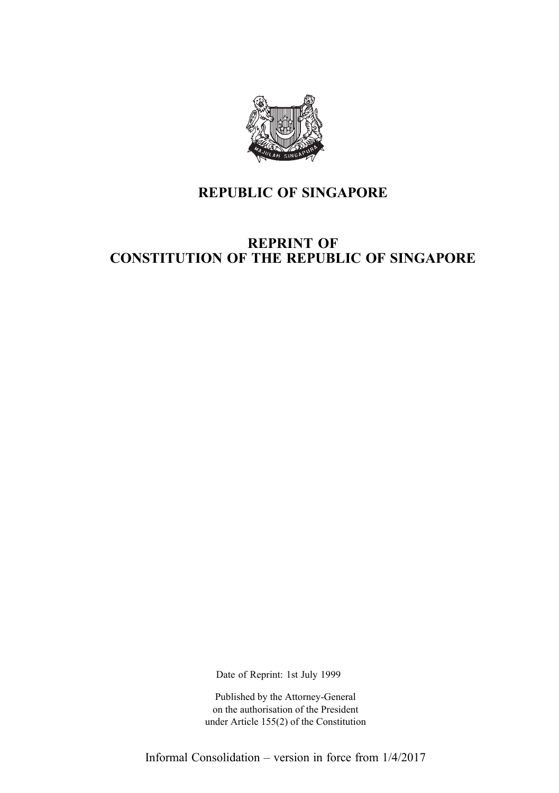

# REPUBLIC OF SINGAPORE

# **REPRINT OF** CONSTITUTION OF THE REPUBLIC OF SINGAPORE

Date of Reprint: 1st July 1999

Published by the Attorney-General on the authorisation of the President under Article 155(2) of the Constitution

Informal Consolidation – version in force from 1/4/2017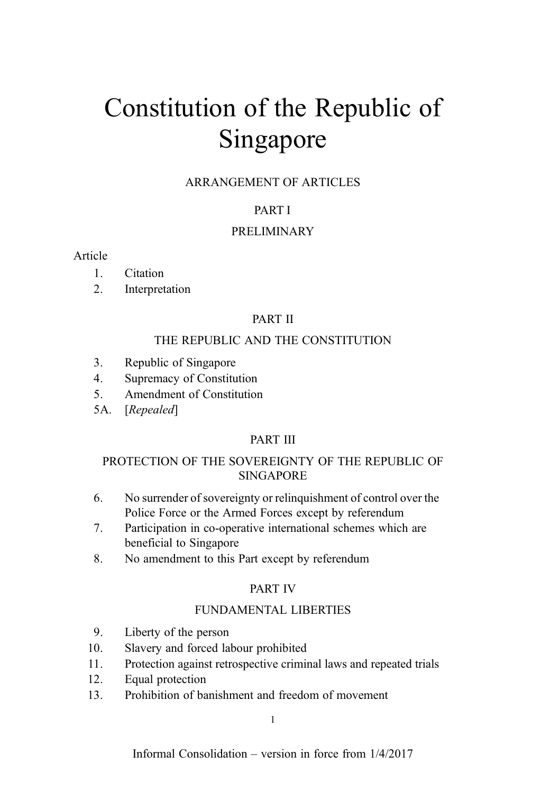# Constitution of the Republic of Singapore

### ARRANGEMENT OF ARTICLES

#### PART I

#### PRELIMINARY

### Article

- 1. Citation
- 2. Interpretation

#### PART II

### THE REPUBLIC AND THE CONSTITUTION

- 3. Republic of Singapore
- 4. Supremacy of Constitution
- 5. Amendment of Constitution
- 5A. [Repealed]

#### PART III

#### PROTECTION OF THE SOVEREIGNTY OF THE REPUBLIC OF SINGAPORE

- 6. No surrender of sovereignty or relinquishment of control over the Police Force or the Armed Forces except by referendum
- 7. Participation in co-operative international schemes which are beneficial to Singapore
- 8. No amendment to this Part except by referendum

#### PART IV

#### FUNDAMENTAL LIBERTIES

- 9. Liberty of the person
- 10. Slavery and forced labour prohibited
- 11. Protection against retrospective criminal laws and repeated trials
- 12. Equal protection
- 13. Prohibition of banishment and freedom of movement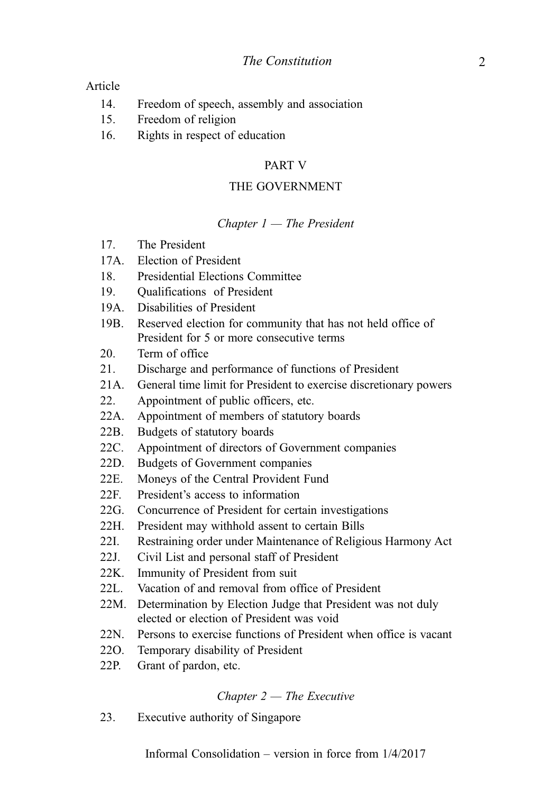- 14. Freedom of speech, assembly and association
- 15. Freedom of religion
- 16. Rights in respect of education

### PART V

### THE GOVERNMENT

### Chapter  $1$  – The President

- 17. The President
- 17A. Election of President
- 18. Presidential Elections Committee
- 19. Qualifications of President
- 19A. Disabilities of President
- 19B. Reserved election for community that has not held office of President for 5 or more consecutive terms
- 20. Term of office
- 21. Discharge and performance of functions of President
- 21A. General time limit for President to exercise discretionary powers
- 22. Appointment of public officers, etc.
- 22A. Appointment of members of statutory boards
- 22B. Budgets of statutory boards
- 22C. Appointment of directors of Government companies
- 22D. Budgets of Government companies
- 22E. Moneys of the Central Provident Fund
- 22F. President's access to information
- 22G. Concurrence of President for certain investigations
- 22H. President may withhold assent to certain Bills
- 22I. Restraining order under Maintenance of Religious Harmony Act
- 22J. Civil List and personal staff of President
- 22K. Immunity of President from suit
- 22L. Vacation of and removal from office of President
- 22M. Determination by Election Judge that President was not duly elected or election of President was void
- 22N. Persons to exercise functions of President when office is vacant
- 22O. Temporary disability of President
- 22P. Grant of pardon, etc.

### Chapter  $2$  — The Executive

23. Executive authority of Singapore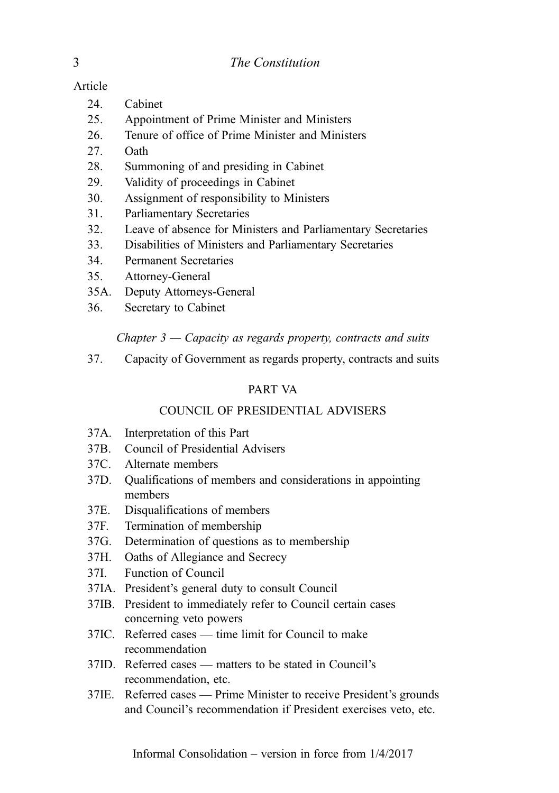### *The Constitution*

### Article

- 24. Cabinet
- 25. Appointment of Prime Minister and Ministers
- 26. Tenure of office of Prime Minister and Ministers
- 27. Oath
- 28. Summoning of and presiding in Cabinet
- 29. Validity of proceedings in Cabinet
- 30. Assignment of responsibility to Ministers
- 31. Parliamentary Secretaries
- 32. Leave of absence for Ministers and Parliamentary Secretaries
- 33. Disabilities of Ministers and Parliamentary Secretaries
- 34. Permanent Secretaries
- 35. Attorney-General
- 35A. Deputy Attorneys-General
- 36. Secretary to Cabinet

Chapter  $3 -$  Capacity as regards property, contracts and suits

37. Capacity of Government as regards property, contracts and suits

# PART VA

# COUNCIL OF PRESIDENTIAL ADVISERS

- 37A. Interpretation of this Part
- 37B. Council of Presidential Advisers
- 37C. Alternate members
- 37D. Qualifications of members and considerations in appointing members
- 37E. Disqualifications of members
- 37F. Termination of membership
- 37G. Determination of questions as to membership
- 37H. Oaths of Allegiance and Secrecy
- 37I. Function of Council
- 37IA. President's general duty to consult Council
- 37IB. President to immediately refer to Council certain cases concerning veto powers
- 37IC. Referred cases time limit for Council to make recommendation
- 37ID. Referred cases matters to be stated in Council's recommendation, etc.
- 37IE. Referred cases Prime Minister to receive President's grounds and Council's recommendation if President exercises veto, etc.

3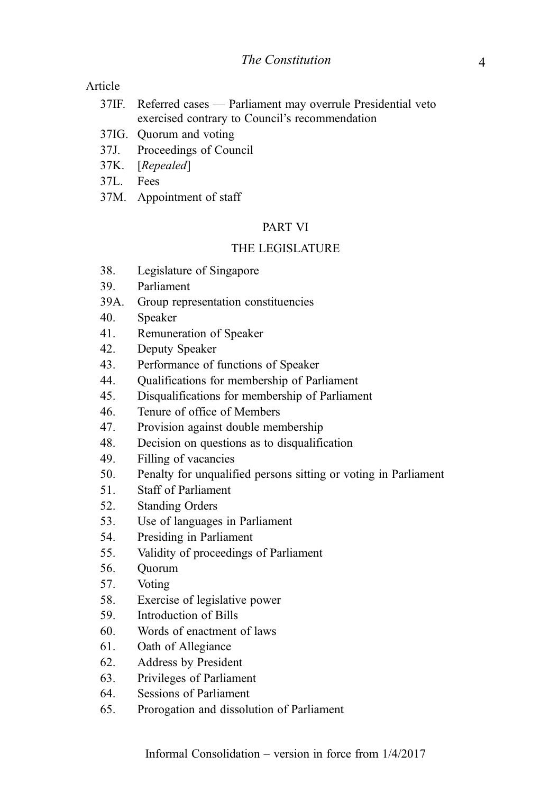- 37IF. Referred cases Parliament may overrule Presidential veto exercised contrary to Council's recommendation
- 37IG. Quorum and voting
- 37J. Proceedings of Council
- 37K. [Repealed]
- 37L. Fees
- 37M. Appointment of staff

### PART VI

#### THE LEGISLATURE

- 38. Legislature of Singapore
- 39. Parliament
- 39A. Group representation constituencies
- 40. Speaker
- 41. Remuneration of Speaker
- 42. Deputy Speaker
- 43. Performance of functions of Speaker
- 44. Qualifications for membership of Parliament
- 45. Disqualifications for membership of Parliament
- 46. Tenure of office of Members
- 47. Provision against double membership
- 48. Decision on questions as to disqualification
- 49. Filling of vacancies
- 50. Penalty for unqualified persons sitting or voting in Parliament
- 51. Staff of Parliament
- 52. Standing Orders
- 53. Use of languages in Parliament
- 54. Presiding in Parliament
- 55. Validity of proceedings of Parliament
- 56. Quorum
- 57. Voting
- 58. Exercise of legislative power
- 59. Introduction of Bills
- 60. Words of enactment of laws
- 61. Oath of Allegiance
- 62. Address by President
- 63. Privileges of Parliament
- 64. Sessions of Parliament
- 65. Prorogation and dissolution of Parliament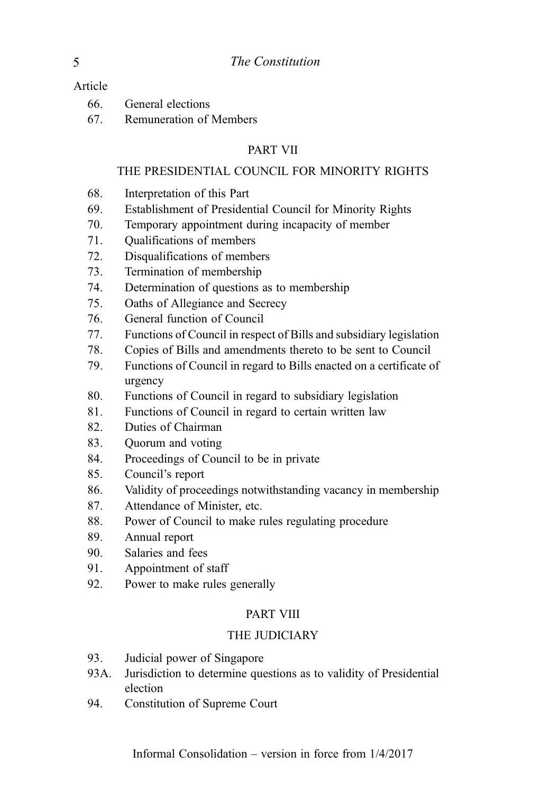- 66. General elections
- 67. Remuneration of Members

# PART VII

### THE PRESIDENTIAL COUNCIL FOR MINORITY RIGHTS

- 68. Interpretation of this Part
- 69. Establishment of Presidential Council for Minority Rights
- 70. Temporary appointment during incapacity of member
- 71. Qualifications of members
- 72. Disqualifications of members
- 73. Termination of membership
- 74. Determination of questions as to membership
- 75. Oaths of Allegiance and Secrecy
- 76. General function of Council
- 77. Functions of Council in respect of Bills and subsidiary legislation
- 78. Copies of Bills and amendments thereto to be sent to Council
- 79. Functions of Council in regard to Bills enacted on a certificate of urgency
- 80. Functions of Council in regard to subsidiary legislation
- 81. Functions of Council in regard to certain written law
- 82. Duties of Chairman
- 83. Quorum and voting
- 84. Proceedings of Council to be in private
- 85. Council's report
- 86. Validity of proceedings notwithstanding vacancy in membership
- 87. Attendance of Minister, etc.
- 88. Power of Council to make rules regulating procedure
- 89. Annual report
- 90. Salaries and fees
- 91. Appointment of staff
- 92. Power to make rules generally

# PART VIII

# THE JUDICIARY

- 93. Judicial power of Singapore
- 93A. Jurisdiction to determine questions as to validity of Presidential election
- 94. Constitution of Supreme Court

5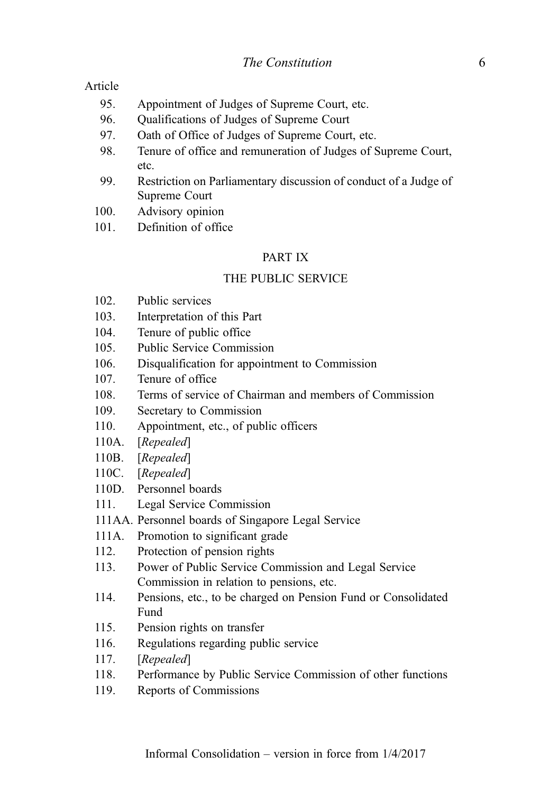- 95. Appointment of Judges of Supreme Court, etc.
- 96. Qualifications of Judges of Supreme Court
- 97. Oath of Office of Judges of Supreme Court, etc.
- 98. Tenure of office and remuneration of Judges of Supreme Court, etc.
- 99. Restriction on Parliamentary discussion of conduct of a Judge of Supreme Court
- 100. Advisory opinion
- 101 Definition of office

#### PART IX

#### THE PUBLIC SERVICE

- 102. Public services
- 103. Interpretation of this Part
- 104. Tenure of public office
- 105. Public Service Commission
- 106. Disqualification for appointment to Commission
- 107. Tenure of office
- 108. Terms of service of Chairman and members of Commission
- 109. Secretary to Commission
- 110. Appointment, etc., of public officers
- 110A. [Repealed]
- 110B. [Repealed]
- 110C. [Repealed]
- 110D. Personnel boards
- 111. Legal Service Commission
- 111AA. Personnel boards of Singapore Legal Service
- 111A. Promotion to significant grade
- 112. Protection of pension rights
- 113. Power of Public Service Commission and Legal Service Commission in relation to pensions, etc.
- 114. Pensions, etc., to be charged on Pension Fund or Consolidated Fund
- 115. Pension rights on transfer
- 116. Regulations regarding public service
- 117. [Repealed]
- 118. Performance by Public Service Commission of other functions
- 119. Reports of Commissions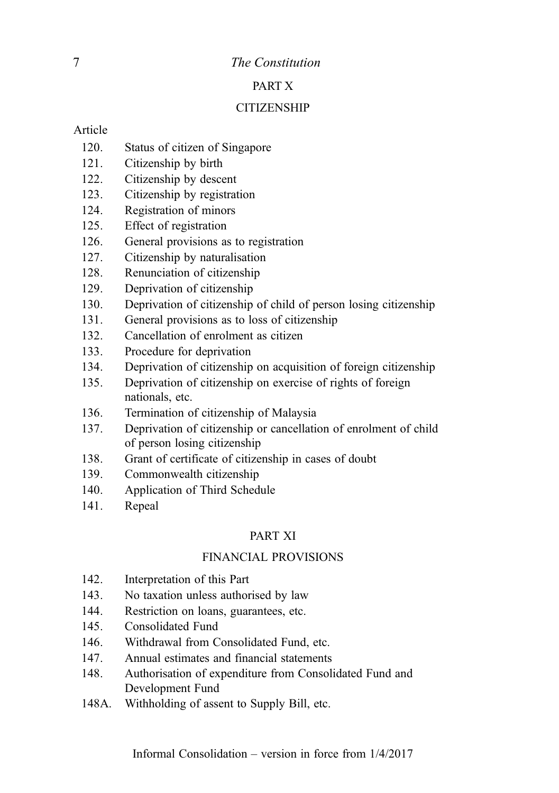### *The Constitution*

### PART X

### **CITIZENSHIP**

#### Article

- 120. Status of citizen of Singapore
- 121. Citizenship by birth
- 122. Citizenship by descent
- 123. Citizenship by registration
- 124. Registration of minors
- 125. Effect of registration
- 126. General provisions as to registration
- 127. Citizenship by naturalisation
- 128. Renunciation of citizenship
- 129. Deprivation of citizenship
- 130. Deprivation of citizenship of child of person losing citizenship
- 131. General provisions as to loss of citizenship
- 132. Cancellation of enrolment as citizen
- 133. Procedure for deprivation
- 134. Deprivation of citizenship on acquisition of foreign citizenship
- 135. Deprivation of citizenship on exercise of rights of foreign nationals, etc.
- 136. Termination of citizenship of Malaysia
- 137. Deprivation of citizenship or cancellation of enrolment of child of person losing citizenship
- 138. Grant of certificate of citizenship in cases of doubt
- 139. Commonwealth citizenship
- 140. Application of Third Schedule
- 141. Repeal

# PART XI

### FINANCIAL PROVISIONS

- 142. Interpretation of this Part
- 143. No taxation unless authorised by law
- 144. Restriction on loans, guarantees, etc.
- 145. Consolidated Fund
- 146. Withdrawal from Consolidated Fund, etc.
- 147. Annual estimates and financial statements
- 148. Authorisation of expenditure from Consolidated Fund and Development Fund
- 148A. Withholding of assent to Supply Bill, etc.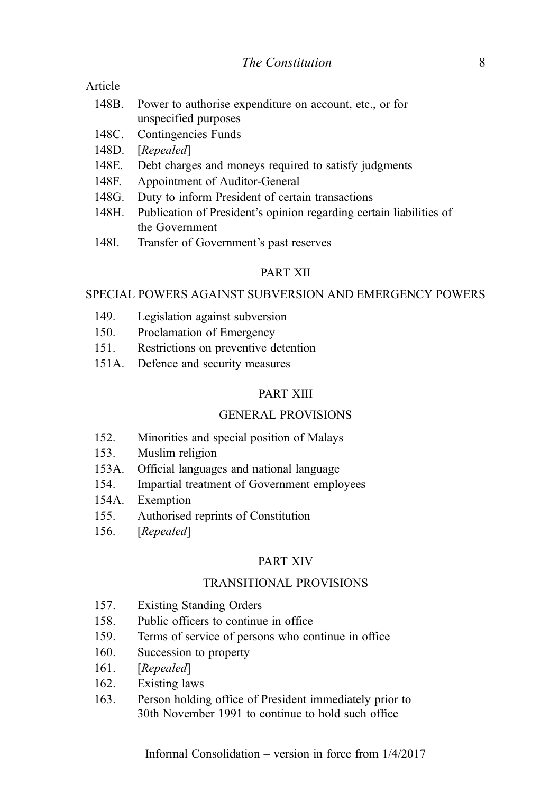- 148B. Power to authorise expenditure on account, etc., or for unspecified purposes
- 148C. Contingencies Funds
- 148D. [Repealed]
- 148E. Debt charges and moneys required to satisfy judgments
- 148F. Appointment of Auditor-General
- 148G. Duty to inform President of certain transactions
- 148H. Publication of President's opinion regarding certain liabilities of the Government
- 148I. Transfer of Government's past reserves

#### PART XII

#### SPECIAL POWERS AGAINST SUBVERSION AND EMERGENCY POWERS

- 149. Legislation against subversion
- 150. Proclamation of Emergency
- 151. Restrictions on preventive detention
- 151A. Defence and security measures

#### PART XIII

#### GENERAL PROVISIONS

- 152. Minorities and special position of Malays
- 153. Muslim religion
- 153A. Official languages and national language
- 154. Impartial treatment of Government employees
- 154A. Exemption
- 155. Authorised reprints of Constitution
- 156. [Repealed]

#### PART XIV

#### TRANSITIONAL PROVISIONS

- 157. Existing Standing Orders
- 158. Public officers to continue in office
- 159. Terms of service of persons who continue in office
- 160. Succession to property
- 161. [Repealed]
- 162. Existing laws
- 163. Person holding office of President immediately prior to 30th November 1991 to continue to hold such office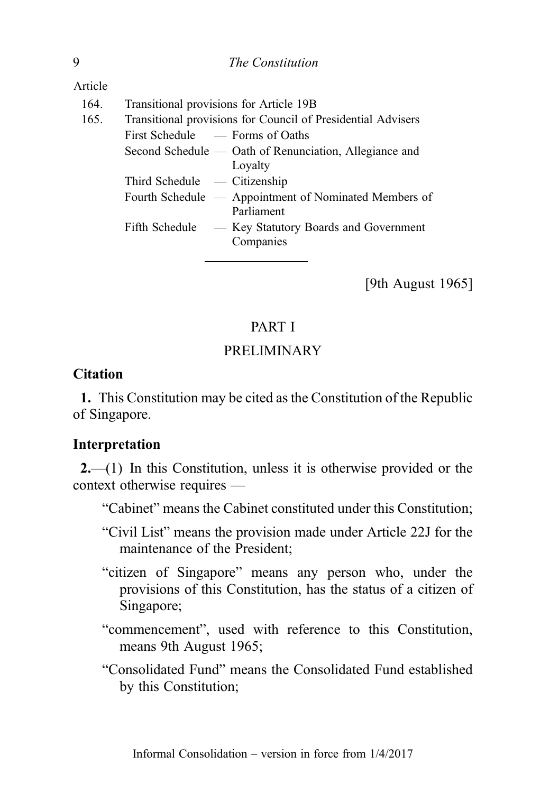| 164. | Transitional provisions for Article 19B                      |
|------|--------------------------------------------------------------|
| 165. | Transitional provisions for Council of Presidential Advisers |
|      | First Schedule — Forms of Oaths                              |
|      | Second Schedule — Oath of Renunciation, Allegiance and       |
|      | Loyalty                                                      |
|      | Third Schedule $\quad$ - Citizenship                         |
|      | Fourth Schedule — Appointment of Nominated Members of        |
|      | Parliament                                                   |
|      | Fifth Schedule — Key Statutory Boards and Government         |
|      | Companies                                                    |
|      |                                                              |

[9th August 1965]

# PART I

# PRELIMINARY

# **Citation**

1. This Constitution may be cited as the Constitution of the Republic of Singapore.

# Interpretation

2.—(1) In this Constitution, unless it is otherwise provided or the context otherwise requires —

"Cabinet" means the Cabinet constituted under this Constitution;

- "Civil List" means the provision made under Article 22J for the maintenance of the President;
- "citizen of Singapore" means any person who, under the provisions of this Constitution, has the status of a citizen of Singapore;
- "commencement", used with reference to this Constitution, means 9th August 1965;

"Consolidated Fund" means the Consolidated Fund established by this Constitution;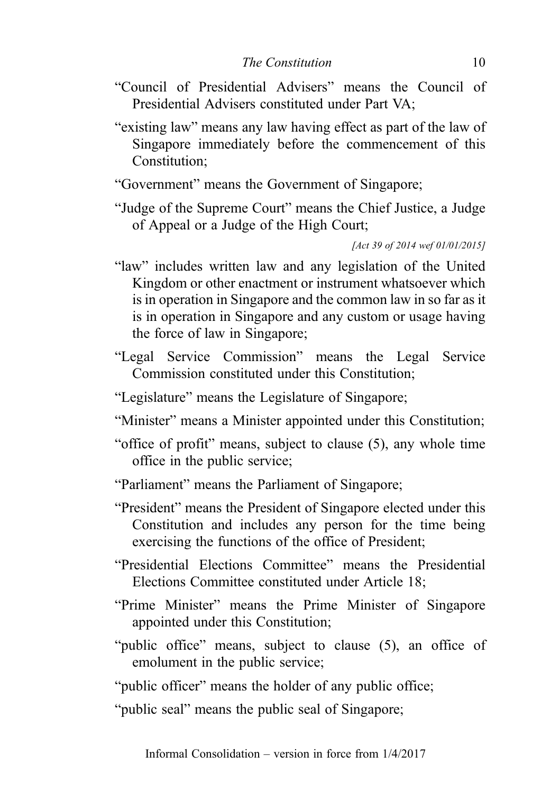- "Council of Presidential Advisers" means the Council of Presidential Advisers constituted under Part VA;
- "existing law" means any law having effect as part of the law of Singapore immediately before the commencement of this Constitution;
- "Government" means the Government of Singapore;
- "Judge of the Supreme Court" means the Chief Justice, a Judge of Appeal or a Judge of the High Court;

```
[Act 39 of 2014 wef 01/01/2015]
```
- "law" includes written law and any legislation of the United Kingdom or other enactment or instrument whatsoever which is in operation in Singapore and the common law in so far as it is in operation in Singapore and any custom or usage having the force of law in Singapore;
- "Legal Service Commission" means the Legal Service Commission constituted under this Constitution;
- "Legislature" means the Legislature of Singapore;
- "Minister" means a Minister appointed under this Constitution;
- "office of profit" means, subject to clause (5), any whole time office in the public service;
- "Parliament" means the Parliament of Singapore;
- "President" means the President of Singapore elected under this Constitution and includes any person for the time being exercising the functions of the office of President;
- "Presidential Elections Committee" means the Presidential Elections Committee constituted under Article 18;
- "Prime Minister" means the Prime Minister of Singapore appointed under this Constitution;
- "public office" means, subject to clause (5), an office of emolument in the public service;

"public officer" means the holder of any public office;

"public seal" means the public seal of Singapore;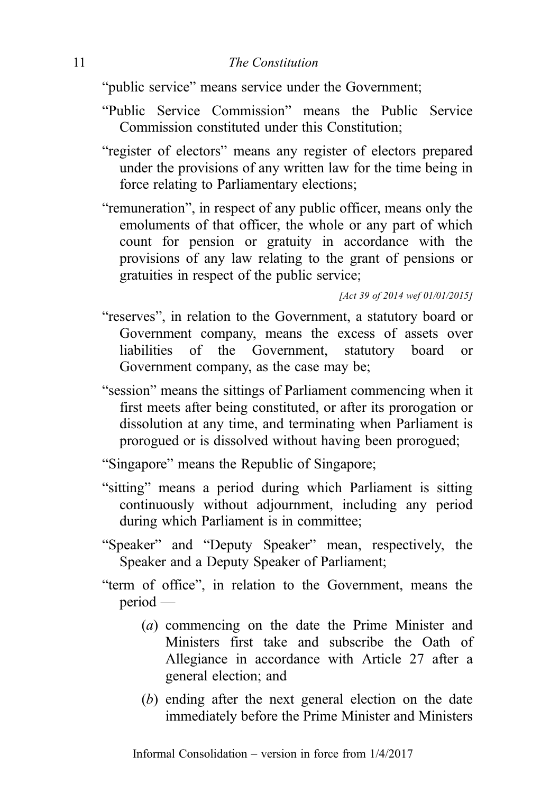"public service" means service under the Government;

- "Public Service Commission" means the Public Service Commission constituted under this Constitution;
- "register of electors" means any register of electors prepared under the provisions of any written law for the time being in force relating to Parliamentary elections;
- "remuneration", in respect of any public officer, means only the emoluments of that officer, the whole or any part of which count for pension or gratuity in accordance with the provisions of any law relating to the grant of pensions or gratuities in respect of the public service;

[Act 39 of 2014 wef 01/01/2015]

- "reserves", in relation to the Government, a statutory board or Government company, means the excess of assets over liabilities of the Government, statutory board or Government company, as the case may be;
- "session" means the sittings of Parliament commencing when it first meets after being constituted, or after its prorogation or dissolution at any time, and terminating when Parliament is prorogued or is dissolved without having been prorogued;
- "Singapore" means the Republic of Singapore;
- "sitting" means a period during which Parliament is sitting continuously without adjournment, including any period during which Parliament is in committee;
- "Speaker" and "Deputy Speaker" mean, respectively, the Speaker and a Deputy Speaker of Parliament;
- "term of office", in relation to the Government, means the period —
	- (a) commencing on the date the Prime Minister and Ministers first take and subscribe the Oath of Allegiance in accordance with Article 27 after a general election; and
	- (b) ending after the next general election on the date immediately before the Prime Minister and Ministers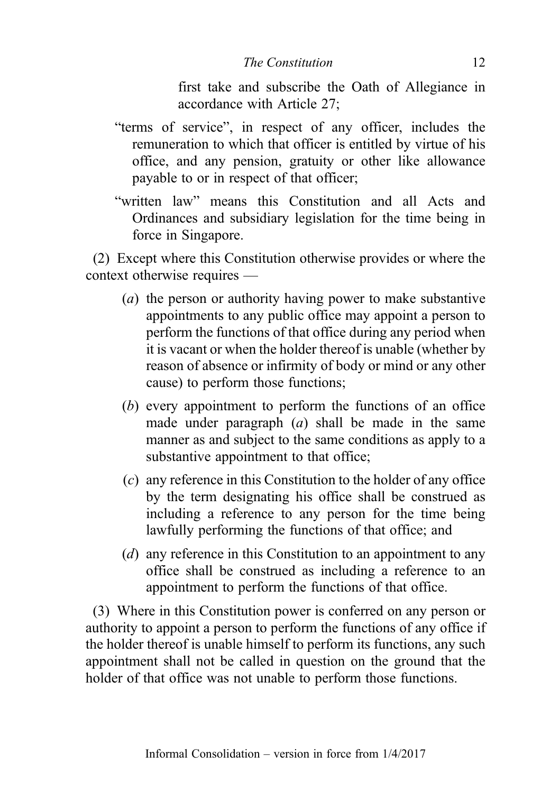first take and subscribe the Oath of Allegiance in accordance with Article 27;

- "terms of service", in respect of any officer, includes the remuneration to which that officer is entitled by virtue of his office, and any pension, gratuity or other like allowance payable to or in respect of that officer;
- "written law" means this Constitution and all Acts and Ordinances and subsidiary legislation for the time being in force in Singapore.

(2) Except where this Constitution otherwise provides or where the context otherwise requires —

- (a) the person or authority having power to make substantive appointments to any public office may appoint a person to perform the functions of that office during any period when it is vacant or when the holder thereof is unable (whether by reason of absence or infirmity of body or mind or any other cause) to perform those functions;
- (b) every appointment to perform the functions of an office made under paragraph  $(a)$  shall be made in the same manner as and subject to the same conditions as apply to a substantive appointment to that office;
- (c) any reference in this Constitution to the holder of any office by the term designating his office shall be construed as including a reference to any person for the time being lawfully performing the functions of that office; and
- (d) any reference in this Constitution to an appointment to any office shall be construed as including a reference to an appointment to perform the functions of that office.

(3) Where in this Constitution power is conferred on any person or authority to appoint a person to perform the functions of any office if the holder thereof is unable himself to perform its functions, any such appointment shall not be called in question on the ground that the holder of that office was not unable to perform those functions.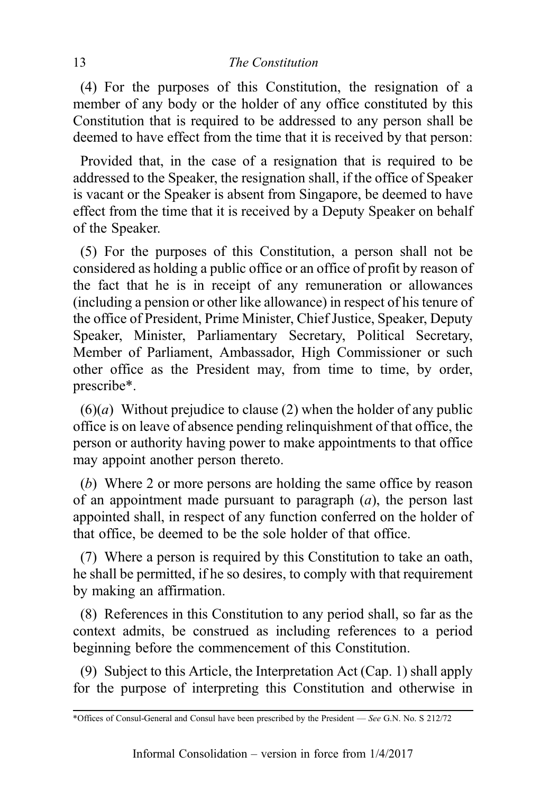### *The Constitution*

(4) For the purposes of this Constitution, the resignation of a member of any body or the holder of any office constituted by this Constitution that is required to be addressed to any person shall be deemed to have effect from the time that it is received by that person:

Provided that, in the case of a resignation that is required to be addressed to the Speaker, the resignation shall, if the office of Speaker is vacant or the Speaker is absent from Singapore, be deemed to have effect from the time that it is received by a Deputy Speaker on behalf of the Speaker.

(5) For the purposes of this Constitution, a person shall not be considered as holding a public office or an office of profit by reason of the fact that he is in receipt of any remuneration or allowances (including a pension or other like allowance) in respect of his tenure of the office of President, Prime Minister, Chief Justice, Speaker, Deputy Speaker, Minister, Parliamentary Secretary, Political Secretary, Member of Parliament, Ambassador, High Commissioner or such other office as the President may, from time to time, by order, prescribe\*.

 $(6)(a)$  Without prejudice to clause (2) when the holder of any public office is on leave of absence pending relinquishment of that office, the person or authority having power to make appointments to that office may appoint another person thereto.

(b) Where 2 or more persons are holding the same office by reason of an appointment made pursuant to paragraph  $(a)$ , the person last appointed shall, in respect of any function conferred on the holder of that office, be deemed to be the sole holder of that office.

(7) Where a person is required by this Constitution to take an oath, he shall be permitted, if he so desires, to comply with that requirement by making an affirmation.

(8) References in this Constitution to any period shall, so far as the context admits, be construed as including references to a period beginning before the commencement of this Constitution.

(9) Subject to this Article, the Interpretation Act (Cap. 1) shall apply for the purpose of interpreting this Constitution and otherwise in

<sup>\*</sup>Offices of Consul-General and Consul have been prescribed by the President — See G.N. No. S 212/72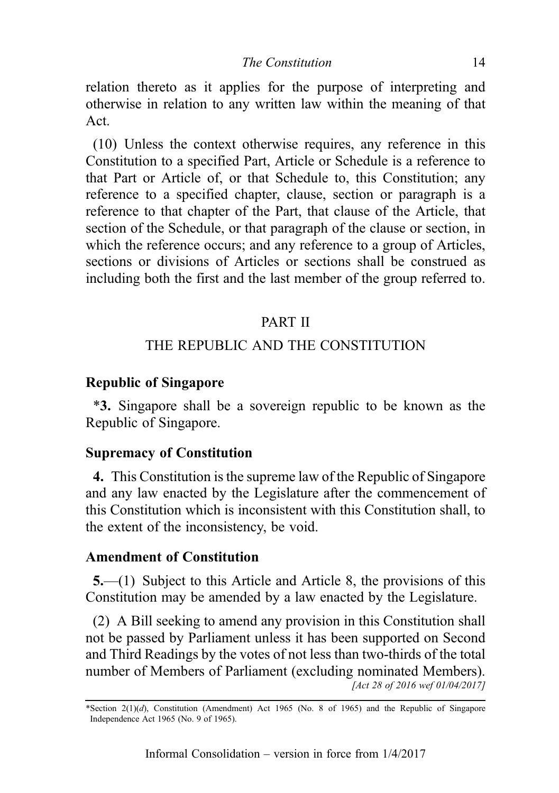relation thereto as it applies for the purpose of interpreting and otherwise in relation to any written law within the meaning of that Act.

(10) Unless the context otherwise requires, any reference in this Constitution to a specified Part, Article or Schedule is a reference to that Part or Article of, or that Schedule to, this Constitution; any reference to a specified chapter, clause, section or paragraph is a reference to that chapter of the Part, that clause of the Article, that section of the Schedule, or that paragraph of the clause or section, in which the reference occurs; and any reference to a group of Articles, sections or divisions of Articles or sections shall be construed as including both the first and the last member of the group referred to.

### PART II

### THE REPUBLIC AND THE CONSTITUTION

### Republic of Singapore

\*3. Singapore shall be a sovereign republic to be known as the Republic of Singapore.

### Supremacy of Constitution

4. This Constitution is the supreme law of the Republic of Singapore and any law enacted by the Legislature after the commencement of this Constitution which is inconsistent with this Constitution shall, to the extent of the inconsistency, be void.

### Amendment of Constitution

5.—(1) Subject to this Article and Article 8, the provisions of this Constitution may be amended by a law enacted by the Legislature.

(2) A Bill seeking to amend any provision in this Constitution shall not be passed by Parliament unless it has been supported on Second and Third Readings by the votes of not less than two-thirds of the total number of Members of Parliament (excluding nominated Members). [Act 28 of 2016 wef 01/04/2017]

<sup>\*</sup>Section 2(1)(d), Constitution (Amendment) Act 1965 (No. 8 of 1965) and the Republic of Singapore Independence Act 1965 (No. 9 of 1965).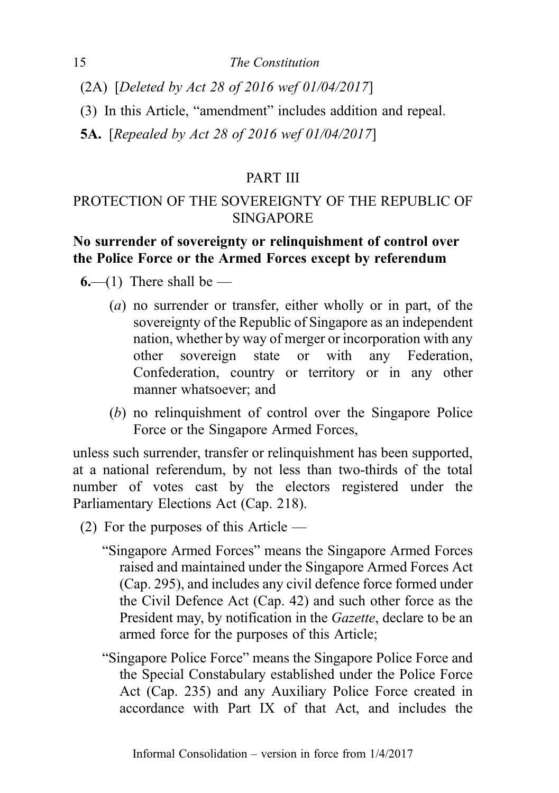(2A) [Deleted by Act 28 of 2016 wef 01/04/2017]

(3) In this Article, "amendment" includes addition and repeal.

5A. [Repealed by Act 28 of 2016 wef 01/04/2017]

# PART III

# PROTECTION OF THE SOVEREIGNTY OF THE REPUBLIC OF SINGAPORE

# No surrender of sovereignty or relinquishment of control over the Police Force or the Armed Forces except by referendum

 $6 - (1)$  There shall be  $-$ 

- (a) no surrender or transfer, either wholly or in part, of the sovereignty of the Republic of Singapore as an independent nation, whether by way of merger or incorporation with any other sovereign state or with any Federation, Confederation, country or territory or in any other manner whatsoever; and
- (b) no relinquishment of control over the Singapore Police Force or the Singapore Armed Forces,

unless such surrender, transfer or relinquishment has been supported, at a national referendum, by not less than two-thirds of the total number of votes cast by the electors registered under the Parliamentary Elections Act (Cap. 218).

- (2) For the purposes of this Article
	- "Singapore Armed Forces" means the Singapore Armed Forces raised and maintained under the Singapore Armed Forces Act (Cap. 295), and includes any civil defence force formed under the Civil Defence Act (Cap. 42) and such other force as the President may, by notification in the Gazette, declare to be an armed force for the purposes of this Article;
	- "Singapore Police Force" means the Singapore Police Force and the Special Constabulary established under the Police Force Act (Cap. 235) and any Auxiliary Police Force created in accordance with Part IX of that Act, and includes the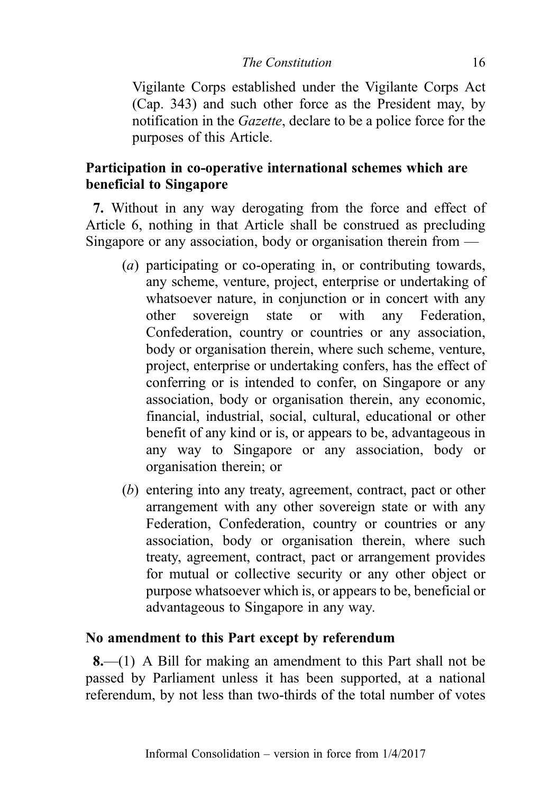Vigilante Corps established under the Vigilante Corps Act (Cap. 343) and such other force as the President may, by notification in the *Gazette*, declare to be a police force for the purposes of this Article.

# Participation in co-operative international schemes which are beneficial to Singapore

7. Without in any way derogating from the force and effect of Article 6, nothing in that Article shall be construed as precluding Singapore or any association, body or organisation therein from —

- (a) participating or co-operating in, or contributing towards, any scheme, venture, project, enterprise or undertaking of whatsoever nature, in conjunction or in concert with any other sovereign state or with any Federation, Confederation, country or countries or any association, body or organisation therein, where such scheme, venture, project, enterprise or undertaking confers, has the effect of conferring or is intended to confer, on Singapore or any association, body or organisation therein, any economic, financial, industrial, social, cultural, educational or other benefit of any kind or is, or appears to be, advantageous in any way to Singapore or any association, body or organisation therein; or
- (b) entering into any treaty, agreement, contract, pact or other arrangement with any other sovereign state or with any Federation, Confederation, country or countries or any association, body or organisation therein, where such treaty, agreement, contract, pact or arrangement provides for mutual or collective security or any other object or purpose whatsoever which is, or appears to be, beneficial or advantageous to Singapore in any way.

### No amendment to this Part except by referendum

8.—(1) A Bill for making an amendment to this Part shall not be passed by Parliament unless it has been supported, at a national referendum, by not less than two-thirds of the total number of votes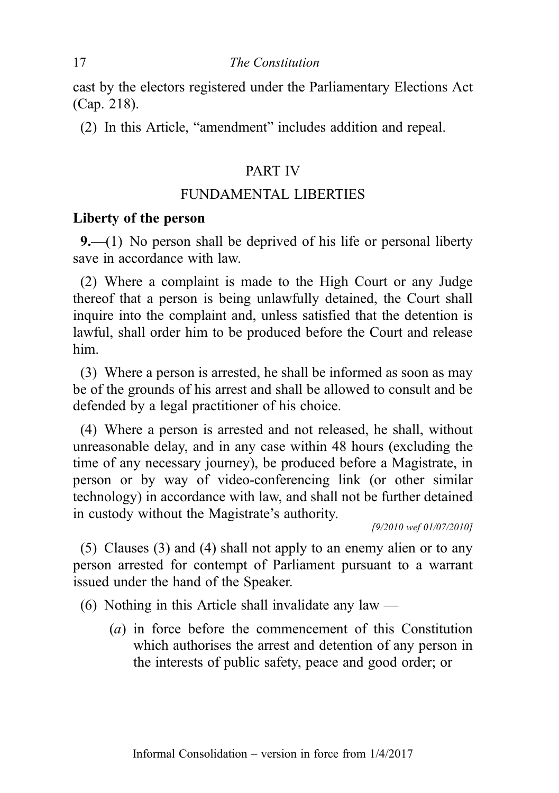cast by the electors registered under the Parliamentary Elections Act (Cap. 218).

(2) In this Article, "amendment" includes addition and repeal.

# PART IV

# FUNDAMENTAL LIBERTIES

# Liberty of the person

9.—(1) No person shall be deprived of his life or personal liberty save in accordance with law.

(2) Where a complaint is made to the High Court or any Judge thereof that a person is being unlawfully detained, the Court shall inquire into the complaint and, unless satisfied that the detention is lawful, shall order him to be produced before the Court and release him.

(3) Where a person is arrested, he shall be informed as soon as may be of the grounds of his arrest and shall be allowed to consult and be defended by a legal practitioner of his choice.

(4) Where a person is arrested and not released, he shall, without unreasonable delay, and in any case within 48 hours (excluding the time of any necessary journey), be produced before a Magistrate, in person or by way of video-conferencing link (or other similar technology) in accordance with law, and shall not be further detained in custody without the Magistrate's authority.

[9/2010 wef 01/07/2010]

(5) Clauses (3) and (4) shall not apply to an enemy alien or to any person arrested for contempt of Parliament pursuant to a warrant issued under the hand of the Speaker.

(6) Nothing in this Article shall invalidate any law —

(a) in force before the commencement of this Constitution which authorises the arrest and detention of any person in the interests of public safety, peace and good order; or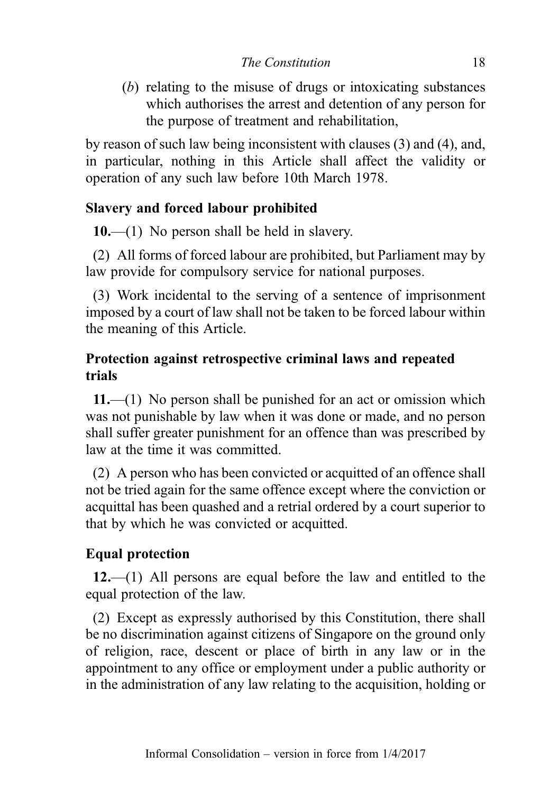(b) relating to the misuse of drugs or intoxicating substances which authorises the arrest and detention of any person for the purpose of treatment and rehabilitation,

by reason of such law being inconsistent with clauses (3) and (4), and, in particular, nothing in this Article shall affect the validity or operation of any such law before 10th March 1978.

# Slavery and forced labour prohibited

 $10$ .—(1) No person shall be held in slavery.

(2) All forms of forced labour are prohibited, but Parliament may by law provide for compulsory service for national purposes.

(3) Work incidental to the serving of a sentence of imprisonment imposed by a court of law shall not be taken to be forced labour within the meaning of this Article.

# Protection against retrospective criminal laws and repeated trials

 $11.$ —(1) No person shall be punished for an act or omission which was not punishable by law when it was done or made, and no person shall suffer greater punishment for an offence than was prescribed by law at the time it was committed.

(2) A person who has been convicted or acquitted of an offence shall not be tried again for the same offence except where the conviction or acquittal has been quashed and a retrial ordered by a court superior to that by which he was convicted or acquitted.

# Equal protection

12.—(1) All persons are equal before the law and entitled to the equal protection of the law.

(2) Except as expressly authorised by this Constitution, there shall be no discrimination against citizens of Singapore on the ground only of religion, race, descent or place of birth in any law or in the appointment to any office or employment under a public authority or in the administration of any law relating to the acquisition, holding or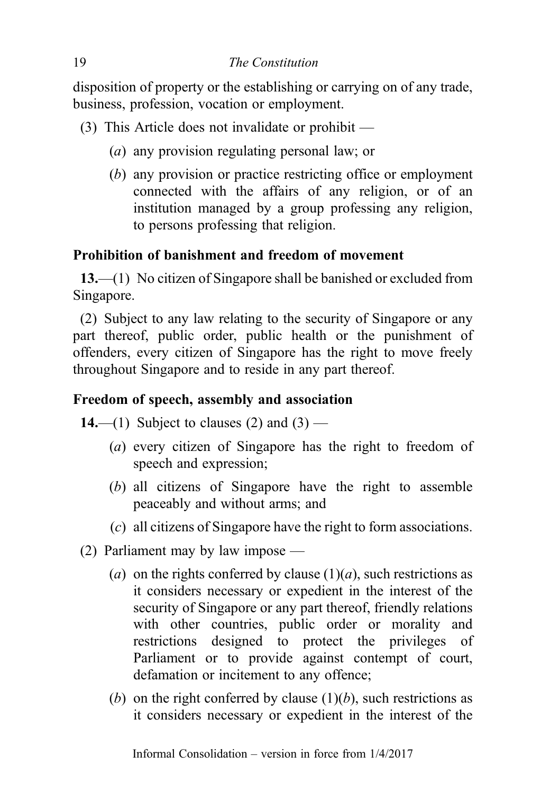disposition of property or the establishing or carrying on of any trade, business, profession, vocation or employment.

- (3) This Article does not invalidate or prohibit
	- (a) any provision regulating personal law; or
	- (b) any provision or practice restricting office or employment connected with the affairs of any religion, or of an institution managed by a group professing any religion, to persons professing that religion.

# Prohibition of banishment and freedom of movement

13.—(1) No citizen of Singapore shall be banished or excluded from Singapore.

(2) Subject to any law relating to the security of Singapore or any part thereof, public order, public health or the punishment of offenders, every citizen of Singapore has the right to move freely throughout Singapore and to reside in any part thereof.

# Freedom of speech, assembly and association

14.—(1) Subject to clauses (2) and (3) —

- (a) every citizen of Singapore has the right to freedom of speech and expression;
- (b) all citizens of Singapore have the right to assemble peaceably and without arms; and
- (c) all citizens of Singapore have the right to form associations.
- (2) Parliament may by law impose
	- (a) on the rights conferred by clause  $(1)(a)$ , such restrictions as it considers necessary or expedient in the interest of the security of Singapore or any part thereof, friendly relations with other countries, public order or morality and restrictions designed to protect the privileges of Parliament or to provide against contempt of court, defamation or incitement to any offence;
	- (b) on the right conferred by clause  $(1)(b)$ , such restrictions as it considers necessary or expedient in the interest of the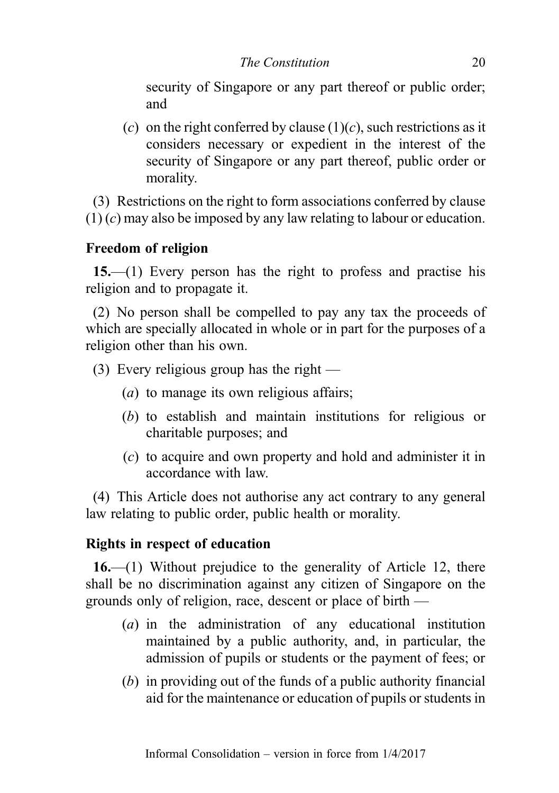security of Singapore or any part thereof or public order; and

(c) on the right conferred by clause  $(1)(c)$ , such restrictions as it considers necessary or expedient in the interest of the security of Singapore or any part thereof, public order or morality.

(3) Restrictions on the right to form associations conferred by clause (1) (c) may also be imposed by any law relating to labour or education.

# Freedom of religion

15.—(1) Every person has the right to profess and practise his religion and to propagate it.

(2) No person shall be compelled to pay any tax the proceeds of which are specially allocated in whole or in part for the purposes of a religion other than his own.

- (3) Every religious group has the right
	- (*a*) to manage its own religious affairs;
	- (b) to establish and maintain institutions for religious or charitable purposes; and
	- (c) to acquire and own property and hold and administer it in accordance with law.

(4) This Article does not authorise any act contrary to any general law relating to public order, public health or morality.

# Rights in respect of education

16.—(1) Without prejudice to the generality of Article 12, there shall be no discrimination against any citizen of Singapore on the grounds only of religion, race, descent or place of birth —

- (a) in the administration of any educational institution maintained by a public authority, and, in particular, the admission of pupils or students or the payment of fees; or
- (b) in providing out of the funds of a public authority financial aid for the maintenance or education of pupils or students in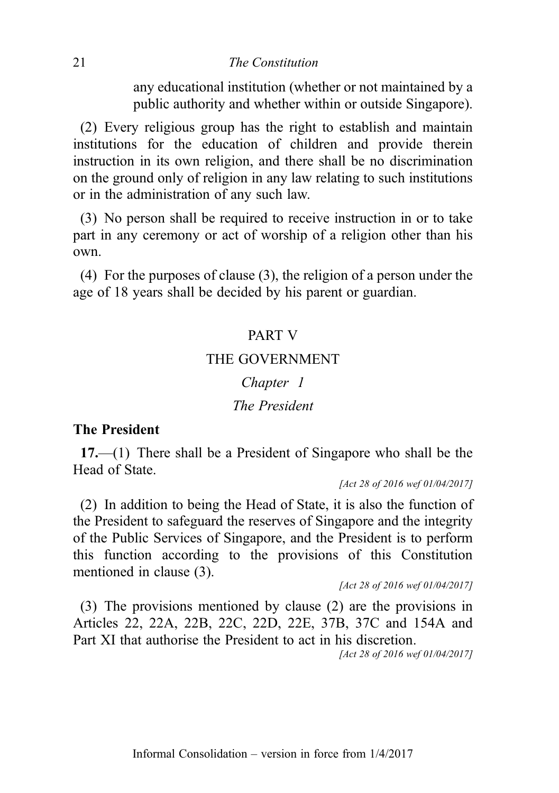### *The Constitution*

any educational institution (whether or not maintained by a public authority and whether within or outside Singapore).

(2) Every religious group has the right to establish and maintain institutions for the education of children and provide therein instruction in its own religion, and there shall be no discrimination on the ground only of religion in any law relating to such institutions or in the administration of any such law.

(3) No person shall be required to receive instruction in or to take part in any ceremony or act of worship of a religion other than his own.

(4) For the purposes of clause (3), the religion of a person under the age of 18 years shall be decided by his parent or guardian.

### PART V

### THE GOVERNMENT

Chapter 1

### The President

### The President

17.—(1) There shall be a President of Singapore who shall be the Head of State.

[Act 28 of 2016 wef 01/04/2017]

(2) In addition to being the Head of State, it is also the function of the President to safeguard the reserves of Singapore and the integrity of the Public Services of Singapore, and the President is to perform this function according to the provisions of this Constitution mentioned in clause (3).

[Act 28 of 2016 wef 01/04/2017]

(3) The provisions mentioned by clause (2) are the provisions in Articles 22, 22A, 22B, 22C, 22D, 22E, 37B, 37C and 154A and Part XI that authorise the President to act in his discretion.

[Act 28 of 2016 wef 01/04/2017]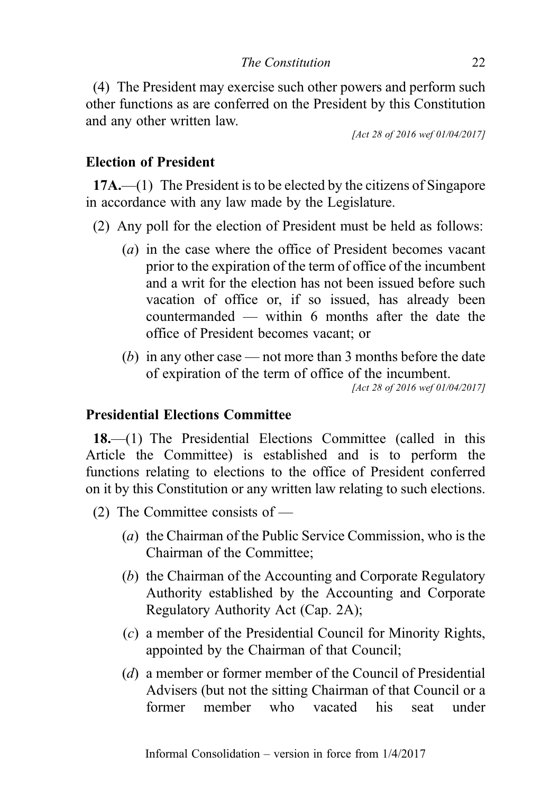(4) The President may exercise such other powers and perform such other functions as are conferred on the President by this Constitution and any other written law.

[Act 28 of 2016 wef 01/04/2017]

# Election of President

17A.—(1) The President is to be elected by the citizens of Singapore in accordance with any law made by the Legislature.

- (2) Any poll for the election of President must be held as follows:
	- (a) in the case where the office of President becomes vacant prior to the expiration of the term of office of the incumbent and a writ for the election has not been issued before such vacation of office or, if so issued, has already been countermanded — within 6 months after the date the office of President becomes vacant; or
	- (b) in any other case not more than 3 months before the date of expiration of the term of office of the incumbent.

[Act 28 of 2016 wef 01/04/2017]

# Presidential Elections Committee

18.—(1) The Presidential Elections Committee (called in this Article the Committee) is established and is to perform the functions relating to elections to the office of President conferred on it by this Constitution or any written law relating to such elections.

- (2) The Committee consists of
	- (a) the Chairman of the Public Service Commission, who is the Chairman of the Committee;
	- (b) the Chairman of the Accounting and Corporate Regulatory Authority established by the Accounting and Corporate Regulatory Authority Act (Cap. 2A);
	- (c) a member of the Presidential Council for Minority Rights, appointed by the Chairman of that Council;
	- (d) a member or former member of the Council of Presidential Advisers (but not the sitting Chairman of that Council or a former member who vacated his seat under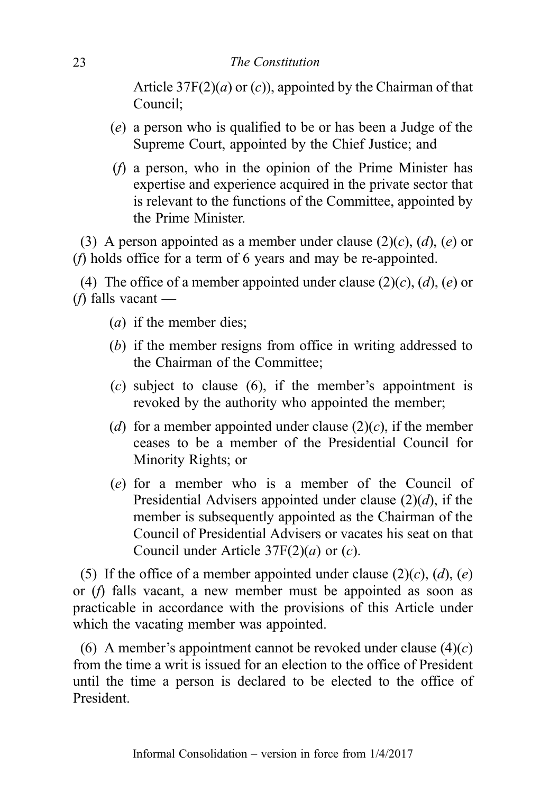Article  $37F(2)(a)$  or  $(c)$ ), appointed by the Chairman of that Council;

- (e) a person who is qualified to be or has been a Judge of the Supreme Court, appointed by the Chief Justice; and
- (f) a person, who in the opinion of the Prime Minister has expertise and experience acquired in the private sector that is relevant to the functions of the Committee, appointed by the Prime Minister.

(3) A person appointed as a member under clause  $(2)(c)$ ,  $(d)$ ,  $(e)$  or (f) holds office for a term of 6 years and may be re-appointed.

(4) The office of a member appointed under clause  $(2)(c)$ ,  $(d)$ ,  $(e)$  or (*f*) falls vacant —

- (a) if the member dies;
- (b) if the member resigns from office in writing addressed to the Chairman of the Committee;
- $(c)$  subject to clause  $(6)$ , if the member's appointment is revoked by the authority who appointed the member;
- (d) for a member appointed under clause  $(2)(c)$ , if the member ceases to be a member of the Presidential Council for Minority Rights; or
- (e) for a member who is a member of the Council of Presidential Advisers appointed under clause  $(2)(d)$ , if the member is subsequently appointed as the Chairman of the Council of Presidential Advisers or vacates his seat on that Council under Article  $37F(2)(a)$  or  $(c)$ .

(5) If the office of a member appointed under clause  $(2)(c)$ ,  $(d)$ ,  $(e)$ or (f) falls vacant, a new member must be appointed as soon as practicable in accordance with the provisions of this Article under which the vacating member was appointed.

(6) A member's appointment cannot be revoked under clause  $(4)(c)$ from the time a writ is issued for an election to the office of President until the time a person is declared to be elected to the office of President.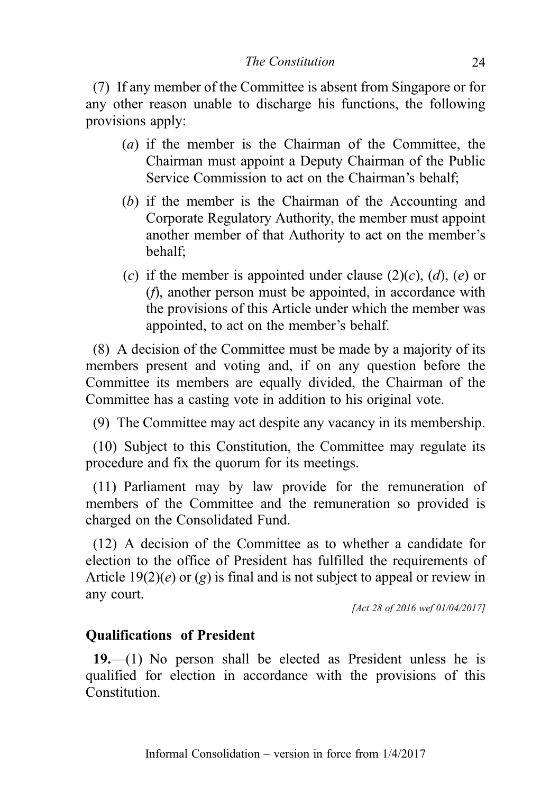(7) If any member of the Committee is absent from Singapore or for any other reason unable to discharge his functions, the following provisions apply:

- (a) if the member is the Chairman of the Committee, the Chairman must appoint a Deputy Chairman of the Public Service Commission to act on the Chairman's behalf;
- (b) if the member is the Chairman of the Accounting and Corporate Regulatory Authority, the member must appoint another member of that Authority to act on the member's behalf;
- (c) if the member is appointed under clause  $(2)(c)$ ,  $(d)$ ,  $(e)$  or (f), another person must be appointed, in accordance with the provisions of this Article under which the member was appointed, to act on the member's behalf.

(8) A decision of the Committee must be made by a majority of its members present and voting and, if on any question before the Committee its members are equally divided, the Chairman of the Committee has a casting vote in addition to his original vote.

(9) The Committee may act despite any vacancy in its membership.

(10) Subject to this Constitution, the Committee may regulate its procedure and fix the quorum for its meetings.

(11) Parliament may by law provide for the remuneration of members of the Committee and the remuneration so provided is charged on the Consolidated Fund.

(12) A decision of the Committee as to whether a candidate for election to the office of President has fulfilled the requirements of Article  $19(2)(e)$  or  $(g)$  is final and is not subject to appeal or review in any court.

[Act 28 of 2016 wef 01/04/2017]

# Qualifications of President

 $19$ .—(1) No person shall be elected as President unless he is qualified for election in accordance with the provisions of this Constitution.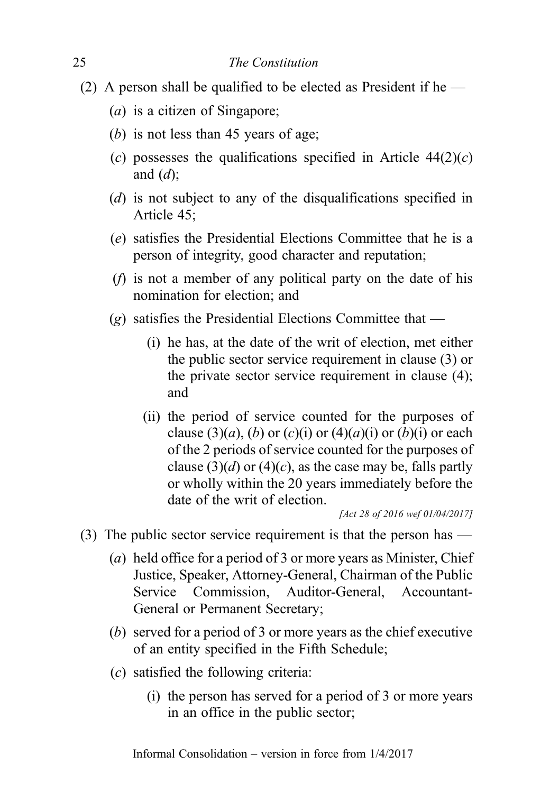- (2) A person shall be qualified to be elected as President if he  $-$ 
	- (a) is a citizen of Singapore;
	- (b) is not less than 45 years of age;
	- (c) possesses the qualifications specified in Article  $44(2)(c)$ and  $(d)$ ;
	- (d) is not subject to any of the disqualifications specified in Article 45;
	- (e) satisfies the Presidential Elections Committee that he is a person of integrity, good character and reputation;
	- (f) is not a member of any political party on the date of his nomination for election; and
	- $\varphi$  satisfies the Presidential Elections Committee that
		- (i) he has, at the date of the writ of election, met either the public sector service requirement in clause (3) or the private sector service requirement in clause (4); and
		- (ii) the period of service counted for the purposes of clause (3)(a), (b) or (c)(i) or (4)(a)(i) or (b)(i) or each of the 2 periods of service counted for the purposes of clause (3)(d) or (4)(c), as the case may be, falls partly or wholly within the 20 years immediately before the date of the writ of election.

[Act 28 of 2016 wef 01/04/2017]

- (3) The public sector service requirement is that the person has
	- (a) held office for a period of 3 or more years as Minister, Chief Justice, Speaker, Attorney-General, Chairman of the Public Service Commission, Auditor-General, Accountant-General or Permanent Secretary;
	- (b) served for a period of 3 or more years as the chief executive of an entity specified in the Fifth Schedule;
	- (c) satisfied the following criteria:
		- (i) the person has served for a period of 3 or more years in an office in the public sector;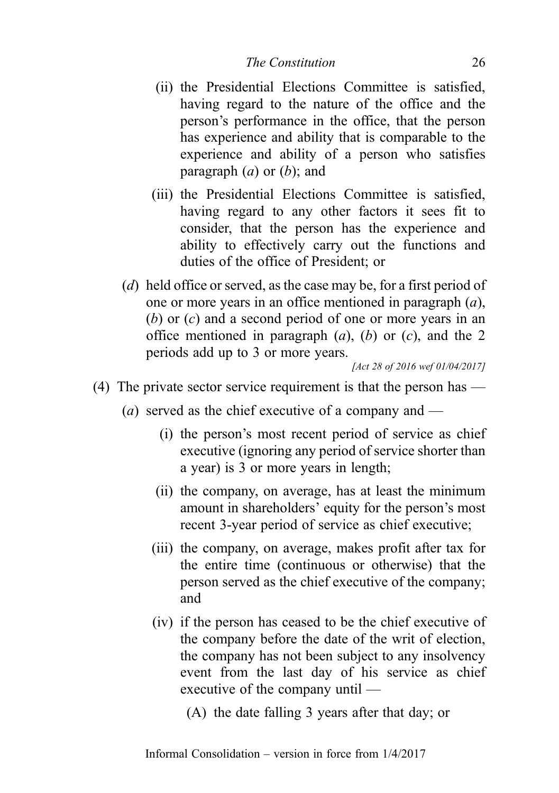- (ii) the Presidential Elections Committee is satisfied, having regard to the nature of the office and the person's performance in the office, that the person has experience and ability that is comparable to the experience and ability of a person who satisfies paragraph  $(a)$  or  $(b)$ ; and
- (iii) the Presidential Elections Committee is satisfied, having regard to any other factors it sees fit to consider, that the person has the experience and ability to effectively carry out the functions and duties of the office of President; or
- (d) held office or served, as the case may be, for a first period of one or more years in an office mentioned in paragraph (a), (b) or (c) and a second period of one or more years in an office mentioned in paragraph  $(a)$ ,  $(b)$  or  $(c)$ , and the 2 periods add up to 3 or more years.

[Act 28 of 2016 wef 01/04/2017]

- (4) The private sector service requirement is that the person has
	- (*a*) served as the chief executive of a company and
		- (i) the person's most recent period of service as chief executive (ignoring any period of service shorter than a year) is 3 or more years in length;
		- (ii) the company, on average, has at least the minimum amount in shareholders' equity for the person's most recent 3-year period of service as chief executive;
		- (iii) the company, on average, makes profit after tax for the entire time (continuous or otherwise) that the person served as the chief executive of the company; and
		- (iv) if the person has ceased to be the chief executive of the company before the date of the writ of election, the company has not been subject to any insolvency event from the last day of his service as chief executive of the company until —
			- (A) the date falling 3 years after that day; or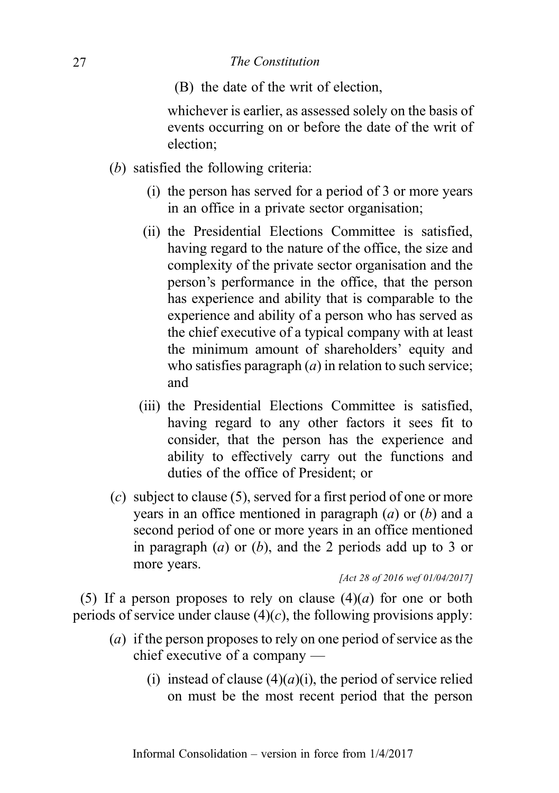(B) the date of the writ of election,

whichever is earlier, as assessed solely on the basis of events occurring on or before the date of the writ of election;

- (b) satisfied the following criteria:
	- (i) the person has served for a period of 3 or more years in an office in a private sector organisation;
	- (ii) the Presidential Elections Committee is satisfied, having regard to the nature of the office, the size and complexity of the private sector organisation and the person's performance in the office, that the person has experience and ability that is comparable to the experience and ability of a person who has served as the chief executive of a typical company with at least the minimum amount of shareholders' equity and who satisfies paragraph  $(a)$  in relation to such service; and
	- (iii) the Presidential Elections Committee is satisfied, having regard to any other factors it sees fit to consider, that the person has the experience and ability to effectively carry out the functions and duties of the office of President; or
- (c) subject to clause (5), served for a first period of one or more years in an office mentioned in paragraph  $(a)$  or  $(b)$  and a second period of one or more years in an office mentioned in paragraph  $(a)$  or  $(b)$ , and the 2 periods add up to 3 or more years.

[Act 28 of 2016 wef 01/04/2017]

(5) If a person proposes to rely on clause  $(4)(a)$  for one or both periods of service under clause  $(4)(c)$ , the following provisions apply:

- (a) if the person proposes to rely on one period of service as the chief executive of a company —
	- (i) instead of clause  $(4)(a)(i)$ , the period of service relied on must be the most recent period that the person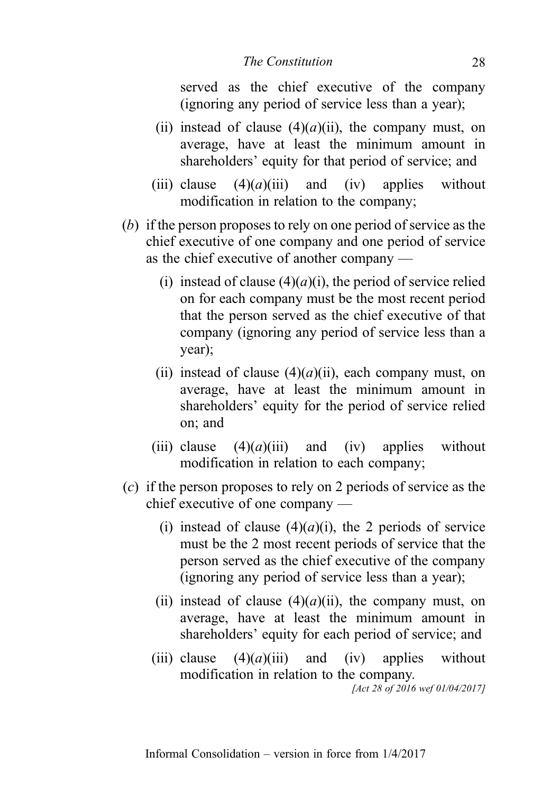served as the chief executive of the company (ignoring any period of service less than a year);

- (ii) instead of clause  $(4)(a)(ii)$ , the company must, on average, have at least the minimum amount in shareholders' equity for that period of service; and
- (iii) clause  $(4)(a)(iii)$  and (iv) applies without modification in relation to the company;
- (b) if the person proposes to rely on one period of service as the chief executive of one company and one period of service as the chief executive of another company —
	- (i) instead of clause  $(4)(a)(i)$ , the period of service relied on for each company must be the most recent period that the person served as the chief executive of that company (ignoring any period of service less than a year);
	- (ii) instead of clause  $(4)(a)(ii)$ , each company must, on average, have at least the minimum amount in shareholders' equity for the period of service relied on; and
	- (iii) clause  $(4)(a)(iii)$  and (iv) applies without modification in relation to each company;
- (c) if the person proposes to rely on 2 periods of service as the chief executive of one company —
	- (i) instead of clause  $(4)(a)(i)$ , the 2 periods of service must be the 2 most recent periods of service that the person served as the chief executive of the company (ignoring any period of service less than a year);
	- (ii) instead of clause  $(4)(a)(ii)$ , the company must, on average, have at least the minimum amount in shareholders' equity for each period of service; and
	- (iii) clause  $(4)(a)(iii)$  and (iv) applies without modification in relation to the company. [Act 28 of 2016 wef 01/04/2017]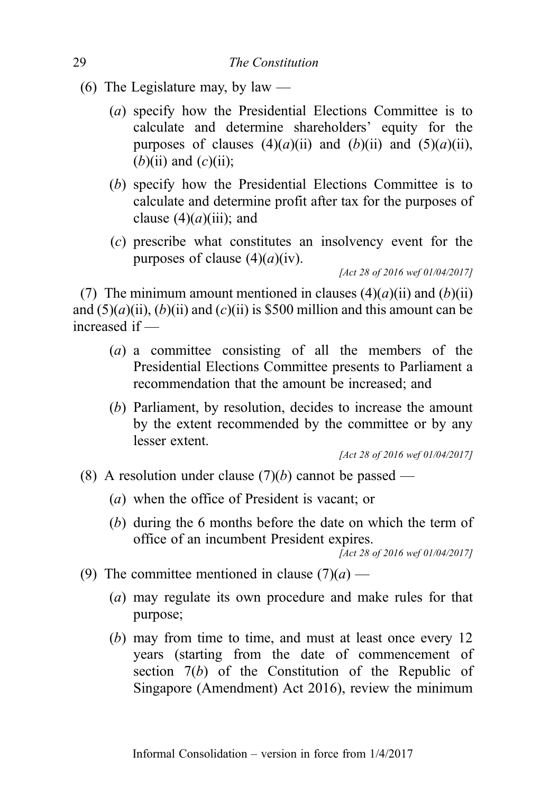- (6) The Legislature may, by law
	- (a) specify how the Presidential Elections Committee is to calculate and determine shareholders' equity for the purposes of clauses  $(4)(a)(ii)$  and  $(b)(ii)$  and  $(5)(a)(ii)$ ,  $(b)(ii)$  and  $(c)(ii)$ ;
	- (b) specify how the Presidential Elections Committee is to calculate and determine profit after tax for the purposes of clause  $(4)(a)(iii)$ ; and
	- (c) prescribe what constitutes an insolvency event for the purposes of clause  $(4)(a)(iv)$ .

[Act 28 of 2016 wef 01/04/2017]

(7) The minimum amount mentioned in clauses  $(4)(a)(ii)$  and  $(b)(ii)$ and  $(5)(a)(ii)$ ,  $(b)(ii)$  and  $(c)(ii)$  is \$500 million and this amount can be increased if —

- (a) a committee consisting of all the members of the Presidential Elections Committee presents to Parliament a recommendation that the amount be increased; and
- (b) Parliament, by resolution, decides to increase the amount by the extent recommended by the committee or by any lesser extent.

[Act 28 of 2016 wef 01/04/2017]

- (8) A resolution under clause  $(7)(b)$  cannot be passed
	- (a) when the office of President is vacant; or
	- (b) during the 6 months before the date on which the term of office of an incumbent President expires.

[Act 28 of 2016 wef 01/04/2017]

- (9) The committee mentioned in clause  $(7)(a)$ 
	- (a) may regulate its own procedure and make rules for that purpose;
	- (b) may from time to time, and must at least once every 12 years (starting from the date of commencement of section 7(b) of the Constitution of the Republic of Singapore (Amendment) Act 2016), review the minimum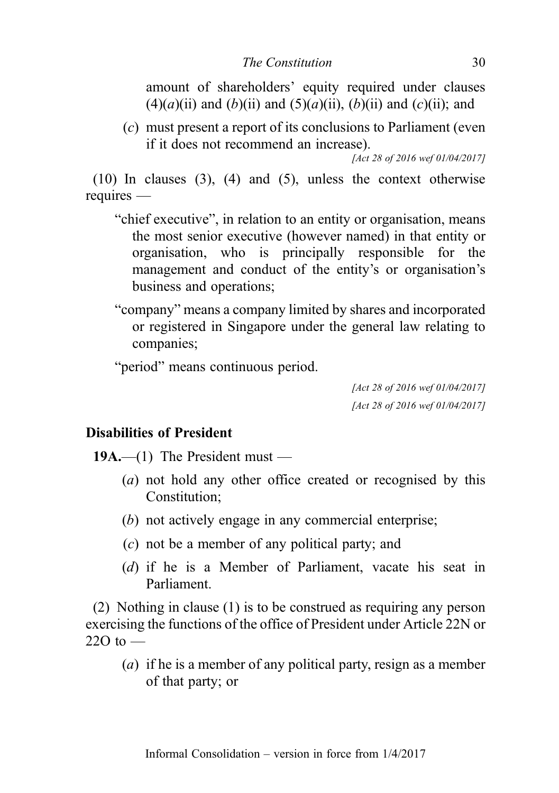amount of shareholders' equity required under clauses  $(4)(a)(ii)$  and  $(b)(ii)$  and  $(5)(a)(ii)$ ,  $(b)(ii)$  and  $(c)(ii)$ ; and

(c) must present a report of its conclusions to Parliament (even if it does not recommend an increase).

[Act 28 of 2016 wef 01/04/2017]

(10) In clauses (3), (4) and (5), unless the context otherwise requires —

- "chief executive", in relation to an entity or organisation, means the most senior executive (however named) in that entity or organisation, who is principally responsible for the management and conduct of the entity's or organisation's business and operations;
- "company" means a company limited by shares and incorporated or registered in Singapore under the general law relating to companies;

"period" means continuous period.

[Act 28 of 2016 wef 01/04/2017] [Act 28 of 2016 wef 01/04/2017]

### Disabilities of President

19A.—(1) The President must —

- (a) not hold any other office created or recognised by this Constitution;
- (b) not actively engage in any commercial enterprise;
- (c) not be a member of any political party; and
- (d) if he is a Member of Parliament, vacate his seat in Parliament.

(2) Nothing in clause (1) is to be construed as requiring any person exercising the functions of the office of President under Article 22N or  $220$  to  $-$ 

(a) if he is a member of any political party, resign as a member of that party; or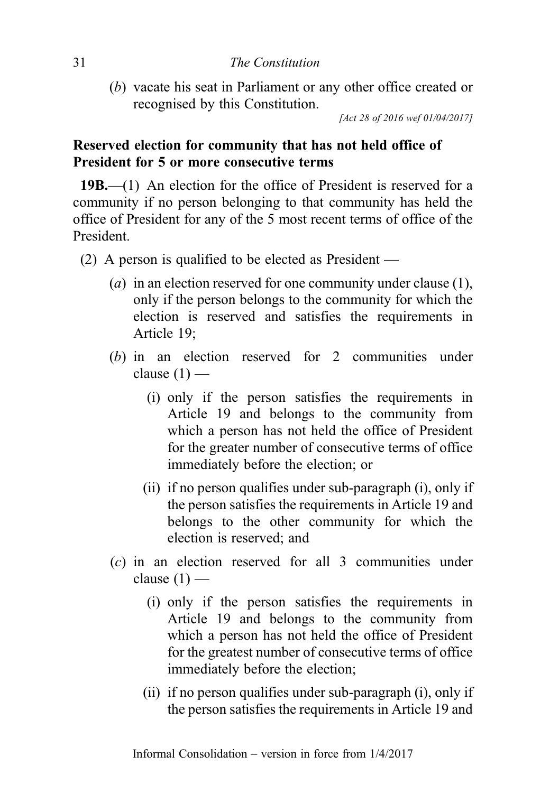(b) vacate his seat in Parliament or any other office created or recognised by this Constitution.

[Act 28 of 2016 wef 01/04/2017]

# Reserved election for community that has not held office of President for 5 or more consecutive terms

19B.—(1) An election for the office of President is reserved for a community if no person belonging to that community has held the office of President for any of the 5 most recent terms of office of the President.

- (2) A person is qualified to be elected as President
	- (*a*) in an election reserved for one community under clause  $(1)$ , only if the person belongs to the community for which the election is reserved and satisfies the requirements in Article 19;
	- (b) in an election reserved for 2 communities under clause  $(1)$  —
		- (i) only if the person satisfies the requirements in Article 19 and belongs to the community from which a person has not held the office of President for the greater number of consecutive terms of office immediately before the election; or
		- (ii) if no person qualifies under sub-paragraph (i), only if the person satisfies the requirements in Article 19 and belongs to the other community for which the election is reserved; and
	- (c) in an election reserved for all 3 communities under clause  $(1)$  —
		- (i) only if the person satisfies the requirements in Article 19 and belongs to the community from which a person has not held the office of President for the greatest number of consecutive terms of office immediately before the election;
		- (ii) if no person qualifies under sub-paragraph (i), only if the person satisfies the requirements in Article 19 and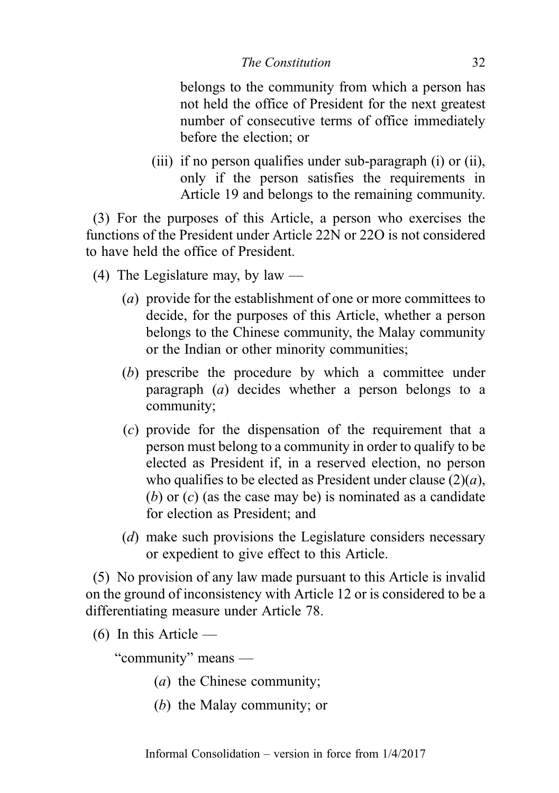belongs to the community from which a person has not held the office of President for the next greatest number of consecutive terms of office immediately before the election; or

(iii) if no person qualifies under sub-paragraph (i) or (ii), only if the person satisfies the requirements in Article 19 and belongs to the remaining community.

(3) For the purposes of this Article, a person who exercises the functions of the President under Article 22N or 22O is not considered to have held the office of President.

- (4) The Legislature may, by law
	- (a) provide for the establishment of one or more committees to decide, for the purposes of this Article, whether a person belongs to the Chinese community, the Malay community or the Indian or other minority communities;
	- (b) prescribe the procedure by which a committee under paragraph (a) decides whether a person belongs to a community;
	- (c) provide for the dispensation of the requirement that a person must belong to a community in order to qualify to be elected as President if, in a reserved election, no person who qualifies to be elected as President under clause  $(2)(a)$ , (b) or  $(c)$  (as the case may be) is nominated as a candidate for election as President; and
	- (d) make such provisions the Legislature considers necessary or expedient to give effect to this Article.

(5) No provision of any law made pursuant to this Article is invalid on the ground of inconsistency with Article 12 or is considered to be a differentiating measure under Article 78.

 $(6)$  In this Article —

"community" means —

- (a) the Chinese community;
- (b) the Malay community; or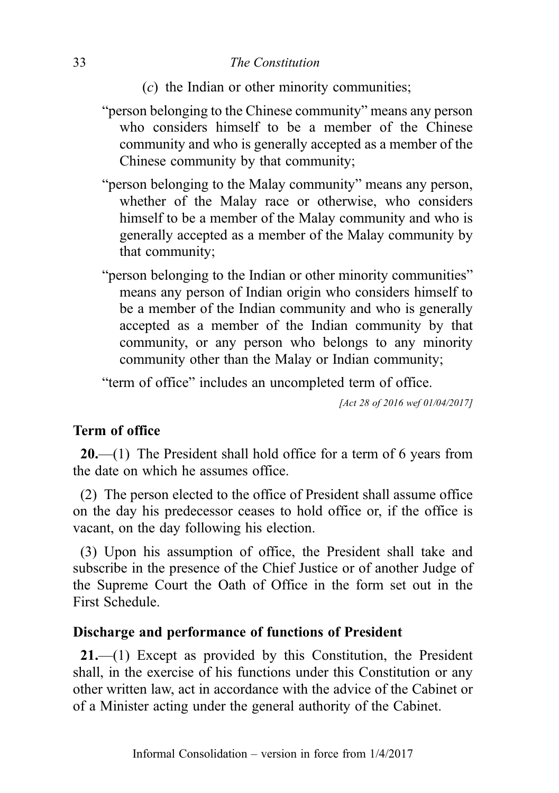- (c) the Indian or other minority communities;
- "person belonging to the Chinese community" means any person who considers himself to be a member of the Chinese community and who is generally accepted as a member of the Chinese community by that community;
- "person belonging to the Malay community" means any person, whether of the Malay race or otherwise, who considers himself to be a member of the Malay community and who is generally accepted as a member of the Malay community by that community;
- "person belonging to the Indian or other minority communities" means any person of Indian origin who considers himself to be a member of the Indian community and who is generally accepted as a member of the Indian community by that community, or any person who belongs to any minority community other than the Malay or Indian community;

"term of office" includes an uncompleted term of office.

[Act 28 of 2016 wef 01/04/2017]

# Term of office

20.—(1) The President shall hold office for a term of 6 years from the date on which he assumes office.

(2) The person elected to the office of President shall assume office on the day his predecessor ceases to hold office or, if the office is vacant, on the day following his election.

(3) Upon his assumption of office, the President shall take and subscribe in the presence of the Chief Justice or of another Judge of the Supreme Court the Oath of Office in the form set out in the First Schedule.

# Discharge and performance of functions of President

21.—(1) Except as provided by this Constitution, the President shall, in the exercise of his functions under this Constitution or any other written law, act in accordance with the advice of the Cabinet or of a Minister acting under the general authority of the Cabinet.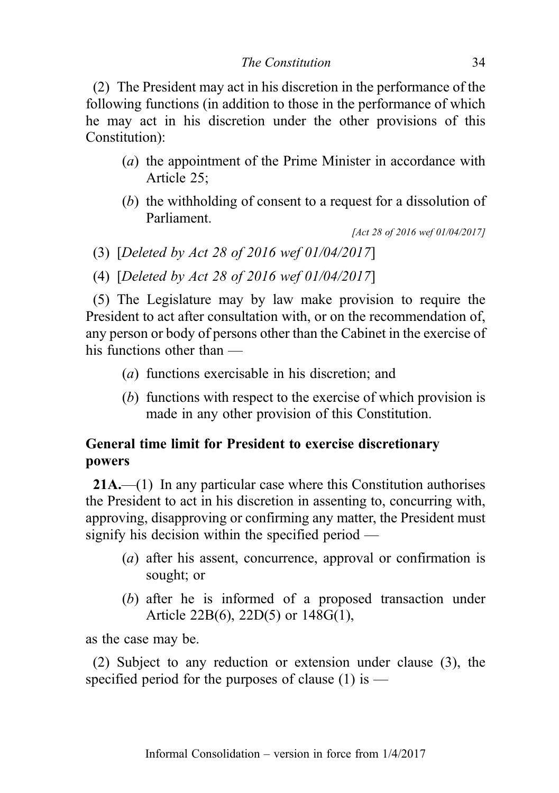(2) The President may act in his discretion in the performance of the following functions (in addition to those in the performance of which he may act in his discretion under the other provisions of this Constitution):

- (a) the appointment of the Prime Minister in accordance with Article 25;
- (b) the withholding of consent to a request for a dissolution of Parliament.

[Act 28 of 2016 wef 01/04/2017]

- (3) [Deleted by Act 28 of 2016 wef 01/04/2017]
- (4) [Deleted by Act 28 of 2016 wef 01/04/2017]

(5) The Legislature may by law make provision to require the President to act after consultation with, or on the recommendation of, any person or body of persons other than the Cabinet in the exercise of his functions other than —

- (a) functions exercisable in his discretion; and
- (b) functions with respect to the exercise of which provision is made in any other provision of this Constitution.

# General time limit for President to exercise discretionary powers

21A.—(1) In any particular case where this Constitution authorises the President to act in his discretion in assenting to, concurring with, approving, disapproving or confirming any matter, the President must signify his decision within the specified period —

- (a) after his assent, concurrence, approval or confirmation is sought; or
- (b) after he is informed of a proposed transaction under Article 22B(6), 22D(5) or 148G(1),

as the case may be.

(2) Subject to any reduction or extension under clause (3), the specified period for the purposes of clause  $(1)$  is —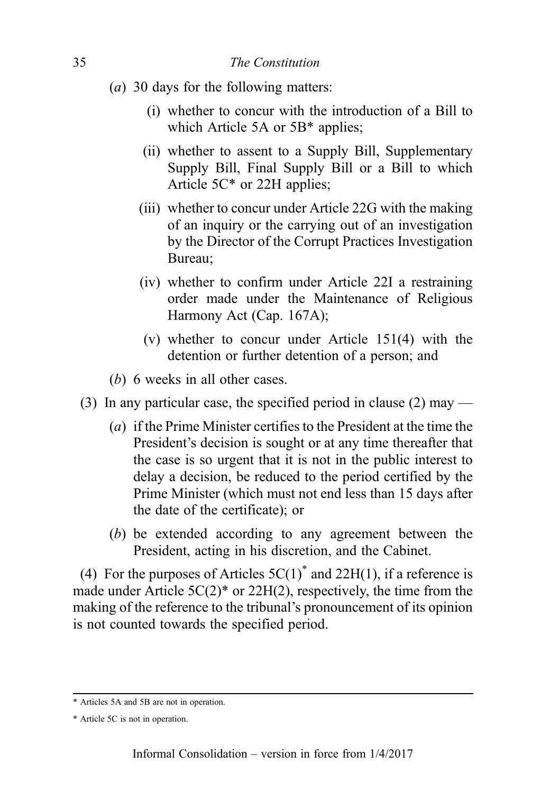- (a) 30 days for the following matters:
	- (i) whether to concur with the introduction of a Bill to which Article 5A or 5B<sup>\*</sup> applies;
	- (ii) whether to assent to a Supply Bill, Supplementary Supply Bill, Final Supply Bill or a Bill to which Article 5C\* or 22H applies;
	- (iii) whether to concur under Article 22G with the making of an inquiry or the carrying out of an investigation by the Director of the Corrupt Practices Investigation Bureau;
	- (iv) whether to confirm under Article 22I a restraining order made under the Maintenance of Religious Harmony Act (Cap. 167A);
	- (v) whether to concur under Article 151(4) with the detention or further detention of a person; and
- (b) 6 weeks in all other cases.
- (3) In any particular case, the specified period in clause (2) may
	- (a) if the Prime Minister certifies to the President at the time the President's decision is sought or at any time thereafter that the case is so urgent that it is not in the public interest to delay a decision, be reduced to the period certified by the Prime Minister (which must not end less than 15 days after the date of the certificate); or
	- (b) be extended according to any agreement between the President, acting in his discretion, and the Cabinet.

(4) For the purposes of Articles  $5C(1)^*$  and  $22H(1)$ , if a reference is made under Article 5C(2)\* or 22H(2), respectively, the time from the making of the reference to the tribunal's pronouncement of its opinion is not counted towards the specified period.

<sup>\*</sup> Articles 5A and 5B are not in operation.

<sup>\*</sup> Article 5C is not in operation.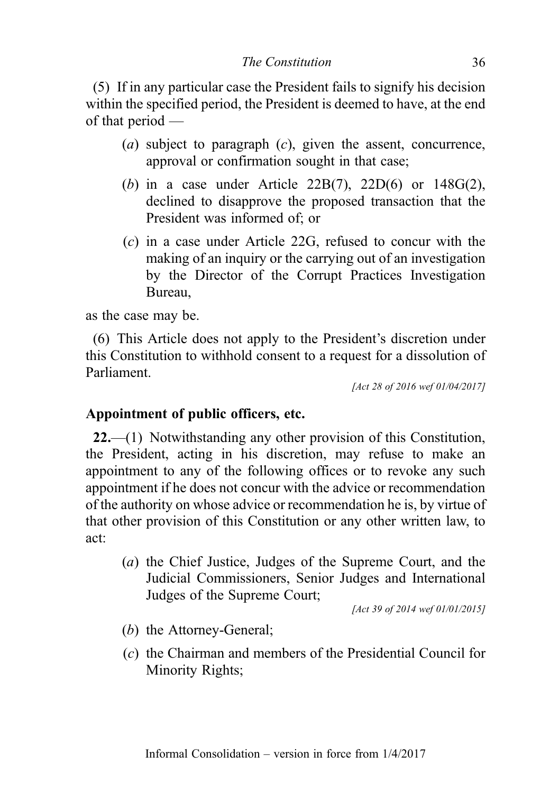(5) If in any particular case the President fails to signify his decision within the specified period, the President is deemed to have, at the end of that period —

- (a) subject to paragraph  $(c)$ , given the assent, concurrence, approval or confirmation sought in that case;
- (b) in a case under Article 22B(7), 22D(6) or 148G(2), declined to disapprove the proposed transaction that the President was informed of; or
- (c) in a case under Article 22G, refused to concur with the making of an inquiry or the carrying out of an investigation by the Director of the Corrupt Practices Investigation Bureau,

as the case may be.

(6) This Article does not apply to the President's discretion under this Constitution to withhold consent to a request for a dissolution of Parliament.

[Act 28 of 2016 wef 01/04/2017]

### Appointment of public officers, etc.

22.—(1) Notwithstanding any other provision of this Constitution, the President, acting in his discretion, may refuse to make an appointment to any of the following offices or to revoke any such appointment if he does not concur with the advice or recommendation of the authority on whose advice or recommendation he is, by virtue of that other provision of this Constitution or any other written law, to act:

(a) the Chief Justice, Judges of the Supreme Court, and the Judicial Commissioners, Senior Judges and International Judges of the Supreme Court;

[Act 39 of 2014 wef 01/01/2015]

- (b) the Attorney-General;
- (c) the Chairman and members of the Presidential Council for Minority Rights;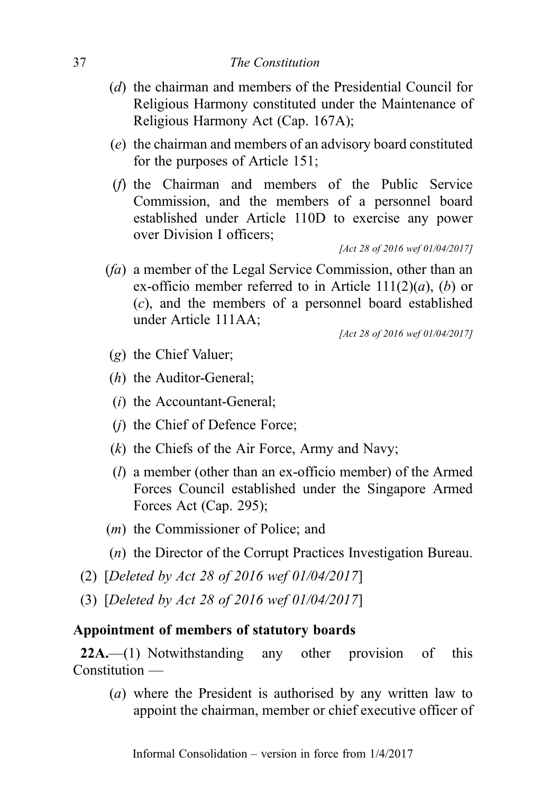#### *The Constitution*

- (d) the chairman and members of the Presidential Council for Religious Harmony constituted under the Maintenance of Religious Harmony Act (Cap. 167A);
- (e) the chairman and members of an advisory board constituted for the purposes of Article 151;
- (f) the Chairman and members of the Public Service Commission, and the members of a personnel board established under Article 110D to exercise any power over Division I officers;

[Act 28 of 2016 wef 01/04/2017]

(fa) a member of the Legal Service Commission, other than an ex-officio member referred to in Article  $111(2)(a)$ , (b) or (c), and the members of a personnel board established under Article 111AA;

[Act 28 of 2016 wef 01/04/2017]

- (g) the Chief Valuer;
- (*h*) the Auditor-General;
- (i) the Accountant-General;
- (j) the Chief of Defence Force;
- (k) the Chiefs of the Air Force, Army and Navy;
- (l) a member (other than an ex-officio member) of the Armed Forces Council established under the Singapore Armed Forces Act (Cap. 295);
- (m) the Commissioner of Police; and
- (n) the Director of the Corrupt Practices Investigation Bureau.
- (2) [Deleted by Act 28 of 2016 wef 01/04/2017]
- (3) [Deleted by Act 28 of 2016 wef 01/04/2017]

### Appointment of members of statutory boards

22A.—(1) Notwithstanding any other provision of this Constitution —

(a) where the President is authorised by any written law to appoint the chairman, member or chief executive officer of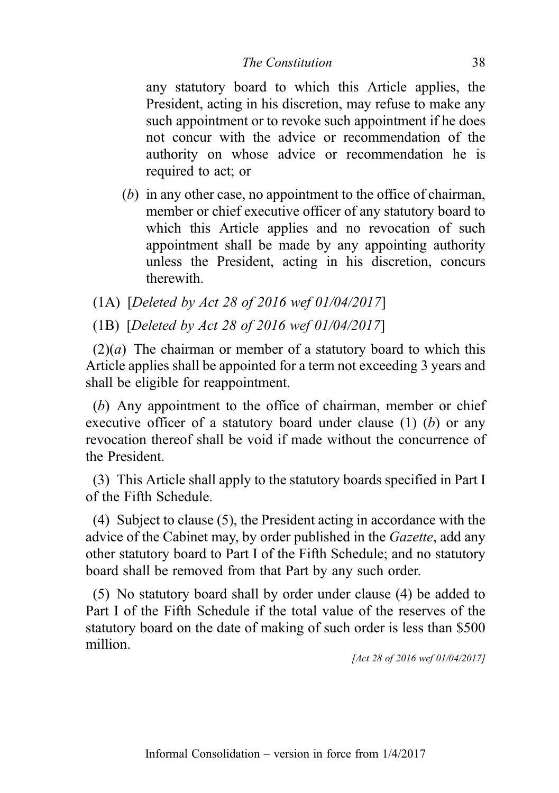### *The Constitution*

any statutory board to which this Article applies, the President, acting in his discretion, may refuse to make any such appointment or to revoke such appointment if he does not concur with the advice or recommendation of the authority on whose advice or recommendation he is required to act; or

(b) in any other case, no appointment to the office of chairman, member or chief executive officer of any statutory board to which this Article applies and no revocation of such appointment shall be made by any appointing authority unless the President, acting in his discretion, concurs therewith.

(1A) [Deleted by Act 28 of 2016 wef 01/04/2017]

(1B) [Deleted by Act 28 of 2016 wef 01/04/2017]

 $(2)(a)$  The chairman or member of a statutory board to which this Article applies shall be appointed for a term not exceeding 3 years and shall be eligible for reappointment.

(b) Any appointment to the office of chairman, member or chief executive officer of a statutory board under clause  $(1)$   $(b)$  or any revocation thereof shall be void if made without the concurrence of the President.

(3) This Article shall apply to the statutory boards specified in Part I of the Fifth Schedule.

(4) Subject to clause (5), the President acting in accordance with the advice of the Cabinet may, by order published in the Gazette, add any other statutory board to Part I of the Fifth Schedule; and no statutory board shall be removed from that Part by any such order.

(5) No statutory board shall by order under clause (4) be added to Part I of the Fifth Schedule if the total value of the reserves of the statutory board on the date of making of such order is less than \$500 million.

[Act 28 of 2016 wef 01/04/2017]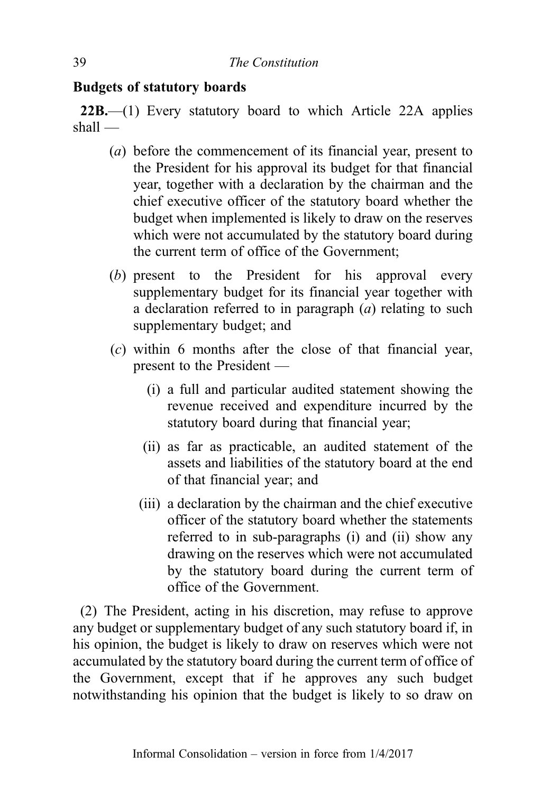# Budgets of statutory boards

22B.—(1) Every statutory board to which Article 22A applies shall —

- (a) before the commencement of its financial year, present to the President for his approval its budget for that financial year, together with a declaration by the chairman and the chief executive officer of the statutory board whether the budget when implemented is likely to draw on the reserves which were not accumulated by the statutory board during the current term of office of the Government;
- (b) present to the President for his approval every supplementary budget for its financial year together with a declaration referred to in paragraph  $(a)$  relating to such supplementary budget; and
- (c) within 6 months after the close of that financial year, present to the President —
	- (i) a full and particular audited statement showing the revenue received and expenditure incurred by the statutory board during that financial year;
	- (ii) as far as practicable, an audited statement of the assets and liabilities of the statutory board at the end of that financial year; and
	- (iii) a declaration by the chairman and the chief executive officer of the statutory board whether the statements referred to in sub-paragraphs (i) and (ii) show any drawing on the reserves which were not accumulated by the statutory board during the current term of office of the Government.

(2) The President, acting in his discretion, may refuse to approve any budget or supplementary budget of any such statutory board if, in his opinion, the budget is likely to draw on reserves which were not accumulated by the statutory board during the current term of office of the Government, except that if he approves any such budget notwithstanding his opinion that the budget is likely to so draw on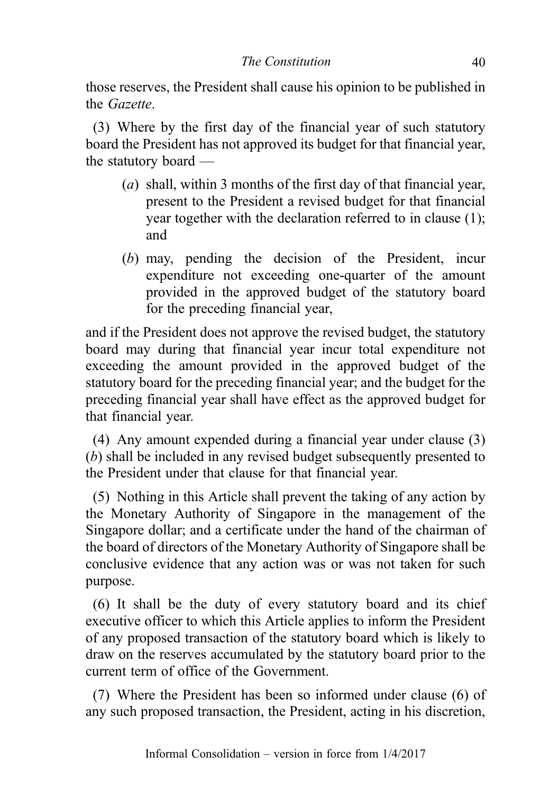those reserves, the President shall cause his opinion to be published in the Gazette.

(3) Where by the first day of the financial year of such statutory board the President has not approved its budget for that financial year, the statutory board —

- (a) shall, within 3 months of the first day of that financial year, present to the President a revised budget for that financial year together with the declaration referred to in clause (1); and
- (b) may, pending the decision of the President, incur expenditure not exceeding one-quarter of the amount provided in the approved budget of the statutory board for the preceding financial year,

and if the President does not approve the revised budget, the statutory board may during that financial year incur total expenditure not exceeding the amount provided in the approved budget of the statutory board for the preceding financial year; and the budget for the preceding financial year shall have effect as the approved budget for that financial year.

(4) Any amount expended during a financial year under clause (3) (b) shall be included in any revised budget subsequently presented to the President under that clause for that financial year.

(5) Nothing in this Article shall prevent the taking of any action by the Monetary Authority of Singapore in the management of the Singapore dollar; and a certificate under the hand of the chairman of the board of directors of the Monetary Authority of Singapore shall be conclusive evidence that any action was or was not taken for such purpose.

(6) It shall be the duty of every statutory board and its chief executive officer to which this Article applies to inform the President of any proposed transaction of the statutory board which is likely to draw on the reserves accumulated by the statutory board prior to the current term of office of the Government.

(7) Where the President has been so informed under clause (6) of any such proposed transaction, the President, acting in his discretion,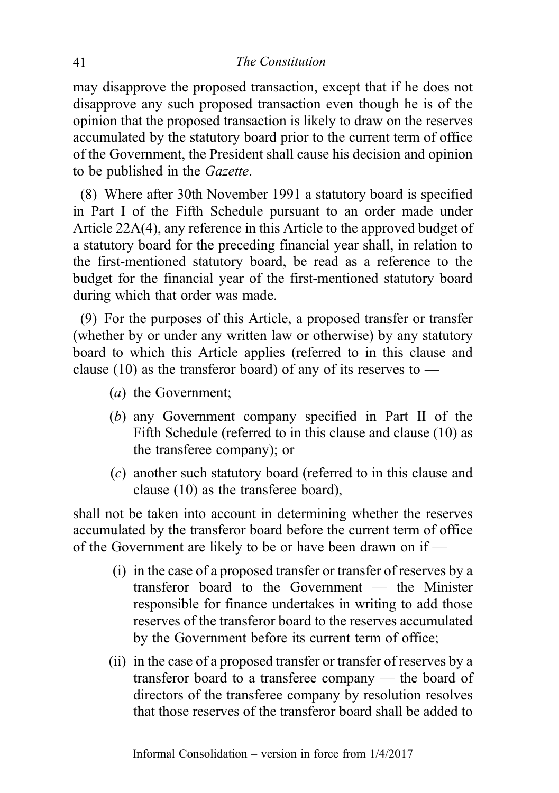### *The Constitution*

may disapprove the proposed transaction, except that if he does not disapprove any such proposed transaction even though he is of the opinion that the proposed transaction is likely to draw on the reserves accumulated by the statutory board prior to the current term of office of the Government, the President shall cause his decision and opinion to be published in the Gazette.

(8) Where after 30th November 1991 a statutory board is specified in Part I of the Fifth Schedule pursuant to an order made under Article 22A(4), any reference in this Article to the approved budget of a statutory board for the preceding financial year shall, in relation to the first-mentioned statutory board, be read as a reference to the budget for the financial year of the first-mentioned statutory board during which that order was made.

(9) For the purposes of this Article, a proposed transfer or transfer (whether by or under any written law or otherwise) by any statutory board to which this Article applies (referred to in this clause and clause (10) as the transferor board) of any of its reserves to  $-$ 

- (a) the Government;
- (b) any Government company specified in Part II of the Fifth Schedule (referred to in this clause and clause (10) as the transferee company); or
- (c) another such statutory board (referred to in this clause and clause (10) as the transferee board),

shall not be taken into account in determining whether the reserves accumulated by the transferor board before the current term of office of the Government are likely to be or have been drawn on if —

- (i) in the case of a proposed transfer or transfer of reserves by a transferor board to the Government — the Minister responsible for finance undertakes in writing to add those reserves of the transferor board to the reserves accumulated by the Government before its current term of office;
- (ii) in the case of a proposed transfer or transfer of reserves by a transferor board to a transferee company — the board of directors of the transferee company by resolution resolves that those reserves of the transferor board shall be added to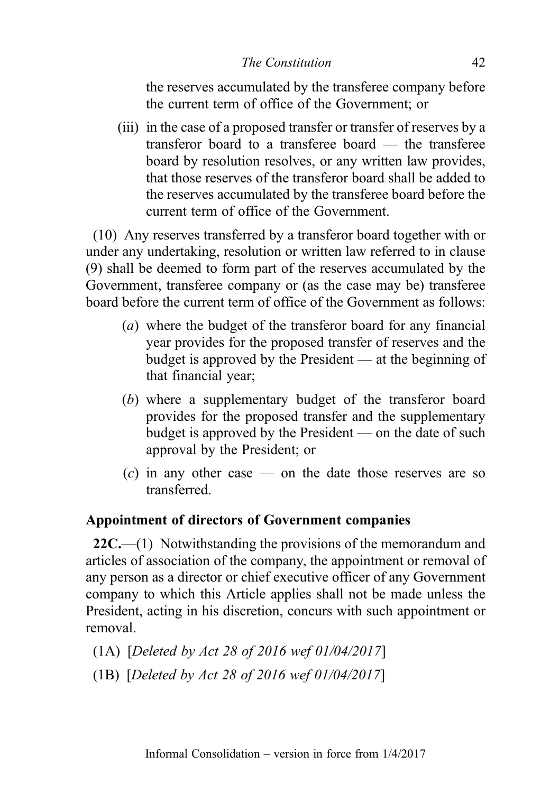the reserves accumulated by the transferee company before the current term of office of the Government; or

(iii) in the case of a proposed transfer or transfer of reserves by a transferor board to a transferee board — the transferee board by resolution resolves, or any written law provides, that those reserves of the transferor board shall be added to the reserves accumulated by the transferee board before the current term of office of the Government.

(10) Any reserves transferred by a transferor board together with or under any undertaking, resolution or written law referred to in clause (9) shall be deemed to form part of the reserves accumulated by the Government, transferee company or (as the case may be) transferee board before the current term of office of the Government as follows:

- (a) where the budget of the transferor board for any financial year provides for the proposed transfer of reserves and the budget is approved by the President — at the beginning of that financial year;
- (b) where a supplementary budget of the transferor board provides for the proposed transfer and the supplementary budget is approved by the President — on the date of such approval by the President; or
- $(c)$  in any other case on the date those reserves are so transferred.

# Appointment of directors of Government companies

 $22C$ .—(1) Notwithstanding the provisions of the memorandum and articles of association of the company, the appointment or removal of any person as a director or chief executive officer of any Government company to which this Article applies shall not be made unless the President, acting in his discretion, concurs with such appointment or removal.

(1A) [Deleted by Act 28 of 2016 wef 01/04/2017]

(1B) [Deleted by Act 28 of 2016 wef 01/04/2017]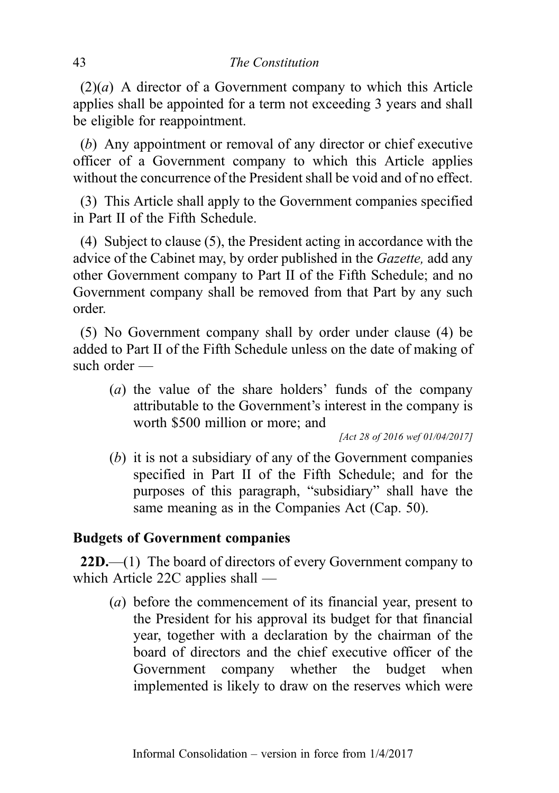$(2)(a)$  A director of a Government company to which this Article applies shall be appointed for a term not exceeding 3 years and shall be eligible for reappointment.

(b) Any appointment or removal of any director or chief executive officer of a Government company to which this Article applies without the concurrence of the President shall be void and of no effect.

(3) This Article shall apply to the Government companies specified in Part II of the Fifth Schedule.

(4) Subject to clause (5), the President acting in accordance with the advice of the Cabinet may, by order published in the Gazette, add any other Government company to Part II of the Fifth Schedule; and no Government company shall be removed from that Part by any such order.

(5) No Government company shall by order under clause (4) be added to Part II of the Fifth Schedule unless on the date of making of such order —

(a) the value of the share holders' funds of the company attributable to the Government's interest in the company is worth \$500 million or more; and

[Act 28 of 2016 wef 01/04/2017]

(b) it is not a subsidiary of any of the Government companies specified in Part II of the Fifth Schedule; and for the purposes of this paragraph, "subsidiary" shall have the same meaning as in the Companies Act (Cap. 50).

### Budgets of Government companies

22D.—(1) The board of directors of every Government company to which Article 22C applies shall —

(a) before the commencement of its financial year, present to the President for his approval its budget for that financial year, together with a declaration by the chairman of the board of directors and the chief executive officer of the Government company whether the budget when implemented is likely to draw on the reserves which were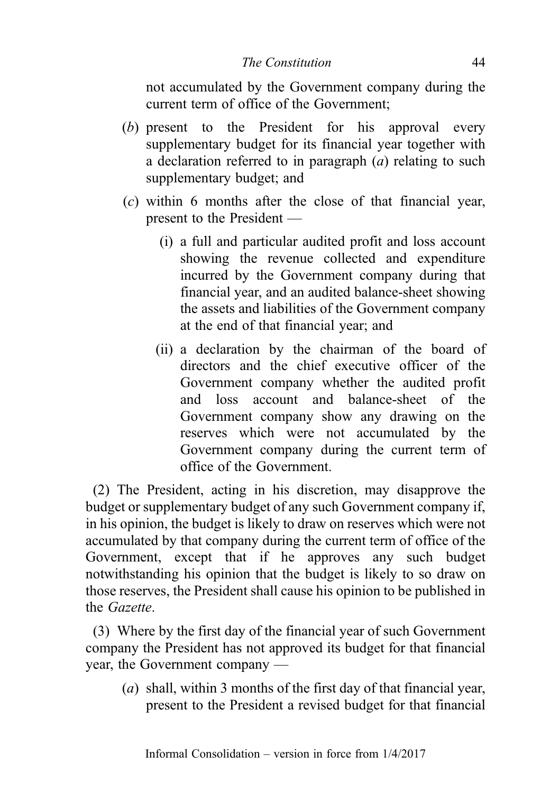not accumulated by the Government company during the current term of office of the Government;

- (b) present to the President for his approval every supplementary budget for its financial year together with a declaration referred to in paragraph  $(a)$  relating to such supplementary budget; and
- (c) within 6 months after the close of that financial year, present to the President —
	- (i) a full and particular audited profit and loss account showing the revenue collected and expenditure incurred by the Government company during that financial year, and an audited balance-sheet showing the assets and liabilities of the Government company at the end of that financial year; and
	- (ii) a declaration by the chairman of the board of directors and the chief executive officer of the Government company whether the audited profit and loss account and balance-sheet of the Government company show any drawing on the reserves which were not accumulated by the Government company during the current term of office of the Government.

(2) The President, acting in his discretion, may disapprove the budget or supplementary budget of any such Government company if, in his opinion, the budget is likely to draw on reserves which were not accumulated by that company during the current term of office of the Government, except that if he approves any such budget notwithstanding his opinion that the budget is likely to so draw on those reserves, the President shall cause his opinion to be published in the Gazette.

(3) Where by the first day of the financial year of such Government company the President has not approved its budget for that financial year, the Government company —

(a) shall, within 3 months of the first day of that financial year, present to the President a revised budget for that financial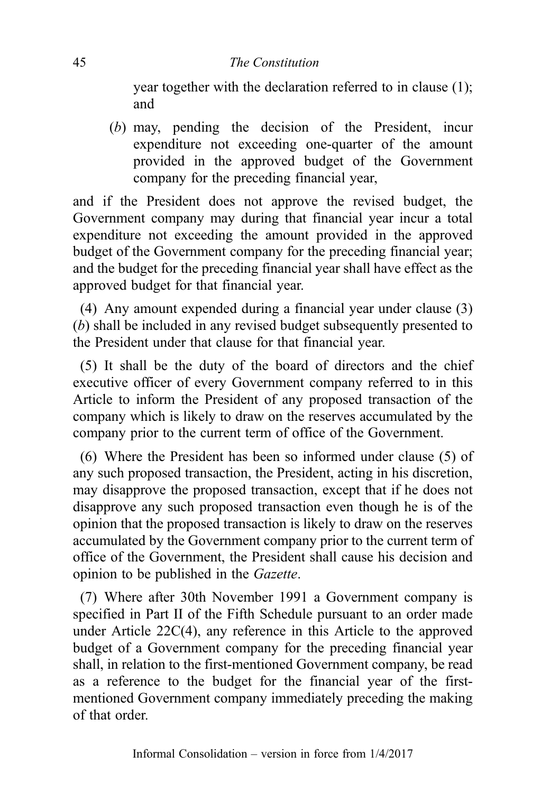year together with the declaration referred to in clause (1); and

(b) may, pending the decision of the President, incur expenditure not exceeding one-quarter of the amount provided in the approved budget of the Government company for the preceding financial year,

and if the President does not approve the revised budget, the Government company may during that financial year incur a total expenditure not exceeding the amount provided in the approved budget of the Government company for the preceding financial year; and the budget for the preceding financial year shall have effect as the approved budget for that financial year.

(4) Any amount expended during a financial year under clause (3) (b) shall be included in any revised budget subsequently presented to the President under that clause for that financial year.

(5) It shall be the duty of the board of directors and the chief executive officer of every Government company referred to in this Article to inform the President of any proposed transaction of the company which is likely to draw on the reserves accumulated by the company prior to the current term of office of the Government.

(6) Where the President has been so informed under clause (5) of any such proposed transaction, the President, acting in his discretion, may disapprove the proposed transaction, except that if he does not disapprove any such proposed transaction even though he is of the opinion that the proposed transaction is likely to draw on the reserves accumulated by the Government company prior to the current term of office of the Government, the President shall cause his decision and opinion to be published in the Gazette.

(7) Where after 30th November 1991 a Government company is specified in Part II of the Fifth Schedule pursuant to an order made under Article 22C(4), any reference in this Article to the approved budget of a Government company for the preceding financial year shall, in relation to the first-mentioned Government company, be read as a reference to the budget for the financial year of the firstmentioned Government company immediately preceding the making of that order.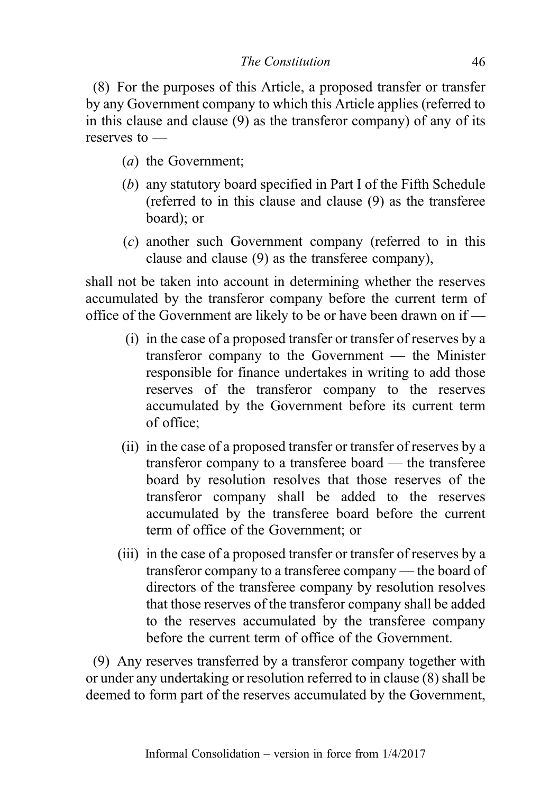(8) For the purposes of this Article, a proposed transfer or transfer by any Government company to which this Article applies (referred to in this clause and clause (9) as the transferor company) of any of its reserves to —

- (a) the Government;
- (b) any statutory board specified in Part I of the Fifth Schedule (referred to in this clause and clause (9) as the transferee board); or
- (c) another such Government company (referred to in this clause and clause (9) as the transferee company),

shall not be taken into account in determining whether the reserves accumulated by the transferor company before the current term of office of the Government are likely to be or have been drawn on if —

- (i) in the case of a proposed transfer or transfer of reserves by a transferor company to the Government — the Minister responsible for finance undertakes in writing to add those reserves of the transferor company to the reserves accumulated by the Government before its current term of office;
- (ii) in the case of a proposed transfer or transfer of reserves by a transferor company to a transferee board — the transferee board by resolution resolves that those reserves of the transferor company shall be added to the reserves accumulated by the transferee board before the current term of office of the Government; or
- (iii) in the case of a proposed transfer or transfer of reserves by a transferor company to a transferee company — the board of directors of the transferee company by resolution resolves that those reserves of the transferor company shall be added to the reserves accumulated by the transferee company before the current term of office of the Government.

(9) Any reserves transferred by a transferor company together with or under any undertaking or resolution referred to in clause (8) shall be deemed to form part of the reserves accumulated by the Government,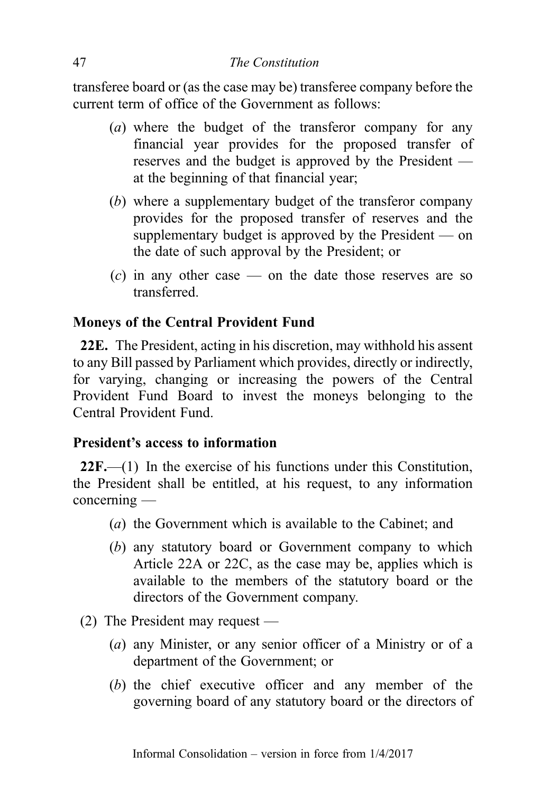transferee board or (as the case may be) transferee company before the current term of office of the Government as follows:

- (a) where the budget of the transferor company for any financial year provides for the proposed transfer of reserves and the budget is approved by the President at the beginning of that financial year;
- (b) where a supplementary budget of the transferor company provides for the proposed transfer of reserves and the supplementary budget is approved by the President — on the date of such approval by the President; or
- $(c)$  in any other case on the date those reserves are so transferred.

# Moneys of the Central Provident Fund

22E. The President, acting in his discretion, may withhold his assent to any Bill passed by Parliament which provides, directly or indirectly, for varying, changing or increasing the powers of the Central Provident Fund Board to invest the moneys belonging to the Central Provident Fund.

## President's access to information

22F.—(1) In the exercise of his functions under this Constitution, the President shall be entitled, at his request, to any information concerning —

- (a) the Government which is available to the Cabinet; and
- (b) any statutory board or Government company to which Article 22A or 22C, as the case may be, applies which is available to the members of the statutory board or the directors of the Government company.
- (2) The President may request
	- (a) any Minister, or any senior officer of a Ministry or of a department of the Government; or
	- (b) the chief executive officer and any member of the governing board of any statutory board or the directors of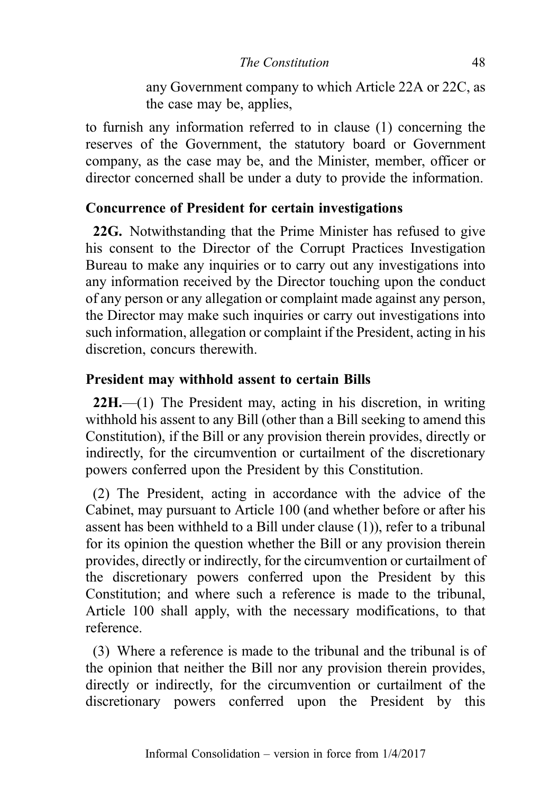any Government company to which Article 22A or 22C, as the case may be, applies,

to furnish any information referred to in clause (1) concerning the reserves of the Government, the statutory board or Government company, as the case may be, and the Minister, member, officer or director concerned shall be under a duty to provide the information.

# Concurrence of President for certain investigations

22G. Notwithstanding that the Prime Minister has refused to give his consent to the Director of the Corrupt Practices Investigation Bureau to make any inquiries or to carry out any investigations into any information received by the Director touching upon the conduct of any person or any allegation or complaint made against any person, the Director may make such inquiries or carry out investigations into such information, allegation or complaint if the President, acting in his discretion, concurs therewith.

## President may withhold assent to certain Bills

 $22H$ ,—(1) The President may, acting in his discretion, in writing withhold his assent to any Bill (other than a Bill seeking to amend this Constitution), if the Bill or any provision therein provides, directly or indirectly, for the circumvention or curtailment of the discretionary powers conferred upon the President by this Constitution.

(2) The President, acting in accordance with the advice of the Cabinet, may pursuant to Article 100 (and whether before or after his assent has been withheld to a Bill under clause (1)), refer to a tribunal for its opinion the question whether the Bill or any provision therein provides, directly or indirectly, for the circumvention or curtailment of the discretionary powers conferred upon the President by this Constitution; and where such a reference is made to the tribunal, Article 100 shall apply, with the necessary modifications, to that reference.

(3) Where a reference is made to the tribunal and the tribunal is of the opinion that neither the Bill nor any provision therein provides, directly or indirectly, for the circumvention or curtailment of the discretionary powers conferred upon the President by this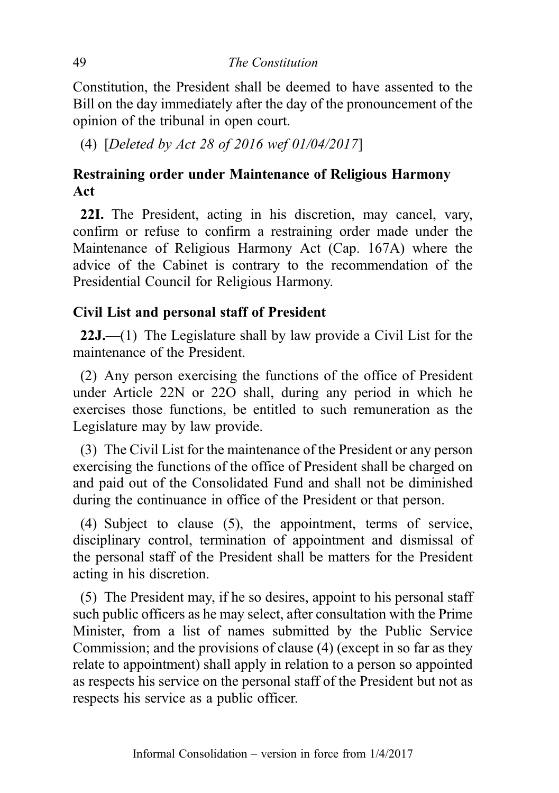Constitution, the President shall be deemed to have assented to the Bill on the day immediately after the day of the pronouncement of the opinion of the tribunal in open court.

(4) [Deleted by Act 28 of 2016 wef 01/04/2017]

# Restraining order under Maintenance of Religious Harmony Act

22I. The President, acting in his discretion, may cancel, vary, confirm or refuse to confirm a restraining order made under the Maintenance of Religious Harmony Act (Cap. 167A) where the advice of the Cabinet is contrary to the recommendation of the Presidential Council for Religious Harmony.

# Civil List and personal staff of President

22J.—(1) The Legislature shall by law provide a Civil List for the maintenance of the President.

(2) Any person exercising the functions of the office of President under Article 22N or 22O shall, during any period in which he exercises those functions, be entitled to such remuneration as the Legislature may by law provide.

(3) The Civil List for the maintenance of the President or any person exercising the functions of the office of President shall be charged on and paid out of the Consolidated Fund and shall not be diminished during the continuance in office of the President or that person.

(4) Subject to clause (5), the appointment, terms of service, disciplinary control, termination of appointment and dismissal of the personal staff of the President shall be matters for the President acting in his discretion.

(5) The President may, if he so desires, appoint to his personal staff such public officers as he may select, after consultation with the Prime Minister, from a list of names submitted by the Public Service Commission; and the provisions of clause (4) (except in so far as they relate to appointment) shall apply in relation to a person so appointed as respects his service on the personal staff of the President but not as respects his service as a public officer.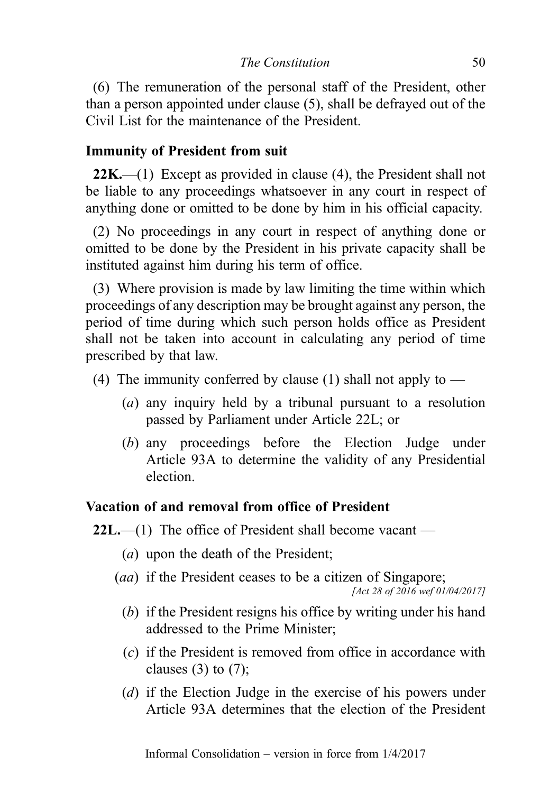(6) The remuneration of the personal staff of the President, other than a person appointed under clause (5), shall be defrayed out of the Civil List for the maintenance of the President.

# Immunity of President from suit

 $22K$ ,—(1) Except as provided in clause (4), the President shall not be liable to any proceedings whatsoever in any court in respect of anything done or omitted to be done by him in his official capacity.

(2) No proceedings in any court in respect of anything done or omitted to be done by the President in his private capacity shall be instituted against him during his term of office.

(3) Where provision is made by law limiting the time within which proceedings of any description may be brought against any person, the period of time during which such person holds office as President shall not be taken into account in calculating any period of time prescribed by that law.

- (4) The immunity conferred by clause (1) shall not apply to  $-$ 
	- (a) any inquiry held by a tribunal pursuant to a resolution passed by Parliament under Article 22L; or
	- (b) any proceedings before the Election Judge under Article 93A to determine the validity of any Presidential election.

### Vacation of and removal from office of President

**22L.**—(1) The office of President shall become vacant —

- (a) upon the death of the President;
- (aa) if the President ceases to be a citizen of Singapore; [Act 28 of 2016 wef 01/04/2017]
	- (b) if the President resigns his office by writing under his hand addressed to the Prime Minister;
	- (c) if the President is removed from office in accordance with clauses  $(3)$  to  $(7)$ ;
	- (d) if the Election Judge in the exercise of his powers under Article 93A determines that the election of the President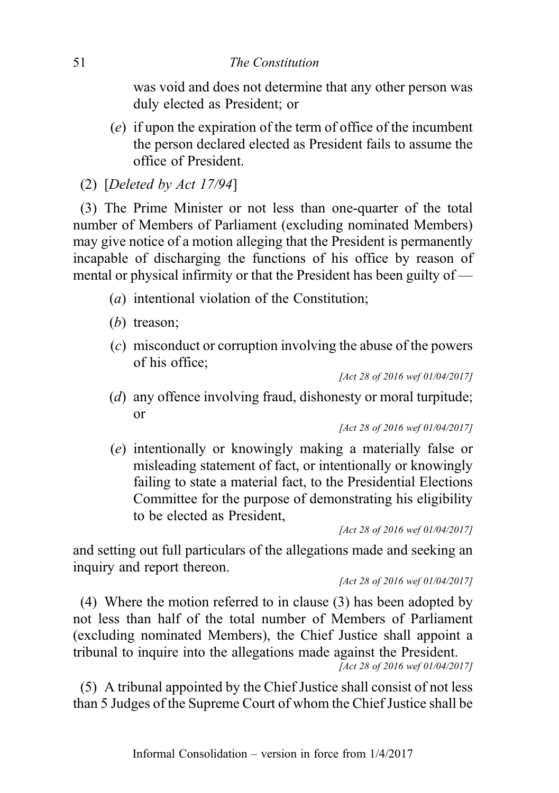was void and does not determine that any other person was duly elected as President; or

(e) if upon the expiration of the term of office of the incumbent the person declared elected as President fails to assume the office of President.

(2) [Deleted by Act 17/94]

(3) The Prime Minister or not less than one-quarter of the total number of Members of Parliament (excluding nominated Members) may give notice of a motion alleging that the President is permanently incapable of discharging the functions of his office by reason of mental or physical infirmity or that the President has been guilty of —

- (a) intentional violation of the Constitution;
- (b) treason;
- (c) misconduct or corruption involving the abuse of the powers of his office;

```
[Act 28 of 2016 wef 01/04/2017]
```
(d) any offence involving fraud, dishonesty or moral turpitude; or

[Act 28 of 2016 wef 01/04/2017]

(e) intentionally or knowingly making a materially false or misleading statement of fact, or intentionally or knowingly failing to state a material fact, to the Presidential Elections Committee for the purpose of demonstrating his eligibility to be elected as President,

[Act 28 of 2016 wef 01/04/2017]

and setting out full particulars of the allegations made and seeking an inquiry and report thereon.

```
[Act 28 of 2016 wef 01/04/2017]
```
(4) Where the motion referred to in clause (3) has been adopted by not less than half of the total number of Members of Parliament (excluding nominated Members), the Chief Justice shall appoint a tribunal to inquire into the allegations made against the President. [Act 28 of 2016 wef 01/04/2017]

(5) A tribunal appointed by the Chief Justice shall consist of not less than 5 Judges of the Supreme Court of whom the Chief Justice shall be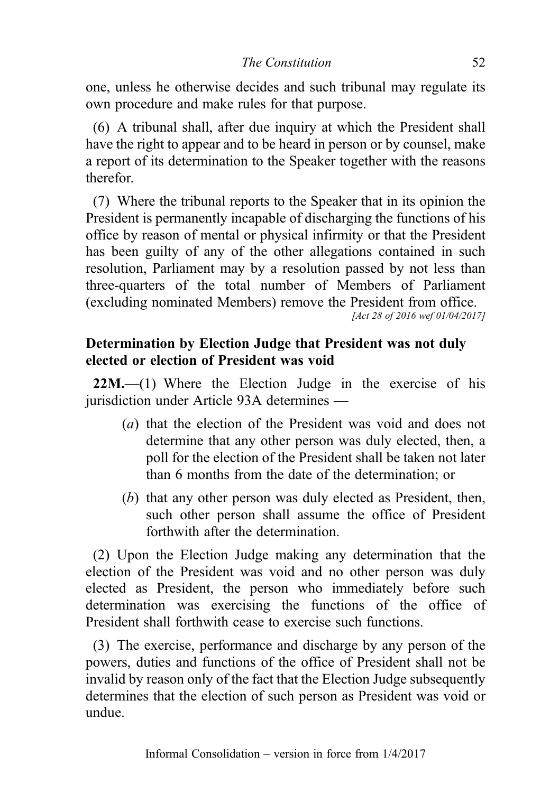one, unless he otherwise decides and such tribunal may regulate its own procedure and make rules for that purpose.

(6) A tribunal shall, after due inquiry at which the President shall have the right to appear and to be heard in person or by counsel, make a report of its determination to the Speaker together with the reasons therefor.

(7) Where the tribunal reports to the Speaker that in its opinion the President is permanently incapable of discharging the functions of his office by reason of mental or physical infirmity or that the President has been guilty of any of the other allegations contained in such resolution, Parliament may by a resolution passed by not less than three-quarters of the total number of Members of Parliament (excluding nominated Members) remove the President from office. [Act 28 of 2016 wef 01/04/2017]

# Determination by Election Judge that President was not duly elected or election of President was void

 $22M$ —(1) Where the Election Judge in the exercise of his jurisdiction under Article 93A determines —

- (a) that the election of the President was void and does not determine that any other person was duly elected, then, a poll for the election of the President shall be taken not later than 6 months from the date of the determination; or
- (b) that any other person was duly elected as President, then, such other person shall assume the office of President forthwith after the determination.

(2) Upon the Election Judge making any determination that the election of the President was void and no other person was duly elected as President, the person who immediately before such determination was exercising the functions of the office of President shall forthwith cease to exercise such functions.

(3) The exercise, performance and discharge by any person of the powers, duties and functions of the office of President shall not be invalid by reason only of the fact that the Election Judge subsequently determines that the election of such person as President was void or undue.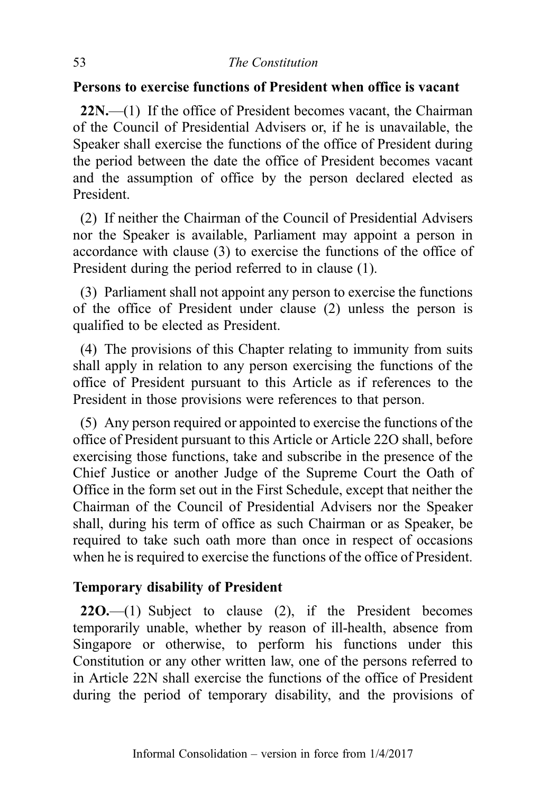### Persons to exercise functions of President when office is vacant

22N.—(1) If the office of President becomes vacant, the Chairman of the Council of Presidential Advisers or, if he is unavailable, the Speaker shall exercise the functions of the office of President during the period between the date the office of President becomes vacant and the assumption of office by the person declared elected as President.

(2) If neither the Chairman of the Council of Presidential Advisers nor the Speaker is available, Parliament may appoint a person in accordance with clause (3) to exercise the functions of the office of President during the period referred to in clause (1).

(3) Parliament shall not appoint any person to exercise the functions of the office of President under clause (2) unless the person is qualified to be elected as President.

(4) The provisions of this Chapter relating to immunity from suits shall apply in relation to any person exercising the functions of the office of President pursuant to this Article as if references to the President in those provisions were references to that person.

(5) Any person required or appointed to exercise the functions of the office of President pursuant to this Article or Article 22O shall, before exercising those functions, take and subscribe in the presence of the Chief Justice or another Judge of the Supreme Court the Oath of Office in the form set out in the First Schedule, except that neither the Chairman of the Council of Presidential Advisers nor the Speaker shall, during his term of office as such Chairman or as Speaker, be required to take such oath more than once in respect of occasions when he is required to exercise the functions of the office of President.

## Temporary disability of President

 $220$ .—(1) Subject to clause (2), if the President becomes temporarily unable, whether by reason of ill-health, absence from Singapore or otherwise, to perform his functions under this Constitution or any other written law, one of the persons referred to in Article 22N shall exercise the functions of the office of President during the period of temporary disability, and the provisions of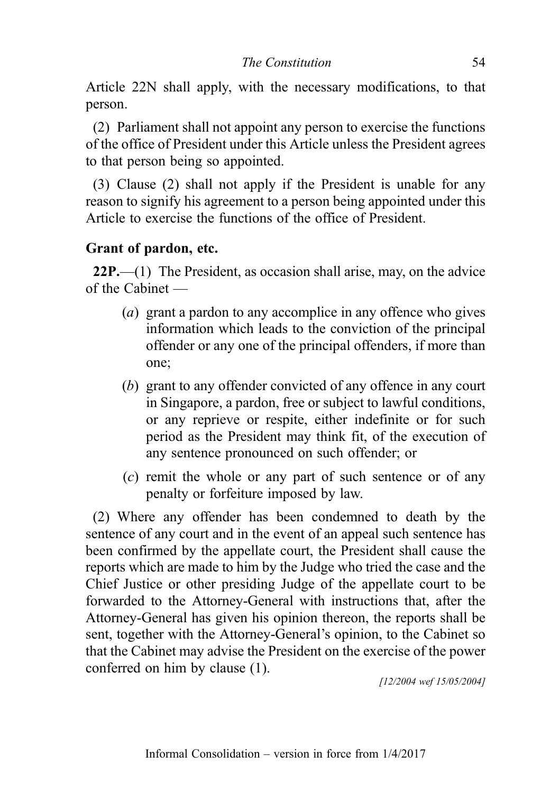Article 22N shall apply, with the necessary modifications, to that person.

(2) Parliament shall not appoint any person to exercise the functions of the office of President under this Article unless the President agrees to that person being so appointed.

(3) Clause (2) shall not apply if the President is unable for any reason to signify his agreement to a person being appointed under this Article to exercise the functions of the office of President.

### Grant of pardon, etc.

22P.—(1) The President, as occasion shall arise, may, on the advice of the Cabinet —

- (a) grant a pardon to any accomplice in any offence who gives information which leads to the conviction of the principal offender or any one of the principal offenders, if more than one;
- (b) grant to any offender convicted of any offence in any court in Singapore, a pardon, free or subject to lawful conditions, or any reprieve or respite, either indefinite or for such period as the President may think fit, of the execution of any sentence pronounced on such offender; or
- (c) remit the whole or any part of such sentence or of any penalty or forfeiture imposed by law.

(2) Where any offender has been condemned to death by the sentence of any court and in the event of an appeal such sentence has been confirmed by the appellate court, the President shall cause the reports which are made to him by the Judge who tried the case and the Chief Justice or other presiding Judge of the appellate court to be forwarded to the Attorney-General with instructions that, after the Attorney-General has given his opinion thereon, the reports shall be sent, together with the Attorney-General's opinion, to the Cabinet so that the Cabinet may advise the President on the exercise of the power conferred on him by clause (1).

[12/2004 wef 15/05/2004]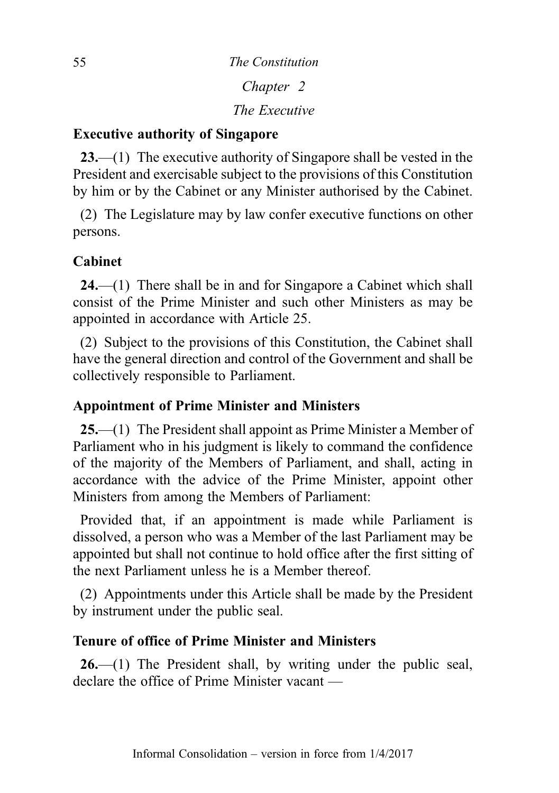# Executive authority of Singapore

23.—(1) The executive authority of Singapore shall be vested in the President and exercisable subject to the provisions of this Constitution by him or by the Cabinet or any Minister authorised by the Cabinet.

(2) The Legislature may by law confer executive functions on other persons.

## Cabinet

24.—(1) There shall be in and for Singapore a Cabinet which shall consist of the Prime Minister and such other Ministers as may be appointed in accordance with Article 25.

(2) Subject to the provisions of this Constitution, the Cabinet shall have the general direction and control of the Government and shall be collectively responsible to Parliament.

## Appointment of Prime Minister and Ministers

25.—(1) The President shall appoint as Prime Minister a Member of Parliament who in his judgment is likely to command the confidence of the majority of the Members of Parliament, and shall, acting in accordance with the advice of the Prime Minister, appoint other Ministers from among the Members of Parliament:

Provided that, if an appointment is made while Parliament is dissolved, a person who was a Member of the last Parliament may be appointed but shall not continue to hold office after the first sitting of the next Parliament unless he is a Member thereof.

(2) Appointments under this Article shall be made by the President by instrument under the public seal.

### Tenure of office of Prime Minister and Ministers

26.—(1) The President shall, by writing under the public seal, declare the office of Prime Minister vacant —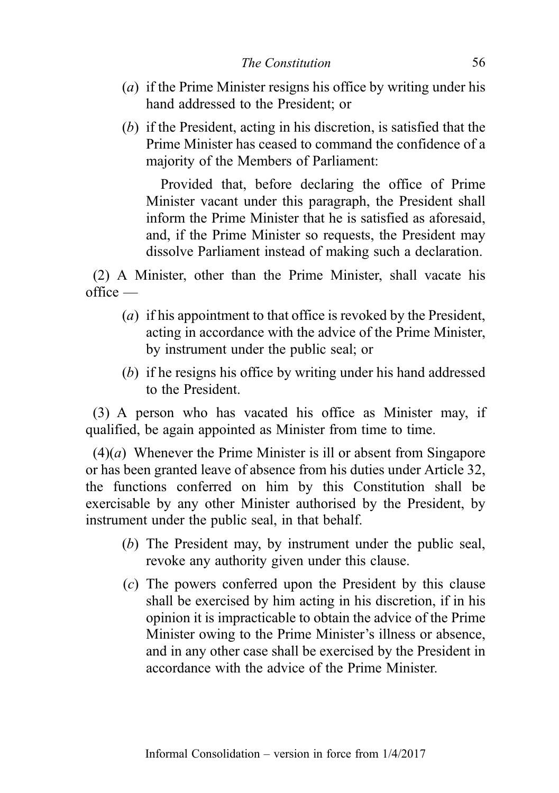- (a) if the Prime Minister resigns his office by writing under his hand addressed to the President; or
- (b) if the President, acting in his discretion, is satisfied that the Prime Minister has ceased to command the confidence of a majority of the Members of Parliament:

Provided that, before declaring the office of Prime Minister vacant under this paragraph, the President shall inform the Prime Minister that he is satisfied as aforesaid, and, if the Prime Minister so requests, the President may dissolve Parliament instead of making such a declaration.

(2) A Minister, other than the Prime Minister, shall vacate his  $of$ fice  $-$ 

- (a) if his appointment to that office is revoked by the President, acting in accordance with the advice of the Prime Minister, by instrument under the public seal; or
- (b) if he resigns his office by writing under his hand addressed to the President.

(3) A person who has vacated his office as Minister may, if qualified, be again appointed as Minister from time to time.

 $(4)(a)$  Whenever the Prime Minister is ill or absent from Singapore or has been granted leave of absence from his duties under Article 32, the functions conferred on him by this Constitution shall be exercisable by any other Minister authorised by the President, by instrument under the public seal, in that behalf.

- (b) The President may, by instrument under the public seal, revoke any authority given under this clause.
- (c) The powers conferred upon the President by this clause shall be exercised by him acting in his discretion, if in his opinion it is impracticable to obtain the advice of the Prime Minister owing to the Prime Minister's illness or absence, and in any other case shall be exercised by the President in accordance with the advice of the Prime Minister.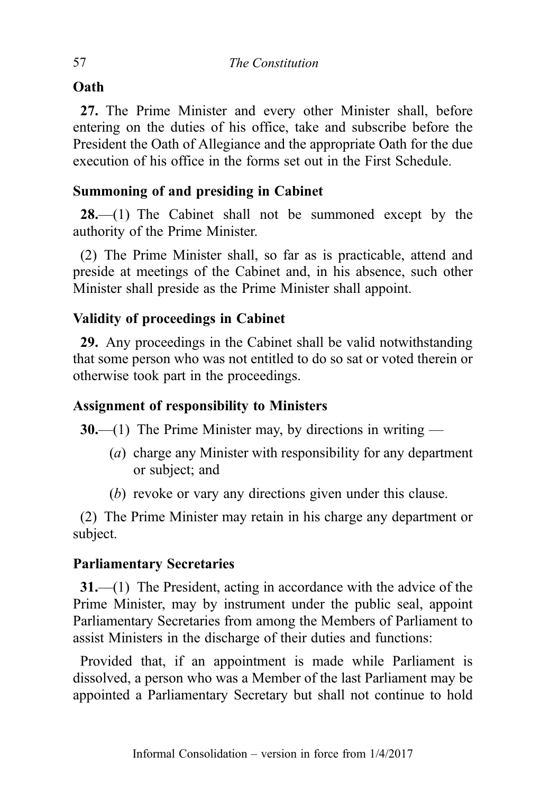# **Oath**

57

27. The Prime Minister and every other Minister shall, before entering on the duties of his office, take and subscribe before the President the Oath of Allegiance and the appropriate Oath for the due execution of his office in the forms set out in the First Schedule.

# Summoning of and presiding in Cabinet

**28.**—(1) The Cabinet shall not be summoned except by the authority of the Prime Minister.

(2) The Prime Minister shall, so far as is practicable, attend and preside at meetings of the Cabinet and, in his absence, such other Minister shall preside as the Prime Minister shall appoint.

# Validity of proceedings in Cabinet

29. Any proceedings in the Cabinet shall be valid notwithstanding that some person who was not entitled to do so sat or voted therein or otherwise took part in the proceedings.

# Assignment of responsibility to Ministers

**30.—(1)** The Prime Minister may, by directions in writing —

- (a) charge any Minister with responsibility for any department or subject; and
- (b) revoke or vary any directions given under this clause.

(2) The Prime Minister may retain in his charge any department or subject.

# Parliamentary Secretaries

31.—(1) The President, acting in accordance with the advice of the Prime Minister, may by instrument under the public seal, appoint Parliamentary Secretaries from among the Members of Parliament to assist Ministers in the discharge of their duties and functions:

Provided that, if an appointment is made while Parliament is dissolved, a person who was a Member of the last Parliament may be appointed a Parliamentary Secretary but shall not continue to hold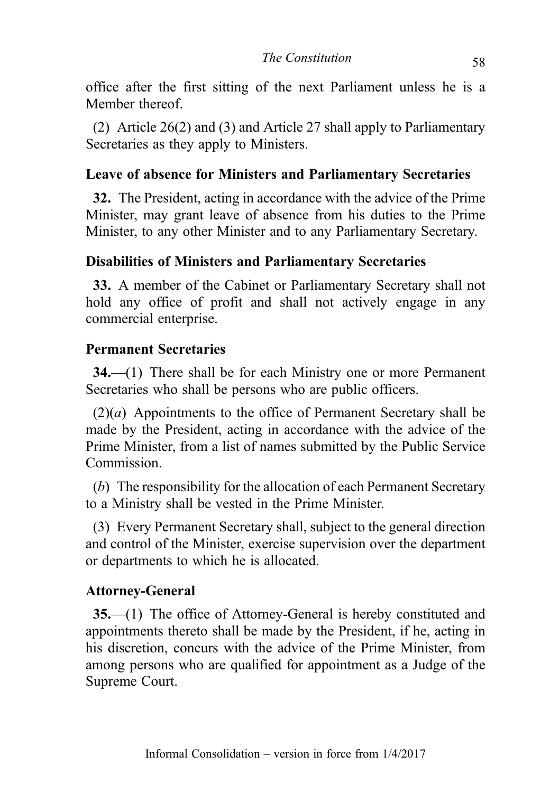office after the first sitting of the next Parliament unless he is a Member thereof.

(2) Article 26(2) and (3) and Article 27 shall apply to Parliamentary Secretaries as they apply to Ministers.

### Leave of absence for Ministers and Parliamentary Secretaries

32. The President, acting in accordance with the advice of the Prime Minister, may grant leave of absence from his duties to the Prime Minister, to any other Minister and to any Parliamentary Secretary.

### Disabilities of Ministers and Parliamentary Secretaries

33. A member of the Cabinet or Parliamentary Secretary shall not hold any office of profit and shall not actively engage in any commercial enterprise.

### Permanent Secretaries

34.—(1) There shall be for each Ministry one or more Permanent Secretaries who shall be persons who are public officers.

 $(2)(a)$  Appointments to the office of Permanent Secretary shall be made by the President, acting in accordance with the advice of the Prime Minister, from a list of names submitted by the Public Service Commission.

(b) The responsibility for the allocation of each Permanent Secretary to a Ministry shall be vested in the Prime Minister.

(3) Every Permanent Secretary shall, subject to the general direction and control of the Minister, exercise supervision over the department or departments to which he is allocated.

## Attorney-General

35.—(1) The office of Attorney-General is hereby constituted and appointments thereto shall be made by the President, if he, acting in his discretion, concurs with the advice of the Prime Minister, from among persons who are qualified for appointment as a Judge of the Supreme Court.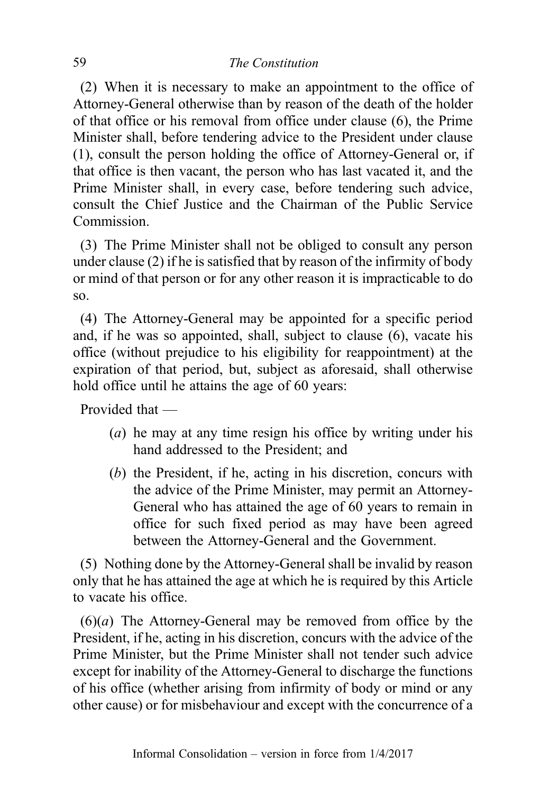#### *The Constitution*

(2) When it is necessary to make an appointment to the office of Attorney-General otherwise than by reason of the death of the holder of that office or his removal from office under clause (6), the Prime Minister shall, before tendering advice to the President under clause (1), consult the person holding the office of Attorney-General or, if that office is then vacant, the person who has last vacated it, and the Prime Minister shall, in every case, before tendering such advice, consult the Chief Justice and the Chairman of the Public Service Commission.

(3) The Prime Minister shall not be obliged to consult any person under clause (2) if he is satisfied that by reason of the infirmity of body or mind of that person or for any other reason it is impracticable to do so.

(4) The Attorney-General may be appointed for a specific period and, if he was so appointed, shall, subject to clause (6), vacate his office (without prejudice to his eligibility for reappointment) at the expiration of that period, but, subject as aforesaid, shall otherwise hold office until he attains the age of 60 years:

Provided that —

- (a) he may at any time resign his office by writing under his hand addressed to the President; and
- (b) the President, if he, acting in his discretion, concurs with the advice of the Prime Minister, may permit an Attorney-General who has attained the age of 60 years to remain in office for such fixed period as may have been agreed between the Attorney-General and the Government.

(5) Nothing done by the Attorney-General shall be invalid by reason only that he has attained the age at which he is required by this Article to vacate his office.

 $(6)(a)$  The Attorney-General may be removed from office by the President, if he, acting in his discretion, concurs with the advice of the Prime Minister, but the Prime Minister shall not tender such advice except for inability of the Attorney-General to discharge the functions of his office (whether arising from infirmity of body or mind or any other cause) or for misbehaviour and except with the concurrence of a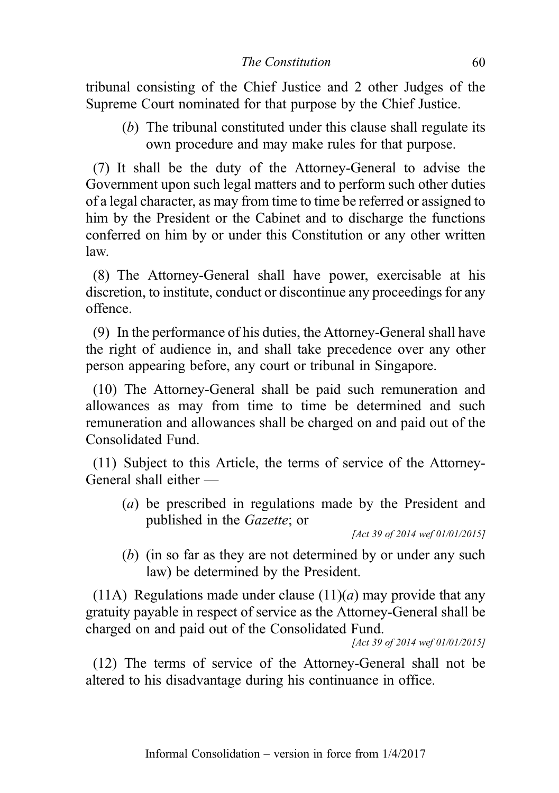tribunal consisting of the Chief Justice and 2 other Judges of the Supreme Court nominated for that purpose by the Chief Justice.

(b) The tribunal constituted under this clause shall regulate its own procedure and may make rules for that purpose.

(7) It shall be the duty of the Attorney-General to advise the Government upon such legal matters and to perform such other duties of a legal character, as may from time to time be referred or assigned to him by the President or the Cabinet and to discharge the functions conferred on him by or under this Constitution or any other written law.

(8) The Attorney-General shall have power, exercisable at his discretion, to institute, conduct or discontinue any proceedings for any offence.

(9) In the performance of his duties, the Attorney-General shall have the right of audience in, and shall take precedence over any other person appearing before, any court or tribunal in Singapore.

(10) The Attorney-General shall be paid such remuneration and allowances as may from time to time be determined and such remuneration and allowances shall be charged on and paid out of the Consolidated Fund.

(11) Subject to this Article, the terms of service of the Attorney-General shall either —

(a) be prescribed in regulations made by the President and published in the Gazette; or

(b) (in so far as they are not determined by or under any such law) be determined by the President.

(11A) Regulations made under clause  $(11)(a)$  may provide that any gratuity payable in respect of service as the Attorney-General shall be charged on and paid out of the Consolidated Fund.

```
[Act 39 of 2014 wef 01/01/2015]
```
(12) The terms of service of the Attorney-General shall not be altered to his disadvantage during his continuance in office.

<sup>[</sup>Act 39 of 2014 wef 01/01/2015]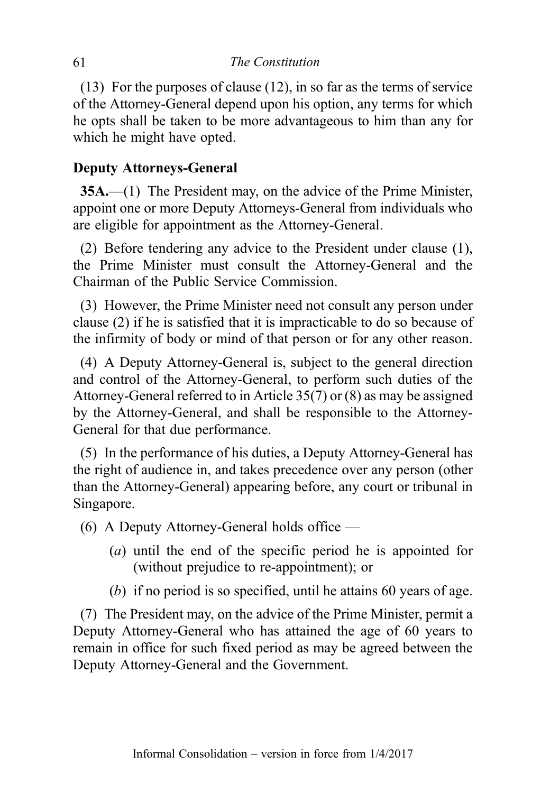(13) For the purposes of clause (12), in so far as the terms of service of the Attorney-General depend upon his option, any terms for which he opts shall be taken to be more advantageous to him than any for which he might have opted.

# Deputy Attorneys-General

35A.—(1) The President may, on the advice of the Prime Minister, appoint one or more Deputy Attorneys-General from individuals who are eligible for appointment as the Attorney-General.

(2) Before tendering any advice to the President under clause (1), the Prime Minister must consult the Attorney-General and the Chairman of the Public Service Commission.

(3) However, the Prime Minister need not consult any person under clause (2) if he is satisfied that it is impracticable to do so because of the infirmity of body or mind of that person or for any other reason.

(4) A Deputy Attorney-General is, subject to the general direction and control of the Attorney-General, to perform such duties of the Attorney-General referred to in Article 35(7) or (8) as may be assigned by the Attorney-General, and shall be responsible to the Attorney-General for that due performance.

(5) In the performance of his duties, a Deputy Attorney-General has the right of audience in, and takes precedence over any person (other than the Attorney-General) appearing before, any court or tribunal in Singapore.

(6) A Deputy Attorney-General holds office —

- (a) until the end of the specific period he is appointed for (without prejudice to re-appointment); or
- (b) if no period is so specified, until he attains 60 years of age.

(7) The President may, on the advice of the Prime Minister, permit a Deputy Attorney-General who has attained the age of 60 years to remain in office for such fixed period as may be agreed between the Deputy Attorney-General and the Government.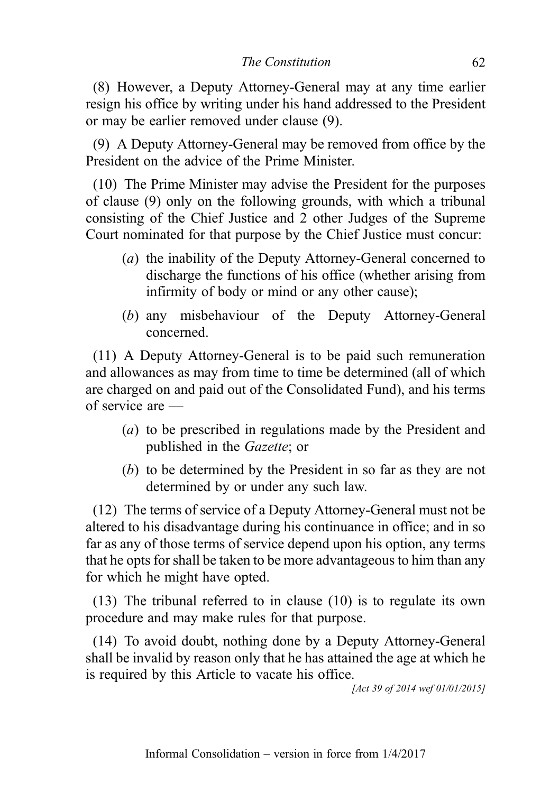(8) However, a Deputy Attorney-General may at any time earlier resign his office by writing under his hand addressed to the President or may be earlier removed under clause (9).

(9) A Deputy Attorney-General may be removed from office by the President on the advice of the Prime Minister.

(10) The Prime Minister may advise the President for the purposes of clause (9) only on the following grounds, with which a tribunal consisting of the Chief Justice and 2 other Judges of the Supreme Court nominated for that purpose by the Chief Justice must concur:

- (a) the inability of the Deputy Attorney-General concerned to discharge the functions of his office (whether arising from infirmity of body or mind or any other cause);
- (b) any misbehaviour of the Deputy Attorney-General concerned.

(11) A Deputy Attorney-General is to be paid such remuneration and allowances as may from time to time be determined (all of which are charged on and paid out of the Consolidated Fund), and his terms of service are —

- (a) to be prescribed in regulations made by the President and published in the Gazette; or
- (b) to be determined by the President in so far as they are not determined by or under any such law.

(12) The terms of service of a Deputy Attorney-General must not be altered to his disadvantage during his continuance in office; and in so far as any of those terms of service depend upon his option, any terms that he opts for shall be taken to be more advantageous to him than any for which he might have opted.

(13) The tribunal referred to in clause (10) is to regulate its own procedure and may make rules for that purpose.

(14) To avoid doubt, nothing done by a Deputy Attorney-General shall be invalid by reason only that he has attained the age at which he is required by this Article to vacate his office.

[Act 39 of 2014 wef 01/01/2015]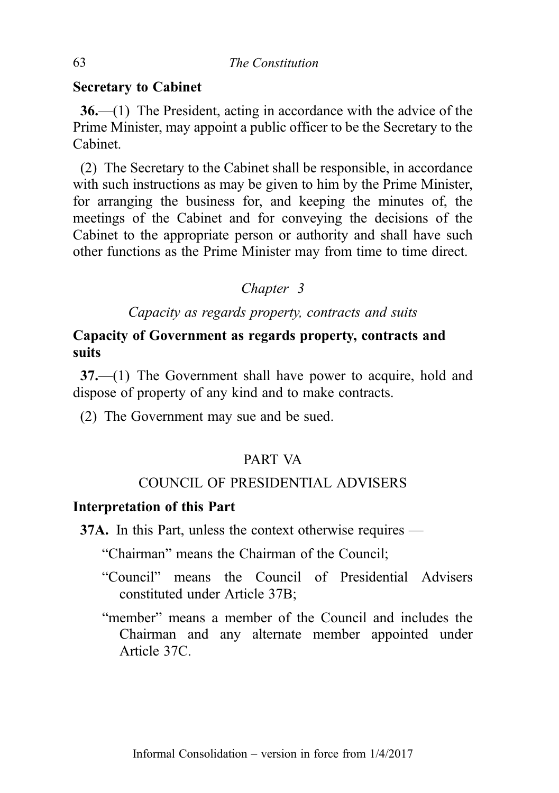### Secretary to Cabinet

36.—(1) The President, acting in accordance with the advice of the Prime Minister, may appoint a public officer to be the Secretary to the Cabinet.

(2) The Secretary to the Cabinet shall be responsible, in accordance with such instructions as may be given to him by the Prime Minister, for arranging the business for, and keeping the minutes of, the meetings of the Cabinet and for conveying the decisions of the Cabinet to the appropriate person or authority and shall have such other functions as the Prime Minister may from time to time direct.

### Chapter 3

Capacity as regards property, contracts and suits

# Capacity of Government as regards property, contracts and suits

37.—(1) The Government shall have power to acquire, hold and dispose of property of any kind and to make contracts.

(2) The Government may sue and be sued.

### PART VA

### COUNCIL OF PRESIDENTIAL ADVISERS

#### Interpretation of this Part

37A. In this Part, unless the context otherwise requires —

"Chairman" means the Chairman of the Council;

- "Council" means the Council of Presidential Advisers constituted under Article 37B;
- "member" means a member of the Council and includes the Chairman and any alternate member appointed under Article 37C.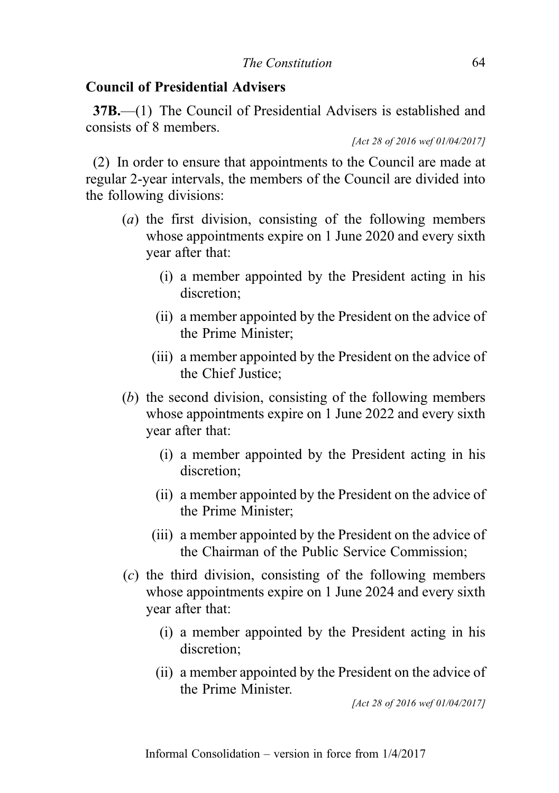## Council of Presidential Advisers

37B.—(1) The Council of Presidential Advisers is established and consists of 8 members.

[Act 28 of 2016 wef 01/04/2017]

(2) In order to ensure that appointments to the Council are made at regular 2-year intervals, the members of the Council are divided into the following divisions:

- (a) the first division, consisting of the following members whose appointments expire on 1 June 2020 and every sixth year after that:
	- (i) a member appointed by the President acting in his discretion;
	- (ii) a member appointed by the President on the advice of the Prime Minister;
	- (iii) a member appointed by the President on the advice of the Chief Justice;
- (b) the second division, consisting of the following members whose appointments expire on 1 June 2022 and every sixth year after that:
	- (i) a member appointed by the President acting in his discretion;
	- (ii) a member appointed by the President on the advice of the Prime Minister;
	- (iii) a member appointed by the President on the advice of the Chairman of the Public Service Commission;
- (c) the third division, consisting of the following members whose appointments expire on 1 June 2024 and every sixth year after that:
	- (i) a member appointed by the President acting in his discretion;
	- (ii) a member appointed by the President on the advice of the Prime Minister.

[Act 28 of 2016 wef 01/04/2017]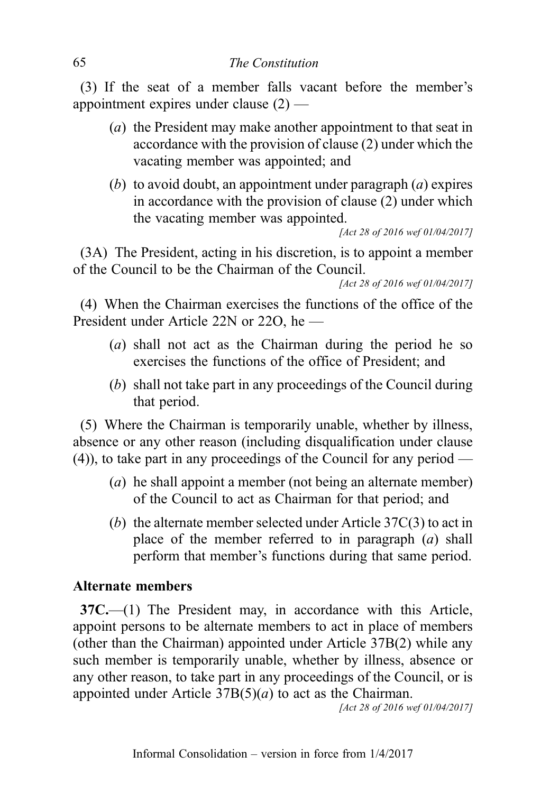(3) If the seat of a member falls vacant before the member's appointment expires under clause (2) —

- (a) the President may make another appointment to that seat in accordance with the provision of clause (2) under which the vacating member was appointed; and
- (b) to avoid doubt, an appointment under paragraph  $(a)$  expires in accordance with the provision of clause (2) under which the vacating member was appointed.

[Act 28 of 2016 wef 01/04/2017]

(3A) The President, acting in his discretion, is to appoint a member of the Council to be the Chairman of the Council.

[Act 28 of 2016 wef 01/04/2017]

(4) When the Chairman exercises the functions of the office of the President under Article 22N or 22O, he —

- (a) shall not act as the Chairman during the period he so exercises the functions of the office of President; and
- (b) shall not take part in any proceedings of the Council during that period.

(5) Where the Chairman is temporarily unable, whether by illness, absence or any other reason (including disqualification under clause (4)), to take part in any proceedings of the Council for any period —

- (a) he shall appoint a member (not being an alternate member) of the Council to act as Chairman for that period; and
- (b) the alternate member selected under Article 37C(3) to act in place of the member referred to in paragraph  $(a)$  shall perform that member's functions during that same period.

### Alternate members

37C.—(1) The President may, in accordance with this Article, appoint persons to be alternate members to act in place of members (other than the Chairman) appointed under Article 37B(2) while any such member is temporarily unable, whether by illness, absence or any other reason, to take part in any proceedings of the Council, or is appointed under Article  $37B(5)(a)$  to act as the Chairman.

[Act 28 of 2016 wef 01/04/2017]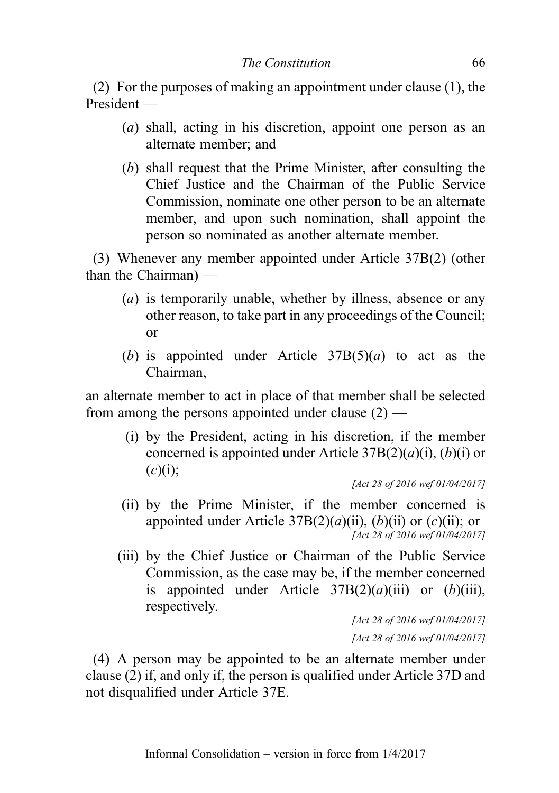(2) For the purposes of making an appointment under clause (1), the President —

- (a) shall, acting in his discretion, appoint one person as an alternate member; and
- (b) shall request that the Prime Minister, after consulting the Chief Justice and the Chairman of the Public Service Commission, nominate one other person to be an alternate member, and upon such nomination, shall appoint the person so nominated as another alternate member.

(3) Whenever any member appointed under Article 37B(2) (other than the Chairman) —

- (a) is temporarily unable, whether by illness, absence or any other reason, to take part in any proceedings of the Council; or
- (b) is appointed under Article  $37B(5)(a)$  to act as the Chairman,

an alternate member to act in place of that member shall be selected from among the persons appointed under clause  $(2)$  —

(i) by the President, acting in his discretion, if the member concerned is appointed under Article  $37B(2)(a)(i)$ ,  $(b)(i)$  or  $(c)(i);$ 

```
[Act 28 of 2016 wef 01/04/2017]
```
- (ii) by the Prime Minister, if the member concerned is appointed under Article  $37B(2)(a)(ii)$ ,  $(b)(ii)$  or  $(c)(ii)$ ; or [Act 28 of 2016 wef 01/04/2017]
- (iii) by the Chief Justice or Chairman of the Public Service Commission, as the case may be, if the member concerned is appointed under Article  $37B(2)(a)(iii)$  or  $(b)(iii)$ , respectively.

[Act 28 of 2016 wef 01/04/2017] [Act 28 of 2016 wef 01/04/2017]

(4) A person may be appointed to be an alternate member under clause (2) if, and only if, the person is qualified under Article 37D and not disqualified under Article 37E.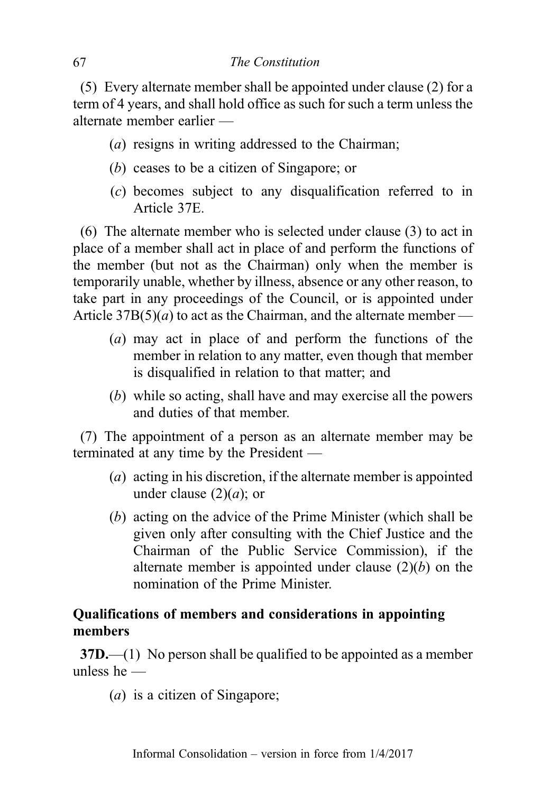(5) Every alternate member shall be appointed under clause (2) for a term of 4 years, and shall hold office as such for such a term unless the alternate member earlier —

- (a) resigns in writing addressed to the Chairman;
- (b) ceases to be a citizen of Singapore; or
- (c) becomes subject to any disqualification referred to in Article 37E.

(6) The alternate member who is selected under clause (3) to act in place of a member shall act in place of and perform the functions of the member (but not as the Chairman) only when the member is temporarily unable, whether by illness, absence or any other reason, to take part in any proceedings of the Council, or is appointed under Article  $37B(5)(a)$  to act as the Chairman, and the alternate member —

- (a) may act in place of and perform the functions of the member in relation to any matter, even though that member is disqualified in relation to that matter; and
- (b) while so acting, shall have and may exercise all the powers and duties of that member.

(7) The appointment of a person as an alternate member may be terminated at any time by the President —

- (a) acting in his discretion, if the alternate member is appointed under clause  $(2)(a)$ ; or
- (b) acting on the advice of the Prime Minister (which shall be given only after consulting with the Chief Justice and the Chairman of the Public Service Commission), if the alternate member is appointed under clause  $(2)(b)$  on the nomination of the Prime Minister.

# Qualifications of members and considerations in appointing members

 $37D$ .—(1) No person shall be qualified to be appointed as a member unless he —

(a) is a citizen of Singapore;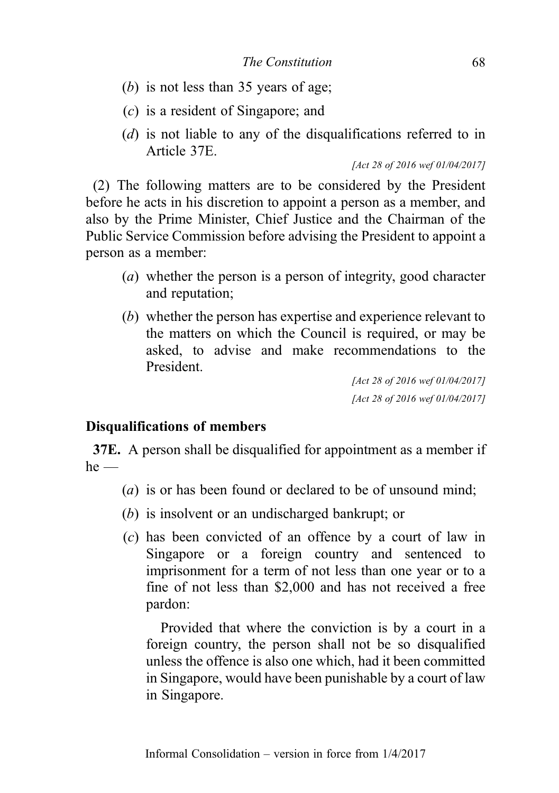- (b) is not less than 35 years of age;
- (c) is a resident of Singapore; and
- (d) is not liable to any of the disqualifications referred to in Article 37E.

```
[Act 28 of 2016 wef 01/04/2017]
```
(2) The following matters are to be considered by the President before he acts in his discretion to appoint a person as a member, and also by the Prime Minister, Chief Justice and the Chairman of the Public Service Commission before advising the President to appoint a person as a member:

- (a) whether the person is a person of integrity, good character and reputation;
- (b) whether the person has expertise and experience relevant to the matters on which the Council is required, or may be asked, to advise and make recommendations to the President.

[Act 28 of 2016 wef 01/04/2017] [Act 28 of 2016 wef 01/04/2017]

# Disqualifications of members

37E. A person shall be disqualified for appointment as a member if  $he$  —

- (*a*) is or has been found or declared to be of unsound mind;
- (b) is insolvent or an undischarged bankrupt; or
- (c) has been convicted of an offence by a court of law in Singapore or a foreign country and sentenced to imprisonment for a term of not less than one year or to a fine of not less than \$2,000 and has not received a free pardon:

Provided that where the conviction is by a court in a foreign country, the person shall not be so disqualified unless the offence is also one which, had it been committed in Singapore, would have been punishable by a court of law in Singapore.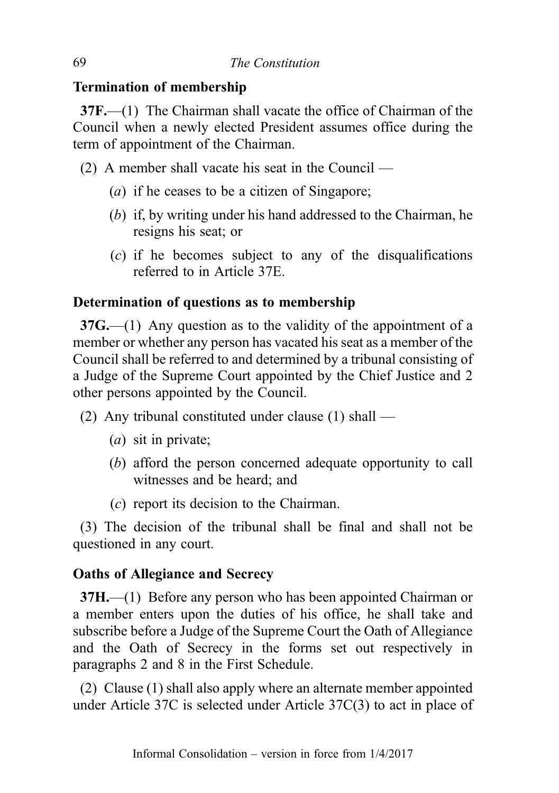# Termination of membership

37F.—(1) The Chairman shall vacate the office of Chairman of the Council when a newly elected President assumes office during the term of appointment of the Chairman.

- (2) A member shall vacate his seat in the Council
	- (a) if he ceases to be a citizen of Singapore;
	- (b) if, by writing under his hand addressed to the Chairman, he resigns his seat; or
	- (c) if he becomes subject to any of the disqualifications referred to in Article 37E.

# Determination of questions as to membership

37G.—(1) Any question as to the validity of the appointment of a member or whether any person has vacated his seat as a member of the Council shall be referred to and determined by a tribunal consisting of a Judge of the Supreme Court appointed by the Chief Justice and 2 other persons appointed by the Council.

- (2) Any tribunal constituted under clause (1) shall
	- (a) sit in private;
	- (b) afford the person concerned adequate opportunity to call witnesses and be heard; and
	- (c) report its decision to the Chairman.

(3) The decision of the tribunal shall be final and shall not be questioned in any court.

## Oaths of Allegiance and Secrecy

37H.—(1) Before any person who has been appointed Chairman or a member enters upon the duties of his office, he shall take and subscribe before a Judge of the Supreme Court the Oath of Allegiance and the Oath of Secrecy in the forms set out respectively in paragraphs 2 and 8 in the First Schedule.

(2) Clause (1) shall also apply where an alternate member appointed under Article 37C is selected under Article 37C(3) to act in place of

69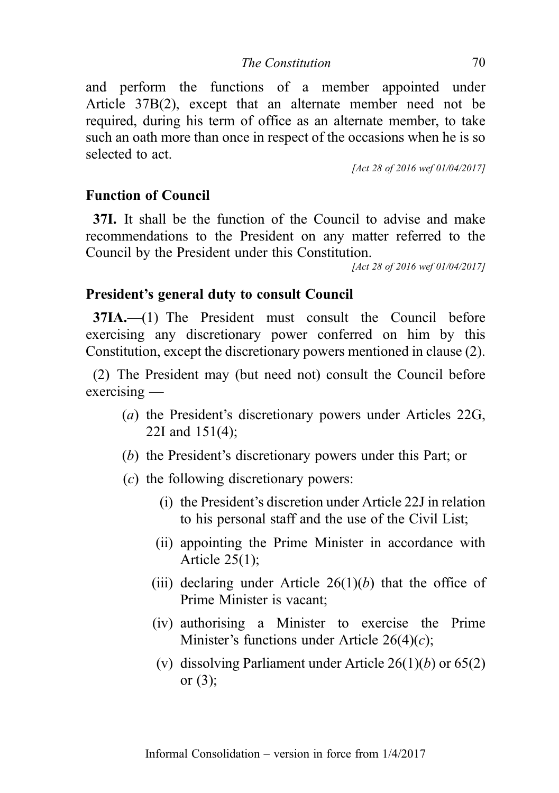and perform the functions of a member appointed under Article 37B(2), except that an alternate member need not be required, during his term of office as an alternate member, to take such an oath more than once in respect of the occasions when he is so selected to act.

[Act 28 of 2016 wef 01/04/2017]

### Function of Council

37I. It shall be the function of the Council to advise and make recommendations to the President on any matter referred to the Council by the President under this Constitution.

[Act 28 of 2016 wef 01/04/2017]

### President's general duty to consult Council

37IA.—(1) The President must consult the Council before exercising any discretionary power conferred on him by this Constitution, except the discretionary powers mentioned in clause (2).

(2) The President may (but need not) consult the Council before exercising —

- (a) the President's discretionary powers under Articles 22G, 22I and 151(4);
- (b) the President's discretionary powers under this Part; or
- (c) the following discretionary powers:
	- (i) the President's discretion under Article 22J in relation to his personal staff and the use of the Civil List;
	- (ii) appointing the Prime Minister in accordance with Article  $25(1)$ ;
	- (iii) declaring under Article  $26(1)(b)$  that the office of Prime Minister is vacant;
	- (iv) authorising a Minister to exercise the Prime Minister's functions under Article  $26(4)(c)$ ;
	- (v) dissolving Parliament under Article  $26(1)(b)$  or  $65(2)$ or (3);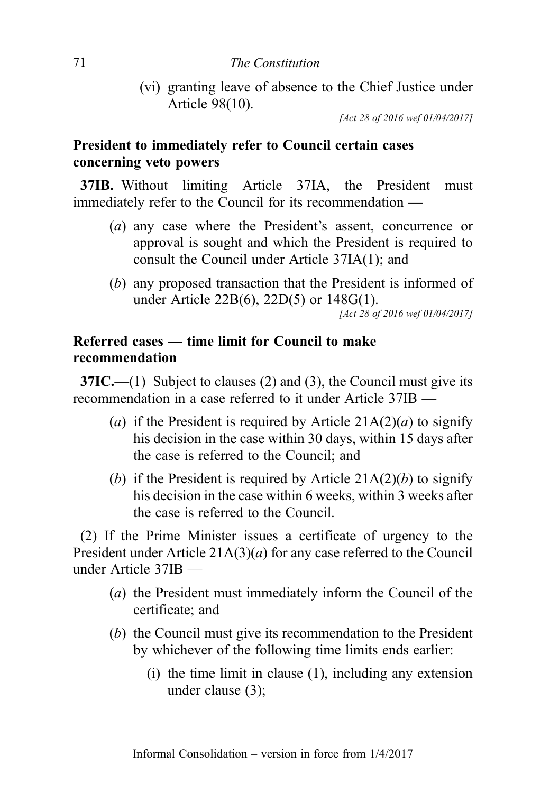(vi) granting leave of absence to the Chief Justice under Article 98(10).

[Act 28 of 2016 wef 01/04/2017]

# President to immediately refer to Council certain cases concerning veto powers

37IB. Without limiting Article 37IA, the President must immediately refer to the Council for its recommendation —

- (a) any case where the President's assent, concurrence or approval is sought and which the President is required to consult the Council under Article 37IA(1); and
- (b) any proposed transaction that the President is informed of under Article 22B(6), 22D(5) or 148G(1).

[Act 28 of 2016 wef 01/04/2017]

# Referred cases — time limit for Council to make recommendation

37IC.—(1) Subject to clauses (2) and (3), the Council must give its recommendation in a case referred to it under Article 37IB —

- (a) if the President is required by Article  $21A(2)(a)$  to signify his decision in the case within 30 days, within 15 days after the case is referred to the Council; and
- (b) if the President is required by Article  $21A(2)(b)$  to signify his decision in the case within 6 weeks, within 3 weeks after the case is referred to the Council.

(2) If the Prime Minister issues a certificate of urgency to the President under Article  $21A(3)(a)$  for any case referred to the Council under Article 37IB —

- (a) the President must immediately inform the Council of the certificate; and
- (b) the Council must give its recommendation to the President by whichever of the following time limits ends earlier:
	- (i) the time limit in clause (1), including any extension under clause (3);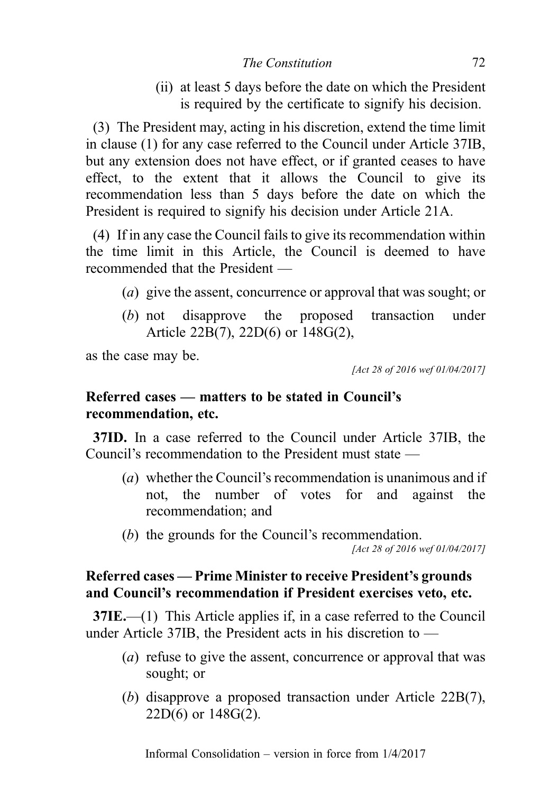(ii) at least 5 days before the date on which the President is required by the certificate to signify his decision.

(3) The President may, acting in his discretion, extend the time limit in clause (1) for any case referred to the Council under Article 37IB, but any extension does not have effect, or if granted ceases to have effect, to the extent that it allows the Council to give its recommendation less than 5 days before the date on which the President is required to signify his decision under Article 21A.

(4) If in any case the Council fails to give its recommendation within the time limit in this Article, the Council is deemed to have recommended that the President —

- (a) give the assent, concurrence or approval that was sought; or
- (b) not disapprove the proposed transaction under Article 22B(7), 22D(6) or 148G(2),

as the case may be.

[Act 28 of 2016 wef 01/04/2017]

### Referred cases — matters to be stated in Council's recommendation, etc.

37ID. In a case referred to the Council under Article 37IB, the Council's recommendation to the President must state —

- (a) whether the Council's recommendation is unanimous and if not, the number of votes for and against the recommendation; and
- (b) the grounds for the Council's recommendation.

[Act 28 of 2016 wef 01/04/2017]

### Referred cases — Prime Minister to receive President's grounds and Council's recommendation if President exercises veto, etc.

37IE.—(1) This Article applies if, in a case referred to the Council under Article 37IB, the President acts in his discretion to —

- (a) refuse to give the assent, concurrence or approval that was sought; or
- (b) disapprove a proposed transaction under Article 22B(7), 22D(6) or 148G(2).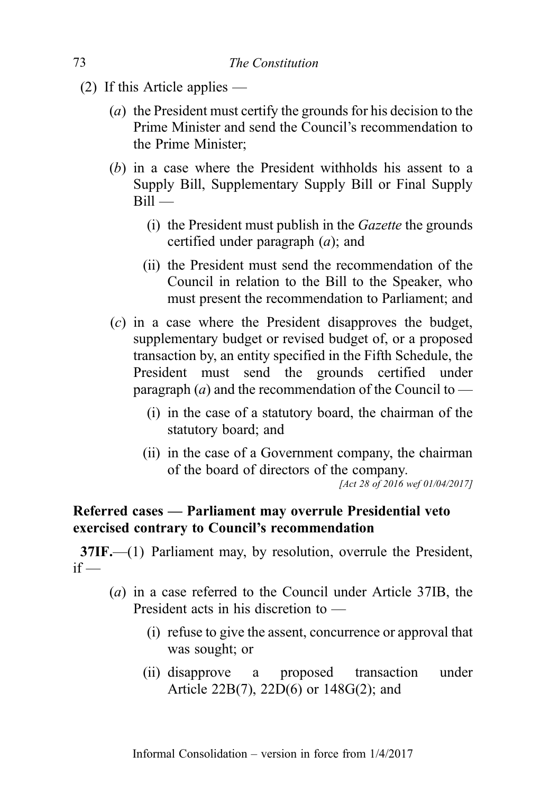- (2) If this Article applies
	- (a) the President must certify the grounds for his decision to the Prime Minister and send the Council's recommendation to the Prime Minister;
	- (b) in a case where the President withholds his assent to a Supply Bill, Supplementary Supply Bill or Final Supply  $B<sub>ill</sub>$ 
		- (i) the President must publish in the Gazette the grounds certified under paragraph (a); and
		- (ii) the President must send the recommendation of the Council in relation to the Bill to the Speaker, who must present the recommendation to Parliament; and
	- (c) in a case where the President disapproves the budget, supplementary budget or revised budget of, or a proposed transaction by, an entity specified in the Fifth Schedule, the President must send the grounds certified under paragraph (*a*) and the recommendation of the Council to  $-$ 
		- (i) in the case of a statutory board, the chairman of the statutory board; and
		- (ii) in the case of a Government company, the chairman of the board of directors of the company.

[Act 28 of 2016 wef 01/04/2017]

### Referred cases — Parliament may overrule Presidential veto exercised contrary to Council's recommendation

37IF.—(1) Parliament may, by resolution, overrule the President,  $if$  —

- (a) in a case referred to the Council under Article 37IB, the President acts in his discretion to —
	- (i) refuse to give the assent, concurrence or approval that was sought; or
	- (ii) disapprove a proposed transaction under Article 22B(7), 22D(6) or 148G(2); and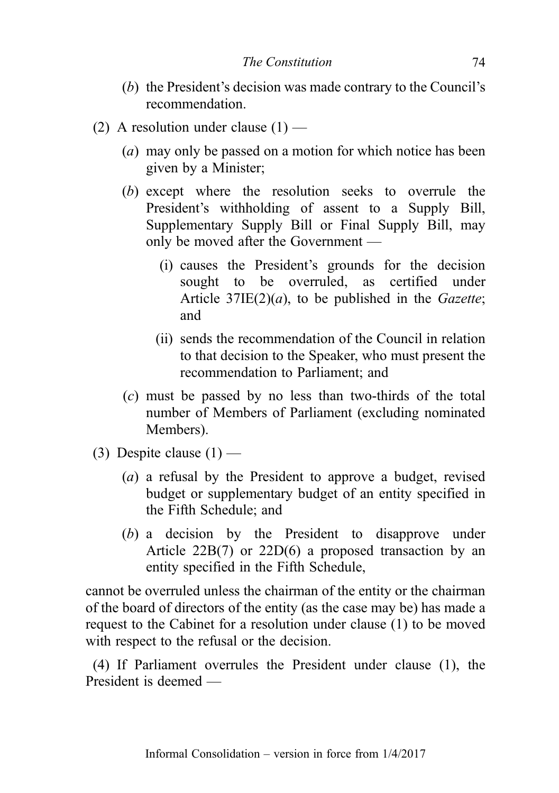- (b) the President's decision was made contrary to the Council's recommendation.
- (2) A resolution under clause  $(1)$ 
	- (a) may only be passed on a motion for which notice has been given by a Minister;
	- (b) except where the resolution seeks to overrule the President's withholding of assent to a Supply Bill, Supplementary Supply Bill or Final Supply Bill, may only be moved after the Government —
		- (i) causes the President's grounds for the decision sought to be overruled, as certified under Article  $37IE(2)(a)$ , to be published in the Gazette; and
		- (ii) sends the recommendation of the Council in relation to that decision to the Speaker, who must present the recommendation to Parliament; and
	- (c) must be passed by no less than two-thirds of the total number of Members of Parliament (excluding nominated Members).
- (3) Despite clause  $(1)$ 
	- (a) a refusal by the President to approve a budget, revised budget or supplementary budget of an entity specified in the Fifth Schedule; and
	- (b) a decision by the President to disapprove under Article 22B(7) or 22D(6) a proposed transaction by an entity specified in the Fifth Schedule,

cannot be overruled unless the chairman of the entity or the chairman of the board of directors of the entity (as the case may be) has made a request to the Cabinet for a resolution under clause (1) to be moved with respect to the refusal or the decision.

(4) If Parliament overrules the President under clause (1), the President is deemed —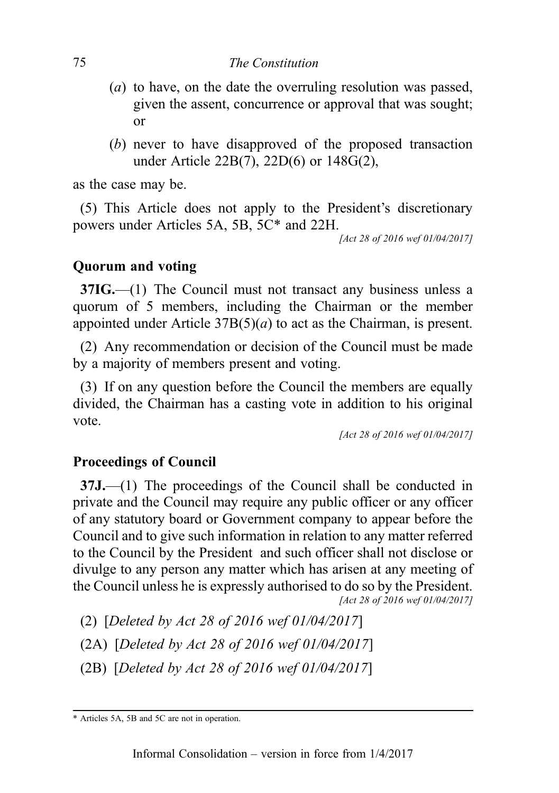- (a) to have, on the date the overruling resolution was passed, given the assent, concurrence or approval that was sought; or
- (b) never to have disapproved of the proposed transaction under Article 22B(7), 22D(6) or 148G(2),

as the case may be.

(5) This Article does not apply to the President's discretionary powers under Articles 5A, 5B, 5C\* and 22H.

[Act 28 of 2016 wef 01/04/2017]

### Quorum and voting

37IG.—(1) The Council must not transact any business unless a quorum of 5 members, including the Chairman or the member appointed under Article  $37B(5)(a)$  to act as the Chairman, is present.

(2) Any recommendation or decision of the Council must be made by a majority of members present and voting.

(3) If on any question before the Council the members are equally divided, the Chairman has a casting vote in addition to his original vote.

[Act 28 of 2016 wef 01/04/2017]

### Proceedings of Council

37J.—(1) The proceedings of the Council shall be conducted in private and the Council may require any public officer or any officer of any statutory board or Government company to appear before the Council and to give such information in relation to any matter referred to the Council by the President and such officer shall not disclose or divulge to any person any matter which has arisen at any meeting of the Council unless he is expressly authorised to do so by the President. [Act 28 of 2016 wef 01/04/2017]

- (2) [Deleted by Act 28 of 2016 wef 01/04/2017]
- (2A) [Deleted by Act 28 of 2016 wef 01/04/2017]
- (2B) [Deleted by Act 28 of 2016 wef 01/04/2017]

<sup>\*</sup> Articles 5A, 5B and 5C are not in operation.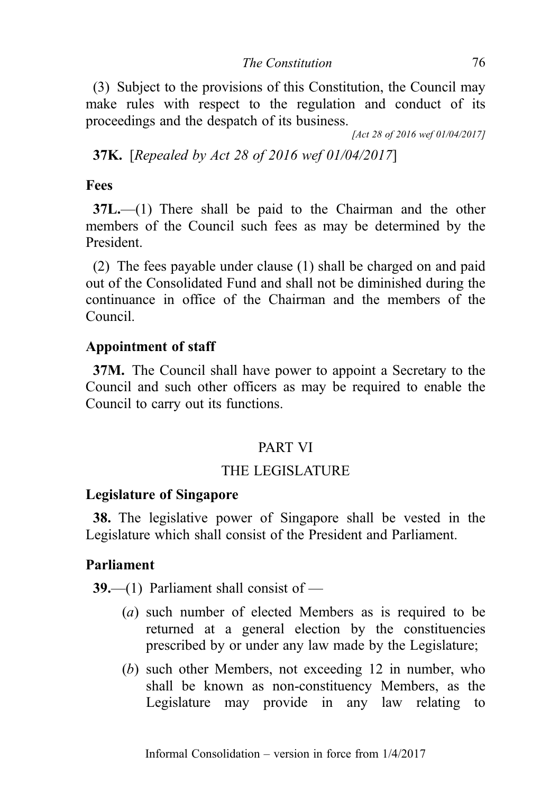(3) Subject to the provisions of this Constitution, the Council may make rules with respect to the regulation and conduct of its proceedings and the despatch of its business.

[Act 28 of 2016 wef 01/04/2017]

37K. [Repealed by Act 28 of 2016 wef 01/04/2017]

### Fees

37L.—(1) There shall be paid to the Chairman and the other members of the Council such fees as may be determined by the President.

(2) The fees payable under clause (1) shall be charged on and paid out of the Consolidated Fund and shall not be diminished during the continuance in office of the Chairman and the members of the Council.

### Appointment of staff

37M. The Council shall have power to appoint a Secretary to the Council and such other officers as may be required to enable the Council to carry out its functions.

### PART VI

### THE LEGISLATURE

### Legislature of Singapore

38. The legislative power of Singapore shall be vested in the Legislature which shall consist of the President and Parliament.

### Parliament

39.—(1) Parliament shall consist of —

- (a) such number of elected Members as is required to be returned at a general election by the constituencies prescribed by or under any law made by the Legislature;
- (b) such other Members, not exceeding 12 in number, who shall be known as non-constituency Members, as the Legislature may provide in any law relating to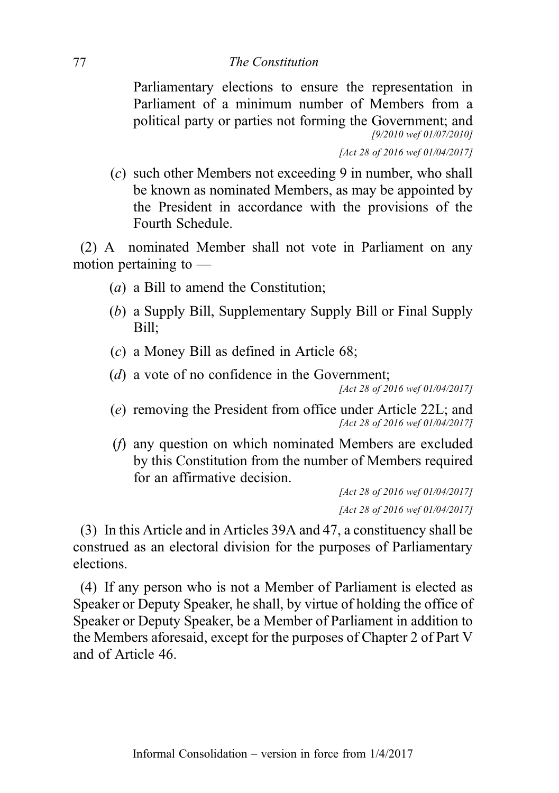### *The Constitution*

Parliamentary elections to ensure the representation in Parliament of a minimum number of Members from a political party or parties not forming the Government; and [9/2010 wef 01/07/2010]

[Act 28 of 2016 wef 01/04/2017]

(c) such other Members not exceeding 9 in number, who shall be known as nominated Members, as may be appointed by the President in accordance with the provisions of the Fourth Schedule.

(2) A nominated Member shall not vote in Parliament on any motion pertaining to  $-$ 

- (a) a Bill to amend the Constitution;
- (b) a Supply Bill, Supplementary Supply Bill or Final Supply Bill;
- (c) a Money Bill as defined in Article 68;
- (d) a vote of no confidence in the Government; [Act 28 of 2016 wef 01/04/2017]
- (e) removing the President from office under Article 22L; and [Act 28 of 2016 wef 01/04/2017]
- (f) any question on which nominated Members are excluded by this Constitution from the number of Members required for an affirmative decision.

[Act 28 of 2016 wef 01/04/2017] [Act 28 of 2016 wef 01/04/2017]

(3) In this Article and in Articles 39A and 47, a constituency shall be construed as an electoral division for the purposes of Parliamentary elections.

(4) If any person who is not a Member of Parliament is elected as Speaker or Deputy Speaker, he shall, by virtue of holding the office of Speaker or Deputy Speaker, be a Member of Parliament in addition to the Members aforesaid, except for the purposes of Chapter 2 of Part V and of Article 46.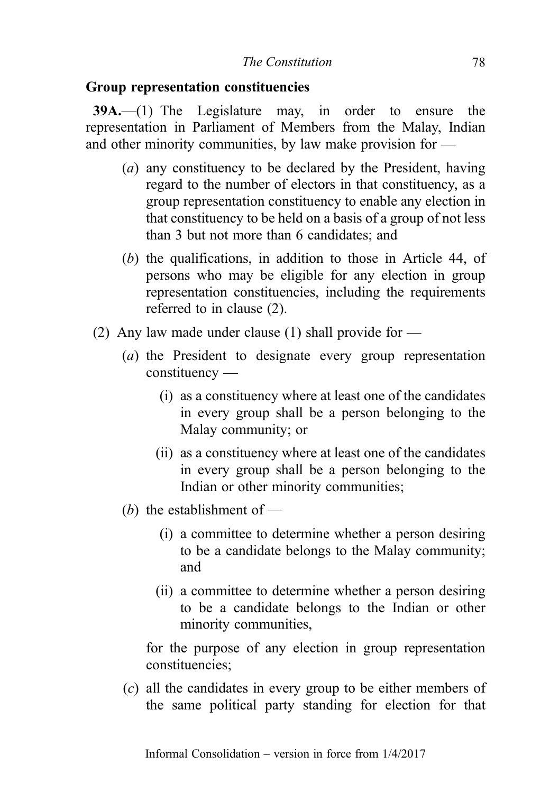#### Group representation constituencies

39A.—(1) The Legislature may, in order to ensure the representation in Parliament of Members from the Malay, Indian and other minority communities, by law make provision for —

- (a) any constituency to be declared by the President, having regard to the number of electors in that constituency, as a group representation constituency to enable any election in that constituency to be held on a basis of a group of not less than 3 but not more than 6 candidates; and
- (b) the qualifications, in addition to those in Article 44, of persons who may be eligible for any election in group representation constituencies, including the requirements referred to in clause (2).
- (2) Any law made under clause (1) shall provide for
	- (a) the President to designate every group representation constituency —
		- (i) as a constituency where at least one of the candidates in every group shall be a person belonging to the Malay community; or
		- (ii) as a constituency where at least one of the candidates in every group shall be a person belonging to the Indian or other minority communities;
	- (b) the establishment of  $-$ 
		- (i) a committee to determine whether a person desiring to be a candidate belongs to the Malay community; and
		- (ii) a committee to determine whether a person desiring to be a candidate belongs to the Indian or other minority communities,

for the purpose of any election in group representation constituencies;

(c) all the candidates in every group to be either members of the same political party standing for election for that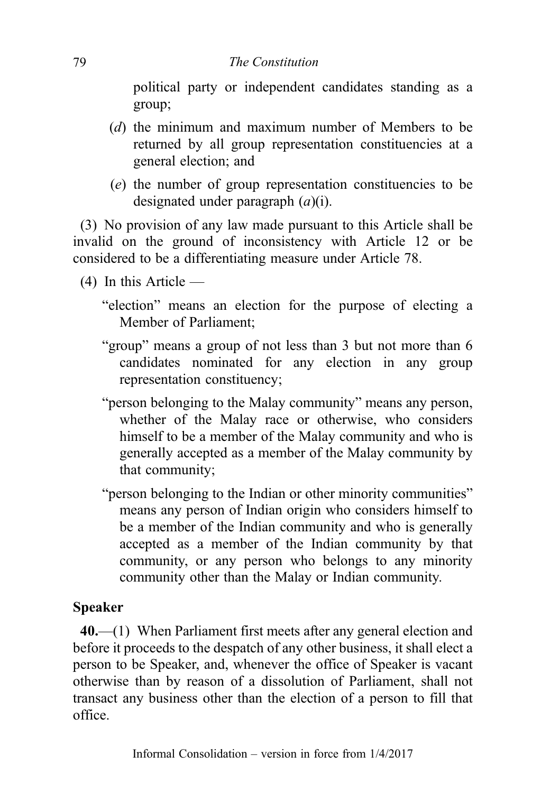political party or independent candidates standing as a group;

- (d) the minimum and maximum number of Members to be returned by all group representation constituencies at a general election; and
- (e) the number of group representation constituencies to be designated under paragraph  $(a)(i)$ .

(3) No provision of any law made pursuant to this Article shall be invalid on the ground of inconsistency with Article 12 or be considered to be a differentiating measure under Article 78.

- (4) In this Article
	- "election" means an election for the purpose of electing a Member of Parliament;
	- "group" means a group of not less than 3 but not more than 6 candidates nominated for any election in any group representation constituency;
	- "person belonging to the Malay community" means any person, whether of the Malay race or otherwise, who considers himself to be a member of the Malay community and who is generally accepted as a member of the Malay community by that community;
	- "person belonging to the Indian or other minority communities" means any person of Indian origin who considers himself to be a member of the Indian community and who is generally accepted as a member of the Indian community by that community, or any person who belongs to any minority community other than the Malay or Indian community.

#### Speaker

40.—(1) When Parliament first meets after any general election and before it proceeds to the despatch of any other business, it shall elect a person to be Speaker, and, whenever the office of Speaker is vacant otherwise than by reason of a dissolution of Parliament, shall not transact any business other than the election of a person to fill that office.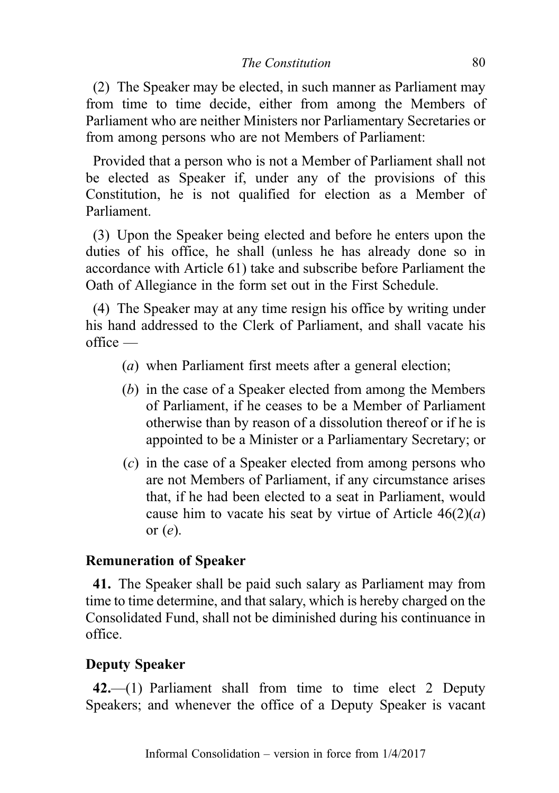(2) The Speaker may be elected, in such manner as Parliament may from time to time decide, either from among the Members of Parliament who are neither Ministers nor Parliamentary Secretaries or from among persons who are not Members of Parliament:

Provided that a person who is not a Member of Parliament shall not be elected as Speaker if, under any of the provisions of this Constitution, he is not qualified for election as a Member of Parliament.

(3) Upon the Speaker being elected and before he enters upon the duties of his office, he shall (unless he has already done so in accordance with Article 61) take and subscribe before Parliament the Oath of Allegiance in the form set out in the First Schedule.

(4) The Speaker may at any time resign his office by writing under his hand addressed to the Clerk of Parliament, and shall vacate his  $of$ fice  $-$ 

- (a) when Parliament first meets after a general election;
- (b) in the case of a Speaker elected from among the Members of Parliament, if he ceases to be a Member of Parliament otherwise than by reason of a dissolution thereof or if he is appointed to be a Minister or a Parliamentary Secretary; or
- (c) in the case of a Speaker elected from among persons who are not Members of Parliament, if any circumstance arises that, if he had been elected to a seat in Parliament, would cause him to vacate his seat by virtue of Article  $46(2)(a)$ or  $(e)$ .

### Remuneration of Speaker

41. The Speaker shall be paid such salary as Parliament may from time to time determine, and that salary, which is hereby charged on the Consolidated Fund, shall not be diminished during his continuance in office.

### Deputy Speaker

42.—(1) Parliament shall from time to time elect 2 Deputy Speakers; and whenever the office of a Deputy Speaker is vacant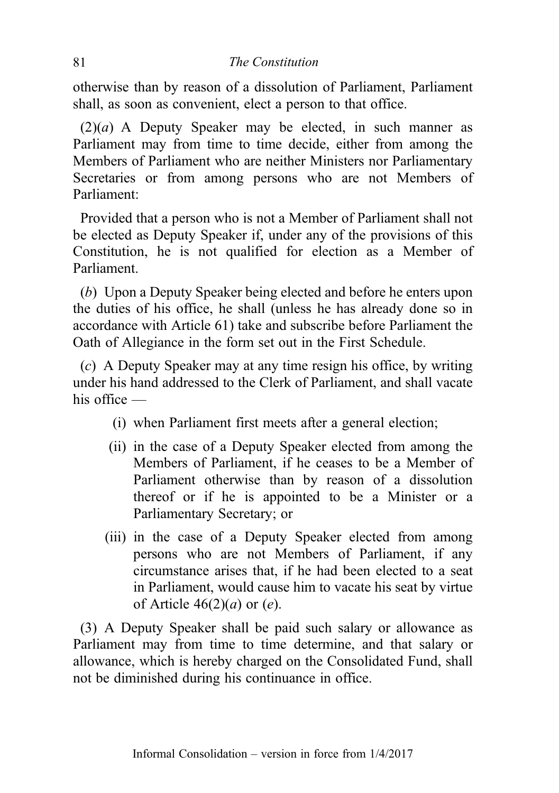otherwise than by reason of a dissolution of Parliament, Parliament shall, as soon as convenient, elect a person to that office.

 $(2)(a)$  A Deputy Speaker may be elected, in such manner as Parliament may from time to time decide, either from among the Members of Parliament who are neither Ministers nor Parliamentary Secretaries or from among persons who are not Members of Parliament:

Provided that a person who is not a Member of Parliament shall not be elected as Deputy Speaker if, under any of the provisions of this Constitution, he is not qualified for election as a Member of Parliament.

(b) Upon a Deputy Speaker being elected and before he enters upon the duties of his office, he shall (unless he has already done so in accordance with Article 61) take and subscribe before Parliament the Oath of Allegiance in the form set out in the First Schedule.

(c) A Deputy Speaker may at any time resign his office, by writing under his hand addressed to the Clerk of Parliament, and shall vacate his office —

- (i) when Parliament first meets after a general election;
- (ii) in the case of a Deputy Speaker elected from among the Members of Parliament, if he ceases to be a Member of Parliament otherwise than by reason of a dissolution thereof or if he is appointed to be a Minister or a Parliamentary Secretary; or
- (iii) in the case of a Deputy Speaker elected from among persons who are not Members of Parliament, if any circumstance arises that, if he had been elected to a seat in Parliament, would cause him to vacate his seat by virtue of Article  $46(2)(a)$  or  $(e)$ .

(3) A Deputy Speaker shall be paid such salary or allowance as Parliament may from time to time determine, and that salary or allowance, which is hereby charged on the Consolidated Fund, shall not be diminished during his continuance in office.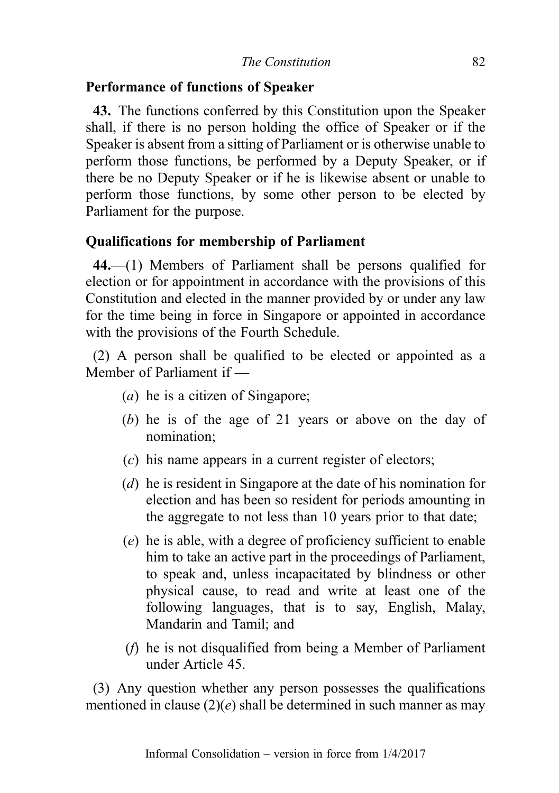### Performance of functions of Speaker

43. The functions conferred by this Constitution upon the Speaker shall, if there is no person holding the office of Speaker or if the Speaker is absent from a sitting of Parliament or is otherwise unable to perform those functions, be performed by a Deputy Speaker, or if there be no Deputy Speaker or if he is likewise absent or unable to perform those functions, by some other person to be elected by Parliament for the purpose.

### Qualifications for membership of Parliament

44.—(1) Members of Parliament shall be persons qualified for election or for appointment in accordance with the provisions of this Constitution and elected in the manner provided by or under any law for the time being in force in Singapore or appointed in accordance with the provisions of the Fourth Schedule.

(2) A person shall be qualified to be elected or appointed as a Member of Parliament if —

- (a) he is a citizen of Singapore;
- (b) he is of the age of 21 years or above on the day of nomination;
- (c) his name appears in a current register of electors;
- (d) he is resident in Singapore at the date of his nomination for election and has been so resident for periods amounting in the aggregate to not less than 10 years prior to that date;
- (e) he is able, with a degree of proficiency sufficient to enable him to take an active part in the proceedings of Parliament, to speak and, unless incapacitated by blindness or other physical cause, to read and write at least one of the following languages, that is to say, English, Malay, Mandarin and Tamil; and
- (f) he is not disqualified from being a Member of Parliament under Article 45.

(3) Any question whether any person possesses the qualifications mentioned in clause  $(2)(e)$  shall be determined in such manner as may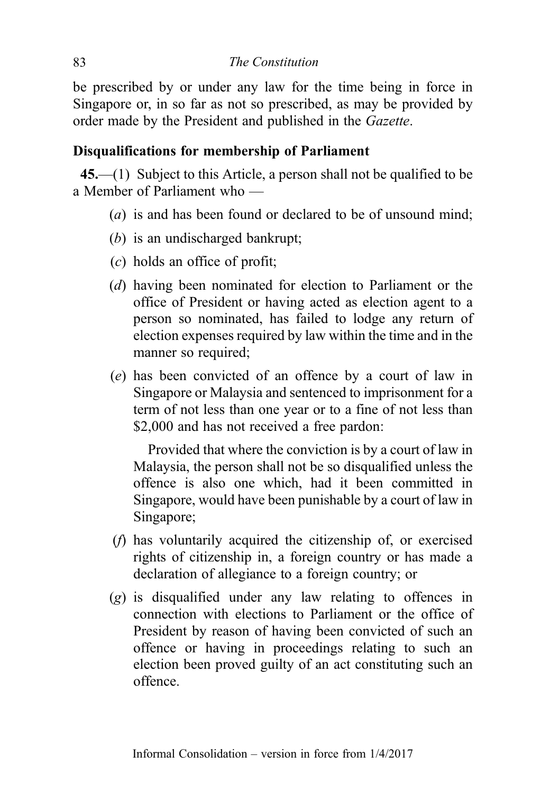be prescribed by or under any law for the time being in force in Singapore or, in so far as not so prescribed, as may be provided by order made by the President and published in the Gazette.

### Disqualifications for membership of Parliament

45.—(1) Subject to this Article, a person shall not be qualified to be a Member of Parliament who —

- (a) is and has been found or declared to be of unsound mind;
- (b) is an undischarged bankrupt;
- (c) holds an office of profit;
- (d) having been nominated for election to Parliament or the office of President or having acted as election agent to a person so nominated, has failed to lodge any return of election expenses required by law within the time and in the manner so required;
- (e) has been convicted of an offence by a court of law in Singapore or Malaysia and sentenced to imprisonment for a term of not less than one year or to a fine of not less than \$2,000 and has not received a free pardon:

Provided that where the conviction is by a court of law in Malaysia, the person shall not be so disqualified unless the offence is also one which, had it been committed in Singapore, would have been punishable by a court of law in Singapore;

- (f) has voluntarily acquired the citizenship of, or exercised rights of citizenship in, a foreign country or has made a declaration of allegiance to a foreign country; or
- (g) is disqualified under any law relating to offences in connection with elections to Parliament or the office of President by reason of having been convicted of such an offence or having in proceedings relating to such an election been proved guilty of an act constituting such an offence.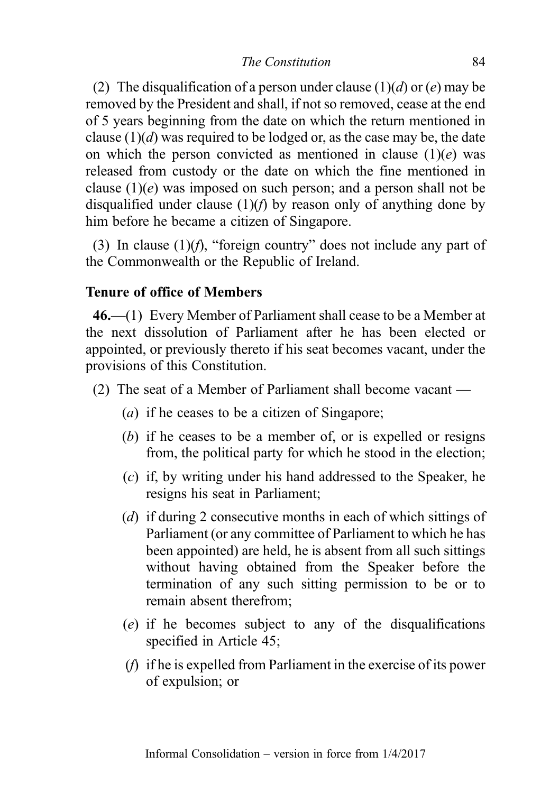(2) The disqualification of a person under clause  $(1)(d)$  or  $(e)$  may be removed by the President and shall, if not so removed, cease at the end of 5 years beginning from the date on which the return mentioned in clause  $(1)(d)$  was required to be lodged or, as the case may be, the date on which the person convicted as mentioned in clause  $(1)(e)$  was released from custody or the date on which the fine mentioned in clause  $(1)(e)$  was imposed on such person; and a person shall not be disqualified under clause  $(1)(f)$  by reason only of anything done by him before he became a citizen of Singapore.

(3) In clause  $(1)(f)$ , "foreign country" does not include any part of the Commonwealth or the Republic of Ireland.

#### Tenure of office of Members

46.—(1) Every Member of Parliament shall cease to be a Member at the next dissolution of Parliament after he has been elected or appointed, or previously thereto if his seat becomes vacant, under the provisions of this Constitution.

- (2) The seat of a Member of Parliament shall become vacant
	- (a) if he ceases to be a citizen of Singapore;
	- (b) if he ceases to be a member of, or is expelled or resigns from, the political party for which he stood in the election;
	- (c) if, by writing under his hand addressed to the Speaker, he resigns his seat in Parliament;
	- (d) if during 2 consecutive months in each of which sittings of Parliament (or any committee of Parliament to which he has been appointed) are held, he is absent from all such sittings without having obtained from the Speaker before the termination of any such sitting permission to be or to remain absent therefrom;
	- (e) if he becomes subject to any of the disqualifications specified in Article 45;
	- (f) if he is expelled from Parliament in the exercise of its power of expulsion; or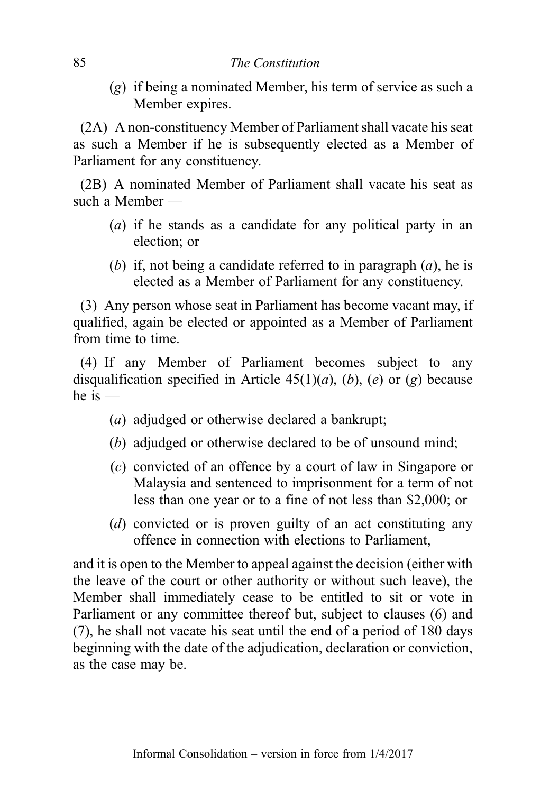(g) if being a nominated Member, his term of service as such a Member expires.

(2A) A non-constituency Member of Parliament shall vacate his seat as such a Member if he is subsequently elected as a Member of Parliament for any constituency.

(2B) A nominated Member of Parliament shall vacate his seat as such a Member —

- (a) if he stands as a candidate for any political party in an election; or
- (b) if, not being a candidate referred to in paragraph  $(a)$ , he is elected as a Member of Parliament for any constituency.

(3) Any person whose seat in Parliament has become vacant may, if qualified, again be elected or appointed as a Member of Parliament from time to time.

(4) If any Member of Parliament becomes subject to any disqualification specified in Article 45(1)(*a*), (*b*), (*e*) or (*g*) because  $he$  is  $-$ 

- (a) adjudged or otherwise declared a bankrupt;
- (b) adjudged or otherwise declared to be of unsound mind;
- (c) convicted of an offence by a court of law in Singapore or Malaysia and sentenced to imprisonment for a term of not less than one year or to a fine of not less than \$2,000; or
- (d) convicted or is proven guilty of an act constituting any offence in connection with elections to Parliament,

and it is open to the Member to appeal against the decision (either with the leave of the court or other authority or without such leave), the Member shall immediately cease to be entitled to sit or vote in Parliament or any committee thereof but, subject to clauses (6) and (7), he shall not vacate his seat until the end of a period of 180 days beginning with the date of the adjudication, declaration or conviction, as the case may be.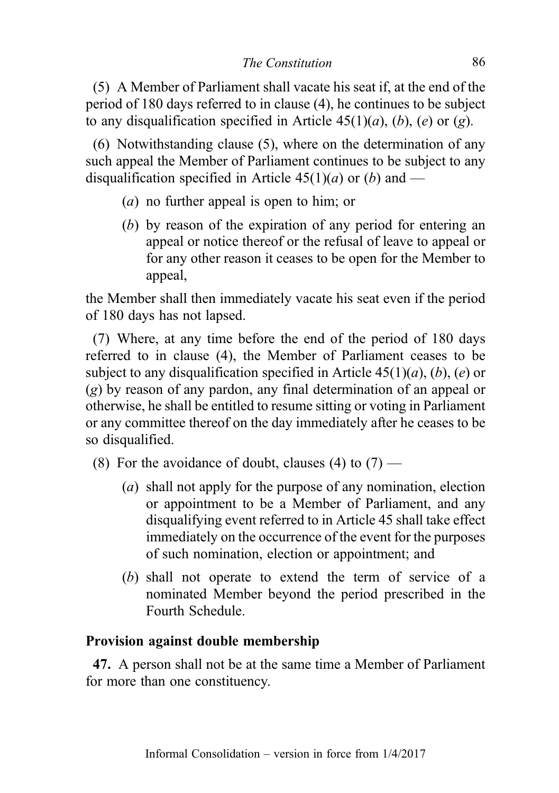(5) A Member of Parliament shall vacate his seat if, at the end of the period of 180 days referred to in clause (4), he continues to be subject to any disqualification specified in Article  $45(1)(a)$ ,  $(b)$ ,  $(e)$  or  $(g)$ .

(6) Notwithstanding clause (5), where on the determination of any such appeal the Member of Parliament continues to be subject to any disqualification specified in Article  $45(1)(a)$  or (b) and —

- (a) no further appeal is open to him; or
- (b) by reason of the expiration of any period for entering an appeal or notice thereof or the refusal of leave to appeal or for any other reason it ceases to be open for the Member to appeal,

the Member shall then immediately vacate his seat even if the period of 180 days has not lapsed.

(7) Where, at any time before the end of the period of 180 days referred to in clause (4), the Member of Parliament ceases to be subject to any disqualification specified in Article  $45(1)(a)$ ,  $(b)$ ,  $(e)$  or (g) by reason of any pardon, any final determination of an appeal or otherwise, he shall be entitled to resume sitting or voting in Parliament or any committee thereof on the day immediately after he ceases to be so disqualified.

(8) For the avoidance of doubt, clauses (4) to  $(7)$  —

- (a) shall not apply for the purpose of any nomination, election or appointment to be a Member of Parliament, and any disqualifying event referred to in Article 45 shall take effect immediately on the occurrence of the event for the purposes of such nomination, election or appointment; and
- (b) shall not operate to extend the term of service of a nominated Member beyond the period prescribed in the Fourth Schedule.

### Provision against double membership

47. A person shall not be at the same time a Member of Parliament for more than one constituency.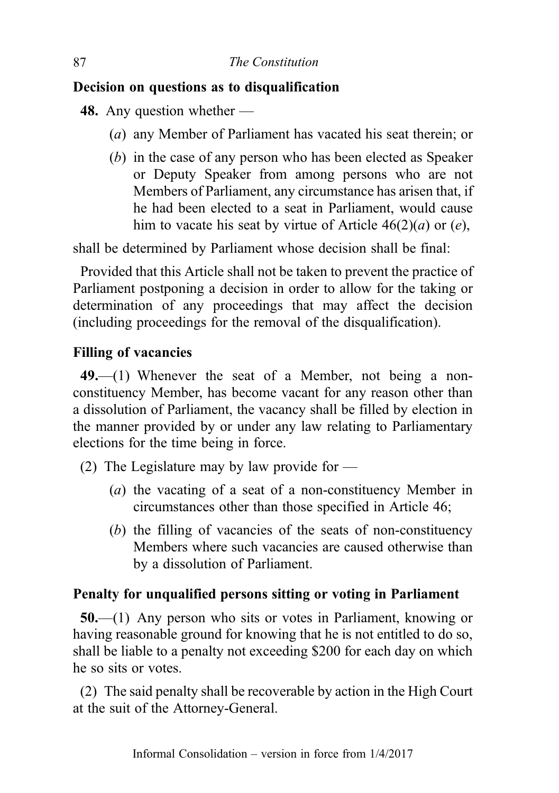### Decision on questions as to disqualification

48. Any question whether —

- (a) any Member of Parliament has vacated his seat therein; or
- (b) in the case of any person who has been elected as Speaker or Deputy Speaker from among persons who are not Members of Parliament, any circumstance has arisen that, if he had been elected to a seat in Parliament, would cause him to vacate his seat by virtue of Article  $46(2)(a)$  or  $(e)$ ,

shall be determined by Parliament whose decision shall be final:

Provided that this Article shall not be taken to prevent the practice of Parliament postponing a decision in order to allow for the taking or determination of any proceedings that may affect the decision (including proceedings for the removal of the disqualification).

### Filling of vacancies

 $49$ ,—(1) Whenever the seat of a Member, not being a nonconstituency Member, has become vacant for any reason other than a dissolution of Parliament, the vacancy shall be filled by election in the manner provided by or under any law relating to Parliamentary elections for the time being in force.

- (2) The Legislature may by law provide for
	- (a) the vacating of a seat of a non-constituency Member in circumstances other than those specified in Article 46;
	- (b) the filling of vacancies of the seats of non-constituency Members where such vacancies are caused otherwise than by a dissolution of Parliament.

### Penalty for unqualified persons sitting or voting in Parliament

50.—(1) Any person who sits or votes in Parliament, knowing or having reasonable ground for knowing that he is not entitled to do so, shall be liable to a penalty not exceeding \$200 for each day on which he so sits or votes.

(2) The said penalty shall be recoverable by action in the High Court at the suit of the Attorney-General.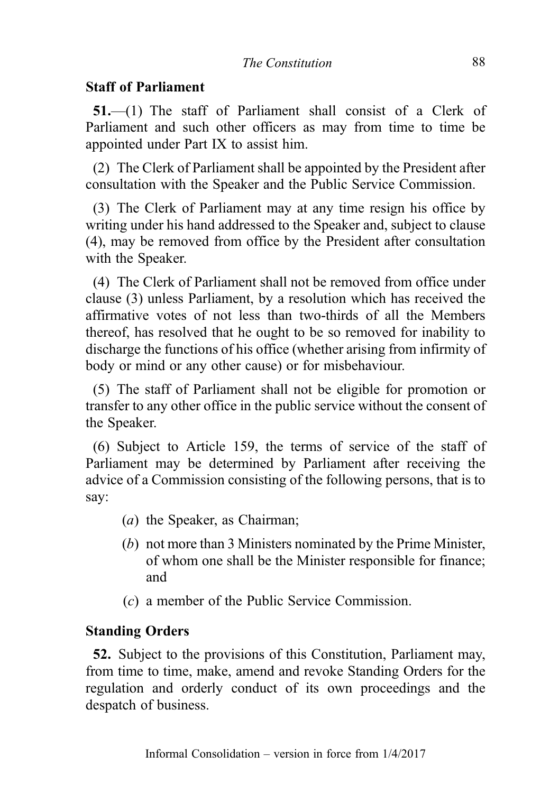### Staff of Parliament

51.—(1) The staff of Parliament shall consist of a Clerk of Parliament and such other officers as may from time to time be appointed under Part IX to assist him.

(2) The Clerk of Parliament shall be appointed by the President after consultation with the Speaker and the Public Service Commission.

(3) The Clerk of Parliament may at any time resign his office by writing under his hand addressed to the Speaker and, subject to clause (4), may be removed from office by the President after consultation with the Speaker.

(4) The Clerk of Parliament shall not be removed from office under clause (3) unless Parliament, by a resolution which has received the affirmative votes of not less than two-thirds of all the Members thereof, has resolved that he ought to be so removed for inability to discharge the functions of his office (whether arising from infirmity of body or mind or any other cause) or for misbehaviour.

(5) The staff of Parliament shall not be eligible for promotion or transfer to any other office in the public service without the consent of the Speaker.

(6) Subject to Article 159, the terms of service of the staff of Parliament may be determined by Parliament after receiving the advice of a Commission consisting of the following persons, that is to say:

- (a) the Speaker, as Chairman;
- (b) not more than 3 Ministers nominated by the Prime Minister, of whom one shall be the Minister responsible for finance; and
- (c) a member of the Public Service Commission.

#### Standing Orders

52. Subject to the provisions of this Constitution, Parliament may, from time to time, make, amend and revoke Standing Orders for the regulation and orderly conduct of its own proceedings and the despatch of business.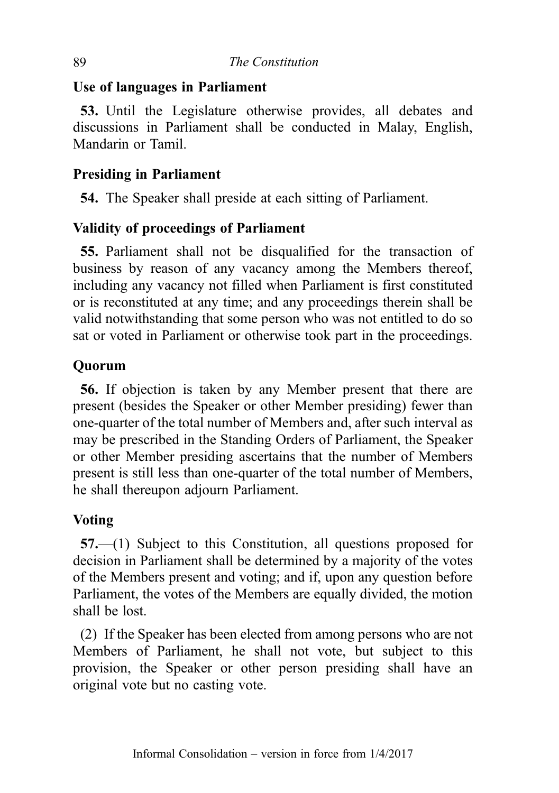### Use of languages in Parliament

53. Until the Legislature otherwise provides, all debates and discussions in Parliament shall be conducted in Malay, English, Mandarin or Tamil.

### Presiding in Parliament

54. The Speaker shall preside at each sitting of Parliament.

### Validity of proceedings of Parliament

55. Parliament shall not be disqualified for the transaction of business by reason of any vacancy among the Members thereof, including any vacancy not filled when Parliament is first constituted or is reconstituted at any time; and any proceedings therein shall be valid notwithstanding that some person who was not entitled to do so sat or voted in Parliament or otherwise took part in the proceedings.

### **Ouorum**

56. If objection is taken by any Member present that there are present (besides the Speaker or other Member presiding) fewer than one-quarter of the total number of Members and, after such interval as may be prescribed in the Standing Orders of Parliament, the Speaker or other Member presiding ascertains that the number of Members present is still less than one-quarter of the total number of Members, he shall thereupon adjourn Parliament.

### Voting

57.—(1) Subject to this Constitution, all questions proposed for decision in Parliament shall be determined by a majority of the votes of the Members present and voting; and if, upon any question before Parliament, the votes of the Members are equally divided, the motion shall be lost.

(2) If the Speaker has been elected from among persons who are not Members of Parliament, he shall not vote, but subject to this provision, the Speaker or other person presiding shall have an original vote but no casting vote.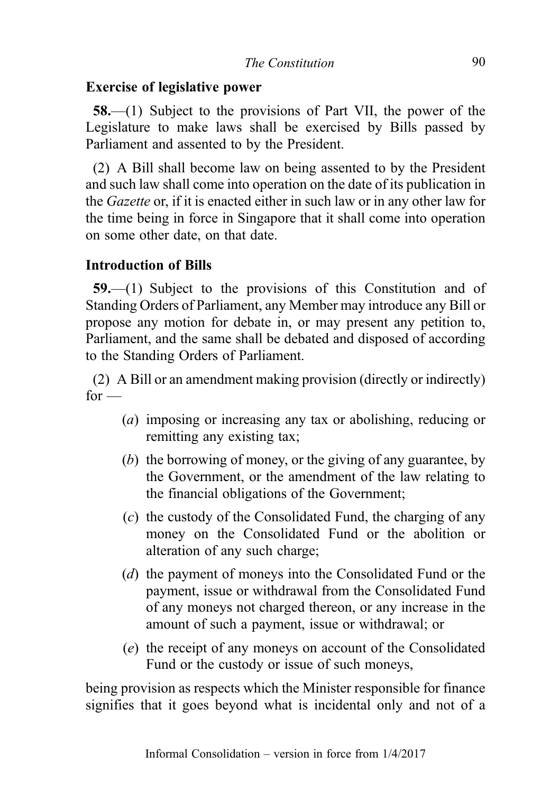### Exercise of legislative power

58.—(1) Subject to the provisions of Part VII, the power of the Legislature to make laws shall be exercised by Bills passed by Parliament and assented to by the President.

(2) A Bill shall become law on being assented to by the President and such law shall come into operation on the date of its publication in the Gazette or, if it is enacted either in such law or in any other law for the time being in force in Singapore that it shall come into operation on some other date, on that date.

# Introduction of Bills

59.—(1) Subject to the provisions of this Constitution and of Standing Orders of Parliament, any Member may introduce any Bill or propose any motion for debate in, or may present any petition to, Parliament, and the same shall be debated and disposed of according to the Standing Orders of Parliament.

(2) A Bill or an amendment making provision (directly or indirectly)  $for -$ 

- (a) imposing or increasing any tax or abolishing, reducing or remitting any existing tax;
- (b) the borrowing of money, or the giving of any guarantee, by the Government, or the amendment of the law relating to the financial obligations of the Government;
- (c) the custody of the Consolidated Fund, the charging of any money on the Consolidated Fund or the abolition or alteration of any such charge;
- (d) the payment of moneys into the Consolidated Fund or the payment, issue or withdrawal from the Consolidated Fund of any moneys not charged thereon, or any increase in the amount of such a payment, issue or withdrawal; or
- (e) the receipt of any moneys on account of the Consolidated Fund or the custody or issue of such moneys,

being provision as respects which the Minister responsible for finance signifies that it goes beyond what is incidental only and not of a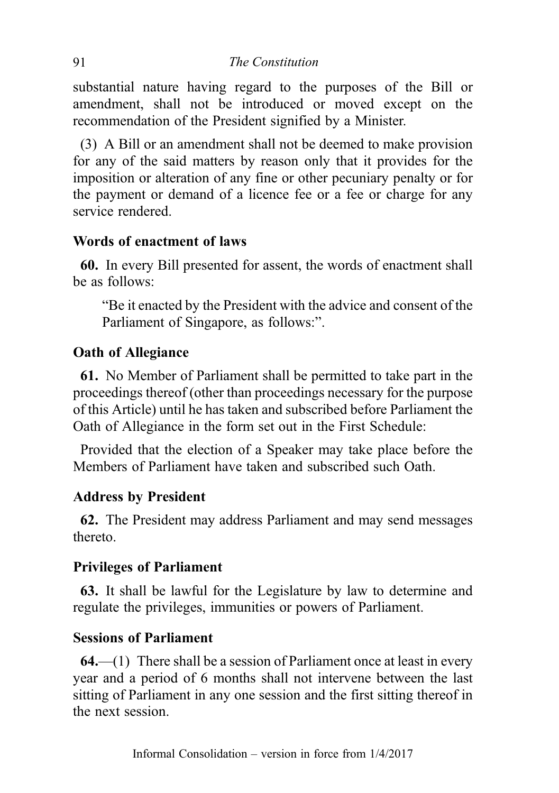substantial nature having regard to the purposes of the Bill or amendment, shall not be introduced or moved except on the recommendation of the President signified by a Minister.

(3) A Bill or an amendment shall not be deemed to make provision for any of the said matters by reason only that it provides for the imposition or alteration of any fine or other pecuniary penalty or for the payment or demand of a licence fee or a fee or charge for any service rendered.

### Words of enactment of laws

60. In every Bill presented for assent, the words of enactment shall be as follows:

"Be it enacted by the President with the advice and consent of the Parliament of Singapore, as follows:".

# Oath of Allegiance

61. No Member of Parliament shall be permitted to take part in the proceedings thereof (other than proceedings necessary for the purpose of this Article) until he has taken and subscribed before Parliament the Oath of Allegiance in the form set out in the First Schedule:

Provided that the election of a Speaker may take place before the Members of Parliament have taken and subscribed such Oath.

### Address by President

62. The President may address Parliament and may send messages thereto.

### Privileges of Parliament

63. It shall be lawful for the Legislature by law to determine and regulate the privileges, immunities or powers of Parliament.

### Sessions of Parliament

 $64$ —(1) There shall be a session of Parliament once at least in every year and a period of 6 months shall not intervene between the last sitting of Parliament in any one session and the first sitting thereof in the next session.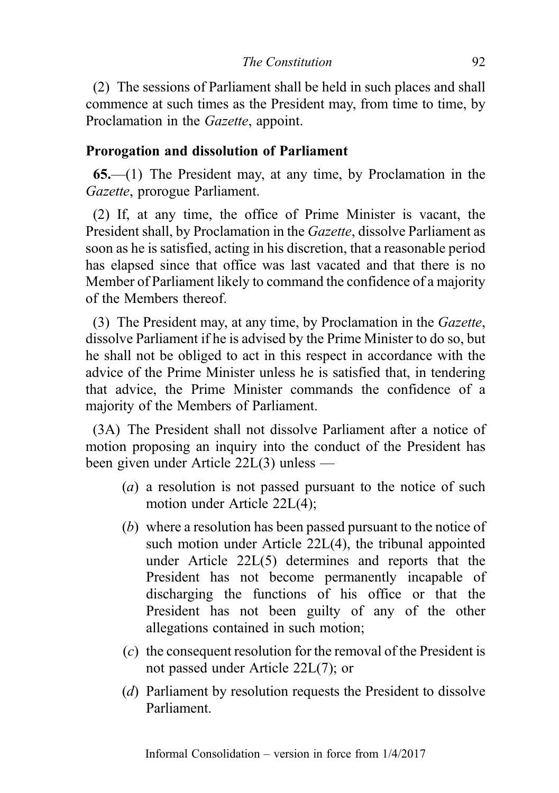(2) The sessions of Parliament shall be held in such places and shall commence at such times as the President may, from time to time, by Proclamation in the *Gazette*, appoint.

### Prorogation and dissolution of Parliament

65.—(1) The President may, at any time, by Proclamation in the Gazette, prorogue Parliament.

(2) If, at any time, the office of Prime Minister is vacant, the President shall, by Proclamation in the Gazette, dissolve Parliament as soon as he is satisfied, acting in his discretion, that a reasonable period has elapsed since that office was last vacated and that there is no Member of Parliament likely to command the confidence of a majority of the Members thereof.

(3) The President may, at any time, by Proclamation in the Gazette, dissolve Parliament if he is advised by the Prime Minister to do so, but he shall not be obliged to act in this respect in accordance with the advice of the Prime Minister unless he is satisfied that, in tendering that advice, the Prime Minister commands the confidence of a majority of the Members of Parliament.

(3A) The President shall not dissolve Parliament after a notice of motion proposing an inquiry into the conduct of the President has been given under Article 22L(3) unless —

- (a) a resolution is not passed pursuant to the notice of such motion under Article 22L(4);
- (b) where a resolution has been passed pursuant to the notice of such motion under Article 22L(4), the tribunal appointed under Article 22L(5) determines and reports that the President has not become permanently incapable of discharging the functions of his office or that the President has not been guilty of any of the other allegations contained in such motion;
- (c) the consequent resolution for the removal of the President is not passed under Article 22L(7); or
- (*d*) Parliament by resolution requests the President to dissolve Parliament.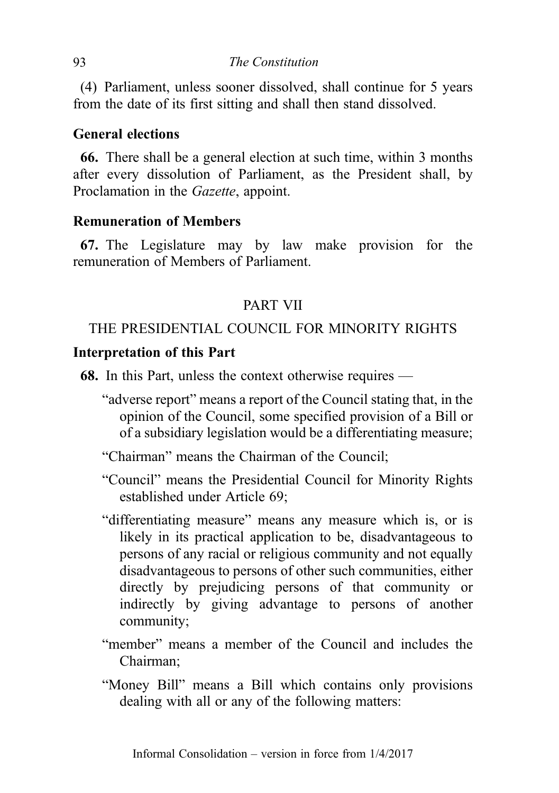(4) Parliament, unless sooner dissolved, shall continue for 5 years from the date of its first sitting and shall then stand dissolved.

#### General elections

66. There shall be a general election at such time, within 3 months after every dissolution of Parliament, as the President shall, by Proclamation in the *Gazette*, appoint.

#### Remuneration of Members

67. The Legislature may by law make provision for the remuneration of Members of Parliament.

### PART VII

### THE PRESIDENTIAL COUNCIL FOR MINORITY RIGHTS

#### Interpretation of this Part

68. In this Part, unless the context otherwise requires —

"adverse report" means a report of the Council stating that, in the opinion of the Council, some specified provision of a Bill or of a subsidiary legislation would be a differentiating measure;

"Chairman" means the Chairman of the Council;

- "Council" means the Presidential Council for Minority Rights established under Article 69;
- "differentiating measure" means any measure which is, or is likely in its practical application to be, disadvantageous to persons of any racial or religious community and not equally disadvantageous to persons of other such communities, either directly by prejudicing persons of that community or indirectly by giving advantage to persons of another community;
- "member" means a member of the Council and includes the Chairman;
- "Money Bill" means a Bill which contains only provisions dealing with all or any of the following matters: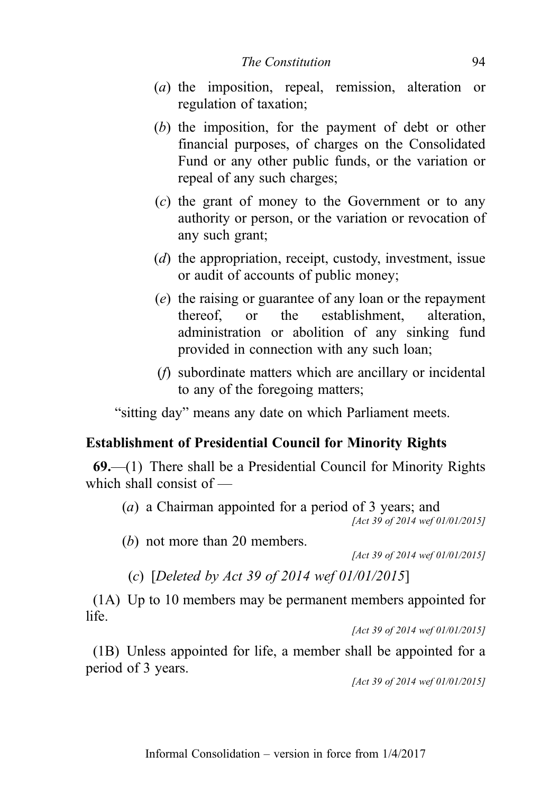- (a) the imposition, repeal, remission, alteration or regulation of taxation;
- (b) the imposition, for the payment of debt or other financial purposes, of charges on the Consolidated Fund or any other public funds, or the variation or repeal of any such charges;
- (c) the grant of money to the Government or to any authority or person, or the variation or revocation of any such grant;
- (d) the appropriation, receipt, custody, investment, issue or audit of accounts of public money;
- (e) the raising or guarantee of any loan or the repayment thereof, or the establishment, alteration, administration or abolition of any sinking fund provided in connection with any such loan;
- (f) subordinate matters which are ancillary or incidental to any of the foregoing matters;

"sitting day" means any date on which Parliament meets.

### Establishment of Presidential Council for Minority Rights

69.—(1) There shall be a Presidential Council for Minority Rights which shall consist of —

(a) a Chairman appointed for a period of 3 years; and

[Act 39 of 2014 wef 01/01/2015]

(b) not more than 20 members.

[Act 39 of 2014 wef 01/01/2015]

(c) [Deleted by Act 39 of 2014 wef 01/01/2015]

(1A) Up to 10 members may be permanent members appointed for life.

[Act 39 of 2014 wef 01/01/2015]

(1B) Unless appointed for life, a member shall be appointed for a period of 3 years.

[Act 39 of 2014 wef 01/01/2015]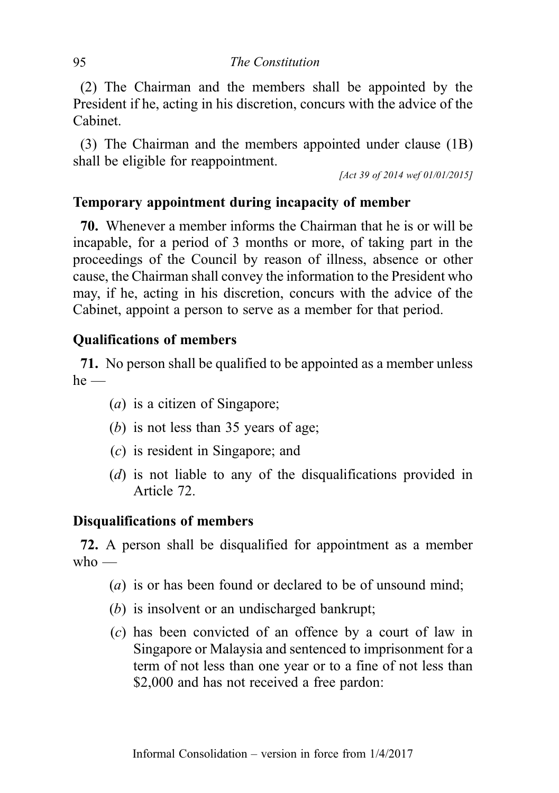#### *The Constitution*

(2) The Chairman and the members shall be appointed by the President if he, acting in his discretion, concurs with the advice of the Cabinet.

(3) The Chairman and the members appointed under clause (1B) shall be eligible for reappointment.

[Act 39 of 2014 wef 01/01/2015]

### Temporary appointment during incapacity of member

70. Whenever a member informs the Chairman that he is or will be incapable, for a period of 3 months or more, of taking part in the proceedings of the Council by reason of illness, absence or other cause, the Chairman shall convey the information to the President who may, if he, acting in his discretion, concurs with the advice of the Cabinet, appoint a person to serve as a member for that period.

#### Qualifications of members

71. No person shall be qualified to be appointed as a member unless  $he$  —

- (a) is a citizen of Singapore;
- (b) is not less than 35 years of age;
- (c) is resident in Singapore; and
- (d) is not liable to any of the disqualifications provided in Article 72.

#### Disqualifications of members

72. A person shall be disqualified for appointment as a member  $w$ ho —

- (a) is or has been found or declared to be of unsound mind;
- (b) is insolvent or an undischarged bankrupt;
- (c) has been convicted of an offence by a court of law in Singapore or Malaysia and sentenced to imprisonment for a term of not less than one year or to a fine of not less than \$2,000 and has not received a free pardon: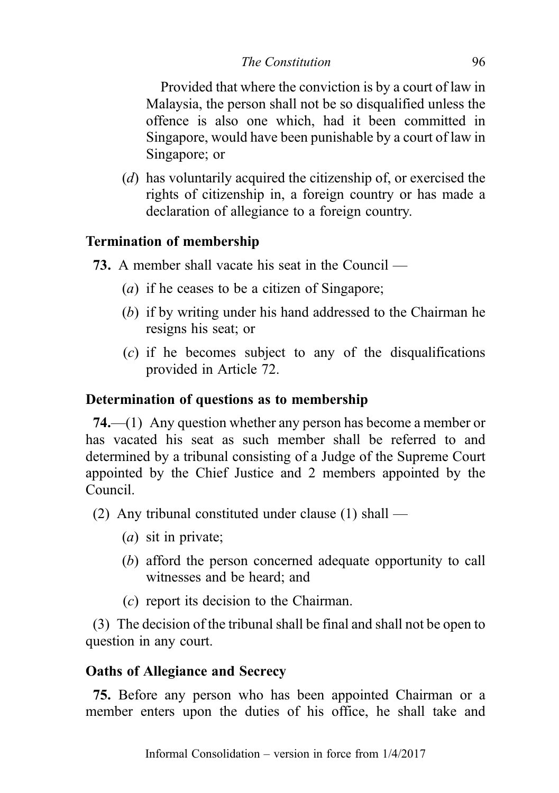### *The Constitution*

Provided that where the conviction is by a court of law in Malaysia, the person shall not be so disqualified unless the offence is also one which, had it been committed in Singapore, would have been punishable by a court of law in Singapore; or

(d) has voluntarily acquired the citizenship of, or exercised the rights of citizenship in, a foreign country or has made a declaration of allegiance to a foreign country.

# Termination of membership

73. A member shall vacate his seat in the Council —

- (a) if he ceases to be a citizen of Singapore;
- (b) if by writing under his hand addressed to the Chairman he resigns his seat; or
- (c) if he becomes subject to any of the disqualifications provided in Article 72.

# Determination of questions as to membership

74.—(1) Any question whether any person has become a member or has vacated his seat as such member shall be referred to and determined by a tribunal consisting of a Judge of the Supreme Court appointed by the Chief Justice and 2 members appointed by the Council.

- (2) Any tribunal constituted under clause (1) shall
	- (a) sit in private;
	- (b) afford the person concerned adequate opportunity to call witnesses and be heard; and
	- (c) report its decision to the Chairman.

(3) The decision of the tribunal shall be final and shall not be open to question in any court.

### Oaths of Allegiance and Secrecy

75. Before any person who has been appointed Chairman or a member enters upon the duties of his office, he shall take and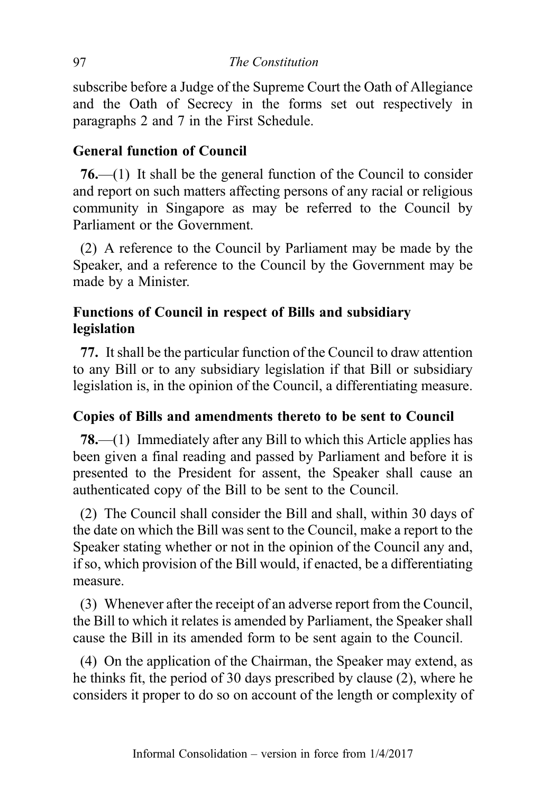subscribe before a Judge of the Supreme Court the Oath of Allegiance and the Oath of Secrecy in the forms set out respectively in paragraphs 2 and 7 in the First Schedule.

# General function of Council

76.—(1) It shall be the general function of the Council to consider and report on such matters affecting persons of any racial or religious community in Singapore as may be referred to the Council by Parliament or the Government.

(2) A reference to the Council by Parliament may be made by the Speaker, and a reference to the Council by the Government may be made by a Minister.

# Functions of Council in respect of Bills and subsidiary legislation

77. It shall be the particular function of the Council to draw attention to any Bill or to any subsidiary legislation if that Bill or subsidiary legislation is, in the opinion of the Council, a differentiating measure.

# Copies of Bills and amendments thereto to be sent to Council

78.—(1) Immediately after any Bill to which this Article applies has been given a final reading and passed by Parliament and before it is presented to the President for assent, the Speaker shall cause an authenticated copy of the Bill to be sent to the Council.

(2) The Council shall consider the Bill and shall, within 30 days of the date on which the Bill was sent to the Council, make a report to the Speaker stating whether or not in the opinion of the Council any and, if so, which provision of the Bill would, if enacted, be a differentiating measure.

(3) Whenever after the receipt of an adverse report from the Council, the Bill to which it relates is amended by Parliament, the Speaker shall cause the Bill in its amended form to be sent again to the Council.

(4) On the application of the Chairman, the Speaker may extend, as he thinks fit, the period of 30 days prescribed by clause (2), where he considers it proper to do so on account of the length or complexity of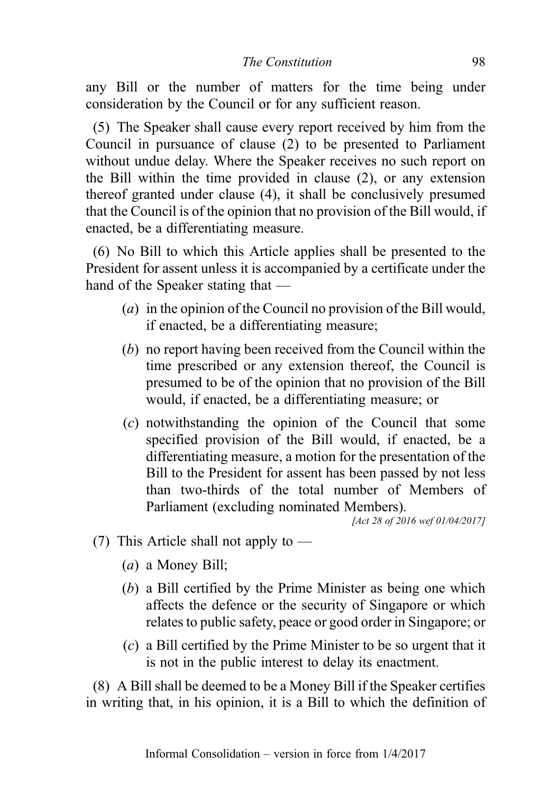any Bill or the number of matters for the time being under consideration by the Council or for any sufficient reason.

(5) The Speaker shall cause every report received by him from the Council in pursuance of clause (2) to be presented to Parliament without undue delay. Where the Speaker receives no such report on the Bill within the time provided in clause (2), or any extension thereof granted under clause (4), it shall be conclusively presumed that the Council is of the opinion that no provision of the Bill would, if enacted, be a differentiating measure.

(6) No Bill to which this Article applies shall be presented to the President for assent unless it is accompanied by a certificate under the hand of the Speaker stating that —

- (a) in the opinion of the Council no provision of the Bill would, if enacted, be a differentiating measure;
- (b) no report having been received from the Council within the time prescribed or any extension thereof, the Council is presumed to be of the opinion that no provision of the Bill would, if enacted, be a differentiating measure; or
- (c) notwithstanding the opinion of the Council that some specified provision of the Bill would, if enacted, be a differentiating measure, a motion for the presentation of the Bill to the President for assent has been passed by not less than two-thirds of the total number of Members of Parliament (excluding nominated Members).

[Act 28 of 2016 wef 01/04/2017]

- (7) This Article shall not apply to
	- (a) a Money Bill;
	- (b) a Bill certified by the Prime Minister as being one which affects the defence or the security of Singapore or which relates to public safety, peace or good order in Singapore; or
	- (c) a Bill certified by the Prime Minister to be so urgent that it is not in the public interest to delay its enactment.

(8) A Bill shall be deemed to be a Money Bill if the Speaker certifies in writing that, in his opinion, it is a Bill to which the definition of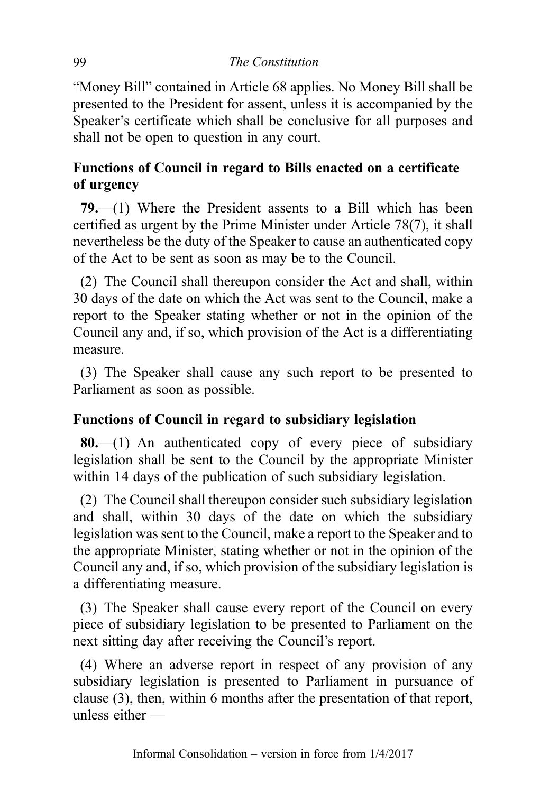### *The Constitution*

"Money Bill" contained in Article 68 applies. No Money Bill shall be presented to the President for assent, unless it is accompanied by the Speaker's certificate which shall be conclusive for all purposes and shall not be open to question in any court.

# Functions of Council in regard to Bills enacted on a certificate of urgency

79.—(1) Where the President assents to a Bill which has been certified as urgent by the Prime Minister under Article 78(7), it shall nevertheless be the duty of the Speaker to cause an authenticated copy of the Act to be sent as soon as may be to the Council.

(2) The Council shall thereupon consider the Act and shall, within 30 days of the date on which the Act was sent to the Council, make a report to the Speaker stating whether or not in the opinion of the Council any and, if so, which provision of the Act is a differentiating measure.

(3) The Speaker shall cause any such report to be presented to Parliament as soon as possible.

### Functions of Council in regard to subsidiary legislation

80.—(1) An authenticated copy of every piece of subsidiary legislation shall be sent to the Council by the appropriate Minister within 14 days of the publication of such subsidiary legislation.

(2) The Council shall thereupon consider such subsidiary legislation and shall, within 30 days of the date on which the subsidiary legislation was sent to the Council, make a report to the Speaker and to the appropriate Minister, stating whether or not in the opinion of the Council any and, if so, which provision of the subsidiary legislation is a differentiating measure.

(3) The Speaker shall cause every report of the Council on every piece of subsidiary legislation to be presented to Parliament on the next sitting day after receiving the Council's report.

(4) Where an adverse report in respect of any provision of any subsidiary legislation is presented to Parliament in pursuance of clause (3), then, within 6 months after the presentation of that report, unless either —

99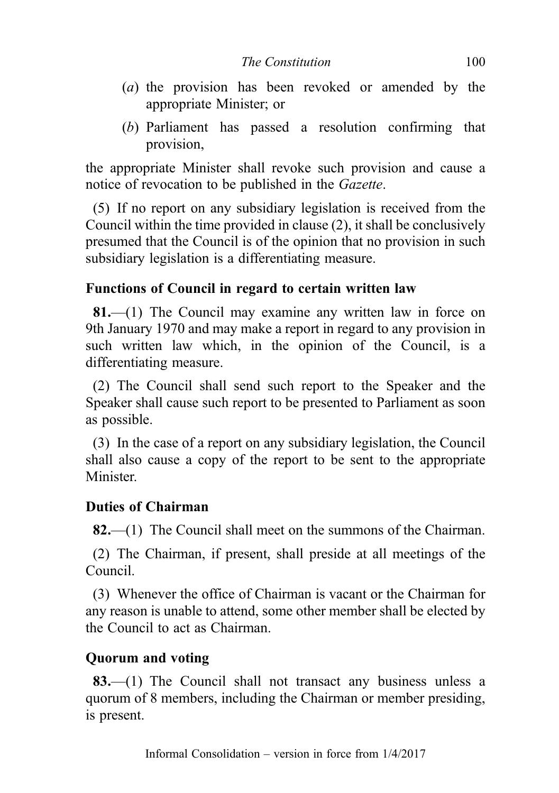- (a) the provision has been revoked or amended by the appropriate Minister; or
- (b) Parliament has passed a resolution confirming that provision,

the appropriate Minister shall revoke such provision and cause a notice of revocation to be published in the Gazette.

(5) If no report on any subsidiary legislation is received from the Council within the time provided in clause (2), it shall be conclusively presumed that the Council is of the opinion that no provision in such subsidiary legislation is a differentiating measure.

### Functions of Council in regard to certain written law

81.—(1) The Council may examine any written law in force on 9th January 1970 and may make a report in regard to any provision in such written law which, in the opinion of the Council, is a differentiating measure.

(2) The Council shall send such report to the Speaker and the Speaker shall cause such report to be presented to Parliament as soon as possible.

(3) In the case of a report on any subsidiary legislation, the Council shall also cause a copy of the report to be sent to the appropriate **Minister** 

#### Duties of Chairman

82.—(1) The Council shall meet on the summons of the Chairman.

(2) The Chairman, if present, shall preside at all meetings of the Council.

(3) Whenever the office of Chairman is vacant or the Chairman for any reason is unable to attend, some other member shall be elected by the Council to act as Chairman.

### Quorum and voting

83.—(1) The Council shall not transact any business unless a quorum of 8 members, including the Chairman or member presiding, is present.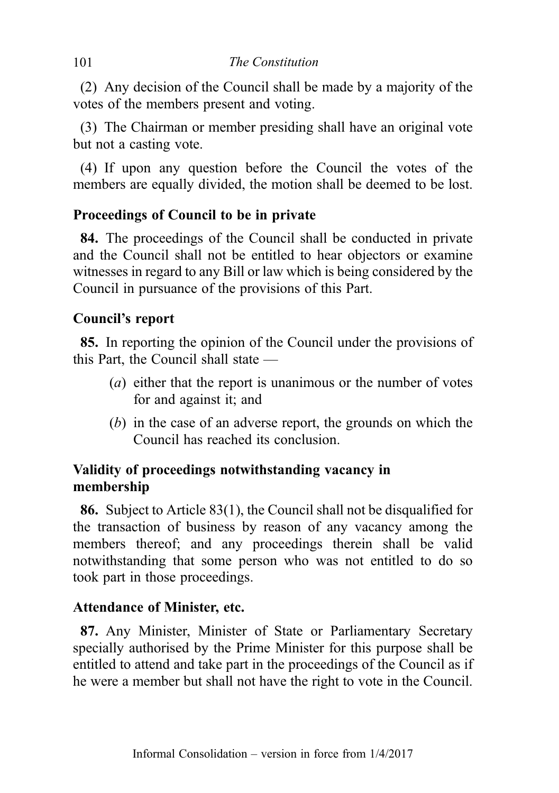(2) Any decision of the Council shall be made by a majority of the votes of the members present and voting.

(3) The Chairman or member presiding shall have an original vote but not a casting vote.

(4) If upon any question before the Council the votes of the members are equally divided, the motion shall be deemed to be lost.

### Proceedings of Council to be in private

84. The proceedings of the Council shall be conducted in private and the Council shall not be entitled to hear objectors or examine witnesses in regard to any Bill or law which is being considered by the Council in pursuance of the provisions of this Part.

### Council's report

85. In reporting the opinion of the Council under the provisions of this Part, the Council shall state —

- (a) either that the report is unanimous or the number of votes for and against it; and
- (b) in the case of an adverse report, the grounds on which the Council has reached its conclusion.

### Validity of proceedings notwithstanding vacancy in membership

86. Subject to Article 83(1), the Council shall not be disqualified for the transaction of business by reason of any vacancy among the members thereof; and any proceedings therein shall be valid notwithstanding that some person who was not entitled to do so took part in those proceedings.

### Attendance of Minister, etc.

87. Any Minister, Minister of State or Parliamentary Secretary specially authorised by the Prime Minister for this purpose shall be entitled to attend and take part in the proceedings of the Council as if he were a member but shall not have the right to vote in the Council.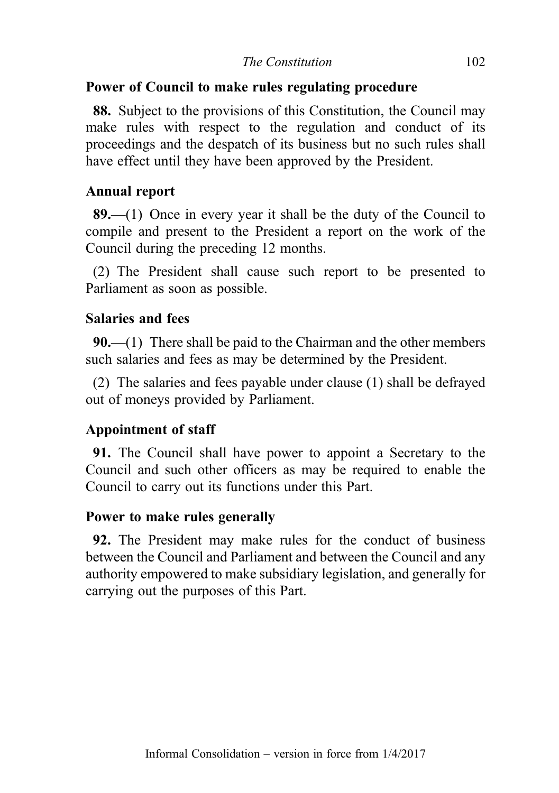### Power of Council to make rules regulating procedure

88. Subject to the provisions of this Constitution, the Council may make rules with respect to the regulation and conduct of its proceedings and the despatch of its business but no such rules shall have effect until they have been approved by the President.

### Annual report

89.—(1) Once in every year it shall be the duty of the Council to compile and present to the President a report on the work of the Council during the preceding 12 months.

(2) The President shall cause such report to be presented to Parliament as soon as possible.

### Salaries and fees

90.—(1) There shall be paid to the Chairman and the other members such salaries and fees as may be determined by the President.

(2) The salaries and fees payable under clause (1) shall be defrayed out of moneys provided by Parliament.

### Appointment of staff

91. The Council shall have power to appoint a Secretary to the Council and such other officers as may be required to enable the Council to carry out its functions under this Part.

### Power to make rules generally

92. The President may make rules for the conduct of business between the Council and Parliament and between the Council and any authority empowered to make subsidiary legislation, and generally for carrying out the purposes of this Part.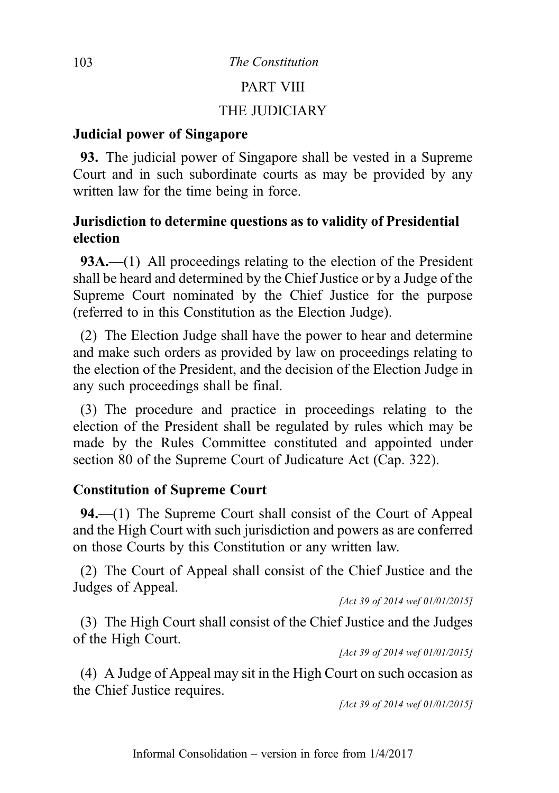# PART VIII

### THE JUDICIARY

### Judicial power of Singapore

93. The judicial power of Singapore shall be vested in a Supreme Court and in such subordinate courts as may be provided by any written law for the time being in force.

# Jurisdiction to determine questions as to validity of Presidential election

93A.—(1) All proceedings relating to the election of the President shall be heard and determined by the Chief Justice or by a Judge of the Supreme Court nominated by the Chief Justice for the purpose (referred to in this Constitution as the Election Judge).

(2) The Election Judge shall have the power to hear and determine and make such orders as provided by law on proceedings relating to the election of the President, and the decision of the Election Judge in any such proceedings shall be final.

(3) The procedure and practice in proceedings relating to the election of the President shall be regulated by rules which may be made by the Rules Committee constituted and appointed under section 80 of the Supreme Court of Judicature Act (Cap. 322).

### Constitution of Supreme Court

94.—(1) The Supreme Court shall consist of the Court of Appeal and the High Court with such jurisdiction and powers as are conferred on those Courts by this Constitution or any written law.

(2) The Court of Appeal shall consist of the Chief Justice and the Judges of Appeal.

[Act 39 of 2014 wef 01/01/2015]

(3) The High Court shall consist of the Chief Justice and the Judges of the High Court.

[Act 39 of 2014 wef 01/01/2015]

(4) A Judge of Appeal may sit in the High Court on such occasion as the Chief Justice requires.

[Act 39 of 2014 wef 01/01/2015]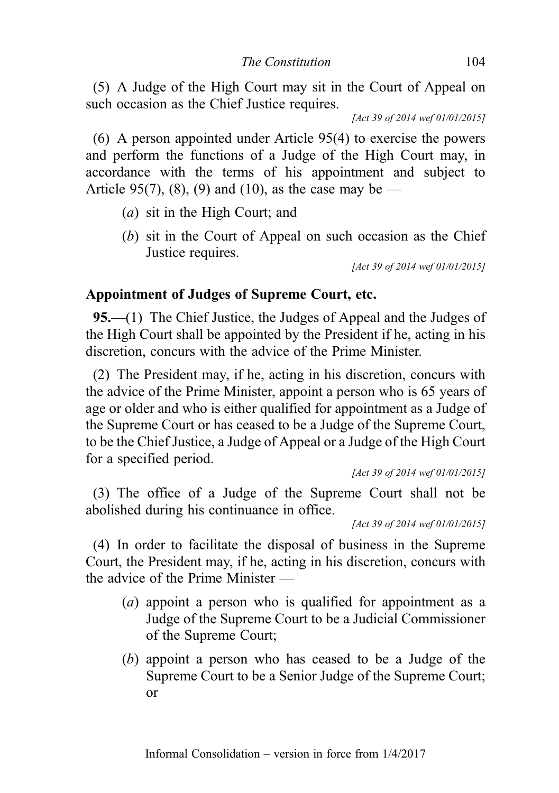(5) A Judge of the High Court may sit in the Court of Appeal on such occasion as the Chief Justice requires.

[Act 39 of 2014 wef 01/01/2015]

(6) A person appointed under Article 95(4) to exercise the powers and perform the functions of a Judge of the High Court may, in accordance with the terms of his appointment and subject to Article 95(7), (8), (9) and (10), as the case may be —

- (a) sit in the High Court; and
- (b) sit in the Court of Appeal on such occasion as the Chief Justice requires.

[Act 39 of 2014 wef 01/01/2015]

#### Appointment of Judges of Supreme Court, etc.

95.—(1) The Chief Justice, the Judges of Appeal and the Judges of the High Court shall be appointed by the President if he, acting in his discretion, concurs with the advice of the Prime Minister.

(2) The President may, if he, acting in his discretion, concurs with the advice of the Prime Minister, appoint a person who is 65 years of age or older and who is either qualified for appointment as a Judge of the Supreme Court or has ceased to be a Judge of the Supreme Court, to be the Chief Justice, a Judge of Appeal or a Judge of the High Court for a specified period.

[Act 39 of 2014 wef 01/01/2015]

(3) The office of a Judge of the Supreme Court shall not be abolished during his continuance in office.

[Act 39 of 2014 wef 01/01/2015]

(4) In order to facilitate the disposal of business in the Supreme Court, the President may, if he, acting in his discretion, concurs with the advice of the Prime Minister —

- (a) appoint a person who is qualified for appointment as a Judge of the Supreme Court to be a Judicial Commissioner of the Supreme Court;
- (b) appoint a person who has ceased to be a Judge of the Supreme Court to be a Senior Judge of the Supreme Court; or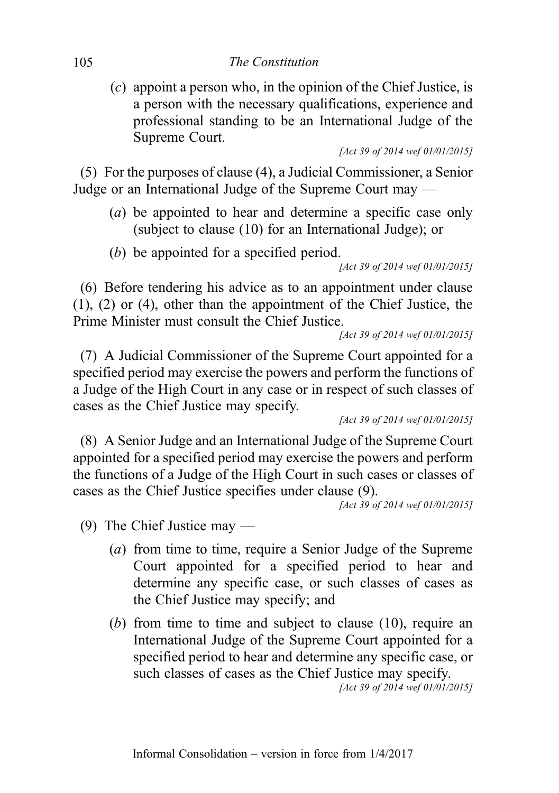(c) appoint a person who, in the opinion of the Chief Justice, is a person with the necessary qualifications, experience and professional standing to be an International Judge of the Supreme Court.

#### [Act 39 of 2014 wef 01/01/2015]

(5) For the purposes of clause (4), a Judicial Commissioner, a Senior Judge or an International Judge of the Supreme Court may —

- (a) be appointed to hear and determine a specific case only (subject to clause (10) for an International Judge); or
- (b) be appointed for a specified period.

[Act 39 of 2014 wef 01/01/2015]

(6) Before tendering his advice as to an appointment under clause (1), (2) or (4), other than the appointment of the Chief Justice, the Prime Minister must consult the Chief Justice.

[Act 39 of 2014 wef 01/01/2015]

(7) A Judicial Commissioner of the Supreme Court appointed for a specified period may exercise the powers and perform the functions of a Judge of the High Court in any case or in respect of such classes of cases as the Chief Justice may specify.

[Act 39 of 2014 wef 01/01/2015]

(8) A Senior Judge and an International Judge of the Supreme Court appointed for a specified period may exercise the powers and perform the functions of a Judge of the High Court in such cases or classes of cases as the Chief Justice specifies under clause (9).

[Act 39 of 2014 wef 01/01/2015]

(9) The Chief Justice may —

- (a) from time to time, require a Senior Judge of the Supreme Court appointed for a specified period to hear and determine any specific case, or such classes of cases as the Chief Justice may specify; and
- (b) from time to time and subject to clause (10), require an International Judge of the Supreme Court appointed for a specified period to hear and determine any specific case, or such classes of cases as the Chief Justice may specify. [Act 39 of 2014 wef 01/01/2015]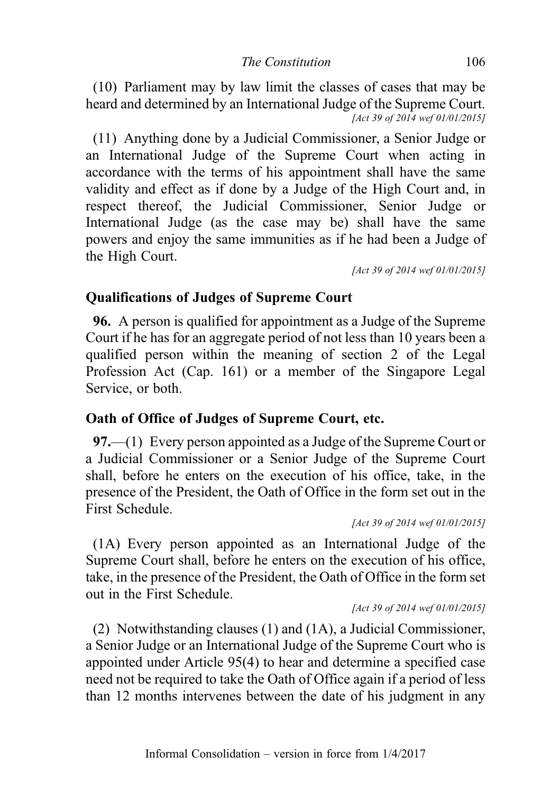(10) Parliament may by law limit the classes of cases that may be heard and determined by an International Judge of the Supreme Court. [Act 39 of 2014 wef 01/01/2015]

(11) Anything done by a Judicial Commissioner, a Senior Judge or an International Judge of the Supreme Court when acting in accordance with the terms of his appointment shall have the same validity and effect as if done by a Judge of the High Court and, in respect thereof, the Judicial Commissioner, Senior Judge or International Judge (as the case may be) shall have the same powers and enjoy the same immunities as if he had been a Judge of the High Court.

[Act 39 of 2014 wef 01/01/2015]

### Qualifications of Judges of Supreme Court

96. A person is qualified for appointment as a Judge of the Supreme Court if he has for an aggregate period of not less than 10 years been a qualified person within the meaning of section 2 of the Legal Profession Act (Cap. 161) or a member of the Singapore Legal Service, or both.

### Oath of Office of Judges of Supreme Court, etc.

97.—(1) Every person appointed as a Judge of the Supreme Court or a Judicial Commissioner or a Senior Judge of the Supreme Court shall, before he enters on the execution of his office, take, in the presence of the President, the Oath of Office in the form set out in the First Schedule.

[Act 39 of 2014 wef 01/01/2015]

(1A) Every person appointed as an International Judge of the Supreme Court shall, before he enters on the execution of his office, take, in the presence of the President, the Oath of Office in the form set out in the First Schedule.

[Act 39 of 2014 wef 01/01/2015]

(2) Notwithstanding clauses (1) and (1A), a Judicial Commissioner, a Senior Judge or an International Judge of the Supreme Court who is appointed under Article 95(4) to hear and determine a specified case need not be required to take the Oath of Office again if a period of less than 12 months intervenes between the date of his judgment in any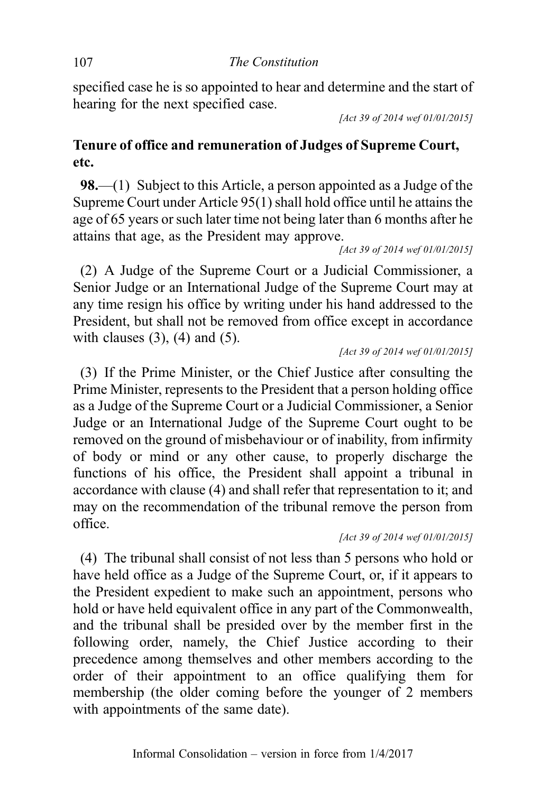specified case he is so appointed to hear and determine and the start of hearing for the next specified case.

[Act 39 of 2014 wef 01/01/2015]

# Tenure of office and remuneration of Judges of Supreme Court, etc.

98.—(1) Subject to this Article, a person appointed as a Judge of the Supreme Court under Article 95(1) shall hold office until he attains the age of 65 years or such later time not being later than 6 months after he attains that age, as the President may approve.

[Act 39 of 2014 wef 01/01/2015]

(2) A Judge of the Supreme Court or a Judicial Commissioner, a Senior Judge or an International Judge of the Supreme Court may at any time resign his office by writing under his hand addressed to the President, but shall not be removed from office except in accordance with clauses  $(3)$ ,  $(4)$  and  $(5)$ .

#### [Act 39 of 2014 wef 01/01/2015]

(3) If the Prime Minister, or the Chief Justice after consulting the Prime Minister, represents to the President that a person holding office as a Judge of the Supreme Court or a Judicial Commissioner, a Senior Judge or an International Judge of the Supreme Court ought to be removed on the ground of misbehaviour or of inability, from infirmity of body or mind or any other cause, to properly discharge the functions of his office, the President shall appoint a tribunal in accordance with clause (4) and shall refer that representation to it; and may on the recommendation of the tribunal remove the person from office.

[Act 39 of 2014 wef 01/01/2015]

(4) The tribunal shall consist of not less than 5 persons who hold or have held office as a Judge of the Supreme Court, or, if it appears to the President expedient to make such an appointment, persons who hold or have held equivalent office in any part of the Commonwealth, and the tribunal shall be presided over by the member first in the following order, namely, the Chief Justice according to their precedence among themselves and other members according to the order of their appointment to an office qualifying them for membership (the older coming before the younger of 2 members with appointments of the same date).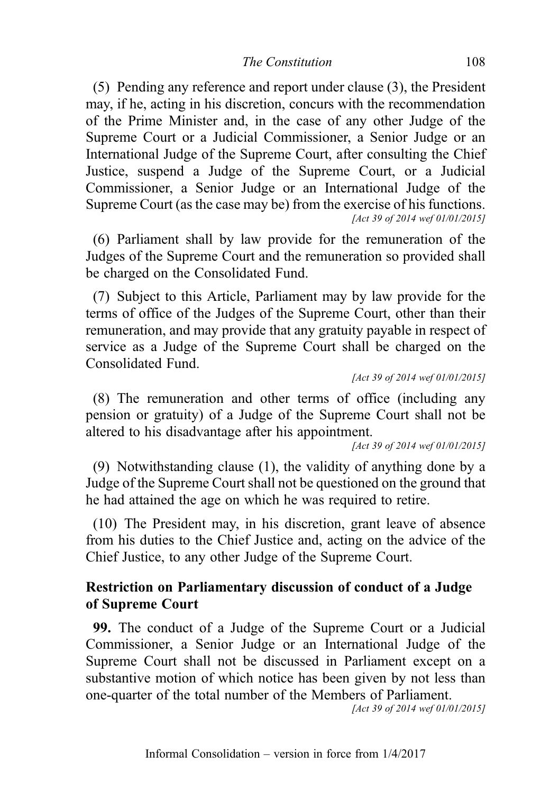(5) Pending any reference and report under clause (3), the President may, if he, acting in his discretion, concurs with the recommendation of the Prime Minister and, in the case of any other Judge of the Supreme Court or a Judicial Commissioner, a Senior Judge or an International Judge of the Supreme Court, after consulting the Chief Justice, suspend a Judge of the Supreme Court, or a Judicial Commissioner, a Senior Judge or an International Judge of the Supreme Court (as the case may be) from the exercise of his functions. [Act 39 of 2014 wef 01/01/2015]

(6) Parliament shall by law provide for the remuneration of the Judges of the Supreme Court and the remuneration so provided shall be charged on the Consolidated Fund.

(7) Subject to this Article, Parliament may by law provide for the terms of office of the Judges of the Supreme Court, other than their remuneration, and may provide that any gratuity payable in respect of service as a Judge of the Supreme Court shall be charged on the Consolidated Fund.

[Act 39 of 2014 wef 01/01/2015]

(8) The remuneration and other terms of office (including any pension or gratuity) of a Judge of the Supreme Court shall not be altered to his disadvantage after his appointment.

[Act 39 of 2014 wef 01/01/2015]

(9) Notwithstanding clause (1), the validity of anything done by a Judge of the Supreme Court shall not be questioned on the ground that he had attained the age on which he was required to retire.

(10) The President may, in his discretion, grant leave of absence from his duties to the Chief Justice and, acting on the advice of the Chief Justice, to any other Judge of the Supreme Court.

## Restriction on Parliamentary discussion of conduct of a Judge of Supreme Court

99. The conduct of a Judge of the Supreme Court or a Judicial Commissioner, a Senior Judge or an International Judge of the Supreme Court shall not be discussed in Parliament except on a substantive motion of which notice has been given by not less than one-quarter of the total number of the Members of Parliament.

[Act 39 of 2014 wef 01/01/2015]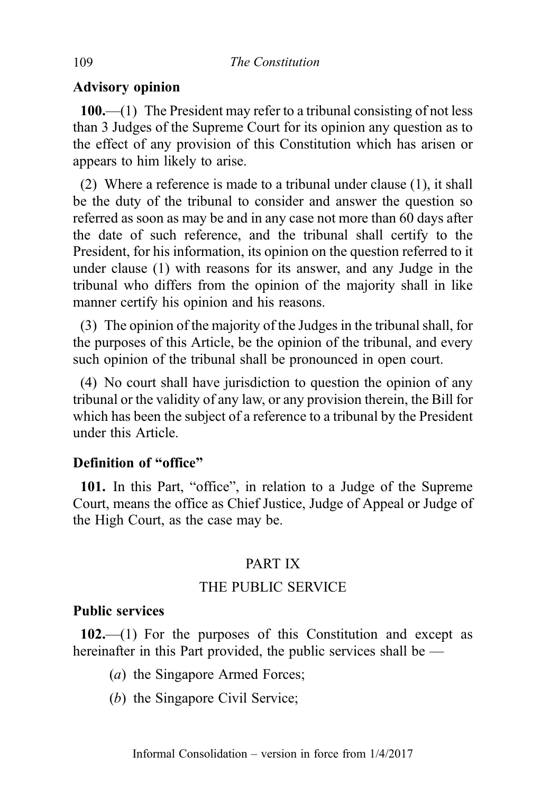### Advisory opinion

100.—(1) The President may refer to a tribunal consisting of not less than 3 Judges of the Supreme Court for its opinion any question as to the effect of any provision of this Constitution which has arisen or appears to him likely to arise.

(2) Where a reference is made to a tribunal under clause (1), it shall be the duty of the tribunal to consider and answer the question so referred as soon as may be and in any case not more than 60 days after the date of such reference, and the tribunal shall certify to the President, for his information, its opinion on the question referred to it under clause (1) with reasons for its answer, and any Judge in the tribunal who differs from the opinion of the majority shall in like manner certify his opinion and his reasons.

(3) The opinion of the majority of the Judges in the tribunal shall, for the purposes of this Article, be the opinion of the tribunal, and every such opinion of the tribunal shall be pronounced in open court.

(4) No court shall have jurisdiction to question the opinion of any tribunal or the validity of any law, or any provision therein, the Bill for which has been the subject of a reference to a tribunal by the President under this Article.

## Definition of "office"

101. In this Part, "office", in relation to a Judge of the Supreme Court, means the office as Chief Justice, Judge of Appeal or Judge of the High Court, as the case may be.

## PART IX

### THE PUBLIC SERVICE

### Public services

102.—(1) For the purposes of this Constitution and except as hereinafter in this Part provided, the public services shall be —

- (a) the Singapore Armed Forces;
- (b) the Singapore Civil Service;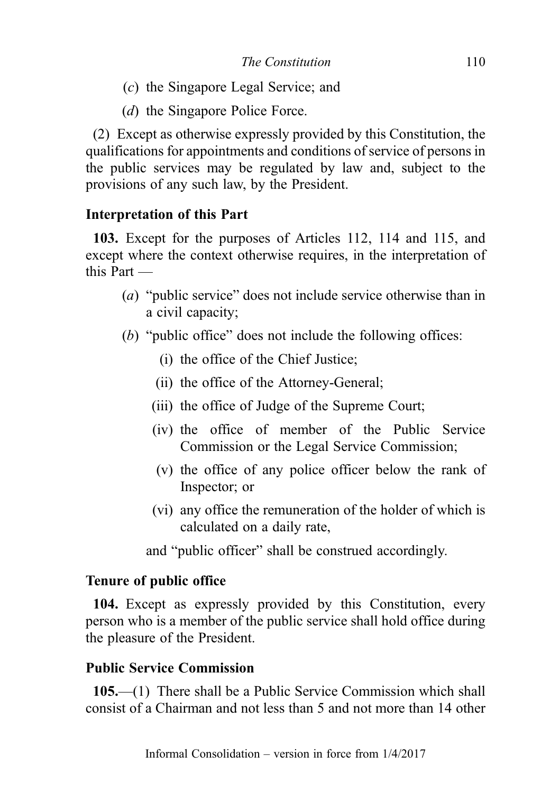- (c) the Singapore Legal Service; and
- (*d*) the Singapore Police Force.

(2) Except as otherwise expressly provided by this Constitution, the qualifications for appointments and conditions of service of persons in the public services may be regulated by law and, subject to the provisions of any such law, by the President.

#### Interpretation of this Part

103. Except for the purposes of Articles 112, 114 and 115, and except where the context otherwise requires, in the interpretation of this Part —

- (a) "public service" does not include service otherwise than in a civil capacity;
- (b) "public office" does not include the following offices:
	- (i) the office of the Chief Justice;
	- (ii) the office of the Attorney-General;
	- (iii) the office of Judge of the Supreme Court;
	- (iv) the office of member of the Public Service Commission or the Legal Service Commission;
	- (v) the office of any police officer below the rank of Inspector; or
	- (vi) any office the remuneration of the holder of which is calculated on a daily rate,

and "public officer" shall be construed accordingly.

#### Tenure of public office

104. Except as expressly provided by this Constitution, every person who is a member of the public service shall hold office during the pleasure of the President.

#### Public Service Commission

105.—(1) There shall be a Public Service Commission which shall consist of a Chairman and not less than 5 and not more than 14 other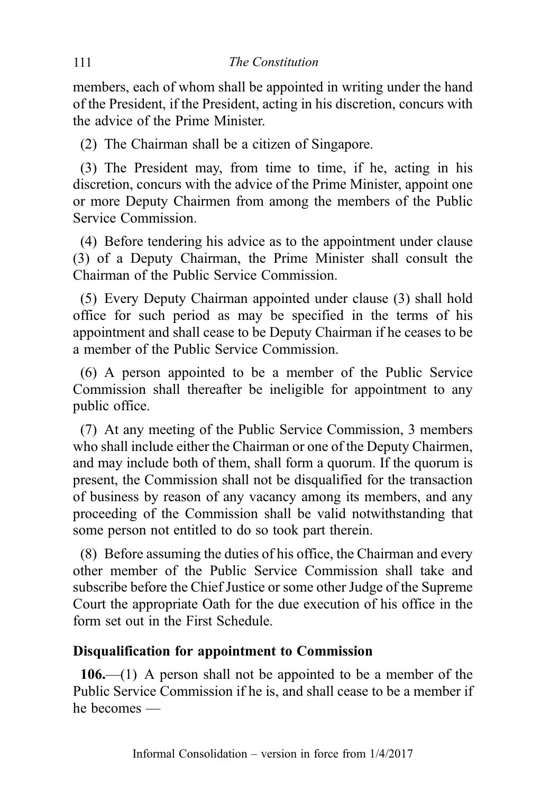members, each of whom shall be appointed in writing under the hand of the President, if the President, acting in his discretion, concurs with the advice of the Prime Minister.

(2) The Chairman shall be a citizen of Singapore.

(3) The President may, from time to time, if he, acting in his discretion, concurs with the advice of the Prime Minister, appoint one or more Deputy Chairmen from among the members of the Public Service Commission.

(4) Before tendering his advice as to the appointment under clause (3) of a Deputy Chairman, the Prime Minister shall consult the Chairman of the Public Service Commission.

(5) Every Deputy Chairman appointed under clause (3) shall hold office for such period as may be specified in the terms of his appointment and shall cease to be Deputy Chairman if he ceases to be a member of the Public Service Commission.

(6) A person appointed to be a member of the Public Service Commission shall thereafter be ineligible for appointment to any public office.

(7) At any meeting of the Public Service Commission, 3 members who shall include either the Chairman or one of the Deputy Chairmen, and may include both of them, shall form a quorum. If the quorum is present, the Commission shall not be disqualified for the transaction of business by reason of any vacancy among its members, and any proceeding of the Commission shall be valid notwithstanding that some person not entitled to do so took part therein.

(8) Before assuming the duties of his office, the Chairman and every other member of the Public Service Commission shall take and subscribe before the Chief Justice or some other Judge of the Supreme Court the appropriate Oath for the due execution of his office in the form set out in the First Schedule.

## Disqualification for appointment to Commission

106.—(1) A person shall not be appointed to be a member of the Public Service Commission if he is, and shall cease to be a member if he becomes —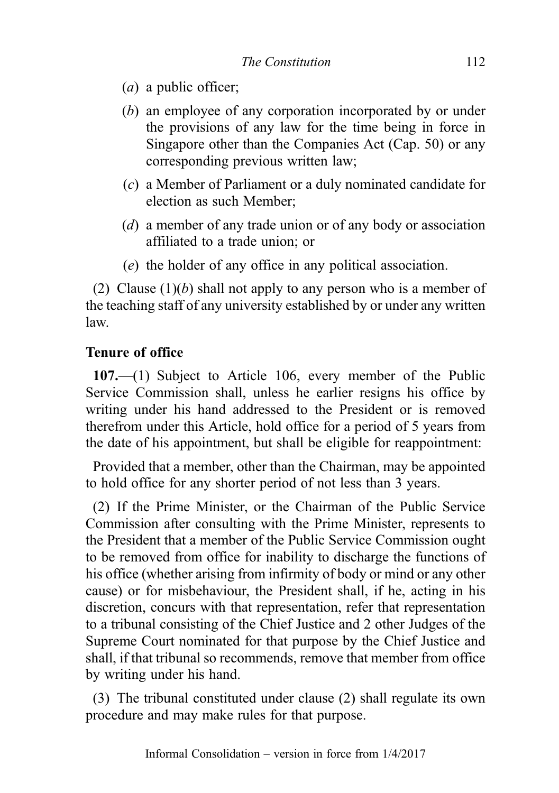- (a) a public officer;
- (b) an employee of any corporation incorporated by or under the provisions of any law for the time being in force in Singapore other than the Companies Act (Cap. 50) or any corresponding previous written law;
- (c) a Member of Parliament or a duly nominated candidate for election as such Member;
- (d) a member of any trade union or of any body or association affiliated to a trade union; or
- (e) the holder of any office in any political association.

(2) Clause  $(1)(b)$  shall not apply to any person who is a member of the teaching staff of any university established by or under any written law.

#### Tenure of office

107.—(1) Subject to Article 106, every member of the Public Service Commission shall, unless he earlier resigns his office by writing under his hand addressed to the President or is removed therefrom under this Article, hold office for a period of 5 years from the date of his appointment, but shall be eligible for reappointment:

Provided that a member, other than the Chairman, may be appointed to hold office for any shorter period of not less than 3 years.

(2) If the Prime Minister, or the Chairman of the Public Service Commission after consulting with the Prime Minister, represents to the President that a member of the Public Service Commission ought to be removed from office for inability to discharge the functions of his office (whether arising from infirmity of body or mind or any other cause) or for misbehaviour, the President shall, if he, acting in his discretion, concurs with that representation, refer that representation to a tribunal consisting of the Chief Justice and 2 other Judges of the Supreme Court nominated for that purpose by the Chief Justice and shall, if that tribunal so recommends, remove that member from office by writing under his hand.

(3) The tribunal constituted under clause (2) shall regulate its own procedure and may make rules for that purpose.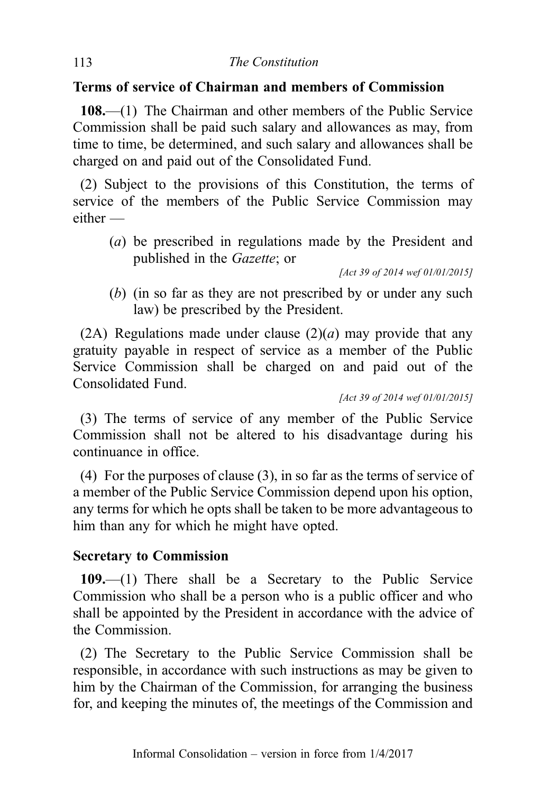## Terms of service of Chairman and members of Commission

108.—(1) The Chairman and other members of the Public Service Commission shall be paid such salary and allowances as may, from time to time, be determined, and such salary and allowances shall be charged on and paid out of the Consolidated Fund.

(2) Subject to the provisions of this Constitution, the terms of service of the members of the Public Service Commission may either —

(a) be prescribed in regulations made by the President and published in the Gazette; or

[Act 39 of 2014 wef 01/01/2015]

(b) (in so far as they are not prescribed by or under any such law) be prescribed by the President.

(2A) Regulations made under clause  $(2)(a)$  may provide that any gratuity payable in respect of service as a member of the Public Service Commission shall be charged on and paid out of the Consolidated Fund.

[Act 39 of 2014 wef 01/01/2015]

(3) The terms of service of any member of the Public Service Commission shall not be altered to his disadvantage during his continuance in office.

(4) For the purposes of clause (3), in so far as the terms of service of a member of the Public Service Commission depend upon his option, any terms for which he opts shall be taken to be more advantageous to him than any for which he might have opted.

#### Secretary to Commission

109.—(1) There shall be a Secretary to the Public Service Commission who shall be a person who is a public officer and who shall be appointed by the President in accordance with the advice of the Commission.

(2) The Secretary to the Public Service Commission shall be responsible, in accordance with such instructions as may be given to him by the Chairman of the Commission, for arranging the business for, and keeping the minutes of, the meetings of the Commission and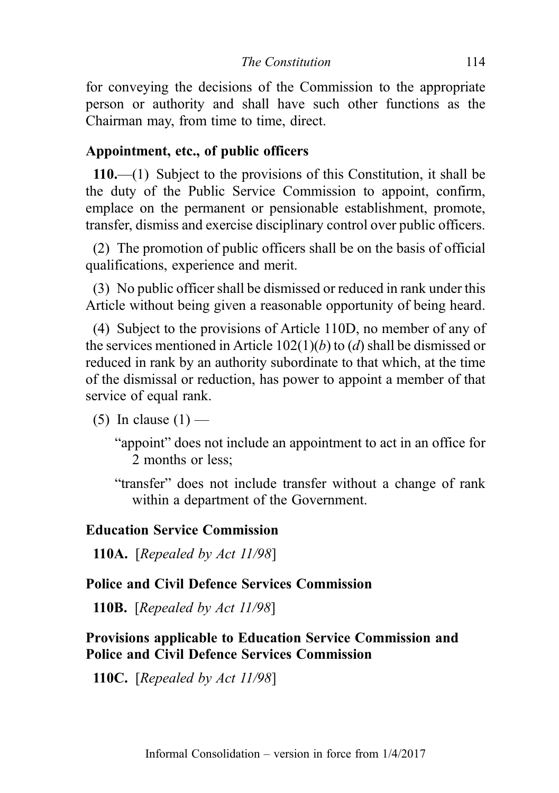for conveying the decisions of the Commission to the appropriate person or authority and shall have such other functions as the Chairman may, from time to time, direct.

### Appointment, etc., of public officers

110.—(1) Subject to the provisions of this Constitution, it shall be the duty of the Public Service Commission to appoint, confirm, emplace on the permanent or pensionable establishment, promote, transfer, dismiss and exercise disciplinary control over public officers.

(2) The promotion of public officers shall be on the basis of official qualifications, experience and merit.

(3) No public officer shall be dismissed or reduced in rank under this Article without being given a reasonable opportunity of being heard.

(4) Subject to the provisions of Article 110D, no member of any of the services mentioned in Article  $102(1)(b)$  to (d) shall be dismissed or reduced in rank by an authority subordinate to that which, at the time of the dismissal or reduction, has power to appoint a member of that service of equal rank.

(5) In clause  $(1)$  —

"appoint" does not include an appointment to act in an office for 2 months or less;

"transfer" does not include transfer without a change of rank within a department of the Government.

#### Education Service Commission

110A. [Repealed by Act 11/98]

#### Police and Civil Defence Services Commission

**110B.** [Repealed by Act 11/98]

### Provisions applicable to Education Service Commission and Police and Civil Defence Services Commission

110C. [Repealed by Act 11/98]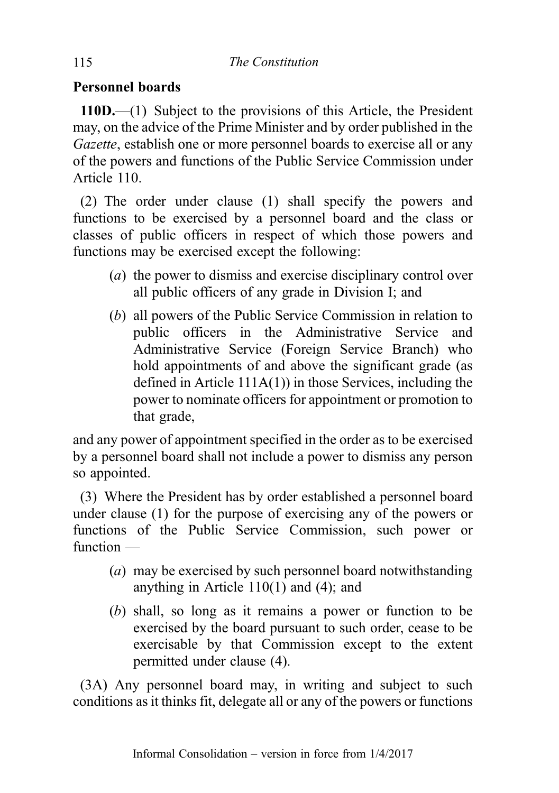# Personnel boards

110D.—(1) Subject to the provisions of this Article, the President may, on the advice of the Prime Minister and by order published in the Gazette, establish one or more personnel boards to exercise all or any of the powers and functions of the Public Service Commission under Article 110.

(2) The order under clause (1) shall specify the powers and functions to be exercised by a personnel board and the class or classes of public officers in respect of which those powers and functions may be exercised except the following:

- (a) the power to dismiss and exercise disciplinary control over all public officers of any grade in Division I; and
- (b) all powers of the Public Service Commission in relation to public officers in the Administrative Service and Administrative Service (Foreign Service Branch) who hold appointments of and above the significant grade (as defined in Article 111A(1)) in those Services, including the power to nominate officers for appointment or promotion to that grade,

and any power of appointment specified in the order as to be exercised by a personnel board shall not include a power to dismiss any person so appointed.

(3) Where the President has by order established a personnel board under clause (1) for the purpose of exercising any of the powers or functions of the Public Service Commission, such power or function —

- (a) may be exercised by such personnel board notwithstanding anything in Article 110(1) and (4); and
- (b) shall, so long as it remains a power or function to be exercised by the board pursuant to such order, cease to be exercisable by that Commission except to the extent permitted under clause (4).

(3A) Any personnel board may, in writing and subject to such conditions as it thinks fit, delegate all or any of the powers or functions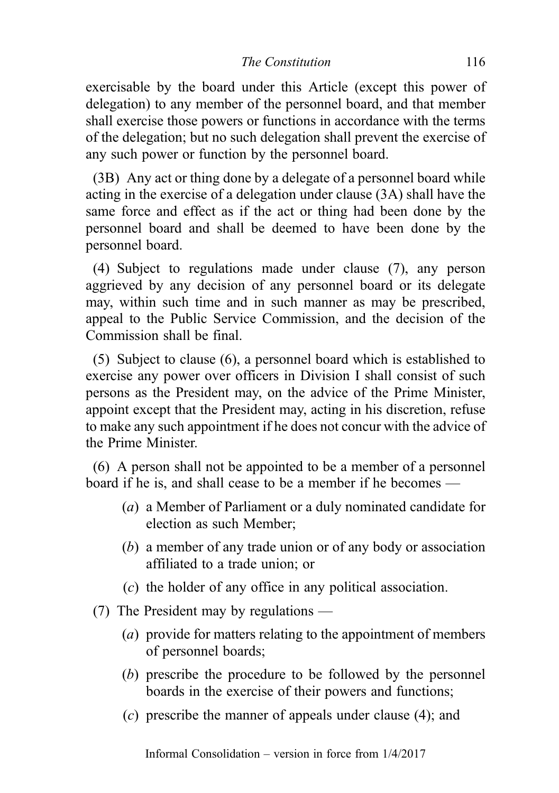exercisable by the board under this Article (except this power of delegation) to any member of the personnel board, and that member shall exercise those powers or functions in accordance with the terms of the delegation; but no such delegation shall prevent the exercise of any such power or function by the personnel board.

(3B) Any act or thing done by a delegate of a personnel board while acting in the exercise of a delegation under clause (3A) shall have the same force and effect as if the act or thing had been done by the personnel board and shall be deemed to have been done by the personnel board.

(4) Subject to regulations made under clause (7), any person aggrieved by any decision of any personnel board or its delegate may, within such time and in such manner as may be prescribed, appeal to the Public Service Commission, and the decision of the Commission shall be final.

(5) Subject to clause (6), a personnel board which is established to exercise any power over officers in Division I shall consist of such persons as the President may, on the advice of the Prime Minister, appoint except that the President may, acting in his discretion, refuse to make any such appointment if he does not concur with the advice of the Prime Minister.

(6) A person shall not be appointed to be a member of a personnel board if he is, and shall cease to be a member if he becomes —

- (a) a Member of Parliament or a duly nominated candidate for election as such Member;
- (b) a member of any trade union or of any body or association affiliated to a trade union; or
- (c) the holder of any office in any political association.
- (7) The President may by regulations
	- (a) provide for matters relating to the appointment of members of personnel boards;
	- (b) prescribe the procedure to be followed by the personnel boards in the exercise of their powers and functions;
	- (c) prescribe the manner of appeals under clause (4); and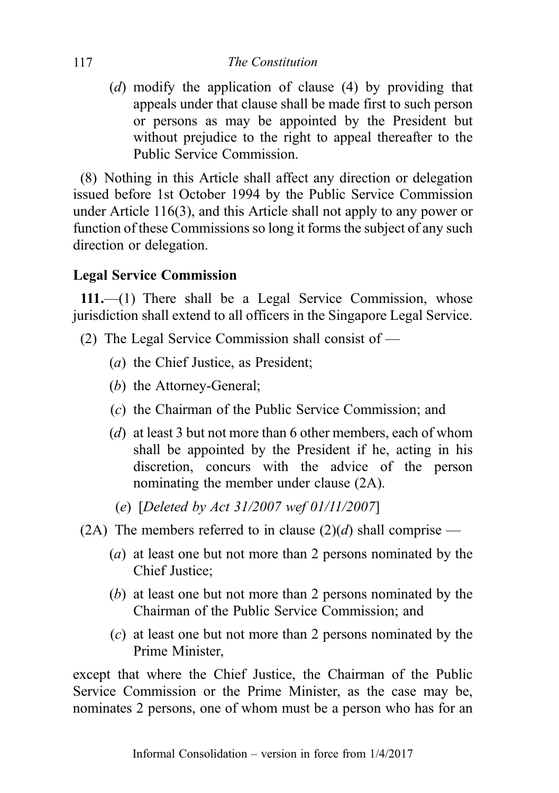#### *The Constitution*

(d) modify the application of clause (4) by providing that appeals under that clause shall be made first to such person or persons as may be appointed by the President but without prejudice to the right to appeal thereafter to the Public Service Commission.

(8) Nothing in this Article shall affect any direction or delegation issued before 1st October 1994 by the Public Service Commission under Article 116(3), and this Article shall not apply to any power or function of these Commissions so long it forms the subject of any such direction or delegation.

# Legal Service Commission

111.—(1) There shall be a Legal Service Commission, whose jurisdiction shall extend to all officers in the Singapore Legal Service.

- (2) The Legal Service Commission shall consist of
	- (a) the Chief Justice, as President;
	- (b) the Attorney-General;
	- (c) the Chairman of the Public Service Commission; and
	- (d) at least 3 but not more than 6 other members, each of whom shall be appointed by the President if he, acting in his discretion, concurs with the advice of the person nominating the member under clause (2A).
	- (e) [Deleted by Act 31/2007 wef 01/11/2007]
- (2A) The members referred to in clause (2)(d) shall comprise
	- (a) at least one but not more than 2 persons nominated by the Chief Justice;
	- (b) at least one but not more than 2 persons nominated by the Chairman of the Public Service Commission; and
	- (c) at least one but not more than 2 persons nominated by the Prime Minister,

except that where the Chief Justice, the Chairman of the Public Service Commission or the Prime Minister, as the case may be, nominates 2 persons, one of whom must be a person who has for an

117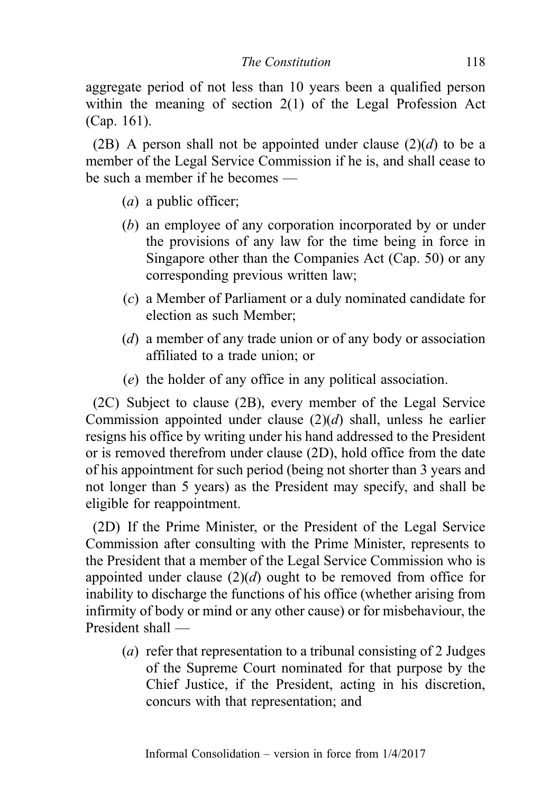aggregate period of not less than 10 years been a qualified person within the meaning of section 2(1) of the Legal Profession Act (Cap. 161).

(2B) A person shall not be appointed under clause  $(2)(d)$  to be a member of the Legal Service Commission if he is, and shall cease to be such a member if he becomes —

- (a) a public officer;
- (b) an employee of any corporation incorporated by or under the provisions of any law for the time being in force in Singapore other than the Companies Act (Cap. 50) or any corresponding previous written law;
- (c) a Member of Parliament or a duly nominated candidate for election as such Member;
- (d) a member of any trade union or of any body or association affiliated to a trade union; or
- (e) the holder of any office in any political association.

(2C) Subject to clause (2B), every member of the Legal Service Commission appointed under clause  $(2)(d)$  shall, unless he earlier resigns his office by writing under his hand addressed to the President or is removed therefrom under clause (2D), hold office from the date of his appointment for such period (being not shorter than 3 years and not longer than 5 years) as the President may specify, and shall be eligible for reappointment.

(2D) If the Prime Minister, or the President of the Legal Service Commission after consulting with the Prime Minister, represents to the President that a member of the Legal Service Commission who is appointed under clause  $(2)(d)$  ought to be removed from office for inability to discharge the functions of his office (whether arising from infirmity of body or mind or any other cause) or for misbehaviour, the President shall —

(a) refer that representation to a tribunal consisting of 2 Judges of the Supreme Court nominated for that purpose by the Chief Justice, if the President, acting in his discretion, concurs with that representation; and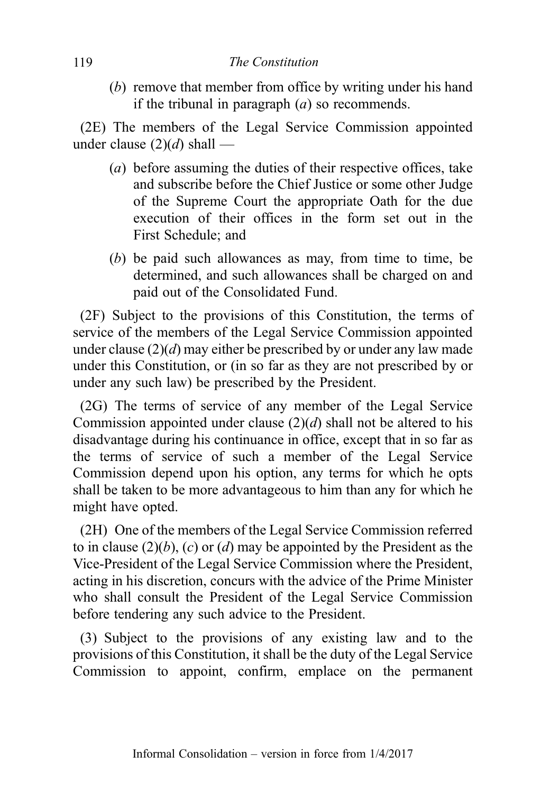(b) remove that member from office by writing under his hand if the tribunal in paragraph  $(a)$  so recommends.

(2E) The members of the Legal Service Commission appointed under clause  $(2)(d)$  shall —

- (a) before assuming the duties of their respective offices, take and subscribe before the Chief Justice or some other Judge of the Supreme Court the appropriate Oath for the due execution of their offices in the form set out in the First Schedule; and
- (b) be paid such allowances as may, from time to time, be determined, and such allowances shall be charged on and paid out of the Consolidated Fund.

(2F) Subject to the provisions of this Constitution, the terms of service of the members of the Legal Service Commission appointed under clause  $(2)(d)$  may either be prescribed by or under any law made under this Constitution, or (in so far as they are not prescribed by or under any such law) be prescribed by the President.

(2G) The terms of service of any member of the Legal Service Commission appointed under clause  $(2)(d)$  shall not be altered to his disadvantage during his continuance in office, except that in so far as the terms of service of such a member of the Legal Service Commission depend upon his option, any terms for which he opts shall be taken to be more advantageous to him than any for which he might have opted.

(2H) One of the members of the Legal Service Commission referred to in clause  $(2)(b)$ ,  $(c)$  or  $(d)$  may be appointed by the President as the Vice-President of the Legal Service Commission where the President, acting in his discretion, concurs with the advice of the Prime Minister who shall consult the President of the Legal Service Commission before tendering any such advice to the President.

(3) Subject to the provisions of any existing law and to the provisions of this Constitution, it shall be the duty of the Legal Service Commission to appoint, confirm, emplace on the permanent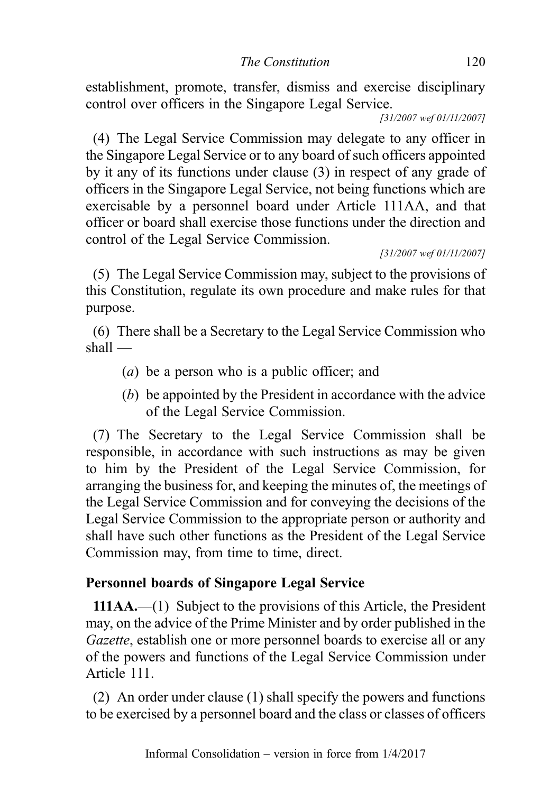establishment, promote, transfer, dismiss and exercise disciplinary control over officers in the Singapore Legal Service.

[31/2007 wef 01/11/2007]

(4) The Legal Service Commission may delegate to any officer in the Singapore Legal Service or to any board of such officers appointed by it any of its functions under clause (3) in respect of any grade of officers in the Singapore Legal Service, not being functions which are exercisable by a personnel board under Article 111AA, and that officer or board shall exercise those functions under the direction and control of the Legal Service Commission.

[31/2007 wef 01/11/2007]

(5) The Legal Service Commission may, subject to the provisions of this Constitution, regulate its own procedure and make rules for that purpose.

(6) There shall be a Secretary to the Legal Service Commission who shall —

- (a) be a person who is a public officer; and
- (b) be appointed by the President in accordance with the advice of the Legal Service Commission.

(7) The Secretary to the Legal Service Commission shall be responsible, in accordance with such instructions as may be given to him by the President of the Legal Service Commission, for arranging the business for, and keeping the minutes of, the meetings of the Legal Service Commission and for conveying the decisions of the Legal Service Commission to the appropriate person or authority and shall have such other functions as the President of the Legal Service Commission may, from time to time, direct.

# Personnel boards of Singapore Legal Service

111AA.—(1) Subject to the provisions of this Article, the President may, on the advice of the Prime Minister and by order published in the Gazette, establish one or more personnel boards to exercise all or any of the powers and functions of the Legal Service Commission under Article 111.

(2) An order under clause (1) shall specify the powers and functions to be exercised by a personnel board and the class or classes of officers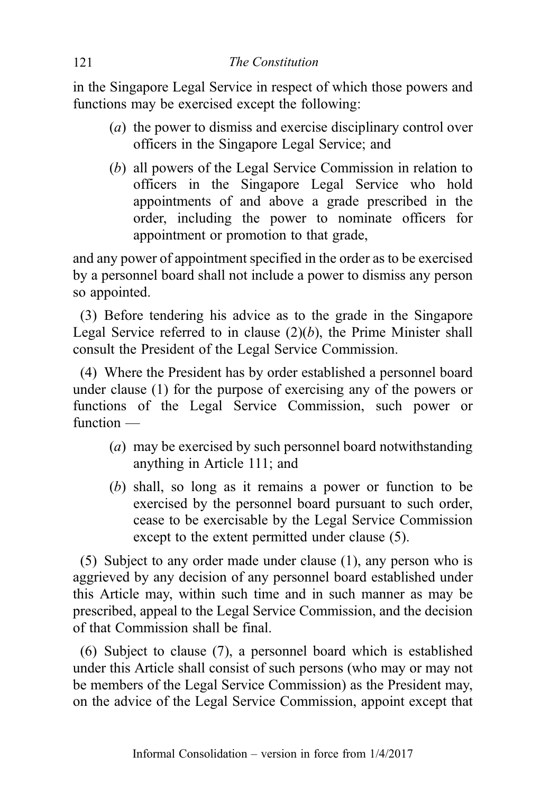in the Singapore Legal Service in respect of which those powers and functions may be exercised except the following:

- (a) the power to dismiss and exercise disciplinary control over officers in the Singapore Legal Service; and
- (b) all powers of the Legal Service Commission in relation to officers in the Singapore Legal Service who hold appointments of and above a grade prescribed in the order, including the power to nominate officers for appointment or promotion to that grade,

and any power of appointment specified in the order as to be exercised by a personnel board shall not include a power to dismiss any person so appointed.

(3) Before tendering his advice as to the grade in the Singapore Legal Service referred to in clause  $(2)(b)$ , the Prime Minister shall consult the President of the Legal Service Commission.

(4) Where the President has by order established a personnel board under clause (1) for the purpose of exercising any of the powers or functions of the Legal Service Commission, such power or function —

- (a) may be exercised by such personnel board notwithstanding anything in Article 111; and
- (b) shall, so long as it remains a power or function to be exercised by the personnel board pursuant to such order, cease to be exercisable by the Legal Service Commission except to the extent permitted under clause (5).

(5) Subject to any order made under clause (1), any person who is aggrieved by any decision of any personnel board established under this Article may, within such time and in such manner as may be prescribed, appeal to the Legal Service Commission, and the decision of that Commission shall be final.

(6) Subject to clause (7), a personnel board which is established under this Article shall consist of such persons (who may or may not be members of the Legal Service Commission) as the President may, on the advice of the Legal Service Commission, appoint except that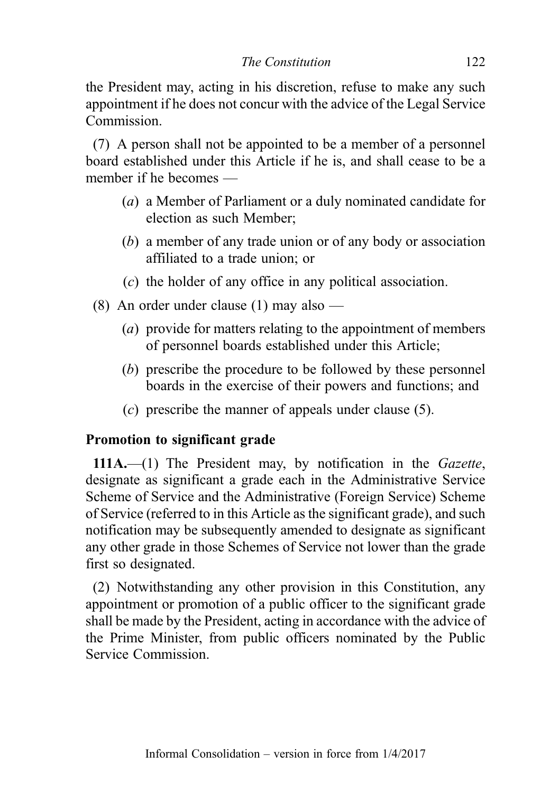the President may, acting in his discretion, refuse to make any such appointment if he does not concur with the advice of the Legal Service Commission.

(7) A person shall not be appointed to be a member of a personnel board established under this Article if he is, and shall cease to be a member if he becomes -

- (a) a Member of Parliament or a duly nominated candidate for election as such Member;
- (b) a member of any trade union or of any body or association affiliated to a trade union; or
- (c) the holder of any office in any political association.
- (8) An order under clause (1) may also
	- (a) provide for matters relating to the appointment of members of personnel boards established under this Article;
	- (b) prescribe the procedure to be followed by these personnel boards in the exercise of their powers and functions; and
	- (c) prescribe the manner of appeals under clause (5).

### Promotion to significant grade

111A.—(1) The President may, by notification in the *Gazette*, designate as significant a grade each in the Administrative Service Scheme of Service and the Administrative (Foreign Service) Scheme of Service (referred to in this Article as the significant grade), and such notification may be subsequently amended to designate as significant any other grade in those Schemes of Service not lower than the grade first so designated.

(2) Notwithstanding any other provision in this Constitution, any appointment or promotion of a public officer to the significant grade shall be made by the President, acting in accordance with the advice of the Prime Minister, from public officers nominated by the Public Service Commission.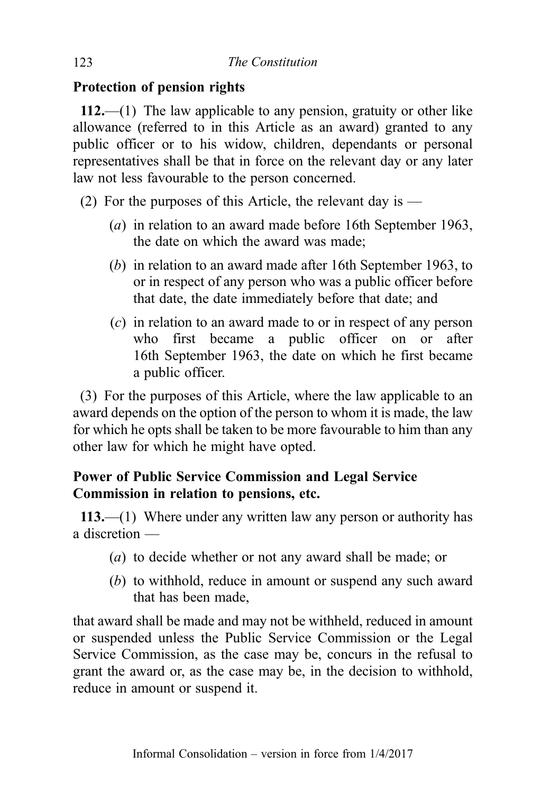## Protection of pension rights

112.—(1) The law applicable to any pension, gratuity or other like allowance (referred to in this Article as an award) granted to any public officer or to his widow, children, dependants or personal representatives shall be that in force on the relevant day or any later law not less favourable to the person concerned.

- (2) For the purposes of this Article, the relevant day is  $-$ 
	- (a) in relation to an award made before 16th September 1963, the date on which the award was made;
	- (b) in relation to an award made after 16th September 1963, to or in respect of any person who was a public officer before that date, the date immediately before that date; and
	- (c) in relation to an award made to or in respect of any person who first became a public officer on or after 16th September 1963, the date on which he first became a public officer.

(3) For the purposes of this Article, where the law applicable to an award depends on the option of the person to whom it is made, the law for which he opts shall be taken to be more favourable to him than any other law for which he might have opted.

## Power of Public Service Commission and Legal Service Commission in relation to pensions, etc.

113.—(1) Where under any written law any person or authority has a discretion —

- (a) to decide whether or not any award shall be made; or
- (b) to withhold, reduce in amount or suspend any such award that has been made,

that award shall be made and may not be withheld, reduced in amount or suspended unless the Public Service Commission or the Legal Service Commission, as the case may be, concurs in the refusal to grant the award or, as the case may be, in the decision to withhold, reduce in amount or suspend it.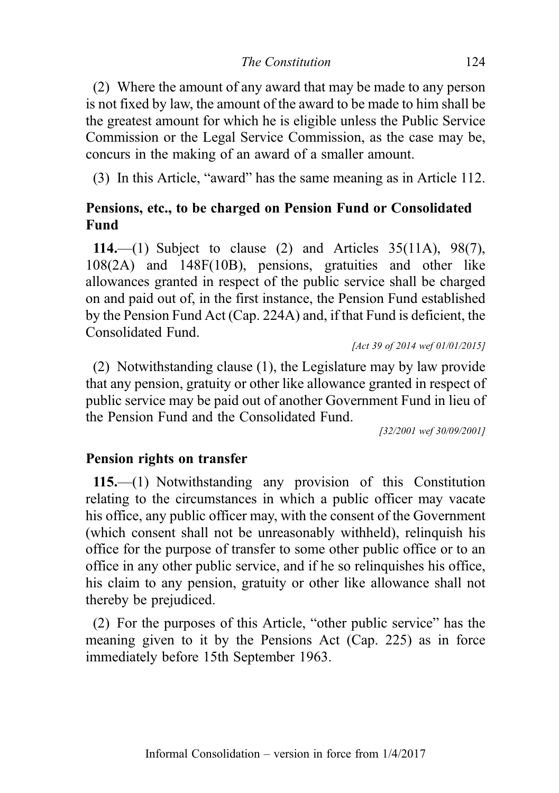(2) Where the amount of any award that may be made to any person is not fixed by law, the amount of the award to be made to him shall be the greatest amount for which he is eligible unless the Public Service Commission or the Legal Service Commission, as the case may be, concurs in the making of an award of a smaller amount.

(3) In this Article, "award" has the same meaning as in Article 112.

### Pensions, etc., to be charged on Pension Fund or Consolidated Fund

114.—(1) Subject to clause (2) and Articles 35(11A), 98(7), 108(2A) and 148F(10B), pensions, gratuities and other like allowances granted in respect of the public service shall be charged on and paid out of, in the first instance, the Pension Fund established by the Pension Fund Act (Cap. 224A) and, if that Fund is deficient, the Consolidated Fund.

[Act 39 of 2014 wef 01/01/2015]

(2) Notwithstanding clause (1), the Legislature may by law provide that any pension, gratuity or other like allowance granted in respect of public service may be paid out of another Government Fund in lieu of the Pension Fund and the Consolidated Fund.

[32/2001 wef 30/09/2001]

#### Pension rights on transfer

115.—(1) Notwithstanding any provision of this Constitution relating to the circumstances in which a public officer may vacate his office, any public officer may, with the consent of the Government (which consent shall not be unreasonably withheld), relinquish his office for the purpose of transfer to some other public office or to an office in any other public service, and if he so relinquishes his office, his claim to any pension, gratuity or other like allowance shall not thereby be prejudiced.

(2) For the purposes of this Article, "other public service" has the meaning given to it by the Pensions Act (Cap. 225) as in force immediately before 15th September 1963.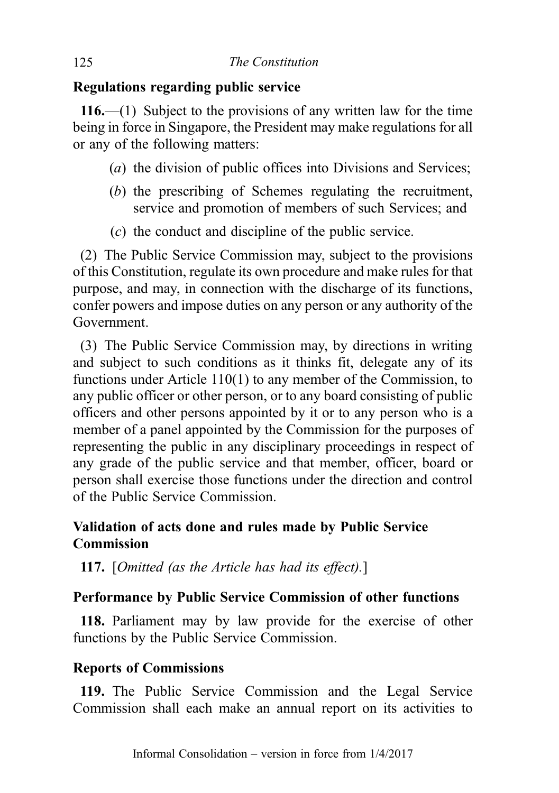### Regulations regarding public service

116.—(1) Subject to the provisions of any written law for the time being in force in Singapore, the President may make regulations for all or any of the following matters:

- (a) the division of public offices into Divisions and Services;
- (b) the prescribing of Schemes regulating the recruitment, service and promotion of members of such Services; and
- (c) the conduct and discipline of the public service.

(2) The Public Service Commission may, subject to the provisions of this Constitution, regulate its own procedure and make rules for that purpose, and may, in connection with the discharge of its functions, confer powers and impose duties on any person or any authority of the Government.

(3) The Public Service Commission may, by directions in writing and subject to such conditions as it thinks fit, delegate any of its functions under Article 110(1) to any member of the Commission, to any public officer or other person, or to any board consisting of public officers and other persons appointed by it or to any person who is a member of a panel appointed by the Commission for the purposes of representing the public in any disciplinary proceedings in respect of any grade of the public service and that member, officer, board or person shall exercise those functions under the direction and control of the Public Service Commission.

## Validation of acts done and rules made by Public Service **Commission**

117. [Omitted (as the Article has had its effect).]

### Performance by Public Service Commission of other functions

118. Parliament may by law provide for the exercise of other functions by the Public Service Commission.

#### Reports of Commissions

119. The Public Service Commission and the Legal Service Commission shall each make an annual report on its activities to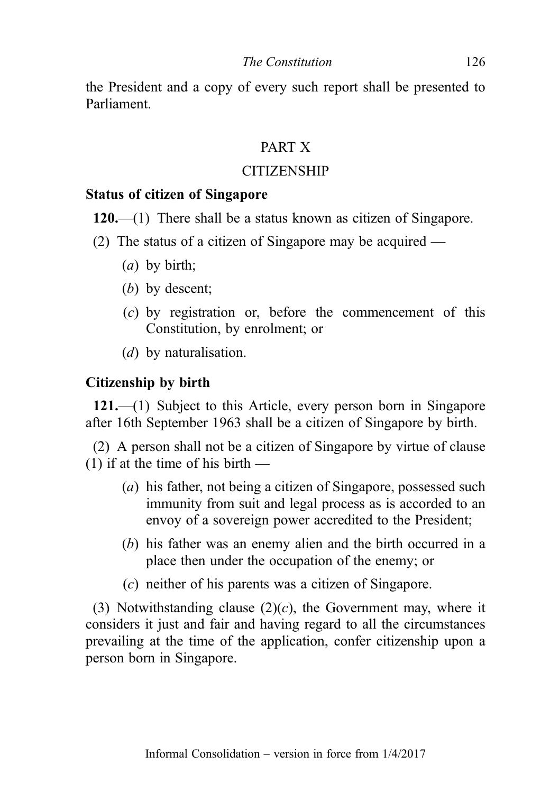the President and a copy of every such report shall be presented to Parliament.

#### PART X

#### **CITIZENSHIP**

#### Status of citizen of Singapore

120.—(1) There shall be a status known as citizen of Singapore.

- (2) The status of a citizen of Singapore may be acquired
	- (a) by birth;
	- (b) by descent;
	- (c) by registration or, before the commencement of this Constitution, by enrolment; or
	- (*d*) by naturalisation.

#### Citizenship by birth

121.—(1) Subject to this Article, every person born in Singapore after 16th September 1963 shall be a citizen of Singapore by birth.

(2) A person shall not be a citizen of Singapore by virtue of clause (1) if at the time of his birth  $-$ 

- (a) his father, not being a citizen of Singapore, possessed such immunity from suit and legal process as is accorded to an envoy of a sovereign power accredited to the President;
- (b) his father was an enemy alien and the birth occurred in a place then under the occupation of the enemy; or
- (c) neither of his parents was a citizen of Singapore.

(3) Notwithstanding clause  $(2)(c)$ , the Government may, where it considers it just and fair and having regard to all the circumstances prevailing at the time of the application, confer citizenship upon a person born in Singapore.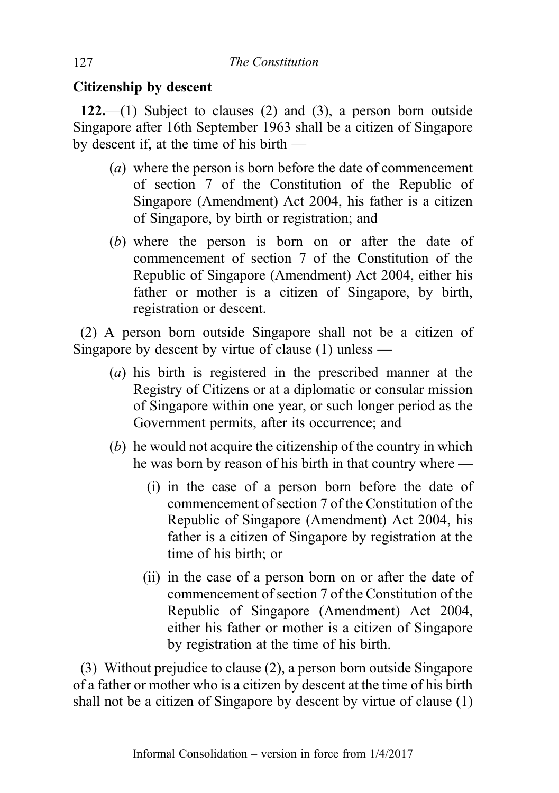## Citizenship by descent

122.—(1) Subject to clauses  $(2)$  and  $(3)$ , a person born outside Singapore after 16th September 1963 shall be a citizen of Singapore by descent if, at the time of his birth —

- (a) where the person is born before the date of commencement of section 7 of the Constitution of the Republic of Singapore (Amendment) Act 2004, his father is a citizen of Singapore, by birth or registration; and
- (b) where the person is born on or after the date of commencement of section 7 of the Constitution of the Republic of Singapore (Amendment) Act 2004, either his father or mother is a citizen of Singapore, by birth, registration or descent.

(2) A person born outside Singapore shall not be a citizen of Singapore by descent by virtue of clause (1) unless —

- (a) his birth is registered in the prescribed manner at the Registry of Citizens or at a diplomatic or consular mission of Singapore within one year, or such longer period as the Government permits, after its occurrence; and
- (b) he would not acquire the citizenship of the country in which he was born by reason of his birth in that country where —
	- (i) in the case of a person born before the date of commencement of section 7 of the Constitution of the Republic of Singapore (Amendment) Act 2004, his father is a citizen of Singapore by registration at the time of his birth; or
	- (ii) in the case of a person born on or after the date of commencement of section 7 of the Constitution of the Republic of Singapore (Amendment) Act 2004, either his father or mother is a citizen of Singapore by registration at the time of his birth.

(3) Without prejudice to clause (2), a person born outside Singapore of a father or mother who is a citizen by descent at the time of his birth shall not be a citizen of Singapore by descent by virtue of clause (1)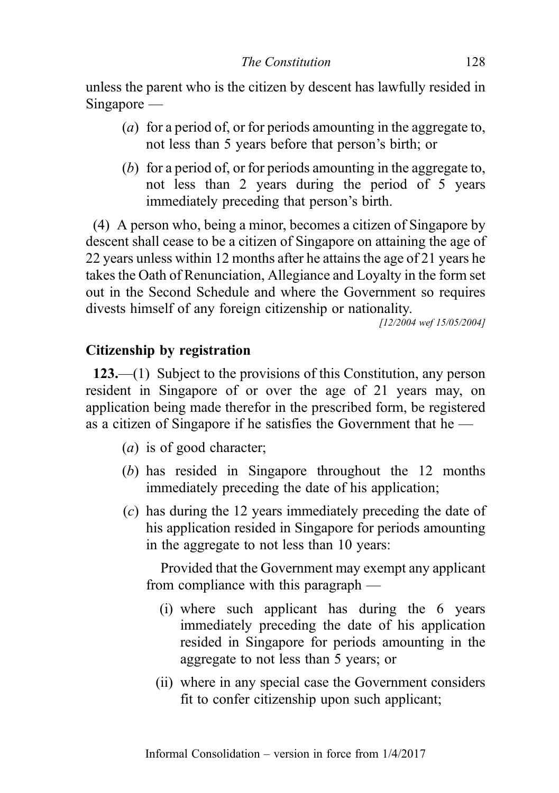unless the parent who is the citizen by descent has lawfully resided in Singapore —

- (a) for a period of, or for periods amounting in the aggregate to, not less than 5 years before that person's birth; or
- (b) for a period of, or for periods amounting in the aggregate to, not less than 2 years during the period of 5 years immediately preceding that person's birth.

(4) A person who, being a minor, becomes a citizen of Singapore by descent shall cease to be a citizen of Singapore on attaining the age of 22 years unless within 12 months after he attains the age of 21 years he takes the Oath of Renunciation, Allegiance and Loyalty in the form set out in the Second Schedule and where the Government so requires divests himself of any foreign citizenship or nationality.

[12/2004 wef 15/05/2004]

#### Citizenship by registration

123.—(1) Subject to the provisions of this Constitution, any person resident in Singapore of or over the age of 21 years may, on application being made therefor in the prescribed form, be registered as a citizen of Singapore if he satisfies the Government that he  $-$ 

- (a) is of good character;
- (b) has resided in Singapore throughout the 12 months immediately preceding the date of his application;
- (c) has during the 12 years immediately preceding the date of his application resided in Singapore for periods amounting in the aggregate to not less than 10 years:

Provided that the Government may exempt any applicant from compliance with this paragraph —

- (i) where such applicant has during the 6 years immediately preceding the date of his application resided in Singapore for periods amounting in the aggregate to not less than 5 years; or
- (ii) where in any special case the Government considers fit to confer citizenship upon such applicant;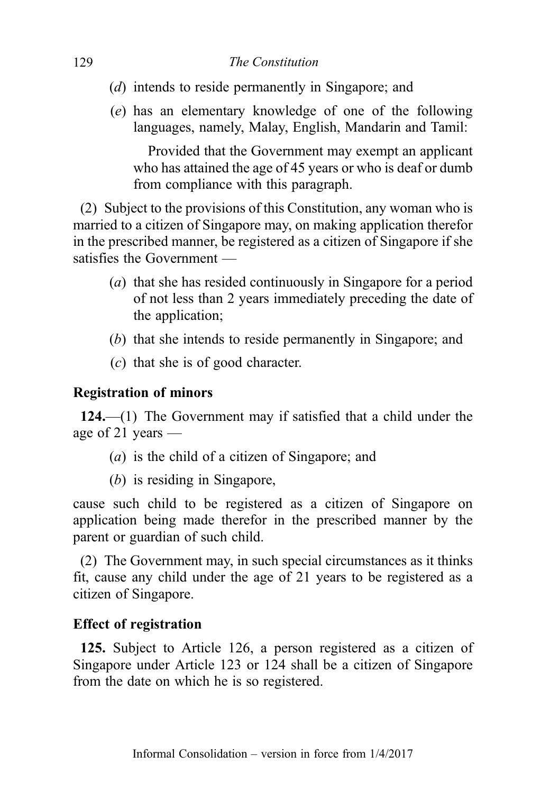- (d) intends to reside permanently in Singapore; and
- (e) has an elementary knowledge of one of the following languages, namely, Malay, English, Mandarin and Tamil:

Provided that the Government may exempt an applicant who has attained the age of 45 years or who is deaf or dumb from compliance with this paragraph.

(2) Subject to the provisions of this Constitution, any woman who is married to a citizen of Singapore may, on making application therefor in the prescribed manner, be registered as a citizen of Singapore if she satisfies the Government —

- (a) that she has resided continuously in Singapore for a period of not less than 2 years immediately preceding the date of the application;
- (b) that she intends to reside permanently in Singapore; and
- (c) that she is of good character.

## Registration of minors

124.—(1) The Government may if satisfied that a child under the age of 21 years —

- (a) is the child of a citizen of Singapore; and
- (b) is residing in Singapore,

cause such child to be registered as a citizen of Singapore on application being made therefor in the prescribed manner by the parent or guardian of such child.

(2) The Government may, in such special circumstances as it thinks fit, cause any child under the age of 21 years to be registered as a citizen of Singapore.

### Effect of registration

125. Subject to Article 126, a person registered as a citizen of Singapore under Article 123 or 124 shall be a citizen of Singapore from the date on which he is so registered.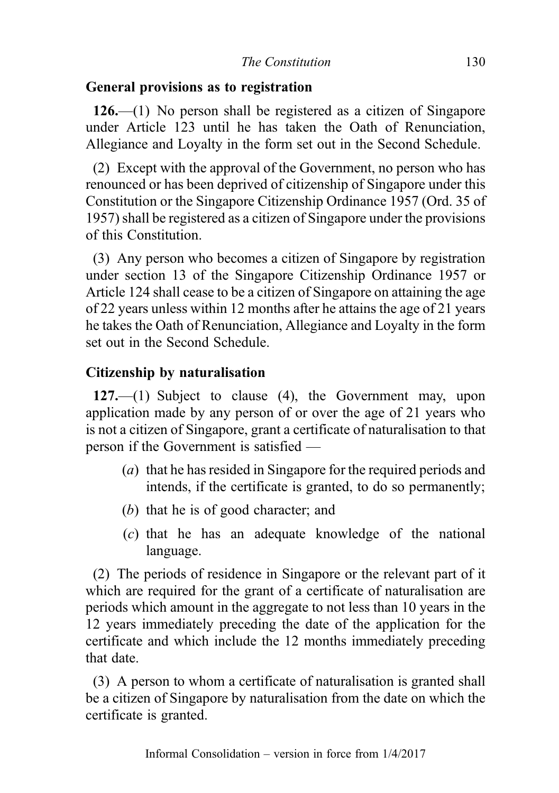### General provisions as to registration

126.—(1) No person shall be registered as a citizen of Singapore under Article 123 until he has taken the Oath of Renunciation, Allegiance and Loyalty in the form set out in the Second Schedule.

(2) Except with the approval of the Government, no person who has renounced or has been deprived of citizenship of Singapore under this Constitution or the Singapore Citizenship Ordinance 1957 (Ord. 35 of 1957) shall be registered as a citizen of Singapore under the provisions of this Constitution.

(3) Any person who becomes a citizen of Singapore by registration under section 13 of the Singapore Citizenship Ordinance 1957 or Article 124 shall cease to be a citizen of Singapore on attaining the age of 22 years unless within 12 months after he attains the age of 21 years he takes the Oath of Renunciation, Allegiance and Loyalty in the form set out in the Second Schedule.

## Citizenship by naturalisation

127.—(1) Subject to clause (4), the Government may, upon application made by any person of or over the age of 21 years who is not a citizen of Singapore, grant a certificate of naturalisation to that person if the Government is satisfied —

- (a) that he has resided in Singapore for the required periods and intends, if the certificate is granted, to do so permanently;
- (b) that he is of good character; and
- (c) that he has an adequate knowledge of the national language.

(2) The periods of residence in Singapore or the relevant part of it which are required for the grant of a certificate of naturalisation are periods which amount in the aggregate to not less than 10 years in the 12 years immediately preceding the date of the application for the certificate and which include the 12 months immediately preceding that date.

(3) A person to whom a certificate of naturalisation is granted shall be a citizen of Singapore by naturalisation from the date on which the certificate is granted.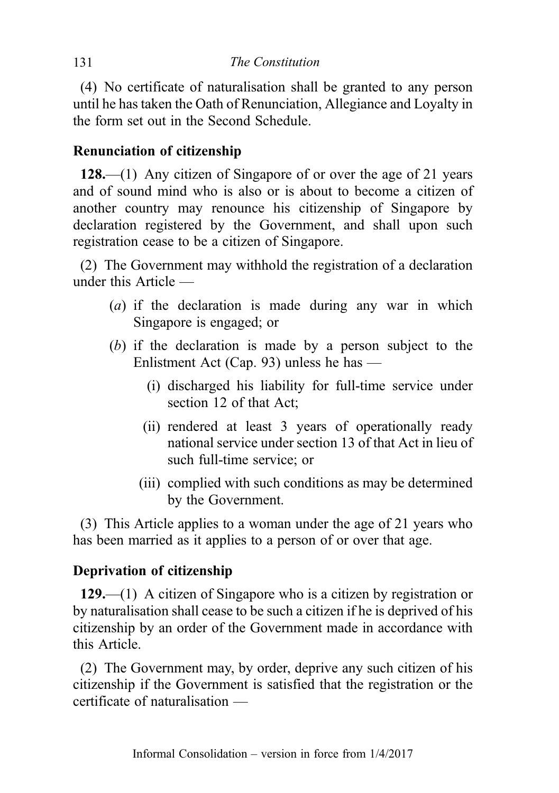(4) No certificate of naturalisation shall be granted to any person until he has taken the Oath of Renunciation, Allegiance and Loyalty in the form set out in the Second Schedule.

## Renunciation of citizenship

128.—(1) Any citizen of Singapore of or over the age of 21 years and of sound mind who is also or is about to become a citizen of another country may renounce his citizenship of Singapore by declaration registered by the Government, and shall upon such registration cease to be a citizen of Singapore.

(2) The Government may withhold the registration of a declaration under this Article —

- (a) if the declaration is made during any war in which Singapore is engaged; or
- (b) if the declaration is made by a person subject to the Enlistment Act (Cap. 93) unless he has —
	- (i) discharged his liability for full-time service under section 12 of that Act;
	- (ii) rendered at least 3 years of operationally ready national service under section 13 of that Act in lieu of such full-time service; or
	- (iii) complied with such conditions as may be determined by the Government.

(3) This Article applies to a woman under the age of 21 years who has been married as it applies to a person of or over that age.

#### Deprivation of citizenship

129.—(1) A citizen of Singapore who is a citizen by registration or by naturalisation shall cease to be such a citizen if he is deprived of his citizenship by an order of the Government made in accordance with this Article.

(2) The Government may, by order, deprive any such citizen of his citizenship if the Government is satisfied that the registration or the certificate of naturalisation —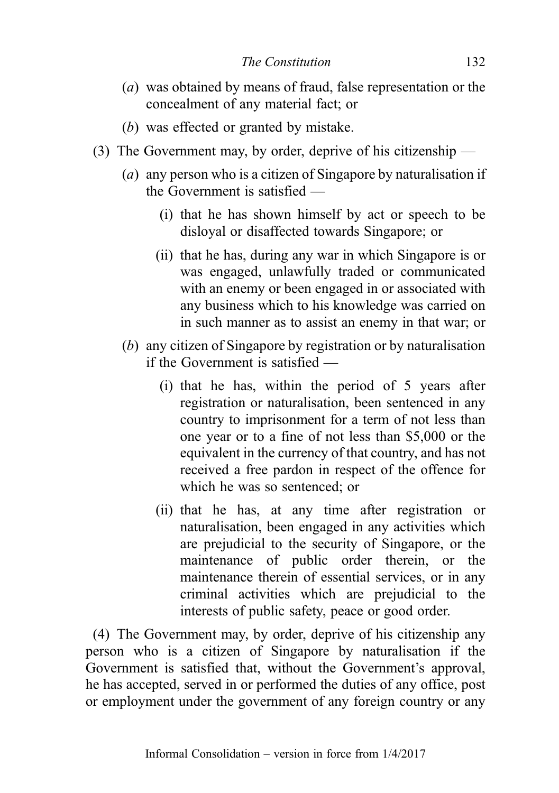- (a) was obtained by means of fraud, false representation or the concealment of any material fact; or
- (b) was effected or granted by mistake.
- (3) The Government may, by order, deprive of his citizenship
	- (a) any person who is a citizen of Singapore by naturalisation if the Government is satisfied —
		- (i) that he has shown himself by act or speech to be disloyal or disaffected towards Singapore; or
		- (ii) that he has, during any war in which Singapore is or was engaged, unlawfully traded or communicated with an enemy or been engaged in or associated with any business which to his knowledge was carried on in such manner as to assist an enemy in that war; or
	- (b) any citizen of Singapore by registration or by naturalisation if the Government is satisfied —
		- (i) that he has, within the period of 5 years after registration or naturalisation, been sentenced in any country to imprisonment for a term of not less than one year or to a fine of not less than \$5,000 or the equivalent in the currency of that country, and has not received a free pardon in respect of the offence for which he was so sentenced; or
		- (ii) that he has, at any time after registration or naturalisation, been engaged in any activities which are prejudicial to the security of Singapore, or the maintenance of public order therein, or the maintenance therein of essential services, or in any criminal activities which are prejudicial to the interests of public safety, peace or good order.

(4) The Government may, by order, deprive of his citizenship any person who is a citizen of Singapore by naturalisation if the Government is satisfied that, without the Government's approval, he has accepted, served in or performed the duties of any office, post or employment under the government of any foreign country or any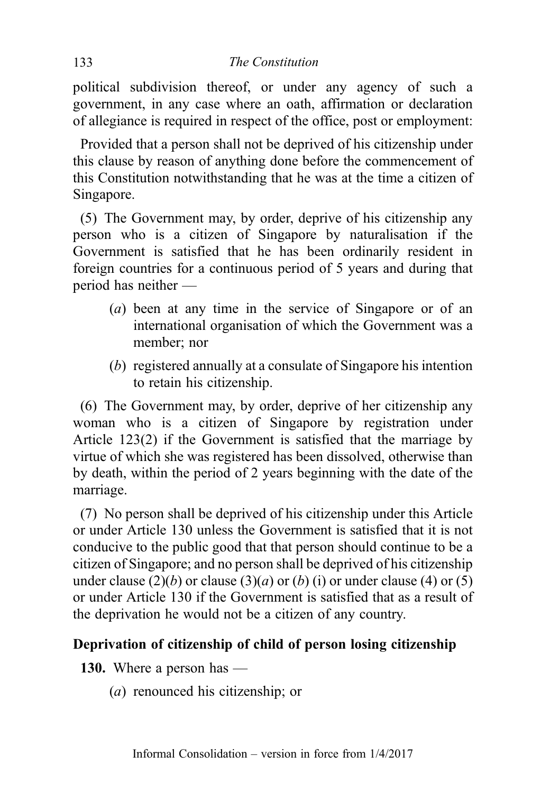political subdivision thereof, or under any agency of such a government, in any case where an oath, affirmation or declaration of allegiance is required in respect of the office, post or employment:

Provided that a person shall not be deprived of his citizenship under this clause by reason of anything done before the commencement of this Constitution notwithstanding that he was at the time a citizen of Singapore.

(5) The Government may, by order, deprive of his citizenship any person who is a citizen of Singapore by naturalisation if the Government is satisfied that he has been ordinarily resident in foreign countries for a continuous period of 5 years and during that period has neither —

- (a) been at any time in the service of Singapore or of an international organisation of which the Government was a member; nor
- (b) registered annually at a consulate of Singapore his intention to retain his citizenship.

(6) The Government may, by order, deprive of her citizenship any woman who is a citizen of Singapore by registration under Article 123(2) if the Government is satisfied that the marriage by virtue of which she was registered has been dissolved, otherwise than by death, within the period of 2 years beginning with the date of the marriage.

(7) No person shall be deprived of his citizenship under this Article or under Article 130 unless the Government is satisfied that it is not conducive to the public good that that person should continue to be a citizen of Singapore; and no person shall be deprived of his citizenship under clause  $(2)(b)$  or clause  $(3)(a)$  or  $(b)$  (i) or under clause (4) or (5) or under Article 130 if the Government is satisfied that as a result of the deprivation he would not be a citizen of any country.

# Deprivation of citizenship of child of person losing citizenship

130. Where a person has —

(a) renounced his citizenship; or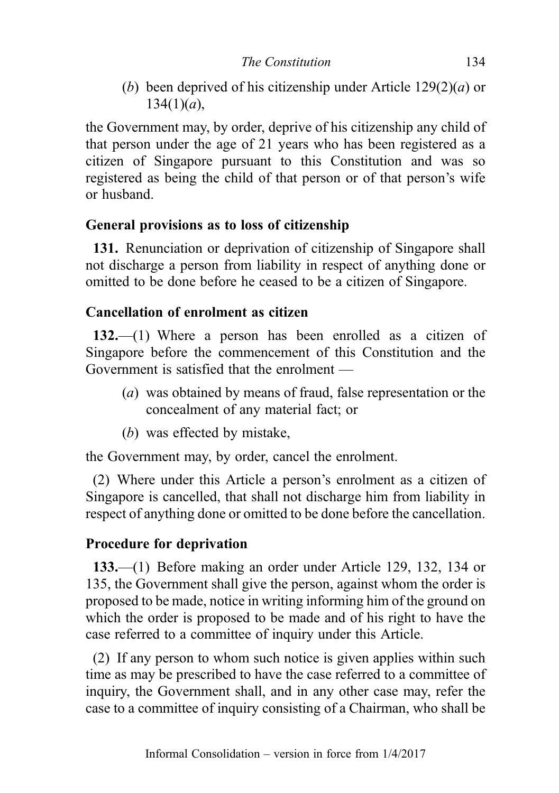(b) been deprived of his citizenship under Article  $129(2)(a)$  or  $134(1)(a)$ ,

the Government may, by order, deprive of his citizenship any child of that person under the age of 21 years who has been registered as a citizen of Singapore pursuant to this Constitution and was so registered as being the child of that person or of that person's wife or husband.

# General provisions as to loss of citizenship

131. Renunciation or deprivation of citizenship of Singapore shall not discharge a person from liability in respect of anything done or omitted to be done before he ceased to be a citizen of Singapore.

## Cancellation of enrolment as citizen

132.—(1) Where a person has been enrolled as a citizen of Singapore before the commencement of this Constitution and the Government is satisfied that the enrolment —

- (a) was obtained by means of fraud, false representation or the concealment of any material fact; or
- (b) was effected by mistake,

the Government may, by order, cancel the enrolment.

(2) Where under this Article a person's enrolment as a citizen of Singapore is cancelled, that shall not discharge him from liability in respect of anything done or omitted to be done before the cancellation.

# Procedure for deprivation

133.—(1) Before making an order under Article 129, 132, 134 or 135, the Government shall give the person, against whom the order is proposed to be made, notice in writing informing him of the ground on which the order is proposed to be made and of his right to have the case referred to a committee of inquiry under this Article.

(2) If any person to whom such notice is given applies within such time as may be prescribed to have the case referred to a committee of inquiry, the Government shall, and in any other case may, refer the case to a committee of inquiry consisting of a Chairman, who shall be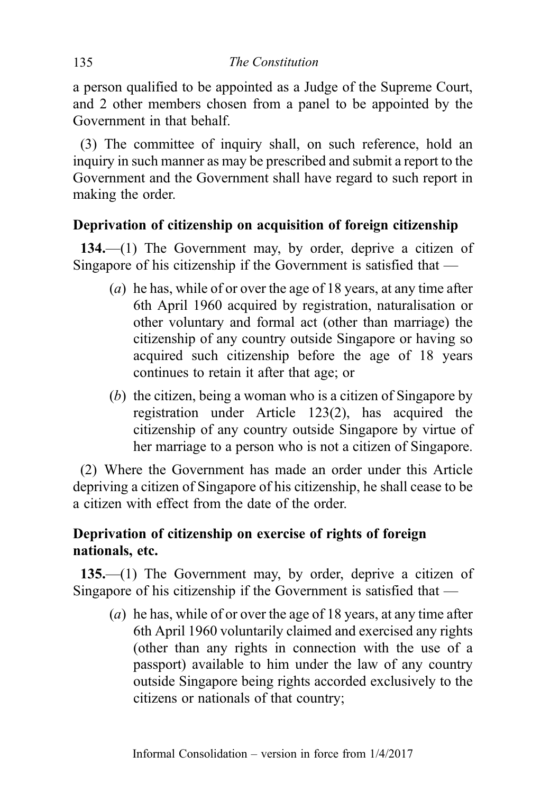a person qualified to be appointed as a Judge of the Supreme Court, and 2 other members chosen from a panel to be appointed by the Government in that behalf.

(3) The committee of inquiry shall, on such reference, hold an inquiry in such manner as may be prescribed and submit a report to the Government and the Government shall have regard to such report in making the order.

## Deprivation of citizenship on acquisition of foreign citizenship

134.—(1) The Government may, by order, deprive a citizen of Singapore of his citizenship if the Government is satisfied that —

- (a) he has, while of or over the age of 18 years, at any time after 6th April 1960 acquired by registration, naturalisation or other voluntary and formal act (other than marriage) the citizenship of any country outside Singapore or having so acquired such citizenship before the age of 18 years continues to retain it after that age; or
- (b) the citizen, being a woman who is a citizen of Singapore by registration under Article 123(2), has acquired the citizenship of any country outside Singapore by virtue of her marriage to a person who is not a citizen of Singapore.

(2) Where the Government has made an order under this Article depriving a citizen of Singapore of his citizenship, he shall cease to be a citizen with effect from the date of the order.

## Deprivation of citizenship on exercise of rights of foreign nationals, etc.

135.—(1) The Government may, by order, deprive a citizen of Singapore of his citizenship if the Government is satisfied that —

(a) he has, while of or over the age of 18 years, at any time after 6th April 1960 voluntarily claimed and exercised any rights (other than any rights in connection with the use of a passport) available to him under the law of any country outside Singapore being rights accorded exclusively to the citizens or nationals of that country;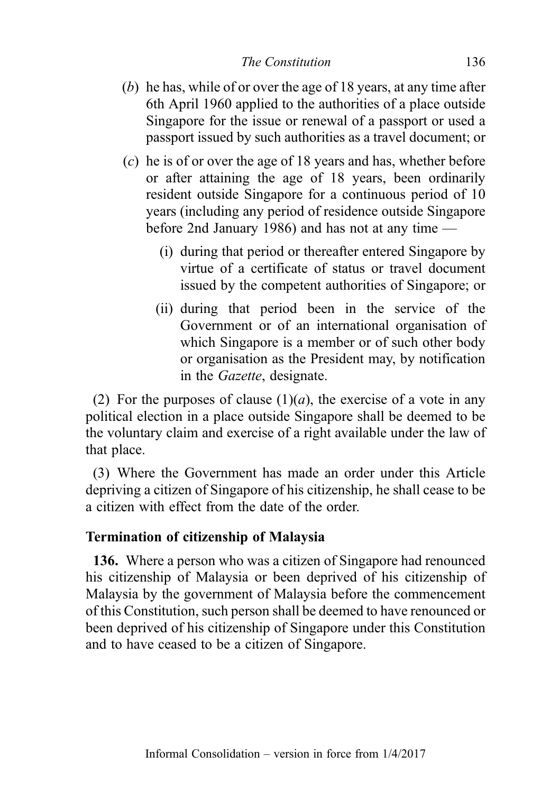- (b) he has, while of or over the age of 18 years, at any time after 6th April 1960 applied to the authorities of a place outside Singapore for the issue or renewal of a passport or used a passport issued by such authorities as a travel document; or
- (c) he is of or over the age of 18 years and has, whether before or after attaining the age of 18 years, been ordinarily resident outside Singapore for a continuous period of 10 years (including any period of residence outside Singapore before 2nd January 1986) and has not at any time —
	- (i) during that period or thereafter entered Singapore by virtue of a certificate of status or travel document issued by the competent authorities of Singapore; or
	- (ii) during that period been in the service of the Government or of an international organisation of which Singapore is a member or of such other body or organisation as the President may, by notification in the *Gazette*, designate.

(2) For the purposes of clause  $(1)(a)$ , the exercise of a vote in any political election in a place outside Singapore shall be deemed to be the voluntary claim and exercise of a right available under the law of that place.

(3) Where the Government has made an order under this Article depriving a citizen of Singapore of his citizenship, he shall cease to be a citizen with effect from the date of the order.

#### Termination of citizenship of Malaysia

136. Where a person who was a citizen of Singapore had renounced his citizenship of Malaysia or been deprived of his citizenship of Malaysia by the government of Malaysia before the commencement of this Constitution, such person shall be deemed to have renounced or been deprived of his citizenship of Singapore under this Constitution and to have ceased to be a citizen of Singapore.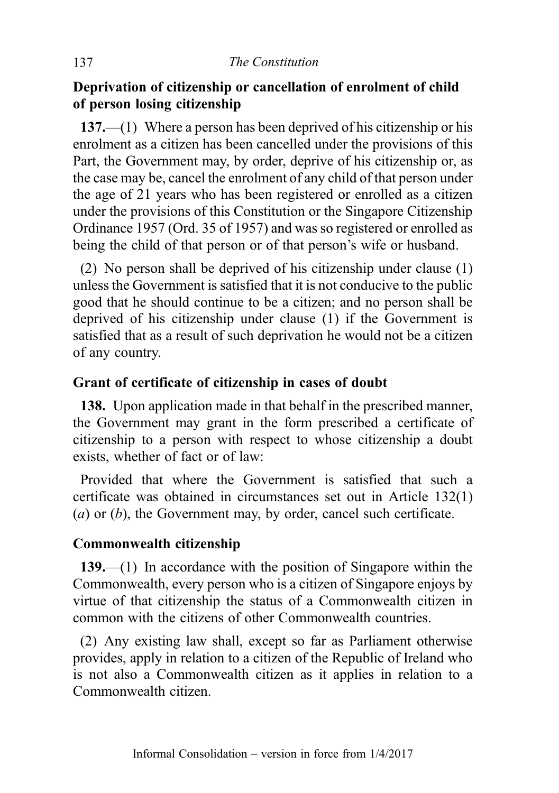## Deprivation of citizenship or cancellation of enrolment of child of person losing citizenship

137.—(1) Where a person has been deprived of his citizenship or his enrolment as a citizen has been cancelled under the provisions of this Part, the Government may, by order, deprive of his citizenship or, as the case may be, cancel the enrolment of any child of that person under the age of 21 years who has been registered or enrolled as a citizen under the provisions of this Constitution or the Singapore Citizenship Ordinance 1957 (Ord. 35 of 1957) and was so registered or enrolled as being the child of that person or of that person's wife or husband.

(2) No person shall be deprived of his citizenship under clause (1) unless the Government is satisfied that it is not conducive to the public good that he should continue to be a citizen; and no person shall be deprived of his citizenship under clause (1) if the Government is satisfied that as a result of such deprivation he would not be a citizen of any country.

## Grant of certificate of citizenship in cases of doubt

138. Upon application made in that behalf in the prescribed manner, the Government may grant in the form prescribed a certificate of citizenship to a person with respect to whose citizenship a doubt exists, whether of fact or of law:

Provided that where the Government is satisfied that such a certificate was obtained in circumstances set out in Article 132(1)  $(a)$  or  $(b)$ , the Government may, by order, cancel such certificate.

## Commonwealth citizenship

139.—(1) In accordance with the position of Singapore within the Commonwealth, every person who is a citizen of Singapore enjoys by virtue of that citizenship the status of a Commonwealth citizen in common with the citizens of other Commonwealth countries.

(2) Any existing law shall, except so far as Parliament otherwise provides, apply in relation to a citizen of the Republic of Ireland who is not also a Commonwealth citizen as it applies in relation to a Commonwealth citizen.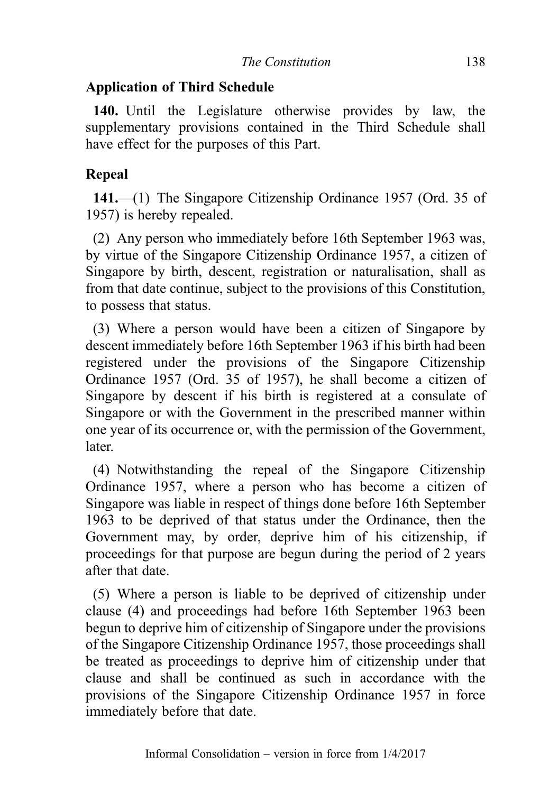## Application of Third Schedule

140. Until the Legislature otherwise provides by law, the supplementary provisions contained in the Third Schedule shall have effect for the purposes of this Part.

## Repeal

141.—(1) The Singapore Citizenship Ordinance 1957 (Ord. 35 of 1957) is hereby repealed.

(2) Any person who immediately before 16th September 1963 was, by virtue of the Singapore Citizenship Ordinance 1957, a citizen of Singapore by birth, descent, registration or naturalisation, shall as from that date continue, subject to the provisions of this Constitution, to possess that status.

(3) Where a person would have been a citizen of Singapore by descent immediately before 16th September 1963 if his birth had been registered under the provisions of the Singapore Citizenship Ordinance 1957 (Ord. 35 of 1957), he shall become a citizen of Singapore by descent if his birth is registered at a consulate of Singapore or with the Government in the prescribed manner within one year of its occurrence or, with the permission of the Government, later.

(4) Notwithstanding the repeal of the Singapore Citizenship Ordinance 1957, where a person who has become a citizen of Singapore was liable in respect of things done before 16th September 1963 to be deprived of that status under the Ordinance, then the Government may, by order, deprive him of his citizenship, if proceedings for that purpose are begun during the period of 2 years after that date.

(5) Where a person is liable to be deprived of citizenship under clause (4) and proceedings had before 16th September 1963 been begun to deprive him of citizenship of Singapore under the provisions of the Singapore Citizenship Ordinance 1957, those proceedings shall be treated as proceedings to deprive him of citizenship under that clause and shall be continued as such in accordance with the provisions of the Singapore Citizenship Ordinance 1957 in force immediately before that date.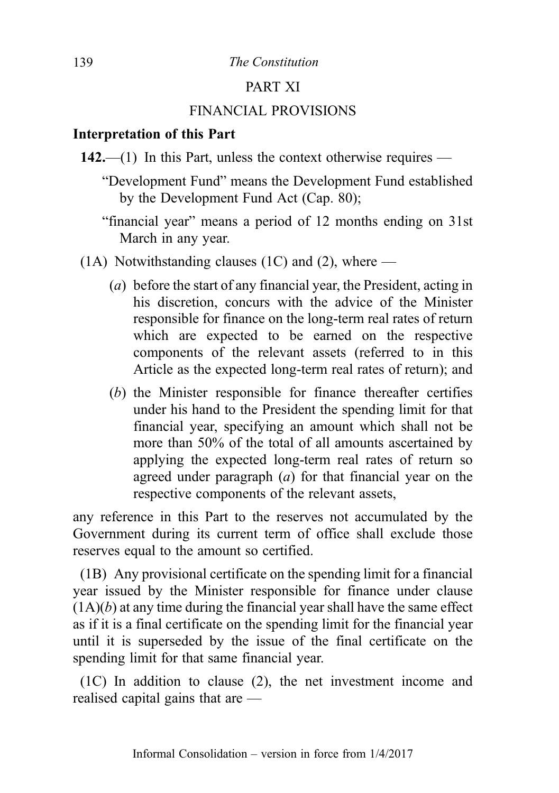#### PART XI

### FINANCIAL PROVISIONS

#### Interpretation of this Part

- 142.—(1) In this Part, unless the context otherwise requires
	- "Development Fund" means the Development Fund established by the Development Fund Act (Cap. 80);

- (1A) Notwithstanding clauses (1C) and (2), where
	- (a) before the start of any financial year, the President, acting in his discretion, concurs with the advice of the Minister responsible for finance on the long-term real rates of return which are expected to be earned on the respective components of the relevant assets (referred to in this Article as the expected long-term real rates of return); and
	- (b) the Minister responsible for finance thereafter certifies under his hand to the President the spending limit for that financial year, specifying an amount which shall not be more than 50% of the total of all amounts ascertained by applying the expected long-term real rates of return so agreed under paragraph  $(a)$  for that financial year on the respective components of the relevant assets,

any reference in this Part to the reserves not accumulated by the Government during its current term of office shall exclude those reserves equal to the amount so certified.

(1B) Any provisional certificate on the spending limit for a financial year issued by the Minister responsible for finance under clause  $(1A)(b)$  at any time during the financial year shall have the same effect as if it is a final certificate on the spending limit for the financial year until it is superseded by the issue of the final certificate on the spending limit for that same financial year.

(1C) In addition to clause (2), the net investment income and realised capital gains that are —

<sup>&</sup>quot;financial year" means a period of 12 months ending on 31st March in any year.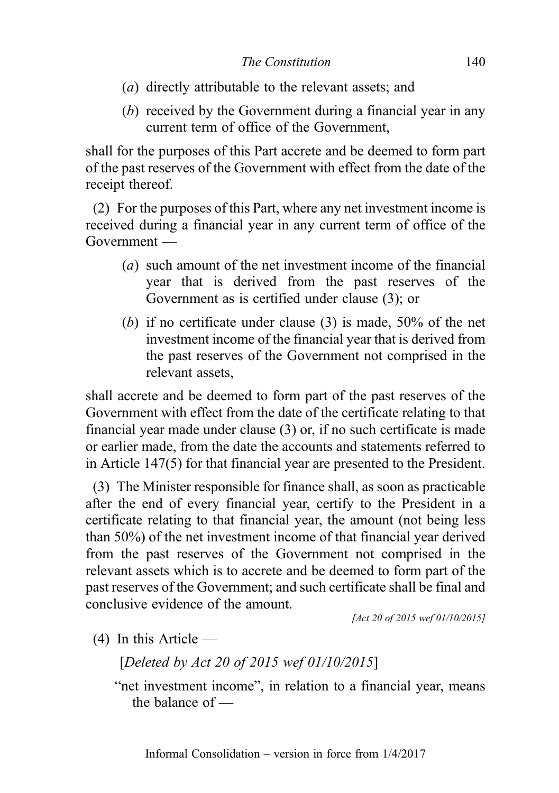- (a) directly attributable to the relevant assets; and
- (b) received by the Government during a financial year in any current term of office of the Government,

shall for the purposes of this Part accrete and be deemed to form part of the past reserves of the Government with effect from the date of the receipt thereof.

(2) For the purposes of this Part, where any net investment income is received during a financial year in any current term of office of the Government —

- (a) such amount of the net investment income of the financial year that is derived from the past reserves of the Government as is certified under clause (3); or
- (b) if no certificate under clause (3) is made, 50% of the net investment income of the financial year that is derived from the past reserves of the Government not comprised in the relevant assets,

shall accrete and be deemed to form part of the past reserves of the Government with effect from the date of the certificate relating to that financial year made under clause (3) or, if no such certificate is made or earlier made, from the date the accounts and statements referred to in Article 147(5) for that financial year are presented to the President.

(3) The Minister responsible for finance shall, as soon as practicable after the end of every financial year, certify to the President in a certificate relating to that financial year, the amount (not being less than 50%) of the net investment income of that financial year derived from the past reserves of the Government not comprised in the relevant assets which is to accrete and be deemed to form part of the past reserves of the Government; and such certificate shall be final and conclusive evidence of the amount.

[Act 20 of 2015 wef 01/10/2015]

(4) In this Article —

## [Deleted by Act 20 of 2015 wef 01/10/2015]

"net investment income", in relation to a financial year, means the balance of —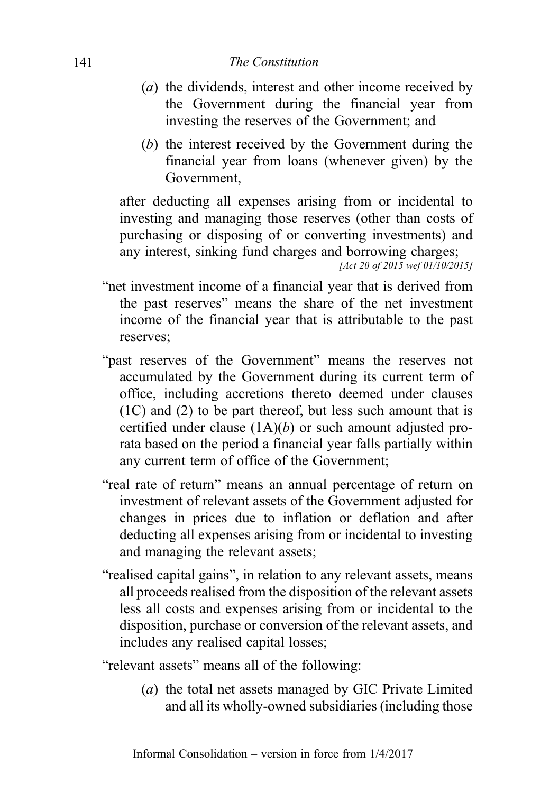#### *The Constitution*

- (a) the dividends, interest and other income received by the Government during the financial year from investing the reserves of the Government; and
- (b) the interest received by the Government during the financial year from loans (whenever given) by the Government,

after deducting all expenses arising from or incidental to investing and managing those reserves (other than costs of purchasing or disposing of or converting investments) and any interest, sinking fund charges and borrowing charges;

[Act 20 of 2015 wef 01/10/2015]

- "net investment income of a financial year that is derived from the past reserves" means the share of the net investment income of the financial year that is attributable to the past reserves;
- "past reserves of the Government" means the reserves not accumulated by the Government during its current term of office, including accretions thereto deemed under clauses (1C) and (2) to be part thereof, but less such amount that is certified under clause  $(1A)(b)$  or such amount adjusted prorata based on the period a financial year falls partially within any current term of office of the Government;
- "real rate of return" means an annual percentage of return on investment of relevant assets of the Government adjusted for changes in prices due to inflation or deflation and after deducting all expenses arising from or incidental to investing and managing the relevant assets;
- "realised capital gains", in relation to any relevant assets, means all proceeds realised from the disposition of the relevant assets less all costs and expenses arising from or incidental to the disposition, purchase or conversion of the relevant assets, and includes any realised capital losses;

"relevant assets" means all of the following:

(a) the total net assets managed by GIC Private Limited and all its wholly-owned subsidiaries (including those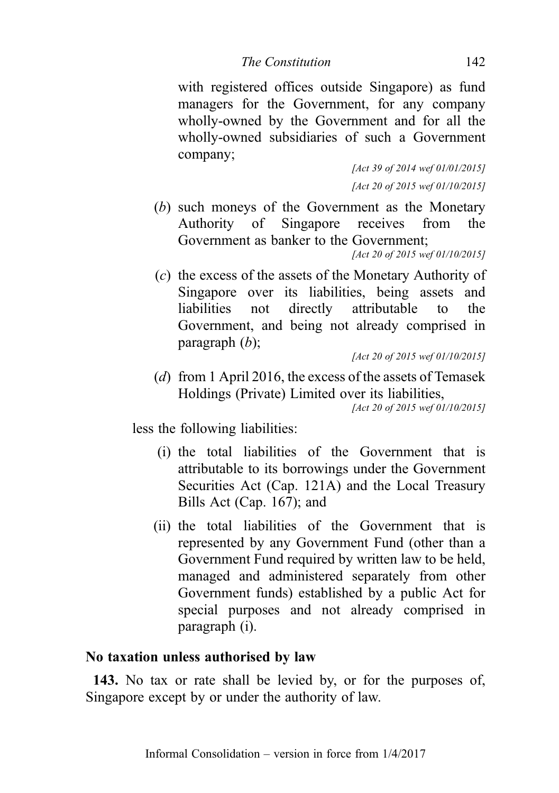with registered offices outside Singapore) as fund managers for the Government, for any company wholly-owned by the Government and for all the wholly-owned subsidiaries of such a Government company;

> [Act 39 of 2014 wef 01/01/2015] [Act 20 of 2015 wef 01/10/2015]

(b) such moneys of the Government as the Monetary Authority of Singapore receives from the Government as banker to the Government;

[Act 20 of 2015 wef 01/10/2015]

(c) the excess of the assets of the Monetary Authority of Singapore over its liabilities, being assets and liabilities not directly attributable to the Government, and being not already comprised in paragraph  $(b)$ ;

[Act 20 of 2015 wef 01/10/2015]

(d) from 1 April 2016, the excess of the assets of Temasek Holdings (Private) Limited over its liabilities,

[Act 20 of 2015 wef 01/10/2015]

less the following liabilities:

- (i) the total liabilities of the Government that is attributable to its borrowings under the Government Securities Act (Cap. 121A) and the Local Treasury Bills Act (Cap. 167); and
- (ii) the total liabilities of the Government that is represented by any Government Fund (other than a Government Fund required by written law to be held, managed and administered separately from other Government funds) established by a public Act for special purposes and not already comprised in paragraph (i).

### No taxation unless authorised by law

143. No tax or rate shall be levied by, or for the purposes of, Singapore except by or under the authority of law.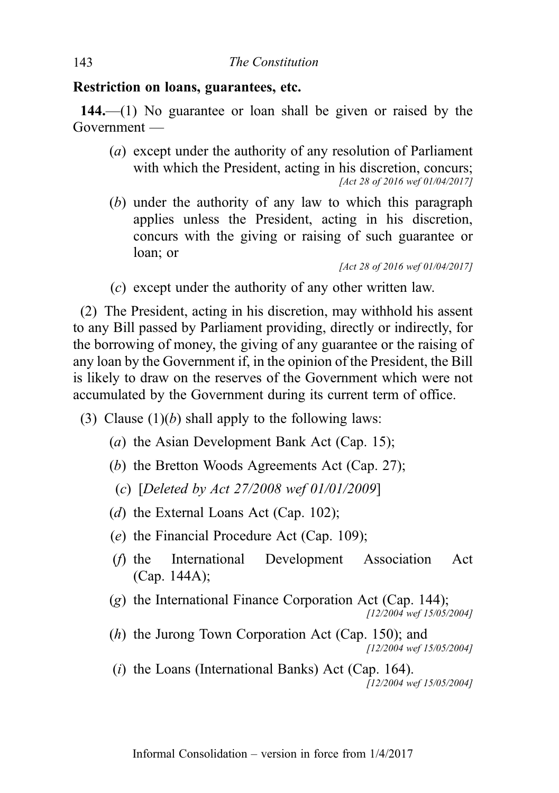#### Restriction on loans, guarantees, etc.

144.—(1) No guarantee or loan shall be given or raised by the Government —

- (a) except under the authority of any resolution of Parliament with which the President, acting in his discretion, concurs; [Act 28 of 2016 wef 01/04/2017]
- (b) under the authority of any law to which this paragraph applies unless the President, acting in his discretion, concurs with the giving or raising of such guarantee or loan; or

[Act 28 of 2016 wef 01/04/2017]

(c) except under the authority of any other written law.

(2) The President, acting in his discretion, may withhold his assent to any Bill passed by Parliament providing, directly or indirectly, for the borrowing of money, the giving of any guarantee or the raising of any loan by the Government if, in the opinion of the President, the Bill is likely to draw on the reserves of the Government which were not accumulated by the Government during its current term of office.

- (3) Clause  $(1)(b)$  shall apply to the following laws:
	- (a) the Asian Development Bank Act (Cap. 15);
	- (b) the Bretton Woods Agreements Act (Cap. 27);
	- (c) [Deleted by Act 27/2008 wef 01/01/2009]
	- (d) the External Loans Act (Cap. 102);
	- (e) the Financial Procedure Act (Cap. 109);
	- (f) the International Development Association Act (Cap. 144A);
	- (g) the International Finance Corporation Act (Cap. 144); [12/2004 wef 15/05/2004]
	- (h) the Jurong Town Corporation Act (Cap. 150); and [12/2004 wef 15/05/2004]
	- (i) the Loans (International Banks) Act (Cap. 164). [12/2004 wef 15/05/2004]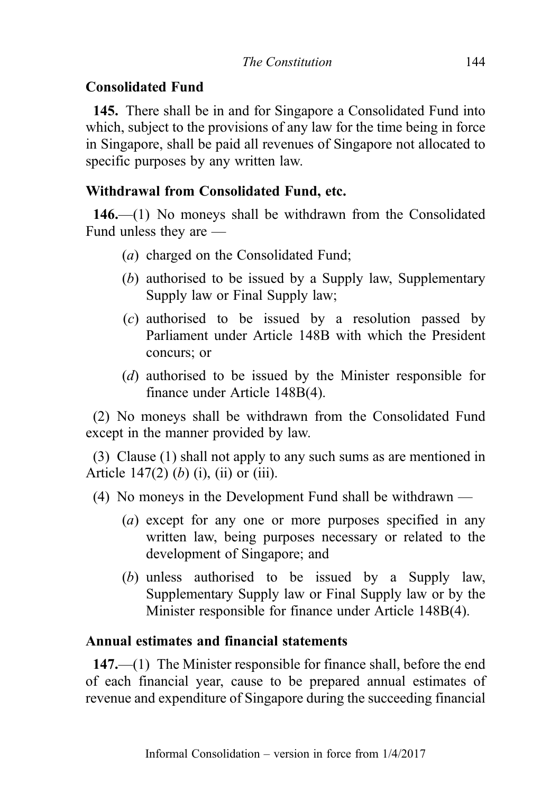## Consolidated Fund

145. There shall be in and for Singapore a Consolidated Fund into which, subject to the provisions of any law for the time being in force in Singapore, shall be paid all revenues of Singapore not allocated to specific purposes by any written law.

## Withdrawal from Consolidated Fund, etc.

146.—(1) No moneys shall be withdrawn from the Consolidated Fund unless they are —

- (a) charged on the Consolidated Fund;
- (b) authorised to be issued by a Supply law, Supplementary Supply law or Final Supply law;
- (c) authorised to be issued by a resolution passed by Parliament under Article 148B with which the President concurs; or
- (d) authorised to be issued by the Minister responsible for finance under Article 148B(4).

(2) No moneys shall be withdrawn from the Consolidated Fund except in the manner provided by law.

(3) Clause (1) shall not apply to any such sums as are mentioned in Article  $147(2)$  (*b*) (*i*), (*ii*) or (*iii*).

- (4) No moneys in the Development Fund shall be withdrawn
	- (a) except for any one or more purposes specified in any written law, being purposes necessary or related to the development of Singapore; and
	- (b) unless authorised to be issued by a Supply law, Supplementary Supply law or Final Supply law or by the Minister responsible for finance under Article 148B(4).

## Annual estimates and financial statements

147.—(1) The Minister responsible for finance shall, before the end of each financial year, cause to be prepared annual estimates of revenue and expenditure of Singapore during the succeeding financial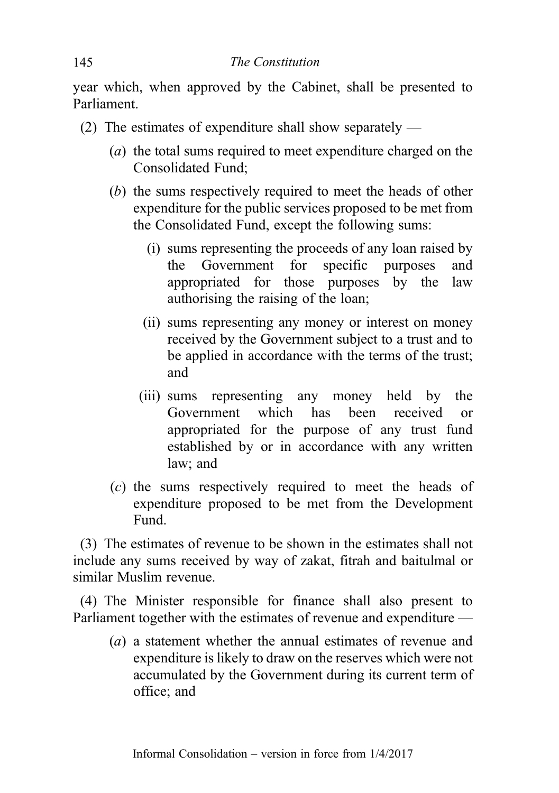year which, when approved by the Cabinet, shall be presented to Parliament.

- (2) The estimates of expenditure shall show separately
	- (a) the total sums required to meet expenditure charged on the Consolidated Fund;
	- (b) the sums respectively required to meet the heads of other expenditure for the public services proposed to be met from the Consolidated Fund, except the following sums:
		- (i) sums representing the proceeds of any loan raised by the Government for specific purposes and appropriated for those purposes by the law authorising the raising of the loan;
		- (ii) sums representing any money or interest on money received by the Government subject to a trust and to be applied in accordance with the terms of the trust; and
		- (iii) sums representing any money held by the Government which has been received or appropriated for the purpose of any trust fund established by or in accordance with any written law; and
	- (c) the sums respectively required to meet the heads of expenditure proposed to be met from the Development Fund.

(3) The estimates of revenue to be shown in the estimates shall not include any sums received by way of zakat, fitrah and baitulmal or similar Muslim revenue.

(4) The Minister responsible for finance shall also present to Parliament together with the estimates of revenue and expenditure —

(a) a statement whether the annual estimates of revenue and expenditure is likely to draw on the reserves which were not accumulated by the Government during its current term of office; and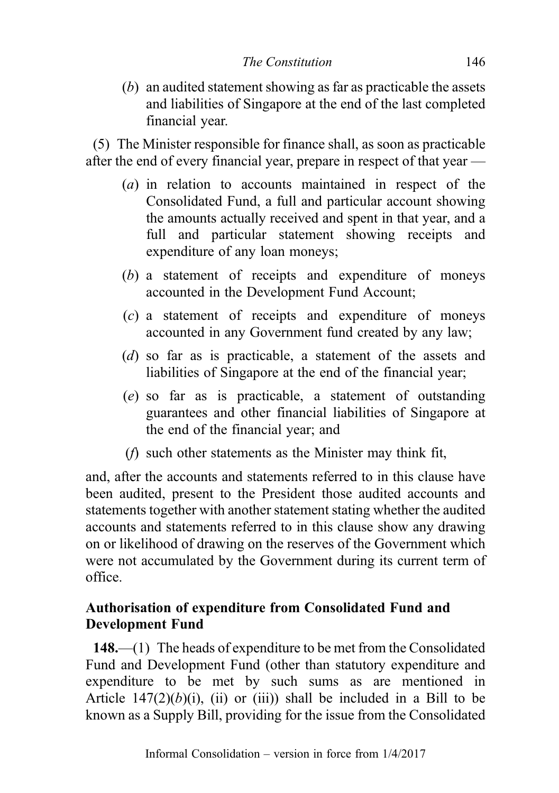(b) an audited statement showing as far as practicable the assets and liabilities of Singapore at the end of the last completed financial year.

(5) The Minister responsible for finance shall, as soon as practicable after the end of every financial year, prepare in respect of that year —

- (a) in relation to accounts maintained in respect of the Consolidated Fund, a full and particular account showing the amounts actually received and spent in that year, and a full and particular statement showing receipts and expenditure of any loan moneys;
- (b) a statement of receipts and expenditure of moneys accounted in the Development Fund Account;
- (c) a statement of receipts and expenditure of moneys accounted in any Government fund created by any law;
- (d) so far as is practicable, a statement of the assets and liabilities of Singapore at the end of the financial year;
- (e) so far as is practicable, a statement of outstanding guarantees and other financial liabilities of Singapore at the end of the financial year; and
- (f) such other statements as the Minister may think fit,

and, after the accounts and statements referred to in this clause have been audited, present to the President those audited accounts and statements together with another statement stating whether the audited accounts and statements referred to in this clause show any drawing on or likelihood of drawing on the reserves of the Government which were not accumulated by the Government during its current term of office.

## Authorisation of expenditure from Consolidated Fund and Development Fund

148.—(1) The heads of expenditure to be met from the Consolidated Fund and Development Fund (other than statutory expenditure and expenditure to be met by such sums as are mentioned in Article  $147(2)(b)(i)$ , (ii) or (iii)) shall be included in a Bill to be known as a Supply Bill, providing for the issue from the Consolidated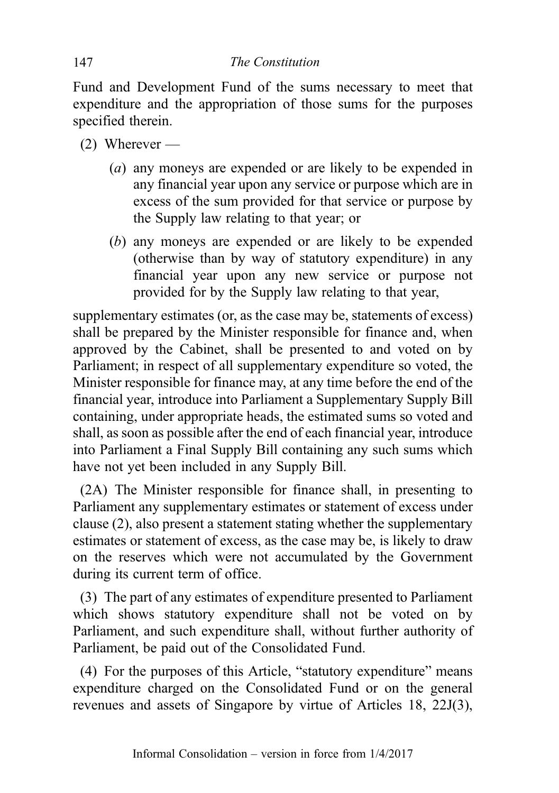Fund and Development Fund of the sums necessary to meet that expenditure and the appropriation of those sums for the purposes specified therein.

(2) Wherever —

- (a) any moneys are expended or are likely to be expended in any financial year upon any service or purpose which are in excess of the sum provided for that service or purpose by the Supply law relating to that year; or
- (b) any moneys are expended or are likely to be expended (otherwise than by way of statutory expenditure) in any financial year upon any new service or purpose not provided for by the Supply law relating to that year,

supplementary estimates (or, as the case may be, statements of excess) shall be prepared by the Minister responsible for finance and, when approved by the Cabinet, shall be presented to and voted on by Parliament; in respect of all supplementary expenditure so voted, the Minister responsible for finance may, at any time before the end of the financial year, introduce into Parliament a Supplementary Supply Bill containing, under appropriate heads, the estimated sums so voted and shall, as soon as possible after the end of each financial year, introduce into Parliament a Final Supply Bill containing any such sums which have not yet been included in any Supply Bill.

(2A) The Minister responsible for finance shall, in presenting to Parliament any supplementary estimates or statement of excess under clause (2), also present a statement stating whether the supplementary estimates or statement of excess, as the case may be, is likely to draw on the reserves which were not accumulated by the Government during its current term of office.

(3) The part of any estimates of expenditure presented to Parliament which shows statutory expenditure shall not be voted on by Parliament, and such expenditure shall, without further authority of Parliament, be paid out of the Consolidated Fund.

(4) For the purposes of this Article, "statutory expenditure" means expenditure charged on the Consolidated Fund or on the general revenues and assets of Singapore by virtue of Articles 18, 22J(3),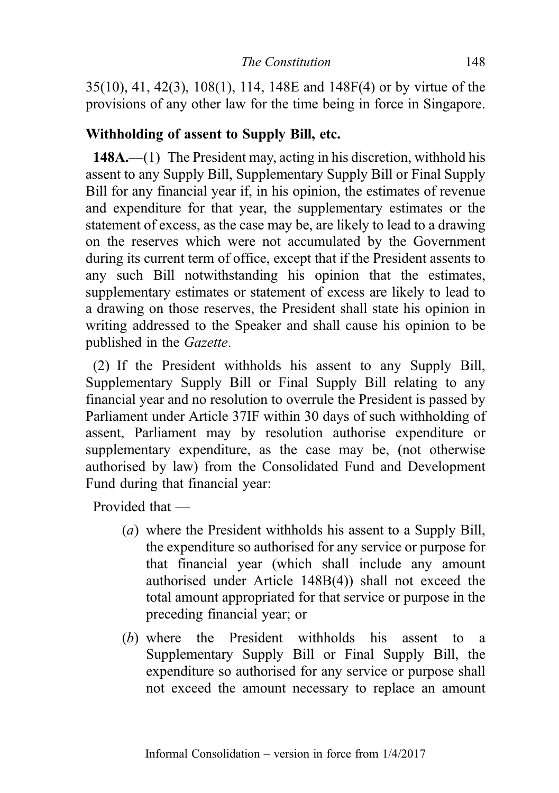35(10), 41, 42(3), 108(1), 114, 148E and 148F(4) or by virtue of the provisions of any other law for the time being in force in Singapore.

## Withholding of assent to Supply Bill, etc.

148A.—(1) The President may, acting in his discretion, withhold his assent to any Supply Bill, Supplementary Supply Bill or Final Supply Bill for any financial year if, in his opinion, the estimates of revenue and expenditure for that year, the supplementary estimates or the statement of excess, as the case may be, are likely to lead to a drawing on the reserves which were not accumulated by the Government during its current term of office, except that if the President assents to any such Bill notwithstanding his opinion that the estimates, supplementary estimates or statement of excess are likely to lead to a drawing on those reserves, the President shall state his opinion in writing addressed to the Speaker and shall cause his opinion to be published in the Gazette.

(2) If the President withholds his assent to any Supply Bill, Supplementary Supply Bill or Final Supply Bill relating to any financial year and no resolution to overrule the President is passed by Parliament under Article 37IF within 30 days of such withholding of assent, Parliament may by resolution authorise expenditure or supplementary expenditure, as the case may be, (not otherwise authorised by law) from the Consolidated Fund and Development Fund during that financial year:

Provided that —

- (a) where the President withholds his assent to a Supply Bill, the expenditure so authorised for any service or purpose for that financial year (which shall include any amount authorised under Article 148B(4)) shall not exceed the total amount appropriated for that service or purpose in the preceding financial year; or
- (b) where the President withholds his assent to a Supplementary Supply Bill or Final Supply Bill, the expenditure so authorised for any service or purpose shall not exceed the amount necessary to replace an amount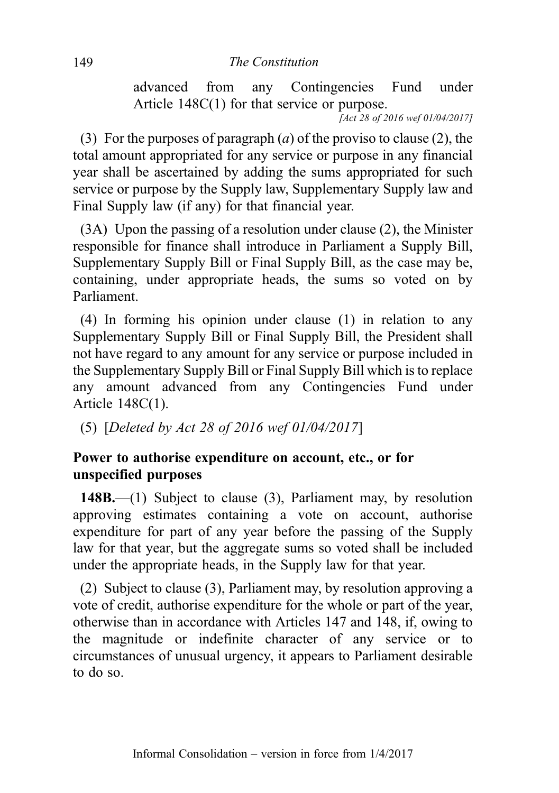advanced from any Contingencies Fund under Article 148C(1) for that service or purpose.

[Act 28 of 2016 wef 01/04/2017]

(3) For the purposes of paragraph (a) of the proviso to clause (2), the total amount appropriated for any service or purpose in any financial year shall be ascertained by adding the sums appropriated for such service or purpose by the Supply law, Supplementary Supply law and Final Supply law (if any) for that financial year.

(3A) Upon the passing of a resolution under clause (2), the Minister responsible for finance shall introduce in Parliament a Supply Bill, Supplementary Supply Bill or Final Supply Bill, as the case may be, containing, under appropriate heads, the sums so voted on by Parliament.

(4) In forming his opinion under clause (1) in relation to any Supplementary Supply Bill or Final Supply Bill, the President shall not have regard to any amount for any service or purpose included in the Supplementary Supply Bill or Final Supply Bill which is to replace any amount advanced from any Contingencies Fund under Article 148C(1).

(5) [Deleted by Act 28 of 2016 wef 01/04/2017]

## Power to authorise expenditure on account, etc., or for unspecified purposes

148B.—(1) Subject to clause (3), Parliament may, by resolution approving estimates containing a vote on account, authorise expenditure for part of any year before the passing of the Supply law for that year, but the aggregate sums so voted shall be included under the appropriate heads, in the Supply law for that year.

(2) Subject to clause (3), Parliament may, by resolution approving a vote of credit, authorise expenditure for the whole or part of the year, otherwise than in accordance with Articles 147 and 148, if, owing to the magnitude or indefinite character of any service or to circumstances of unusual urgency, it appears to Parliament desirable to do so.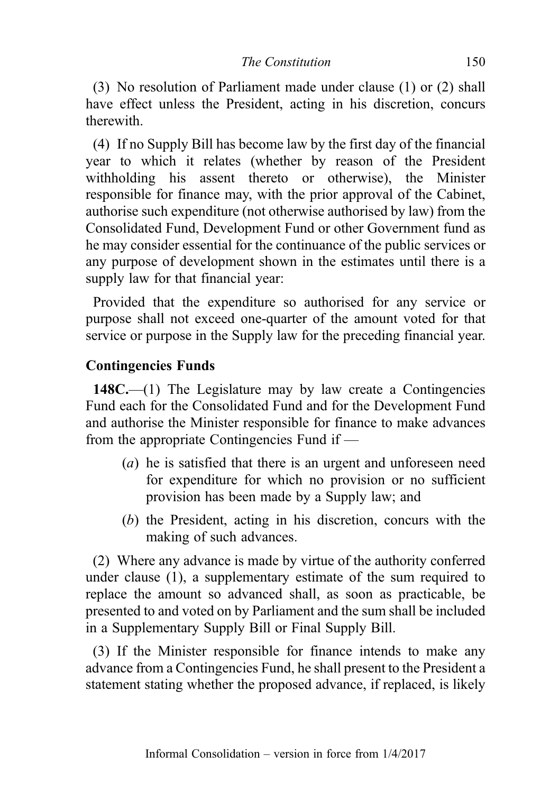(3) No resolution of Parliament made under clause (1) or (2) shall have effect unless the President, acting in his discretion, concurs therewith.

(4) If no Supply Bill has become law by the first day of the financial year to which it relates (whether by reason of the President withholding his assent thereto or otherwise), the Minister responsible for finance may, with the prior approval of the Cabinet, authorise such expenditure (not otherwise authorised by law) from the Consolidated Fund, Development Fund or other Government fund as he may consider essential for the continuance of the public services or any purpose of development shown in the estimates until there is a supply law for that financial year:

Provided that the expenditure so authorised for any service or purpose shall not exceed one-quarter of the amount voted for that service or purpose in the Supply law for the preceding financial year.

## Contingencies Funds

 $148C$ —(1) The Legislature may by law create a Contingencies Fund each for the Consolidated Fund and for the Development Fund and authorise the Minister responsible for finance to make advances from the appropriate Contingencies Fund if —

- (a) he is satisfied that there is an urgent and unforeseen need for expenditure for which no provision or no sufficient provision has been made by a Supply law; and
- (b) the President, acting in his discretion, concurs with the making of such advances.

(2) Where any advance is made by virtue of the authority conferred under clause (1), a supplementary estimate of the sum required to replace the amount so advanced shall, as soon as practicable, be presented to and voted on by Parliament and the sum shall be included in a Supplementary Supply Bill or Final Supply Bill.

(3) If the Minister responsible for finance intends to make any advance from a Contingencies Fund, he shall present to the President a statement stating whether the proposed advance, if replaced, is likely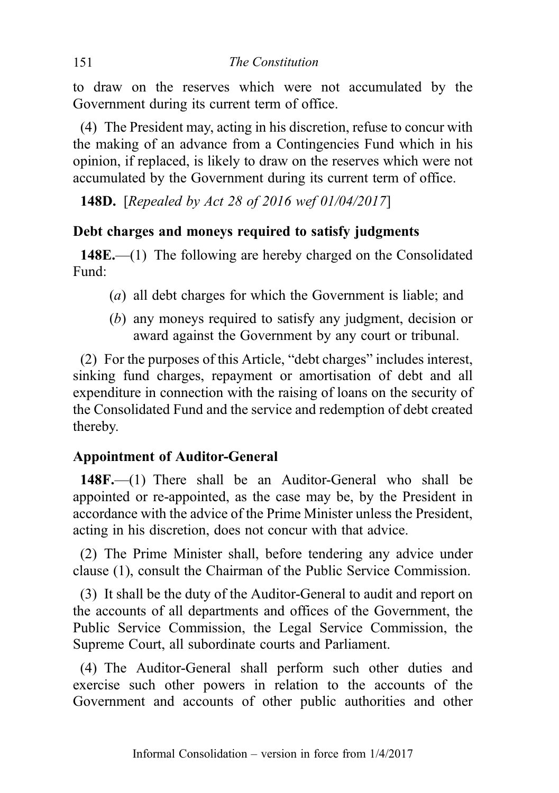to draw on the reserves which were not accumulated by the Government during its current term of office.

(4) The President may, acting in his discretion, refuse to concur with the making of an advance from a Contingencies Fund which in his opinion, if replaced, is likely to draw on the reserves which were not accumulated by the Government during its current term of office.

148D. [Repealed by Act 28 of 2016 wef 01/04/2017]

## Debt charges and moneys required to satisfy judgments

148E.—(1) The following are hereby charged on the Consolidated Fund:

- (a) all debt charges for which the Government is liable; and
- (b) any moneys required to satisfy any judgment, decision or award against the Government by any court or tribunal.

(2) For the purposes of this Article, "debt charges" includes interest, sinking fund charges, repayment or amortisation of debt and all expenditure in connection with the raising of loans on the security of the Consolidated Fund and the service and redemption of debt created thereby.

## Appointment of Auditor-General

148F.—(1) There shall be an Auditor-General who shall be appointed or re-appointed, as the case may be, by the President in accordance with the advice of the Prime Minister unless the President, acting in his discretion, does not concur with that advice.

(2) The Prime Minister shall, before tendering any advice under clause (1), consult the Chairman of the Public Service Commission.

(3) It shall be the duty of the Auditor-General to audit and report on the accounts of all departments and offices of the Government, the Public Service Commission, the Legal Service Commission, the Supreme Court, all subordinate courts and Parliament.

(4) The Auditor-General shall perform such other duties and exercise such other powers in relation to the accounts of the Government and accounts of other public authorities and other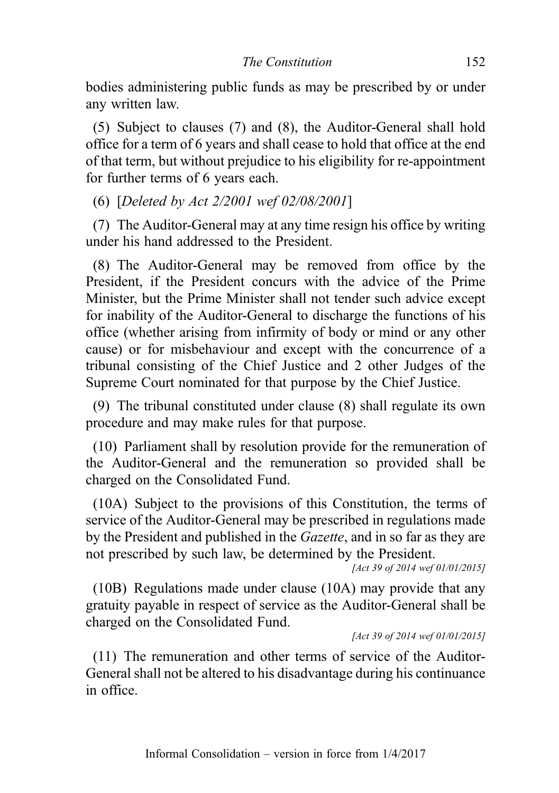bodies administering public funds as may be prescribed by or under any written law.

(5) Subject to clauses (7) and (8), the Auditor-General shall hold office for a term of 6 years and shall cease to hold that office at the end of that term, but without prejudice to his eligibility for re-appointment for further terms of 6 years each.

(6) [Deleted by Act 2/2001 wef 02/08/2001]

(7) The Auditor-General may at any time resign his office by writing under his hand addressed to the President.

(8) The Auditor-General may be removed from office by the President, if the President concurs with the advice of the Prime Minister, but the Prime Minister shall not tender such advice except for inability of the Auditor-General to discharge the functions of his office (whether arising from infirmity of body or mind or any other cause) or for misbehaviour and except with the concurrence of a tribunal consisting of the Chief Justice and 2 other Judges of the Supreme Court nominated for that purpose by the Chief Justice.

(9) The tribunal constituted under clause (8) shall regulate its own procedure and may make rules for that purpose.

(10) Parliament shall by resolution provide for the remuneration of the Auditor-General and the remuneration so provided shall be charged on the Consolidated Fund.

(10A) Subject to the provisions of this Constitution, the terms of service of the Auditor-General may be prescribed in regulations made by the President and published in the Gazette, and in so far as they are not prescribed by such law, be determined by the President.

(10B) Regulations made under clause (10A) may provide that any gratuity payable in respect of service as the Auditor-General shall be charged on the Consolidated Fund.

[Act 39 of 2014 wef 01/01/2015]

(11) The remuneration and other terms of service of the Auditor-General shall not be altered to his disadvantage during his continuance in office.

<sup>[</sup>Act 39 of 2014 wef 01/01/2015]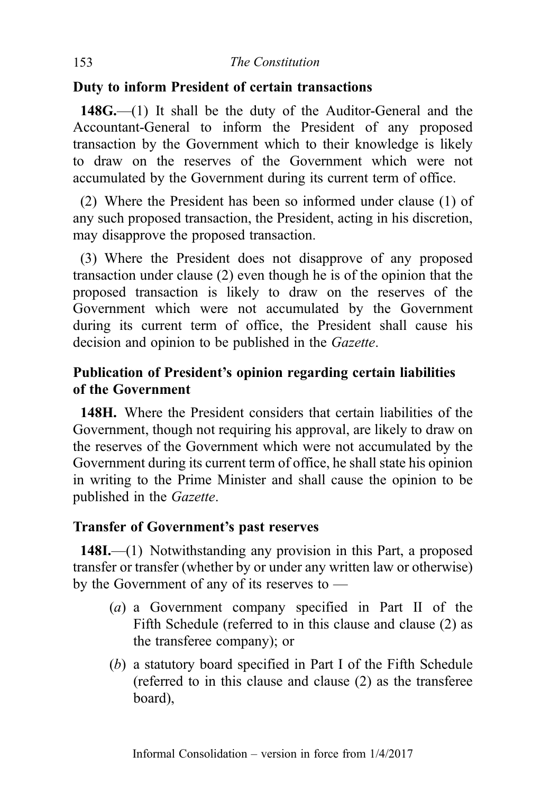## Duty to inform President of certain transactions

148G.—(1) It shall be the duty of the Auditor-General and the Accountant-General to inform the President of any proposed transaction by the Government which to their knowledge is likely to draw on the reserves of the Government which were not accumulated by the Government during its current term of office.

(2) Where the President has been so informed under clause (1) of any such proposed transaction, the President, acting in his discretion, may disapprove the proposed transaction.

(3) Where the President does not disapprove of any proposed transaction under clause (2) even though he is of the opinion that the proposed transaction is likely to draw on the reserves of the Government which were not accumulated by the Government during its current term of office, the President shall cause his decision and opinion to be published in the Gazette.

## Publication of President's opinion regarding certain liabilities of the Government

148H. Where the President considers that certain liabilities of the Government, though not requiring his approval, are likely to draw on the reserves of the Government which were not accumulated by the Government during its current term of office, he shall state his opinion in writing to the Prime Minister and shall cause the opinion to be published in the Gazette.

## Transfer of Government's past reserves

148I.—(1) Notwithstanding any provision in this Part, a proposed transfer or transfer (whether by or under any written law or otherwise) by the Government of any of its reserves to —

- (a) a Government company specified in Part II of the Fifth Schedule (referred to in this clause and clause (2) as the transferee company); or
- (b) a statutory board specified in Part I of the Fifth Schedule (referred to in this clause and clause (2) as the transferee board),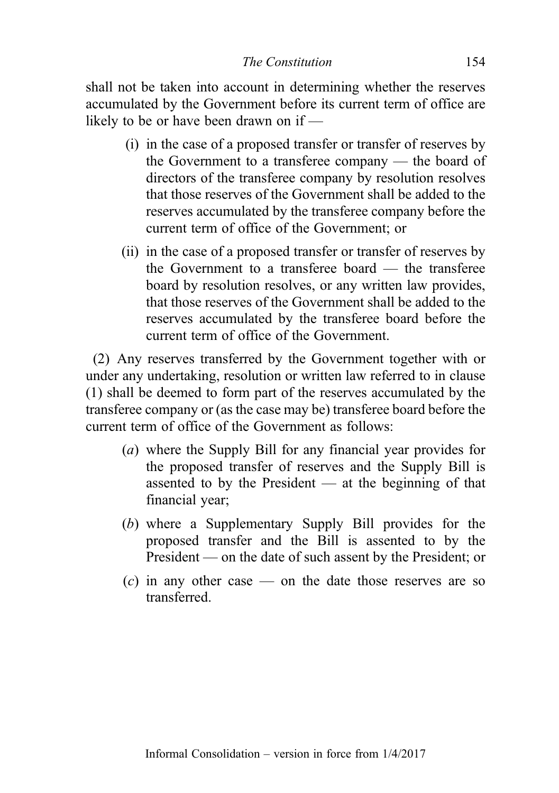shall not be taken into account in determining whether the reserves accumulated by the Government before its current term of office are likely to be or have been drawn on if —

- (i) in the case of a proposed transfer or transfer of reserves by the Government to a transferee company — the board of directors of the transferee company by resolution resolves that those reserves of the Government shall be added to the reserves accumulated by the transferee company before the current term of office of the Government; or
- (ii) in the case of a proposed transfer or transfer of reserves by the Government to a transferee board — the transferee board by resolution resolves, or any written law provides, that those reserves of the Government shall be added to the reserves accumulated by the transferee board before the current term of office of the Government.

(2) Any reserves transferred by the Government together with or under any undertaking, resolution or written law referred to in clause (1) shall be deemed to form part of the reserves accumulated by the transferee company or (as the case may be) transferee board before the current term of office of the Government as follows:

- (a) where the Supply Bill for any financial year provides for the proposed transfer of reserves and the Supply Bill is assented to by the President  $-$  at the beginning of that financial year;
- (b) where a Supplementary Supply Bill provides for the proposed transfer and the Bill is assented to by the President — on the date of such assent by the President; or
- $(c)$  in any other case on the date those reserves are so transferred.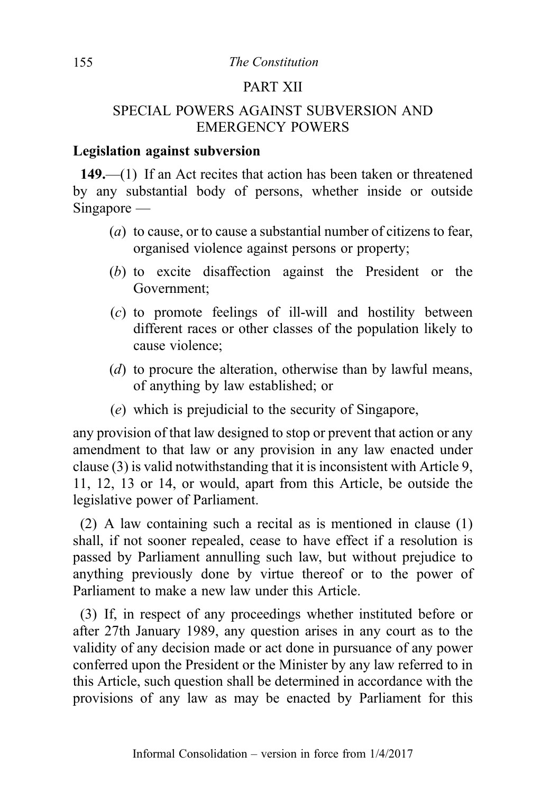## PART XII

## SPECIAL POWERS AGAINST SUBVERSION AND EMERGENCY POWERS

## Legislation against subversion

149.—(1) If an Act recites that action has been taken or threatened by any substantial body of persons, whether inside or outside Singapore —

- (a) to cause, or to cause a substantial number of citizens to fear, organised violence against persons or property;
- (b) to excite disaffection against the President or the Government;
- (c) to promote feelings of ill-will and hostility between different races or other classes of the population likely to cause violence;
- (d) to procure the alteration, otherwise than by lawful means, of anything by law established; or
- (e) which is prejudicial to the security of Singapore,

any provision of that law designed to stop or prevent that action or any amendment to that law or any provision in any law enacted under clause (3) is valid notwithstanding that it is inconsistent with Article 9, 11, 12, 13 or 14, or would, apart from this Article, be outside the legislative power of Parliament.

(2) A law containing such a recital as is mentioned in clause (1) shall, if not sooner repealed, cease to have effect if a resolution is passed by Parliament annulling such law, but without prejudice to anything previously done by virtue thereof or to the power of Parliament to make a new law under this Article.

(3) If, in respect of any proceedings whether instituted before or after 27th January 1989, any question arises in any court as to the validity of any decision made or act done in pursuance of any power conferred upon the President or the Minister by any law referred to in this Article, such question shall be determined in accordance with the provisions of any law as may be enacted by Parliament for this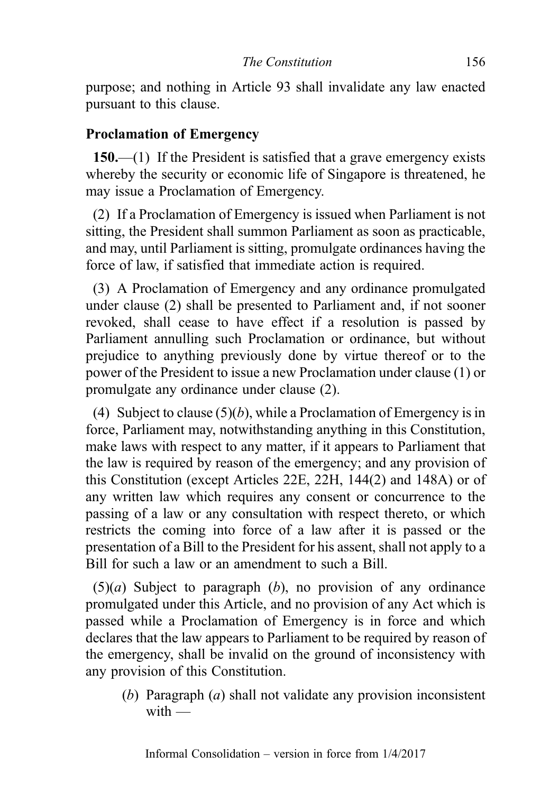purpose; and nothing in Article 93 shall invalidate any law enacted pursuant to this clause.

## Proclamation of Emergency

150.—(1) If the President is satisfied that a grave emergency exists whereby the security or economic life of Singapore is threatened, he may issue a Proclamation of Emergency.

(2) If a Proclamation of Emergency is issued when Parliament is not sitting, the President shall summon Parliament as soon as practicable, and may, until Parliament is sitting, promulgate ordinances having the force of law, if satisfied that immediate action is required.

(3) A Proclamation of Emergency and any ordinance promulgated under clause (2) shall be presented to Parliament and, if not sooner revoked, shall cease to have effect if a resolution is passed by Parliament annulling such Proclamation or ordinance, but without prejudice to anything previously done by virtue thereof or to the power of the President to issue a new Proclamation under clause (1) or promulgate any ordinance under clause (2).

(4) Subject to clause  $(5)(b)$ , while a Proclamation of Emergency is in force, Parliament may, notwithstanding anything in this Constitution, make laws with respect to any matter, if it appears to Parliament that the law is required by reason of the emergency; and any provision of this Constitution (except Articles 22E, 22H, 144(2) and 148A) or of any written law which requires any consent or concurrence to the passing of a law or any consultation with respect thereto, or which restricts the coming into force of a law after it is passed or the presentation of a Bill to the President for his assent, shall not apply to a Bill for such a law or an amendment to such a Bill.

 $(5)(a)$  Subject to paragraph  $(b)$ , no provision of any ordinance promulgated under this Article, and no provision of any Act which is passed while a Proclamation of Emergency is in force and which declares that the law appears to Parliament to be required by reason of the emergency, shall be invalid on the ground of inconsistency with any provision of this Constitution.

(b) Paragraph (a) shall not validate any provision inconsistent with  $-$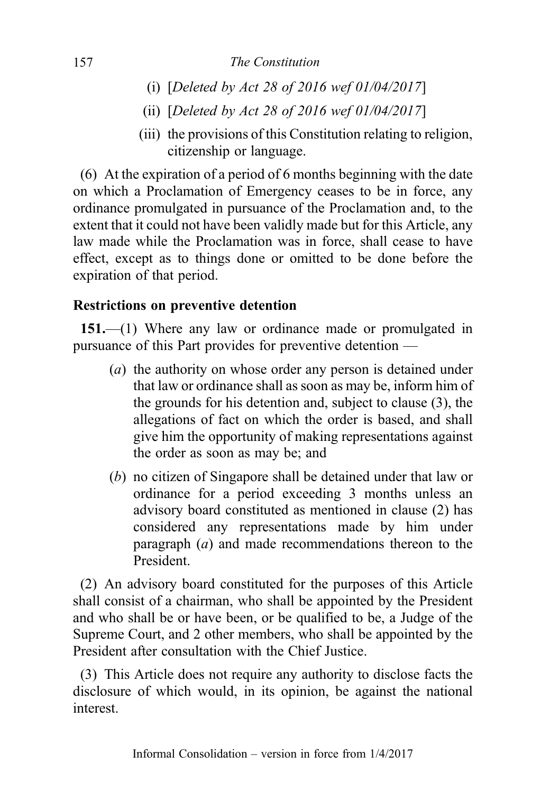- (i) [Deleted by Act 28 of 2016 wef 01/04/2017]
- (ii) [Deleted by Act 28 of 2016 wef 01/04/2017]
- (iii) the provisions of this Constitution relating to religion, citizenship or language.

(6) At the expiration of a period of 6 months beginning with the date on which a Proclamation of Emergency ceases to be in force, any ordinance promulgated in pursuance of the Proclamation and, to the extent that it could not have been validly made but for this Article, any law made while the Proclamation was in force, shall cease to have effect, except as to things done or omitted to be done before the expiration of that period.

## Restrictions on preventive detention

151.—(1) Where any law or ordinance made or promulgated in pursuance of this Part provides for preventive detention —

- (a) the authority on whose order any person is detained under that law or ordinance shall as soon as may be, inform him of the grounds for his detention and, subject to clause (3), the allegations of fact on which the order is based, and shall give him the opportunity of making representations against the order as soon as may be; and
- (b) no citizen of Singapore shall be detained under that law or ordinance for a period exceeding 3 months unless an advisory board constituted as mentioned in clause (2) has considered any representations made by him under paragraph (a) and made recommendations thereon to the President.

(2) An advisory board constituted for the purposes of this Article shall consist of a chairman, who shall be appointed by the President and who shall be or have been, or be qualified to be, a Judge of the Supreme Court, and 2 other members, who shall be appointed by the President after consultation with the Chief Justice.

(3) This Article does not require any authority to disclose facts the disclosure of which would, in its opinion, be against the national interest.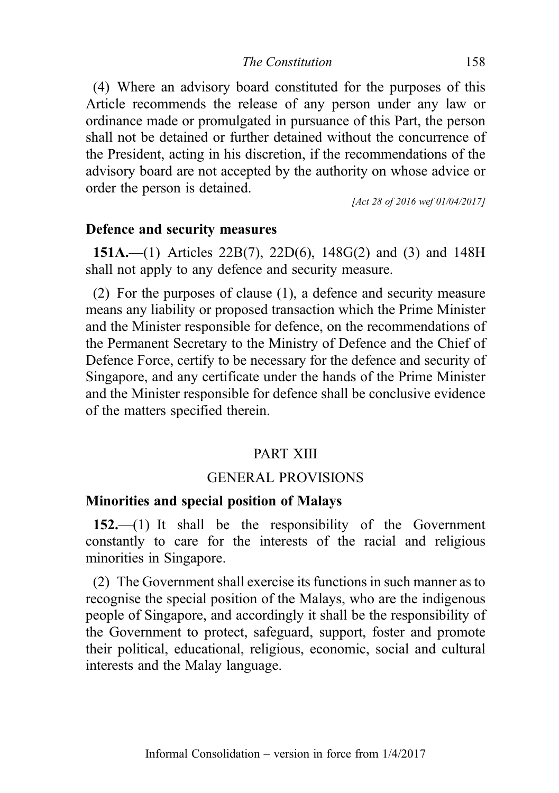(4) Where an advisory board constituted for the purposes of this Article recommends the release of any person under any law or ordinance made or promulgated in pursuance of this Part, the person shall not be detained or further detained without the concurrence of the President, acting in his discretion, if the recommendations of the advisory board are not accepted by the authority on whose advice or order the person is detained.

[Act 28 of 2016 wef 01/04/2017]

### Defence and security measures

151A.—(1) Articles 22B(7), 22D(6), 148G(2) and (3) and 148H shall not apply to any defence and security measure.

(2) For the purposes of clause (1), a defence and security measure means any liability or proposed transaction which the Prime Minister and the Minister responsible for defence, on the recommendations of the Permanent Secretary to the Ministry of Defence and the Chief of Defence Force, certify to be necessary for the defence and security of Singapore, and any certificate under the hands of the Prime Minister and the Minister responsible for defence shall be conclusive evidence of the matters specified therein.

## PART XIII

### GENERAL PROVISIONS

### Minorities and special position of Malays

152.—(1) It shall be the responsibility of the Government constantly to care for the interests of the racial and religious minorities in Singapore.

(2) The Government shall exercise its functions in such manner as to recognise the special position of the Malays, who are the indigenous people of Singapore, and accordingly it shall be the responsibility of the Government to protect, safeguard, support, foster and promote their political, educational, religious, economic, social and cultural interests and the Malay language.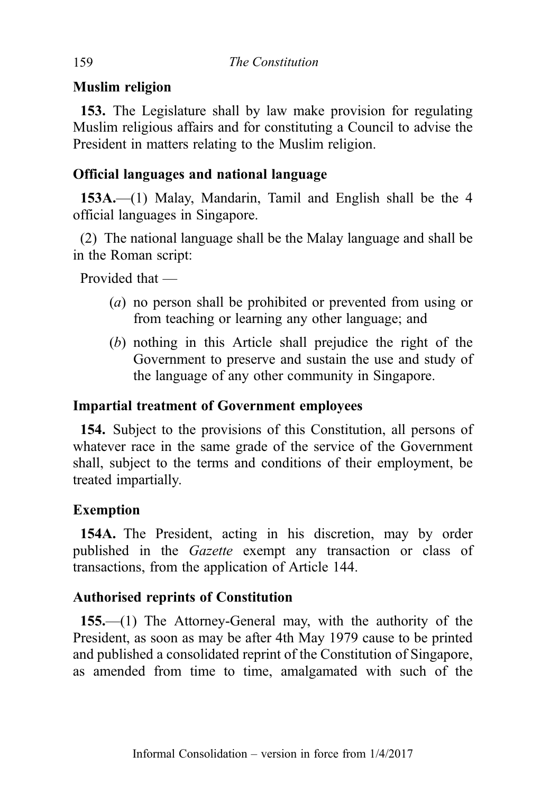## Muslim religion

153. The Legislature shall by law make provision for regulating Muslim religious affairs and for constituting a Council to advise the President in matters relating to the Muslim religion.

## Official languages and national language

153A.—(1) Malay, Mandarin, Tamil and English shall be the 4 official languages in Singapore.

(2) The national language shall be the Malay language and shall be in the Roman script:

Provided that —

- (a) no person shall be prohibited or prevented from using or from teaching or learning any other language; and
- (b) nothing in this Article shall prejudice the right of the Government to preserve and sustain the use and study of the language of any other community in Singapore.

## Impartial treatment of Government employees

154. Subject to the provisions of this Constitution, all persons of whatever race in the same grade of the service of the Government shall, subject to the terms and conditions of their employment, be treated impartially.

## Exemption

154A. The President, acting in his discretion, may by order published in the Gazette exempt any transaction or class of transactions, from the application of Article 144.

## Authorised reprints of Constitution

155.—(1) The Attorney-General may, with the authority of the President, as soon as may be after 4th May 1979 cause to be printed and published a consolidated reprint of the Constitution of Singapore, as amended from time to time, amalgamated with such of the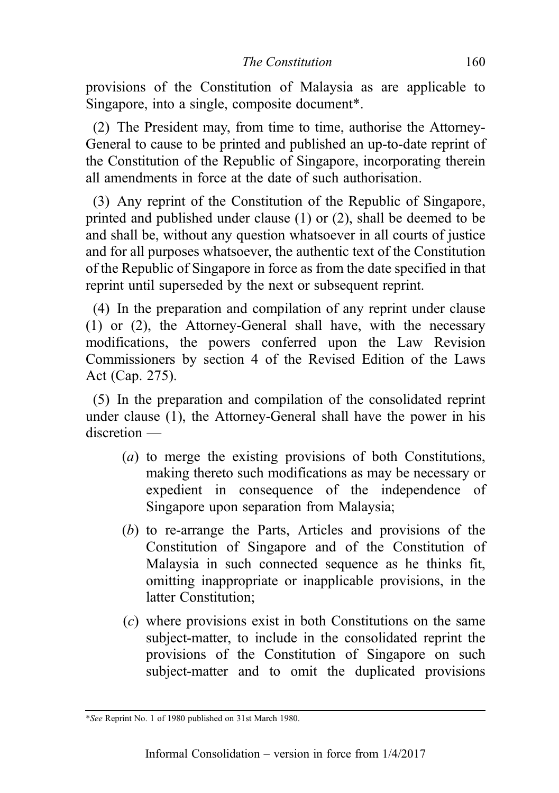provisions of the Constitution of Malaysia as are applicable to Singapore, into a single, composite document\*.

(2) The President may, from time to time, authorise the Attorney-General to cause to be printed and published an up-to-date reprint of the Constitution of the Republic of Singapore, incorporating therein all amendments in force at the date of such authorisation.

(3) Any reprint of the Constitution of the Republic of Singapore, printed and published under clause (1) or (2), shall be deemed to be and shall be, without any question whatsoever in all courts of justice and for all purposes whatsoever, the authentic text of the Constitution of the Republic of Singapore in force as from the date specified in that reprint until superseded by the next or subsequent reprint.

(4) In the preparation and compilation of any reprint under clause (1) or (2), the Attorney-General shall have, with the necessary modifications, the powers conferred upon the Law Revision Commissioners by section 4 of the Revised Edition of the Laws Act (Cap. 275).

(5) In the preparation and compilation of the consolidated reprint under clause (1), the Attorney-General shall have the power in his discretion —

- (a) to merge the existing provisions of both Constitutions, making thereto such modifications as may be necessary or expedient in consequence of the independence of Singapore upon separation from Malaysia;
- (b) to re-arrange the Parts, Articles and provisions of the Constitution of Singapore and of the Constitution of Malaysia in such connected sequence as he thinks fit, omitting inappropriate or inapplicable provisions, in the latter Constitution;
- (c) where provisions exist in both Constitutions on the same subject-matter, to include in the consolidated reprint the provisions of the Constitution of Singapore on such subject-matter and to omit the duplicated provisions

<sup>\*</sup>See Reprint No. 1 of 1980 published on 31st March 1980.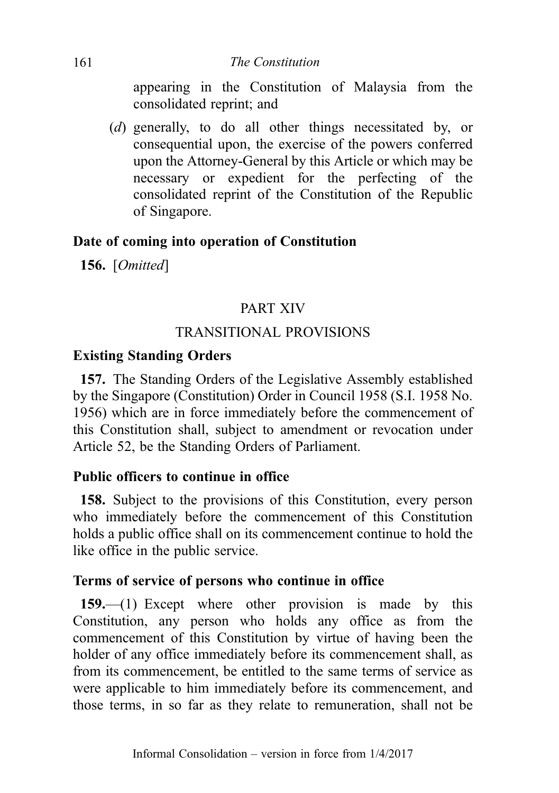appearing in the Constitution of Malaysia from the consolidated reprint; and

(d) generally, to do all other things necessitated by, or consequential upon, the exercise of the powers conferred upon the Attorney-General by this Article or which may be necessary or expedient for the perfecting of the consolidated reprint of the Constitution of the Republic of Singapore.

## Date of coming into operation of Constitution

156. [Omitted]

## PART XIV

## TRANSITIONAL PROVISIONS

## Existing Standing Orders

157. The Standing Orders of the Legislative Assembly established by the Singapore (Constitution) Order in Council 1958 (S.I. 1958 No. 1956) which are in force immediately before the commencement of this Constitution shall, subject to amendment or revocation under Article 52, be the Standing Orders of Parliament.

## Public officers to continue in office

158. Subject to the provisions of this Constitution, every person who immediately before the commencement of this Constitution holds a public office shall on its commencement continue to hold the like office in the public service.

### Terms of service of persons who continue in office

159.—(1) Except where other provision is made by this Constitution, any person who holds any office as from the commencement of this Constitution by virtue of having been the holder of any office immediately before its commencement shall, as from its commencement, be entitled to the same terms of service as were applicable to him immediately before its commencement, and those terms, in so far as they relate to remuneration, shall not be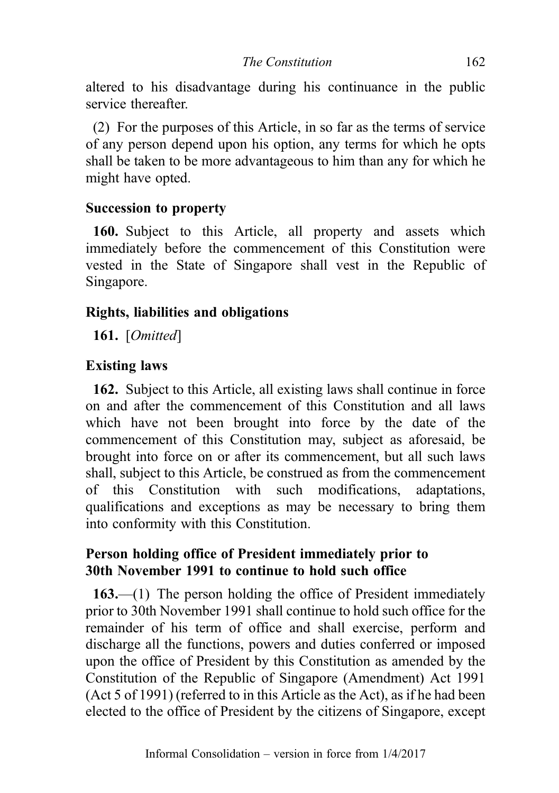altered to his disadvantage during his continuance in the public service thereafter.

(2) For the purposes of this Article, in so far as the terms of service of any person depend upon his option, any terms for which he opts shall be taken to be more advantageous to him than any for which he might have opted.

## Succession to property

160. Subject to this Article, all property and assets which immediately before the commencement of this Constitution were vested in the State of Singapore shall vest in the Republic of Singapore.

## Rights, liabilities and obligations

161. [Omitted]

## Existing laws

162. Subject to this Article, all existing laws shall continue in force on and after the commencement of this Constitution and all laws which have not been brought into force by the date of the commencement of this Constitution may, subject as aforesaid, be brought into force on or after its commencement, but all such laws shall, subject to this Article, be construed as from the commencement of this Constitution with such modifications, adaptations, qualifications and exceptions as may be necessary to bring them into conformity with this Constitution.

## Person holding office of President immediately prior to 30th November 1991 to continue to hold such office

163.—(1) The person holding the office of President immediately prior to 30th November 1991 shall continue to hold such office for the remainder of his term of office and shall exercise, perform and discharge all the functions, powers and duties conferred or imposed upon the office of President by this Constitution as amended by the Constitution of the Republic of Singapore (Amendment) Act 1991 (Act 5 of 1991) (referred to in this Article as the Act), as if he had been elected to the office of President by the citizens of Singapore, except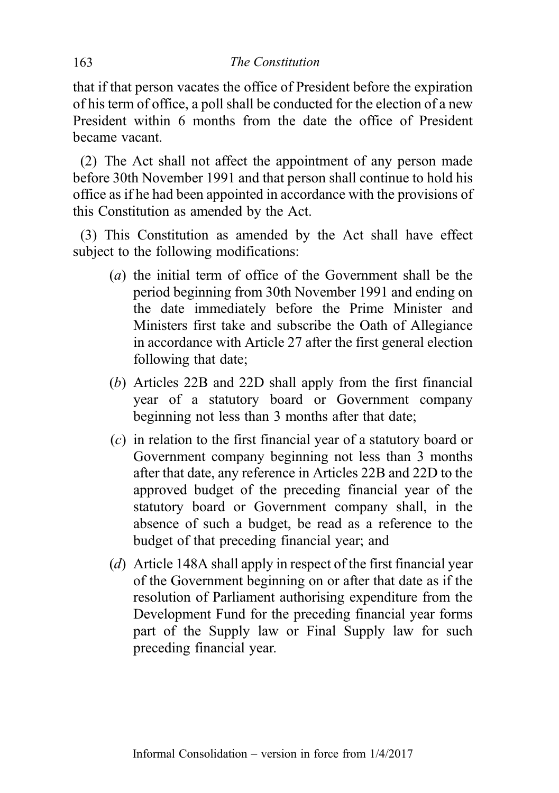that if that person vacates the office of President before the expiration of his term of office, a poll shall be conducted for the election of a new President within 6 months from the date the office of President became vacant.

(2) The Act shall not affect the appointment of any person made before 30th November 1991 and that person shall continue to hold his office as if he had been appointed in accordance with the provisions of this Constitution as amended by the Act.

(3) This Constitution as amended by the Act shall have effect subject to the following modifications:

- (a) the initial term of office of the Government shall be the period beginning from 30th November 1991 and ending on the date immediately before the Prime Minister and Ministers first take and subscribe the Oath of Allegiance in accordance with Article 27 after the first general election following that date;
- (b) Articles 22B and 22D shall apply from the first financial year of a statutory board or Government company beginning not less than 3 months after that date;
- (c) in relation to the first financial year of a statutory board or Government company beginning not less than 3 months after that date, any reference in Articles 22B and 22D to the approved budget of the preceding financial year of the statutory board or Government company shall, in the absence of such a budget, be read as a reference to the budget of that preceding financial year; and
- (d) Article 148A shall apply in respect of the first financial year of the Government beginning on or after that date as if the resolution of Parliament authorising expenditure from the Development Fund for the preceding financial year forms part of the Supply law or Final Supply law for such preceding financial year.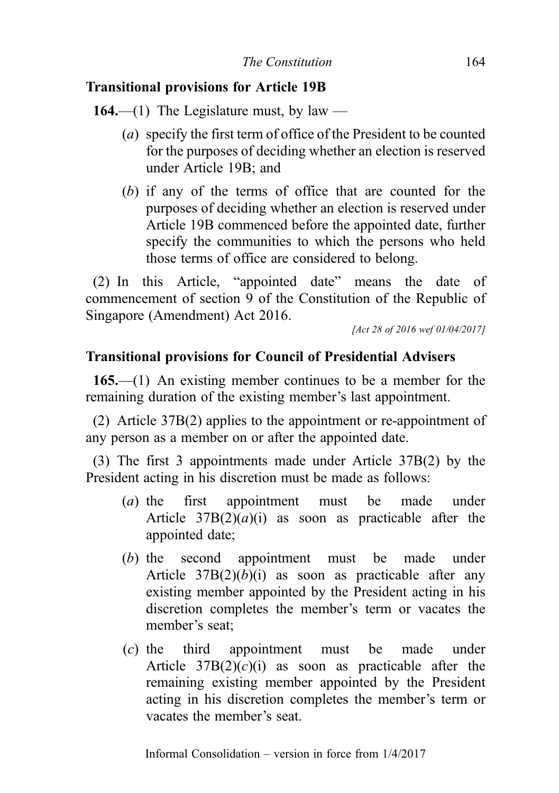## Transitional provisions for Article 19B

164.—(1) The Legislature must, by law —

- (a) specify the first term of office of the President to be counted for the purposes of deciding whether an election is reserved under Article 19B; and
- (b) if any of the terms of office that are counted for the purposes of deciding whether an election is reserved under Article 19B commenced before the appointed date, further specify the communities to which the persons who held those terms of office are considered to belong.

(2) In this Article, "appointed date" means the date of commencement of section 9 of the Constitution of the Republic of Singapore (Amendment) Act 2016.

[Act 28 of 2016 wef 01/04/2017]

### Transitional provisions for Council of Presidential Advisers

165.—(1) An existing member continues to be a member for the remaining duration of the existing member's last appointment.

(2) Article 37B(2) applies to the appointment or re-appointment of any person as a member on or after the appointed date.

(3) The first 3 appointments made under Article 37B(2) by the President acting in his discretion must be made as follows:

- (a) the first appointment must be made under Article  $37B(2)(a)(i)$  as soon as practicable after the appointed date;
- (b) the second appointment must be made under Article  $37B(2)(b)(i)$  as soon as practicable after any existing member appointed by the President acting in his discretion completes the member's term or vacates the member's seat;
- (c) the third appointment must be made under Article  $37B(2)(c)(i)$  as soon as practicable after the remaining existing member appointed by the President acting in his discretion completes the member's term or vacates the member's seat.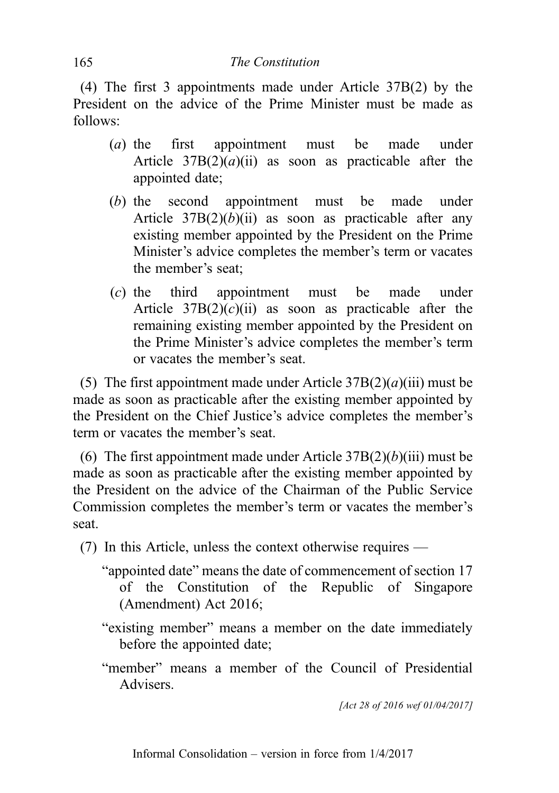165

(4) The first 3 appointments made under Article 37B(2) by the President on the advice of the Prime Minister must be made as follows:

- (a) the first appointment must be made under Article  $37B(2)(a)(ii)$  as soon as practicable after the appointed date;
- (b) the second appointment must be made under Article  $37B(2)(b)(ii)$  as soon as practicable after any existing member appointed by the President on the Prime Minister's advice completes the member's term or vacates the member's seat;
- (c) the third appointment must be made under Article  $37B(2)(c)(ii)$  as soon as practicable after the remaining existing member appointed by the President on the Prime Minister's advice completes the member's term or vacates the member's seat.

(5) The first appointment made under Article  $37B(2)(a)(iii)$  must be made as soon as practicable after the existing member appointed by the President on the Chief Justice's advice completes the member's term or vacates the member's seat.

(6) The first appointment made under Article  $37B(2)(b)(iii)$  must be made as soon as practicable after the existing member appointed by the President on the advice of the Chairman of the Public Service Commission completes the member's term or vacates the member's seat.

- (7) In this Article, unless the context otherwise requires
	- "appointed date" means the date of commencement of section 17 of the Constitution of the Republic of Singapore (Amendment) Act 2016;
	- "existing member" means a member on the date immediately before the appointed date;
	- "member" means a member of the Council of Presidential Advisers.

[Act 28 of 2016 wef 01/04/2017]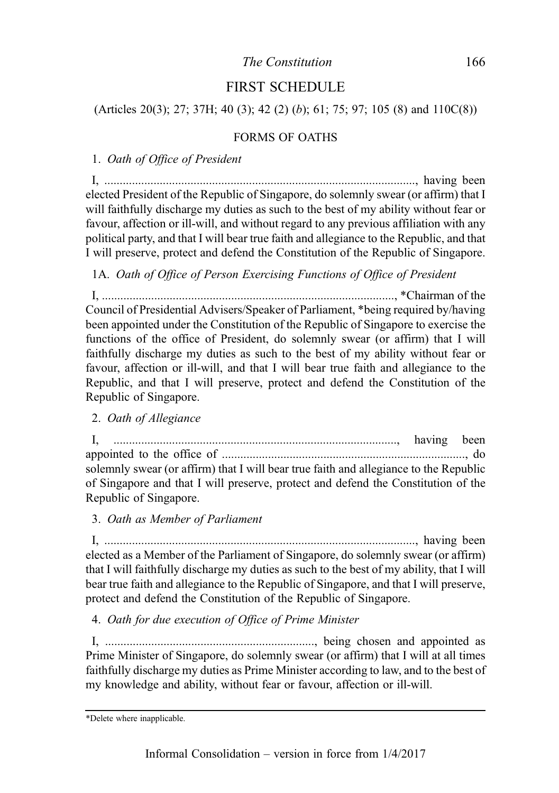## FIRST SCHEDULE

### (Articles 20(3); 27; 37H; 40 (3); 42 (2) (b); 61; 75; 97; 105 (8) and 110C(8))

#### FORMS OF OATHS

1. Oath of Office of President

I, ....................................................................................................., having been elected President of the Republic of Singapore, do solemnly swear (or affirm) that I will faithfully discharge my duties as such to the best of my ability without fear or favour, affection or ill-will, and without regard to any previous affiliation with any political party, and that I will bear true faith and allegiance to the Republic, and that I will preserve, protect and defend the Constitution of the Republic of Singapore.

1A. Oath of Office of Person Exercising Functions of Office of President

I, ..............................................................................................., \*Chairman of the Council of Presidential Advisers/Speaker of Parliament, \*being required by/having been appointed under the Constitution of the Republic of Singapore to exercise the functions of the office of President, do solemnly swear (or affirm) that I will faithfully discharge my duties as such to the best of my ability without fear or favour, affection or ill-will, and that I will bear true faith and allegiance to the Republic, and that I will preserve, protect and defend the Constitution of the Republic of Singapore.

2. Oath of Allegiance

I, ............................................................................................, having been appointed to the office of ..............................................................................., do solemnly swear (or affirm) that I will bear true faith and allegiance to the Republic of Singapore and that I will preserve, protect and defend the Constitution of the Republic of Singapore.

3. Oath as Member of Parliament

I, ....................................................................................................., having been elected as a Member of the Parliament of Singapore, do solemnly swear (or affirm) that I will faithfully discharge my duties as such to the best of my ability, that I will bear true faith and allegiance to the Republic of Singapore, and that I will preserve, protect and defend the Constitution of the Republic of Singapore.

4. Oath for due execution of Office of Prime Minister

I, ...................................................................., being chosen and appointed as Prime Minister of Singapore, do solemnly swear (or affirm) that I will at all times faithfully discharge my duties as Prime Minister according to law, and to the best of my knowledge and ability, without fear or favour, affection or ill-will.

<sup>\*</sup>Delete where inapplicable.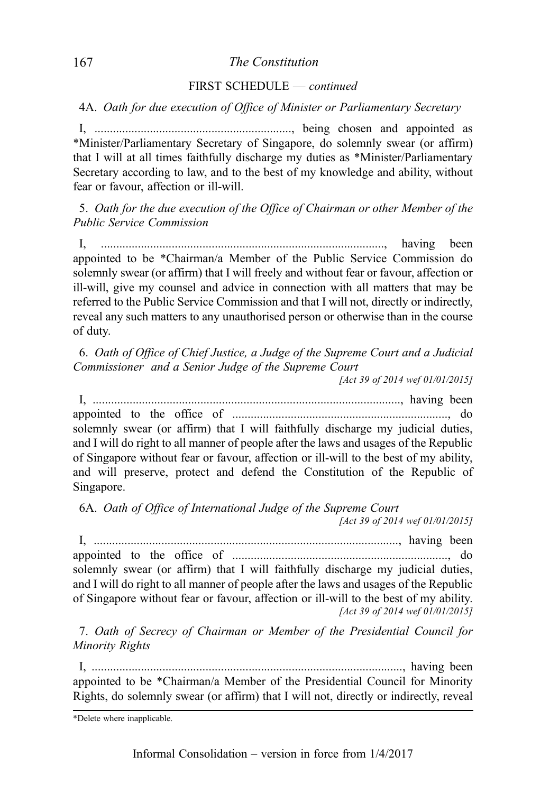#### FIRST SCHEDULE — continued

#### 4A. Oath for due execution of Office of Minister or Parliamentary Secretary

I, ................................................................, being chosen and appointed as \*Minister/Parliamentary Secretary of Singapore, do solemnly swear (or affirm) that I will at all times faithfully discharge my duties as \*Minister/Parliamentary Secretary according to law, and to the best of my knowledge and ability, without fear or favour, affection or ill-will.

5. Oath for the due execution of the Office of Chairman or other Member of the Public Service Commission

I, ............................................................................................, having been appointed to be \*Chairman/a Member of the Public Service Commission do solemnly swear (or affirm) that I will freely and without fear or favour, affection or ill-will, give my counsel and advice in connection with all matters that may be referred to the Public Service Commission and that I will not, directly or indirectly, reveal any such matters to any unauthorised person or otherwise than in the course of duty.

6. Oath of Office of Chief Justice, a Judge of the Supreme Court and a Judicial Commissioner and a Senior Judge of the Supreme Court

[Act 39 of 2014 wef 01/01/2015]

I, ...................................................................................................., having been appointed to the office of ......................................................................, do solemnly swear (or affirm) that I will faithfully discharge my judicial duties, and I will do right to all manner of people after the laws and usages of the Republic of Singapore without fear or favour, affection or ill-will to the best of my ability, and will preserve, protect and defend the Constitution of the Republic of Singapore.

6A. Oath of Office of International Judge of the Supreme Court

[Act 39 of 2014 wef 01/01/2015]

I, ..................................................................................................., having been appointed to the office of ......................................................................, do solemnly swear (or affirm) that I will faithfully discharge my judicial duties, and I will do right to all manner of people after the laws and usages of the Republic of Singapore without fear or favour, affection or ill-will to the best of my ability. [Act 39 of 2014 wef 01/01/2015]

7. Oath of Secrecy of Chairman or Member of the Presidential Council for Minority Rights

I,  $\ldots$ , having been appointed to be \*Chairman/a Member of the Presidential Council for Minority Rights, do solemnly swear (or affirm) that I will not, directly or indirectly, reveal

\*Delete where inapplicable.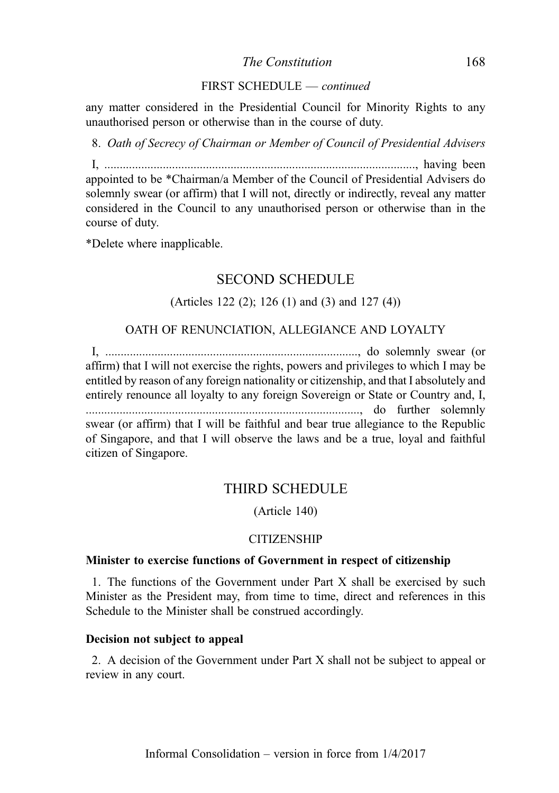#### FIRST SCHEDULE — continued

any matter considered in the Presidential Council for Minority Rights to any unauthorised person or otherwise than in the course of duty.

8. Oath of Secrecy of Chairman or Member of Council of Presidential Advisers

I, ....................................................................................................., having been appointed to be \*Chairman/a Member of the Council of Presidential Advisers do solemnly swear (or affirm) that I will not, directly or indirectly, reveal any matter considered in the Council to any unauthorised person or otherwise than in the course of duty.

\*Delete where inapplicable.

### SECOND SCHEDULE

#### (Articles 122 (2); 126 (1) and (3) and 127 (4))

### OATH OF RENUNCIATION, ALLEGIANCE AND LOYALTY

I, .................................................................................., do solemnly swear (or affirm) that I will not exercise the rights, powers and privileges to which I may be entitled by reason of any foreign nationality or citizenship, and that I absolutely and entirely renounce all loyalty to any foreign Sovereign or State or Country and, I, ........................................................................................., do further solemnly swear (or affirm) that I will be faithful and bear true allegiance to the Republic of Singapore, and that I will observe the laws and be a true, loyal and faithful citizen of Singapore.

### THIRD SCHEDULE

(Article 140)

#### CITIZENSHIP

#### Minister to exercise functions of Government in respect of citizenship

1. The functions of the Government under Part X shall be exercised by such Minister as the President may, from time to time, direct and references in this Schedule to the Minister shall be construed accordingly.

#### Decision not subject to appeal

2. A decision of the Government under Part X shall not be subject to appeal or review in any court.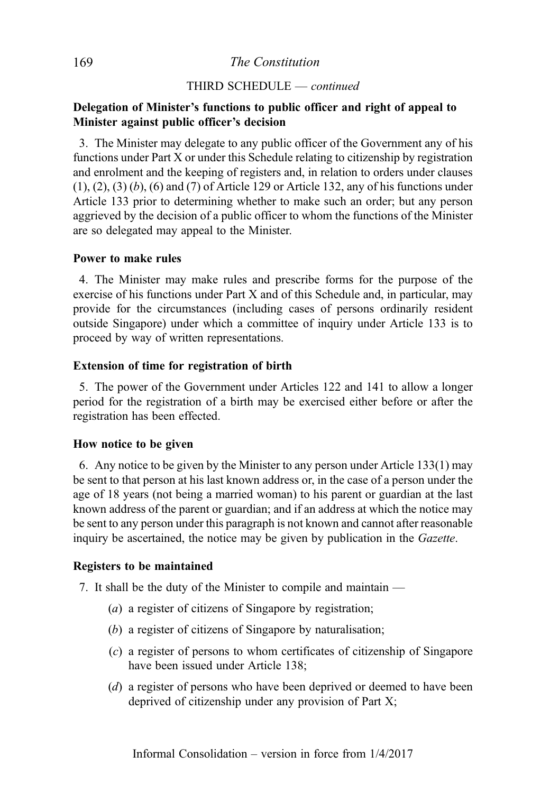### THIRD SCHEDULE — continued

### Delegation of Minister's functions to public officer and right of appeal to Minister against public officer's decision

3. The Minister may delegate to any public officer of the Government any of his functions under Part X or under this Schedule relating to citizenship by registration and enrolment and the keeping of registers and, in relation to orders under clauses  $(1)$ ,  $(2)$ ,  $(3)$   $(b)$ ,  $(6)$  and  $(7)$  of Article 129 or Article 132, any of his functions under Article 133 prior to determining whether to make such an order; but any person aggrieved by the decision of a public officer to whom the functions of the Minister are so delegated may appeal to the Minister.

#### Power to make rules

4. The Minister may make rules and prescribe forms for the purpose of the exercise of his functions under Part X and of this Schedule and, in particular, may provide for the circumstances (including cases of persons ordinarily resident outside Singapore) under which a committee of inquiry under Article 133 is to proceed by way of written representations.

#### Extension of time for registration of birth

5. The power of the Government under Articles 122 and 141 to allow a longer period for the registration of a birth may be exercised either before or after the registration has been effected.

#### How notice to be given

6. Any notice to be given by the Minister to any person under Article 133(1) may be sent to that person at his last known address or, in the case of a person under the age of 18 years (not being a married woman) to his parent or guardian at the last known address of the parent or guardian; and if an address at which the notice may be sent to any person under this paragraph is not known and cannot after reasonable inquiry be ascertained, the notice may be given by publication in the Gazette.

#### Registers to be maintained

7. It shall be the duty of the Minister to compile and maintain —

- (a) a register of citizens of Singapore by registration;
- (b) a register of citizens of Singapore by naturalisation;
- (c) a register of persons to whom certificates of citizenship of Singapore have been issued under Article 138;
- (d) a register of persons who have been deprived or deemed to have been deprived of citizenship under any provision of Part X;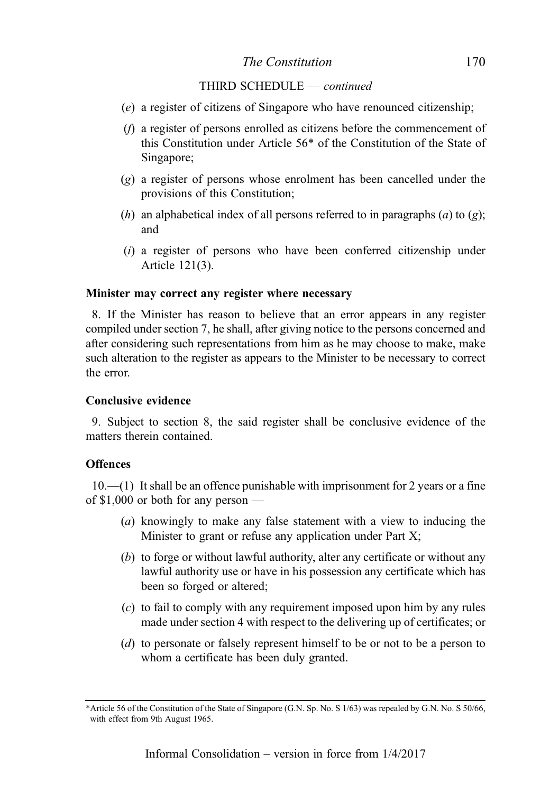#### THIRD SCHEDULE — continued

(e) a register of citizens of Singapore who have renounced citizenship;

170

- (f) a register of persons enrolled as citizens before the commencement of this Constitution under Article 56\* of the Constitution of the State of Singapore;
- (g) a register of persons whose enrolment has been cancelled under the provisions of this Constitution;
- (h) an alphabetical index of all persons referred to in paragraphs (a) to (g); and
- $(i)$  a register of persons who have been conferred citizenship under Article 121(3).

#### Minister may correct any register where necessary

8. If the Minister has reason to believe that an error appears in any register compiled under section 7, he shall, after giving notice to the persons concerned and after considering such representations from him as he may choose to make, make such alteration to the register as appears to the Minister to be necessary to correct the error.

#### Conclusive evidence

9. Subject to section 8, the said register shall be conclusive evidence of the matters therein contained.

#### **Offences**

10.—(1) It shall be an offence punishable with imprisonment for 2 years or a fine of \$1,000 or both for any person —

- (a) knowingly to make any false statement with a view to inducing the Minister to grant or refuse any application under Part X;
- (b) to forge or without lawful authority, alter any certificate or without any lawful authority use or have in his possession any certificate which has been so forged or altered;
- (c) to fail to comply with any requirement imposed upon him by any rules made under section 4 with respect to the delivering up of certificates; or
- (d) to personate or falsely represent himself to be or not to be a person to whom a certificate has been duly granted.

<sup>\*</sup>Article 56 of the Constitution of the State of Singapore (G.N. Sp. No. S 1/63) was repealed by G.N. No. S 50/66, with effect from 9th August 1965.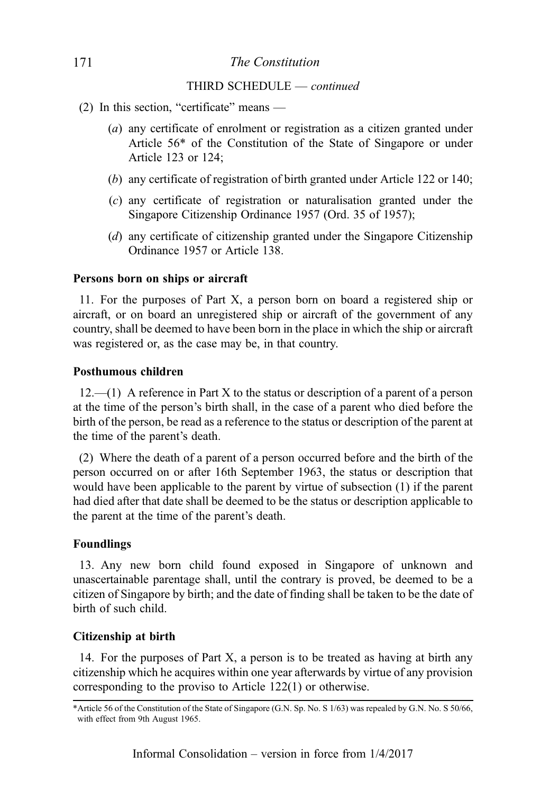### THIRD SCHEDULE — continued

- (2) In this section, "certificate" means  $-$ 
	- (a) any certificate of enrolment or registration as a citizen granted under Article 56\* of the Constitution of the State of Singapore or under Article 123 or 124;
	- (b) any certificate of registration of birth granted under Article 122 or 140;
	- (c) any certificate of registration or naturalisation granted under the Singapore Citizenship Ordinance 1957 (Ord. 35 of 1957);
	- (d) any certificate of citizenship granted under the Singapore Citizenship Ordinance 1957 or Article 138.

#### Persons born on ships or aircraft

11. For the purposes of Part X, a person born on board a registered ship or aircraft, or on board an unregistered ship or aircraft of the government of any country, shall be deemed to have been born in the place in which the ship or aircraft was registered or, as the case may be, in that country.

#### Posthumous children

12.—(1) A reference in Part X to the status or description of a parent of a person at the time of the person's birth shall, in the case of a parent who died before the birth of the person, be read as a reference to the status or description of the parent at the time of the parent's death.

(2) Where the death of a parent of a person occurred before and the birth of the person occurred on or after 16th September 1963, the status or description that would have been applicable to the parent by virtue of subsection (1) if the parent had died after that date shall be deemed to be the status or description applicable to the parent at the time of the parent's death.

#### Foundlings

13. Any new born child found exposed in Singapore of unknown and unascertainable parentage shall, until the contrary is proved, be deemed to be a citizen of Singapore by birth; and the date of finding shall be taken to be the date of birth of such child.

#### Citizenship at birth

14. For the purposes of Part X, a person is to be treated as having at birth any citizenship which he acquires within one year afterwards by virtue of any provision corresponding to the proviso to Article 122(1) or otherwise.

<sup>\*</sup>Article 56 of the Constitution of the State of Singapore (G.N. Sp. No. S 1/63) was repealed by G.N. No. S 50/66, with effect from 9th August 1965.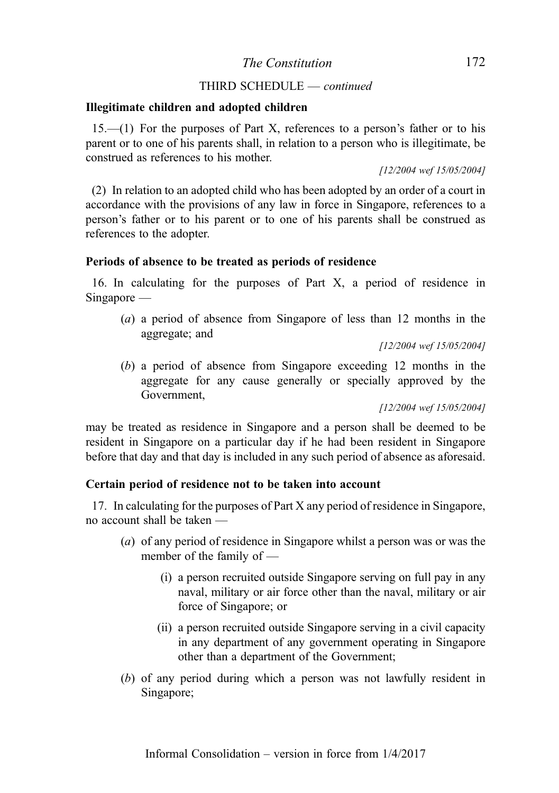### THIRD SCHEDULE — continued

#### Illegitimate children and adopted children

15.—(1) For the purposes of Part X, references to a person's father or to his parent or to one of his parents shall, in relation to a person who is illegitimate, be construed as references to his mother.

[12/2004 wef 15/05/2004]

(2) In relation to an adopted child who has been adopted by an order of a court in accordance with the provisions of any law in force in Singapore, references to a person's father or to his parent or to one of his parents shall be construed as references to the adopter.

#### Periods of absence to be treated as periods of residence

16. In calculating for the purposes of Part X, a period of residence in Singapore —

(a) a period of absence from Singapore of less than 12 months in the aggregate; and

[12/2004 wef 15/05/2004]

(b) a period of absence from Singapore exceeding 12 months in the aggregate for any cause generally or specially approved by the Government,

[12/2004 wef 15/05/2004]

may be treated as residence in Singapore and a person shall be deemed to be resident in Singapore on a particular day if he had been resident in Singapore before that day and that day is included in any such period of absence as aforesaid.

### Certain period of residence not to be taken into account

17. In calculating for the purposes of Part X any period of residence in Singapore, no account shall be taken —

- (a) of any period of residence in Singapore whilst a person was or was the member of the family of —
	- (i) a person recruited outside Singapore serving on full pay in any naval, military or air force other than the naval, military or air force of Singapore; or
	- (ii) a person recruited outside Singapore serving in a civil capacity in any department of any government operating in Singapore other than a department of the Government;
- (b) of any period during which a person was not lawfully resident in Singapore;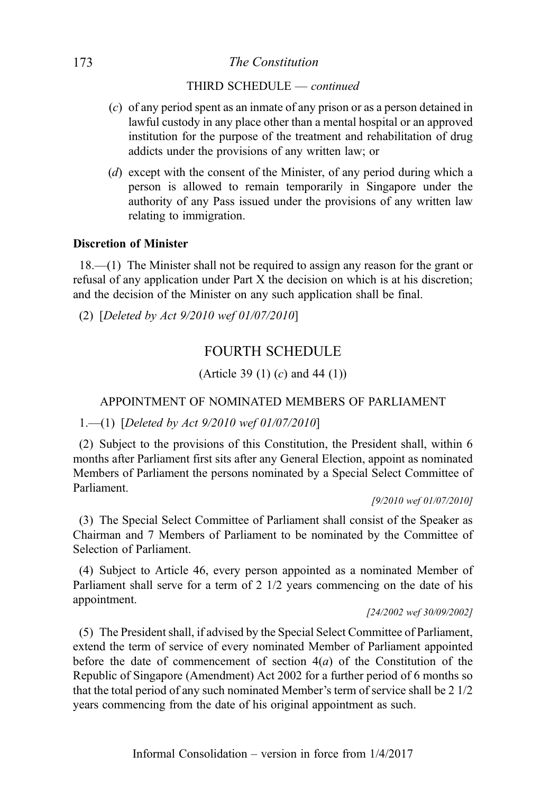### THIRD SCHEDULE — continued

- (c) of any period spent as an inmate of any prison or as a person detained in lawful custody in any place other than a mental hospital or an approved institution for the purpose of the treatment and rehabilitation of drug addicts under the provisions of any written law; or
- (d) except with the consent of the Minister, of any period during which a person is allowed to remain temporarily in Singapore under the authority of any Pass issued under the provisions of any written law relating to immigration.

#### Discretion of Minister

18.—(1) The Minister shall not be required to assign any reason for the grant or refusal of any application under Part X the decision on which is at his discretion; and the decision of the Minister on any such application shall be final.

(2) [Deleted by Act 9/2010 wef 01/07/2010]

## FOURTH SCHEDULE

### (Article 39 (1)  $(c)$  and 44 (1))

### APPOINTMENT OF NOMINATED MEMBERS OF PARLIAMENT

#### 1.—(1) [Deleted by Act 9/2010 wef 01/07/2010]

(2) Subject to the provisions of this Constitution, the President shall, within 6 months after Parliament first sits after any General Election, appoint as nominated Members of Parliament the persons nominated by a Special Select Committee of Parliament.

#### [9/2010 wef 01/07/2010]

(3) The Special Select Committee of Parliament shall consist of the Speaker as Chairman and 7 Members of Parliament to be nominated by the Committee of Selection of Parliament.

(4) Subject to Article 46, every person appointed as a nominated Member of Parliament shall serve for a term of 2 1/2 years commencing on the date of his appointment.

#### [24/2002 wef 30/09/2002]

(5) The President shall, if advised by the Special Select Committee of Parliament, extend the term of service of every nominated Member of Parliament appointed before the date of commencement of section  $4(a)$  of the Constitution of the Republic of Singapore (Amendment) Act 2002 for a further period of 6 months so that the total period of any such nominated Member's term of service shall be 2 1/2 years commencing from the date of his original appointment as such.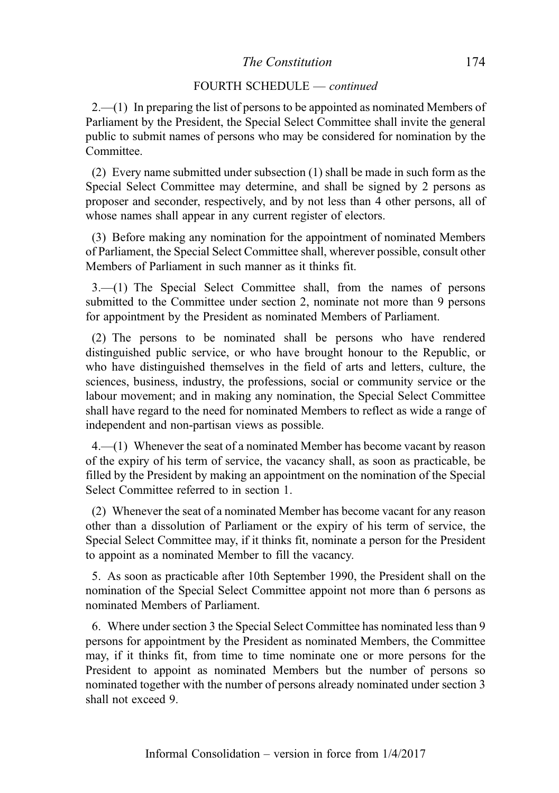#### FOURTH SCHEDULE — continued

2.—(1) In preparing the list of persons to be appointed as nominated Members of Parliament by the President, the Special Select Committee shall invite the general public to submit names of persons who may be considered for nomination by the Committee.

(2) Every name submitted under subsection (1) shall be made in such form as the Special Select Committee may determine, and shall be signed by 2 persons as proposer and seconder, respectively, and by not less than 4 other persons, all of whose names shall appear in any current register of electors.

(3) Before making any nomination for the appointment of nominated Members of Parliament, the Special Select Committee shall, wherever possible, consult other Members of Parliament in such manner as it thinks fit.

3.—(1) The Special Select Committee shall, from the names of persons submitted to the Committee under section 2, nominate not more than 9 persons for appointment by the President as nominated Members of Parliament.

(2) The persons to be nominated shall be persons who have rendered distinguished public service, or who have brought honour to the Republic, or who have distinguished themselves in the field of arts and letters, culture, the sciences, business, industry, the professions, social or community service or the labour movement; and in making any nomination, the Special Select Committee shall have regard to the need for nominated Members to reflect as wide a range of independent and non-partisan views as possible.

4.—(1) Whenever the seat of a nominated Member has become vacant by reason of the expiry of his term of service, the vacancy shall, as soon as practicable, be filled by the President by making an appointment on the nomination of the Special Select Committee referred to in section 1.

(2) Whenever the seat of a nominated Member has become vacant for any reason other than a dissolution of Parliament or the expiry of his term of service, the Special Select Committee may, if it thinks fit, nominate a person for the President to appoint as a nominated Member to fill the vacancy.

5. As soon as practicable after 10th September 1990, the President shall on the nomination of the Special Select Committee appoint not more than 6 persons as nominated Members of Parliament.

6. Where under section 3 the Special Select Committee has nominated less than 9 persons for appointment by the President as nominated Members, the Committee may, if it thinks fit, from time to time nominate one or more persons for the President to appoint as nominated Members but the number of persons so nominated together with the number of persons already nominated under section 3 shall not exceed 9.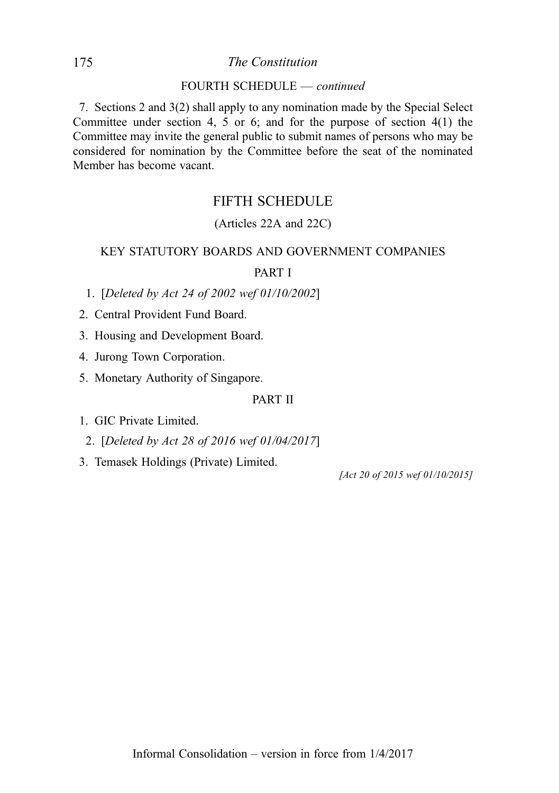#### FOURTH SCHEDULE — continued

7. Sections 2 and 3(2) shall apply to any nomination made by the Special Select Committee under section 4, 5 or 6; and for the purpose of section 4(1) the Committee may invite the general public to submit names of persons who may be considered for nomination by the Committee before the seat of the nominated Member has become vacant.

### FIFTH SCHEDULE

### (Articles 22A and 22C)

#### KEY STATUTORY BOARDS AND GOVERNMENT COMPANIES

#### PART I

1. [Deleted by Act 24 of 2002 wef 01/10/2002]

2. Central Provident Fund Board.

3. Housing and Development Board.

4. Jurong Town Corporation.

5. Monetary Authority of Singapore.

### PART II

1. GIC Private Limited.

2. [Deleted by Act 28 of 2016 wef 01/04/2017]

3. Temasek Holdings (Private) Limited.

[Act 20 of 2015 wef 01/10/2015]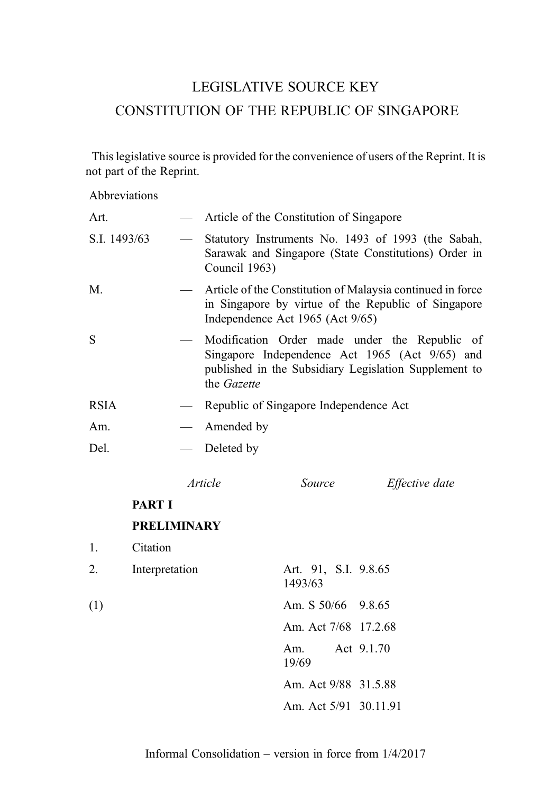# LEGISLATIVE SOURCE KEY CONSTITUTION OF THE REPUBLIC OF SINGAPORE

This legislative source is provided for the convenience of users of the Reprint. It is not part of the Reprint.

Abbreviations

| Art.         |                    |  | Article of the Constitution of Singapore                                                                                                                                |                                 |  |                       |
|--------------|--------------------|--|-------------------------------------------------------------------------------------------------------------------------------------------------------------------------|---------------------------------|--|-----------------------|
| S.I. 1493/63 |                    |  | Statutory Instruments No. 1493 of 1993 (the Sabah,<br>Sarawak and Singapore (State Constitutions) Order in<br>Council 1963)                                             |                                 |  |                       |
| M.           |                    |  | Article of the Constitution of Malaysia continued in force<br>in Singapore by virtue of the Republic of Singapore<br>Independence Act 1965 (Act 9/65)                   |                                 |  |                       |
| S            |                    |  | Modification Order made under the Republic of<br>Singapore Independence Act 1965 (Act 9/65) and<br>published in the Subsidiary Legislation Supplement to<br>the Gazette |                                 |  |                       |
| <b>RSIA</b>  |                    |  | Republic of Singapore Independence Act                                                                                                                                  |                                 |  |                       |
| Am.          |                    |  | Amended by                                                                                                                                                              |                                 |  |                       |
| Del.         |                    |  | Deleted by                                                                                                                                                              |                                 |  |                       |
|              | Article            |  |                                                                                                                                                                         | Source                          |  | <i>Effective date</i> |
|              | <b>PART I</b>      |  |                                                                                                                                                                         |                                 |  |                       |
|              | <b>PRELIMINARY</b> |  |                                                                                                                                                                         |                                 |  |                       |
| 1.           | Citation           |  |                                                                                                                                                                         |                                 |  |                       |
| 2.           | Interpretation     |  |                                                                                                                                                                         | Art. 91, S.I. 9.8.65<br>1493/63 |  |                       |

(1) Am. S 50/66 9.8.65 Am. Act 7/68 17.2.68 Am. Act 9.1.70 19/69 Am. Act 9/88 31.5.88 Am. Act 5/91 30.11.91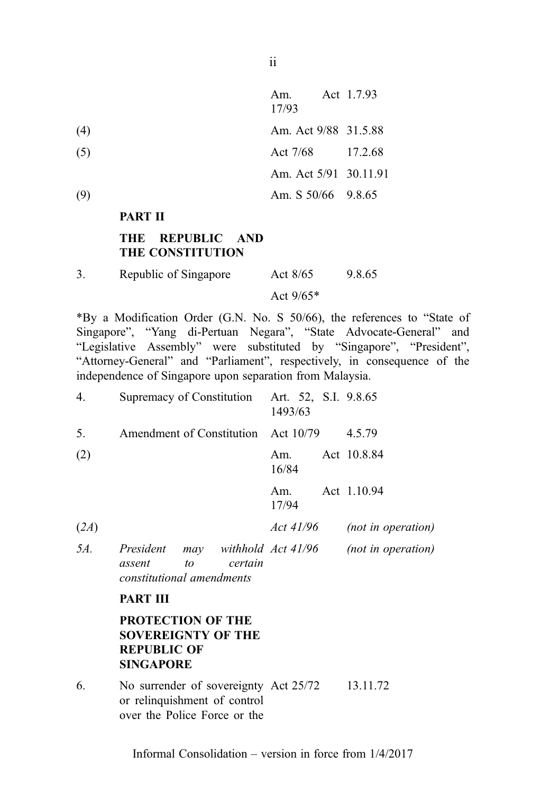|     | Am.<br>17/93          | Act 1.7.93 |
|-----|-----------------------|------------|
| (4) | Am. Act 9/88 31.5.88  |            |
| (5) | Act 7/68              | 17.2.68    |
|     | Am. Act 5/91 30.11.91 |            |
| (9) | Am. S 50/66 9.8.65    |            |

#### PART II

### THE REPUBLIC AND THE CONSTITUTION

3. Republic of Singapore Act 8/65 9.8.65

Act 9/65\*

\*By a Modification Order (G.N. No. S 50/66), the references to "State of Singapore", "Yang di-Pertuan Negara", "State Advocate-General" and "Legislative Assembly" were substituted by "Singapore", "President", "Attorney-General" and "Parliament", respectively, in consequence of the independence of Singapore upon separation from Malaysia.

ii

| 4.   | Supremacy of Constitution Art. 52, S.I. 9.8.65                                              | 1493/63      |                    |
|------|---------------------------------------------------------------------------------------------|--------------|--------------------|
| 5.   | Amendment of Constitution Act 10/79                                                         |              | 4.5.79             |
| (2)  |                                                                                             | Am.<br>16/84 | Act 10.8.84        |
|      |                                                                                             | Am.<br>17/94 | Act 1.10.94        |
| (2A) |                                                                                             | Act 41/96    | (not in operation) |
| 5A.  | President<br>may withhold Act 41/96<br>certain<br>assent<br>to<br>constitutional amendments |              | (not in operation) |
|      | <b>PART III</b>                                                                             |              |                    |
|      | PROTECTION OF THE<br>амиммисмиу облив                                                       |              |                    |

## SOVEREIGNTY OF THE REPUBLIC OF SINGAPORE

6. No surrender of sovereignty Act 25/72 13.11.72 or relinquishment of control over the Police Force or the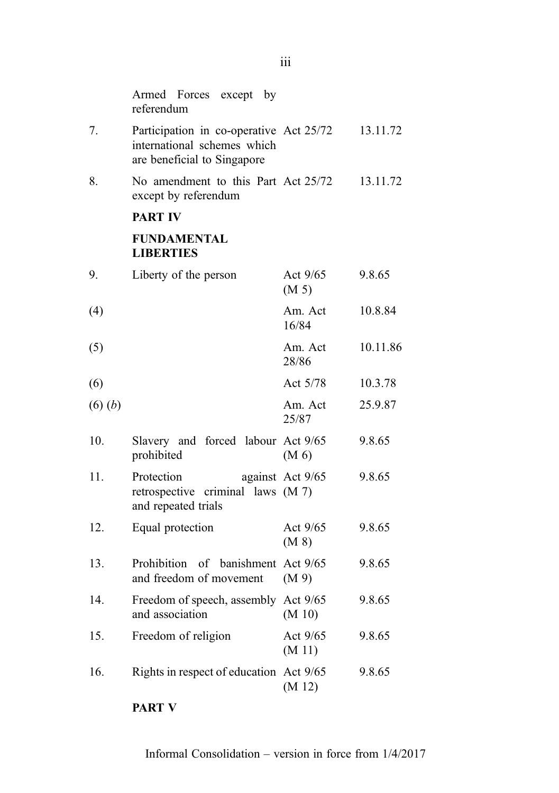|             | Armed Forces except by<br>referendum                                                                  |                    |          |
|-------------|-------------------------------------------------------------------------------------------------------|--------------------|----------|
| 7.          | Participation in co-operative Act 25/72<br>international schemes which<br>are beneficial to Singapore |                    | 13.11.72 |
| 8.          | No amendment to this Part Act 25/72<br>except by referendum                                           |                    | 13.11.72 |
|             | <b>PART IV</b>                                                                                        |                    |          |
|             | <b>FUNDAMENTAL</b><br><b>LIBERTIES</b>                                                                |                    |          |
| 9.          | Liberty of the person                                                                                 | Act 9/65<br>(M 5)  | 9.8.65   |
| (4)         |                                                                                                       | Am. Act<br>16/84   | 10.8.84  |
| (5)         |                                                                                                       | Am. Act<br>28/86   | 10.11.86 |
| (6)         |                                                                                                       | Act 5/78           | 10.3.78  |
| $(6)$ $(b)$ |                                                                                                       | Am. Act<br>25/87   | 25.9.87  |
| 10.         | Slavery and forced labour Act 9/65<br>prohibited                                                      | (M <sub>6</sub> )  | 9.8.65   |
| 11.         | Protection<br>retrospective criminal laws (M 7)<br>and repeated trials                                | against Act 9/65   | 9.8.65   |
| 12.         | Equal protection                                                                                      | Act 9/65<br>(M 8)  | 9.8.65   |
| 13.         | Prohibition of banishment Act 9/65<br>and freedom of movement                                         | (M <sub>9</sub> )  | 9.8.65   |
| 14.         | Freedom of speech, assembly Act 9/65<br>and association                                               | (M 10)             | 9.8.65   |
| 15.         | Freedom of religion                                                                                   | Act 9/65<br>(M 11) | 9.8.65   |
| 16.         | Rights in respect of education Act 9/65                                                               | (M 12)             | 9.8.65   |

## PART V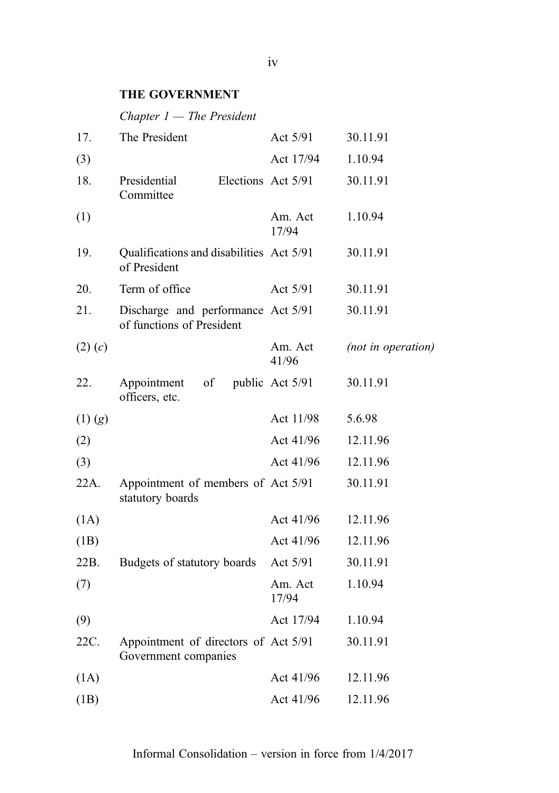### THE GOVERNMENT

Chapter  $1$  – The President

| 17.         | The President                                                   | Act 5/91         | 30.11.91           |
|-------------|-----------------------------------------------------------------|------------------|--------------------|
| (3)         |                                                                 | Act 17/94        | 1.10.94            |
| 18.         | Presidential<br>Elections Act 5/91<br>Committee                 |                  | 30.11.91           |
| (1)         |                                                                 | Am. Act<br>17/94 | 1.10.94            |
| 19.         | Qualifications and disabilities Act 5/91<br>of President        |                  | 30.11.91           |
| 20.         | Term of office                                                  | Act 5/91         | 30.11.91           |
| 21.         | Discharge and performance Act 5/91<br>of functions of President |                  | 30.11.91           |
| $(2)$ $(c)$ |                                                                 | Am. Act<br>41/96 | (not in operation) |
| 22.         | Appointment<br>of<br>officers, etc.                             | public Act 5/91  | 30.11.91           |
| $(1)$ $(g)$ |                                                                 | Act 11/98        | 5.6.98             |
| (2)         |                                                                 | Act 41/96        | 12.11.96           |
| (3)         |                                                                 | Act $41/96$      | 12.11.96           |
| 22A.        | Appointment of members of Act 5/91<br>statutory boards          |                  | 30.11.91           |
| (1A)        |                                                                 | Act 41/96        | 12.11.96           |
| (1B)        |                                                                 | Act 41/96        | 12.11.96           |
| 22B.        | Budgets of statutory boards                                     | Act 5/91         | 30.11.91           |
| (7)         |                                                                 | Am. Act<br>17/94 | 1.10.94            |
| (9)         |                                                                 | Act 17/94        | 1.10.94            |
| 22C.        | Appointment of directors of Act 5/91<br>Government companies    |                  | 30.11.91           |
| (1A)        |                                                                 | Act 41/96        | 12.11.96           |
| (1B)        |                                                                 | Act 41/96        | 12.11.96           |

iv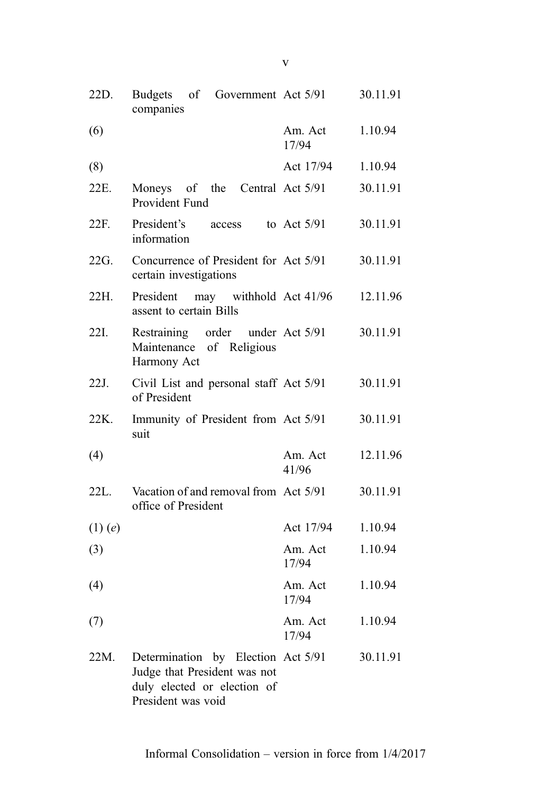| 22D.        | Budgets of Government Act 5/91<br>companies                                                                             |                  | 30.11.91 |
|-------------|-------------------------------------------------------------------------------------------------------------------------|------------------|----------|
| (6)         |                                                                                                                         | Am. Act<br>17/94 | 1.10.94  |
| (8)         |                                                                                                                         | Act 17/94        | 1.10.94  |
| 22E.        | Moneys of the Central Act 5/91<br>Provident Fund                                                                        |                  | 30.11.91 |
| 22F.        | President's<br>access to Act 5/91<br>information                                                                        |                  | 30.11.91 |
| 22G.        | Concurrence of President for Act 5/91<br>certain investigations                                                         |                  | 30.11.91 |
| 22H.        | President may withhold Act 41/96<br>assent to certain Bills                                                             |                  | 12.11.96 |
| $22I$ .     | Restraining order under Act 5/91<br>Maintenance of Religious<br>Harmony Act                                             |                  | 30.11.91 |
| 22J.        | Civil List and personal staff Act 5/91<br>of President                                                                  |                  | 30.11.91 |
| 22K.        | Immunity of President from Act 5/91<br>suit                                                                             |                  | 30.11.91 |
| (4)         |                                                                                                                         | Am. Act<br>41/96 | 12.11.96 |
| 22L.        | Vacation of and removal from Act 5/91<br>office of President                                                            |                  | 30.11.91 |
| $(1)$ $(e)$ |                                                                                                                         | Act 17/94        | 1.10.94  |
| (3)         |                                                                                                                         | Am. Act<br>17/94 | 1.10.94  |
| (4)         |                                                                                                                         | Am. Act<br>17/94 | 1.10.94  |
| (7)         |                                                                                                                         | Am. Act<br>17/94 | 1.10.94  |
| 22M.        | Determination by Election Act 5/91<br>Judge that President was not<br>duly elected or election of<br>President was void |                  | 30.11.91 |

v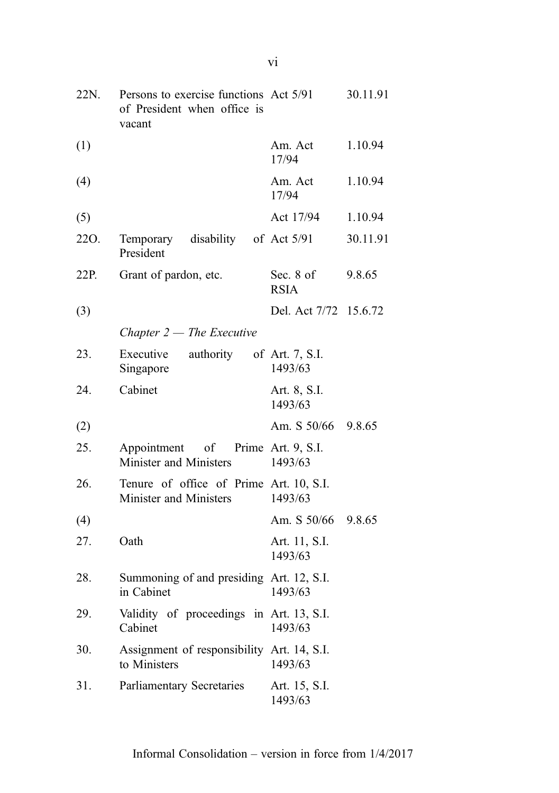| 22N. | Persons to exercise functions Act 5/91<br>of President when office is<br>vacant |                          | 30.11.91 |
|------|---------------------------------------------------------------------------------|--------------------------|----------|
| (1)  |                                                                                 | Am. Act<br>17/94         | 1.10.94  |
| (4)  |                                                                                 | Am. Act<br>17/94         | 1.10.94  |
| (5)  |                                                                                 | Act 17/94                | 1.10.94  |
| 22O. | Temporary disability of Act 5/91<br>President                                   |                          | 30.11.91 |
| 22P. | Grant of pardon, etc.                                                           | Sec. 8 of<br><b>RSIA</b> | 9.8.65   |
| (3)  |                                                                                 | Del. Act 7/72 15.6.72    |          |
|      | Chapter $2$ — The Executive                                                     |                          |          |
| 23.  | Executive<br>authority of Art. 7, S.I.<br>Singapore                             | 1493/63                  |          |
| 24.  | Cabinet                                                                         | Art. 8, S.I.<br>1493/63  |          |
| (2)  |                                                                                 | Am. S 50/66 9.8.65       |          |
| 25.  | Appointment of Prime Art. 9, S.I.<br>Minister and Ministers                     | 1493/63                  |          |
| 26.  | Tenure of office of Prime Art. 10, S.I.<br>Minister and Ministers               | 1493/63                  |          |
| (4)  |                                                                                 | Am. S 50/66              | 9.8.65   |
| 27.  | Oath                                                                            | Art. 11, S.I.<br>1493/63 |          |
| 28.  | Summoning of and presiding Art. 12, S.I.<br>in Cabinet                          | 1493/63                  |          |
| 29.  | Validity of proceedings in Art. 13, S.I.<br>Cabinet                             | 1493/63                  |          |
| 30.  | Assignment of responsibility Art. 14, S.I.<br>to Ministers                      | 1493/63                  |          |
| 31.  | <b>Parliamentary Secretaries</b>                                                | Art. 15, S.I.<br>1493/63 |          |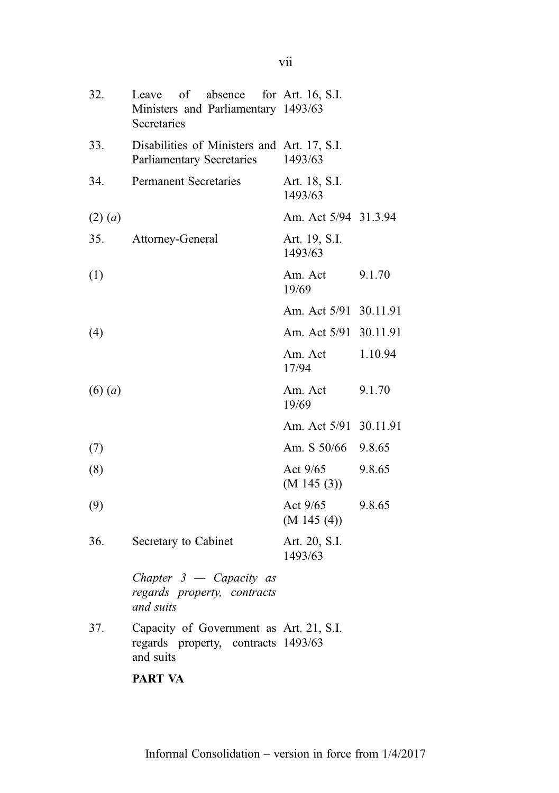| 32.         | Leave of absence<br>Ministers and Parliamentary 1493/63<br>Secretaries                      | for Art. 16, S.I.         |         |
|-------------|---------------------------------------------------------------------------------------------|---------------------------|---------|
| 33.         | Disabilities of Ministers and Art. 17, S.I.<br><b>Parliamentary Secretaries</b>             | 1493/63                   |         |
| 34.         | <b>Permanent Secretaries</b>                                                                | Art. 18, S.I.<br>1493/63  |         |
| $(2)$ $(a)$ |                                                                                             | Am. Act 5/94 31.3.94      |         |
| 35.         | Attorney-General                                                                            | Art. 19, S.I.<br>1493/63  |         |
| (1)         |                                                                                             | Am. Act<br>19/69          | 9.1.70  |
|             |                                                                                             | Am. Act 5/91 30.11.91     |         |
| (4)         |                                                                                             | Am. Act 5/91 30.11.91     |         |
|             |                                                                                             | Am. Act<br>17/94          | 1.10.94 |
| $(6)$ $(a)$ |                                                                                             | Am. Act<br>19/69          | 9.1.70  |
|             |                                                                                             | Am. Act 5/91 30.11.91     |         |
| (7)         |                                                                                             | Am. S 50/66               | 9.8.65  |
| (8)         |                                                                                             | Act $9/65$<br>(M 145 (3)) | 9.8.65  |
| (9)         |                                                                                             | Act $9/65$<br>(M 145 (4)) | 9.8.65  |
| 36.         | Secretary to Cabinet                                                                        | Art. 20, S.I.<br>1493/63  |         |
|             | Chapter $3$ — Capacity as<br>regards property, contracts<br>and suits                       |                           |         |
| 37.         | Capacity of Government as Art. 21, S.I.<br>regards property, contracts 1493/63<br>and suits |                           |         |
|             | PART VA                                                                                     |                           |         |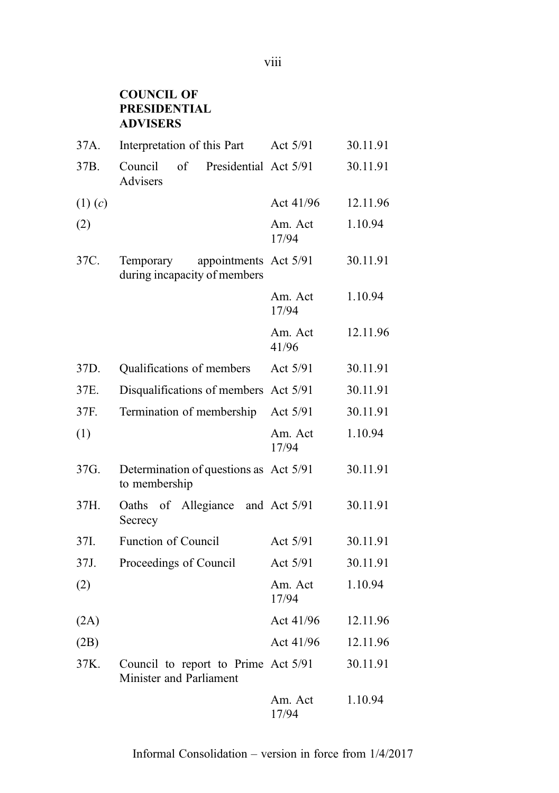|             | <b>PRESIDENTIAL</b><br><b>ADVISERS</b>                             |                  |          |
|-------------|--------------------------------------------------------------------|------------------|----------|
| 37A.        | Interpretation of this Part                                        | Act 5/91         | 30.11.91 |
| 37B.        | Presidential Act 5/91<br>Council<br>of<br><b>Advisers</b>          |                  | 30.11.91 |
| $(1)$ $(c)$ |                                                                    | Act 41/96        | 12.11.96 |
| (2)         |                                                                    | Am. Act<br>17/94 | 1.10.94  |
| 37C.        | appointments Act 5/91<br>Temporary<br>during incapacity of members |                  | 30.11.91 |
|             |                                                                    | Am. Act<br>17/94 | 1.10.94  |
|             |                                                                    | Am. Act<br>41/96 | 12.11.96 |
| 37D.        | Qualifications of members                                          | Act 5/91         | 30.11.91 |
| 37E.        | Disqualifications of members Act 5/91                              |                  | 30.11.91 |
| 37F.        | Termination of membership                                          | Act 5/91         | 30.11.91 |
| (1)         |                                                                    | Am. Act<br>17/94 | 1.10.94  |
| 37G.        | Determination of questions as Act 5/91<br>to membership            |                  | 30.11.91 |
| 37H.        | Oaths of Allegiance and Act 5/91<br>Secrecy                        |                  | 30.11.91 |
| 37I.        | <b>Function of Council</b>                                         | Act 5/91         | 30.11.91 |
| 37J.        | Proceedings of Council                                             | Act 5/91         | 30.11.91 |
| (2)         |                                                                    | Am. Act<br>17/94 | 1.10.94  |
| (2A)        |                                                                    | Act 41/96        | 12.11.96 |
| (2B)        |                                                                    | Act 41/96        | 12.11.96 |
| 37K.        | Council to report to Prime Act 5/91<br>Minister and Parliament     |                  | 30.11.91 |
|             |                                                                    | Am. Act<br>17/94 | 1.10.94  |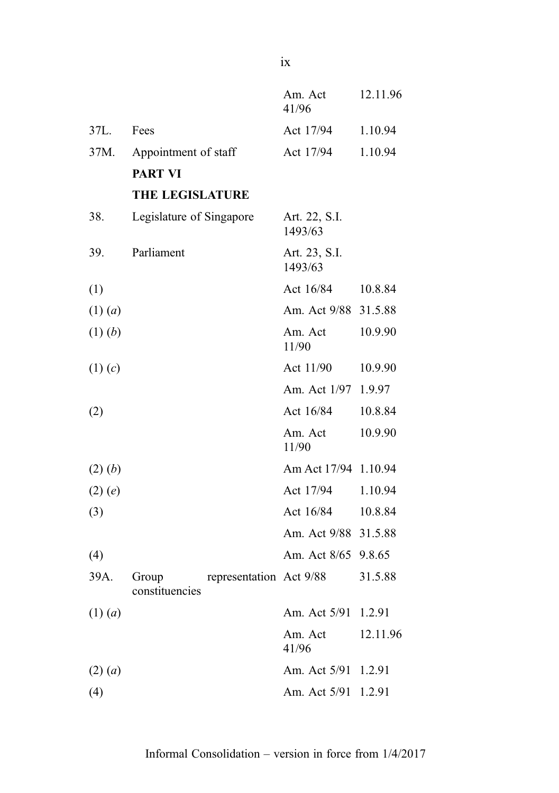|             |                          | Am. Act<br>41/96         | 12.11.96 |
|-------------|--------------------------|--------------------------|----------|
| 37L.        | Fees                     | Act 17/94                | 1.10.94  |
| 37M.        | Appointment of staff     | Act 17/94                | 1.10.94  |
|             | PART VI                  |                          |          |
|             | THE LEGISLATURE          |                          |          |
| 38.         | Legislature of Singapore | Art. 22, S.I.<br>1493/63 |          |
| 39.         | Parliament               | Art. 23, S.I.<br>1493/63 |          |
| (1)         |                          | Act 16/84                | 10.8.84  |
| $(1)$ $(a)$ |                          | Am. Act 9/88 31.5.88     |          |
| $(1)$ $(b)$ |                          | Am. Act<br>11/90         | 10.9.90  |
| $(1)$ $(c)$ |                          | Act 11/90                | 10.9.90  |
|             |                          | Am. Act 1/97 1.9.97      |          |
| (2)         |                          | Act 16/84                | 10.8.84  |
|             |                          | Am. Act<br>11/90         | 10.9.90  |
| $(2)$ $(b)$ |                          | Am Act 17/94 1.10.94     |          |
| $(2)$ $(e)$ |                          | Act 17/94                | 1.10.94  |
| (3)         |                          | Act 16/84                | 10.8.84  |
|             |                          | Am. Act 9/88 31.5.88     |          |
| (4)         |                          | Am. Act 8/65 9.8.65      |          |
| 39A.        | Group<br>constituencies  | representation Act 9/88  | 31.5.88  |
| $(1)$ $(a)$ |                          | Am. Act 5/91 1.2.91      |          |
|             |                          | Am. Act<br>41/96         | 12.11.96 |
| $(2)$ $(a)$ |                          | Am. Act 5/91 1.2.91      |          |
| (4)         |                          | Am. Act 5/91 1.2.91      |          |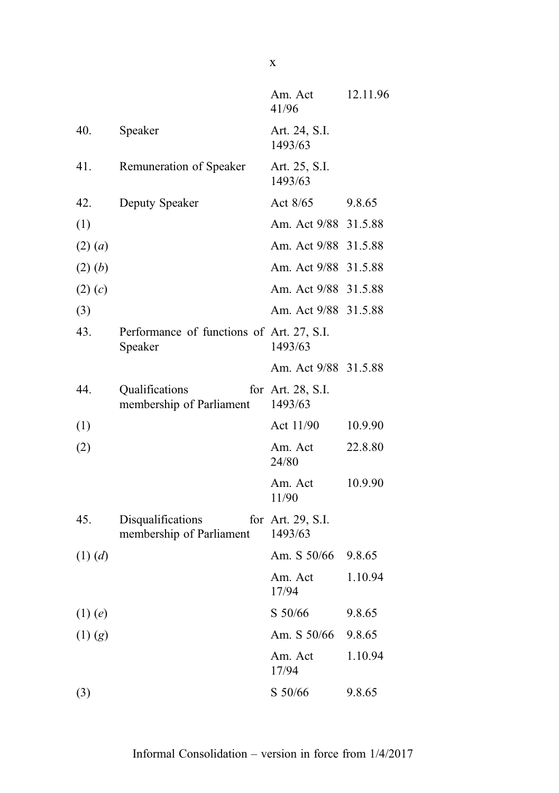|             |                                                      | Am. Act<br>41/96             | 12.11.96 |
|-------------|------------------------------------------------------|------------------------------|----------|
| 40.         | Speaker                                              | Art. 24, S.I.<br>1493/63     |          |
| 41.         | Remuneration of Speaker                              | Art. 25, S.I.<br>1493/63     |          |
| 42.         | Deputy Speaker                                       | Act 8/65                     | 9.8.65   |
| (1)         |                                                      | Am. Act 9/88 31.5.88         |          |
| $(2)$ $(a)$ |                                                      | Am. Act 9/88 31.5.88         |          |
| $(2)$ $(b)$ |                                                      | Am. Act 9/88 31.5.88         |          |
| $(2)$ $(c)$ |                                                      | Am. Act 9/88 31.5.88         |          |
| (3)         |                                                      | Am. Act 9/88 31.5.88         |          |
| 43.         | Performance of functions of Art. 27, S.I.<br>Speaker | 1493/63                      |          |
|             |                                                      | Am. Act 9/88 31.5.88         |          |
| 44.         | Qualifications<br>membership of Parliament           | for Art. 28, S.I.<br>1493/63 |          |
| (1)         |                                                      | Act 11/90                    | 10.9.90  |
| (2)         |                                                      | Am. Act<br>24/80             | 22.8.80  |
|             |                                                      | Am. Act<br>11/90             | 10.9.90  |
| 45.         | Disqualifications<br>membership of Parliament        | for Art. 29, S.I.<br>1493/63 |          |
| $(1)$ $(d)$ |                                                      | Am. S 50/66 9.8.65           |          |
|             |                                                      | Am. Act<br>17/94             | 1.10.94  |
| $(1)$ $(e)$ |                                                      | S 50/66                      | 9.8.65   |
| $(1)$ $(g)$ |                                                      | Am. S 50/66                  | 9.8.65   |
|             |                                                      | Am. Act<br>17/94             | 1.10.94  |
| (3)         |                                                      | S 50/66                      | 9.8.65   |

x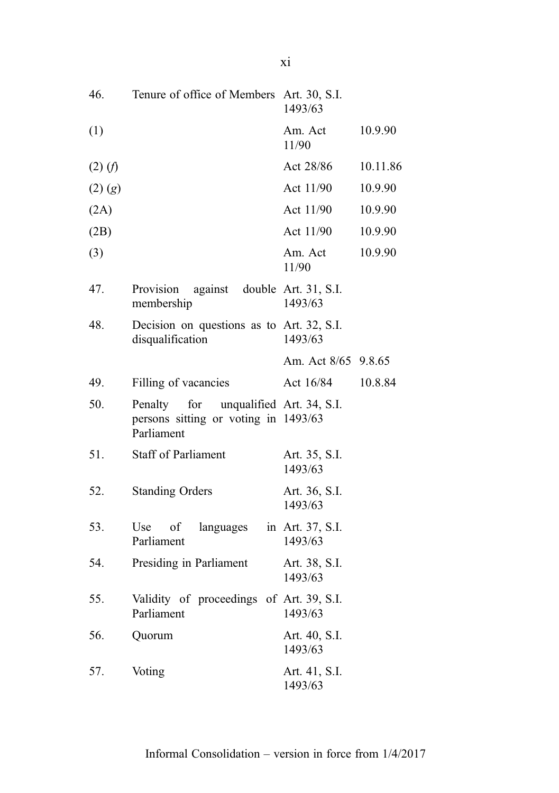| 46.         | Tenure of office of Members Art. 30, S.I.                                                      | 1493/63                         |          |
|-------------|------------------------------------------------------------------------------------------------|---------------------------------|----------|
| (1)         |                                                                                                | Am. Act<br>11/90                | 10.9.90  |
| $(2)$ $(f)$ |                                                                                                | Act 28/86                       | 10.11.86 |
| $(2)$ $(g)$ |                                                                                                | Act 11/90                       | 10.9.90  |
| (2A)        |                                                                                                | Act 11/90                       | 10.9.90  |
| (2B)        |                                                                                                | Act 11/90                       | 10.9.90  |
| (3)         |                                                                                                | Am. Act<br>11/90                | 10.9.90  |
| 47.         | against<br>Provision<br>membership                                                             | double Art. 31, S.I.<br>1493/63 |          |
| 48.         | Decision on questions as to Art. 32, S.I.<br>disqualification                                  | 1493/63                         |          |
|             |                                                                                                | Am. Act 8/65 9.8.65             |          |
| 49.         | Filling of vacancies                                                                           | Act 16/84                       | 10.8.84  |
| 50.         | for unqualified Art. 34, S.I.<br>Penalty<br>persons sitting or voting in 1493/63<br>Parliament |                                 |          |
| 51.         | <b>Staff of Parliament</b>                                                                     | Art. 35, S.I.<br>1493/63        |          |
| 52.         | <b>Standing Orders</b>                                                                         | Art. 36, S.I.<br>1493/63        |          |
| 53.         | languages<br>Use<br>of<br>Parliament                                                           | in Art. 37, S.I.<br>1493/63     |          |
| 54.         | Presiding in Parliament                                                                        | Art. 38, S.I.<br>1493/63        |          |
| 55.         | Validity of proceedings of Art. 39, S.I.<br>Parliament                                         | 1493/63                         |          |
| 56.         | Quorum                                                                                         | Art. 40, S.I.<br>1493/63        |          |
| 57.         | Voting                                                                                         | Art. 41, S.I.<br>1493/63        |          |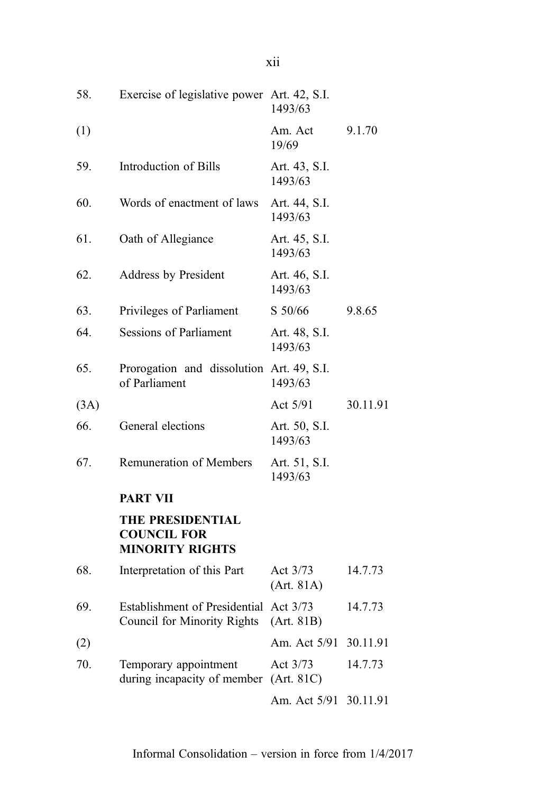| 58.  | Exercise of legislative power Art. 42, S.I.                         | 1493/63                  |          |
|------|---------------------------------------------------------------------|--------------------------|----------|
| (1)  |                                                                     | Am. Act<br>19/69         | 9.1.70   |
| 59.  | Introduction of Bills                                               | Art. 43, S.I.<br>1493/63 |          |
| 60.  | Words of enactment of laws                                          | Art. 44, S.I.<br>1493/63 |          |
| 61.  | Oath of Allegiance                                                  | Art. 45, S.I.<br>1493/63 |          |
| 62.  | Address by President                                                | Art. 46, S.I.<br>1493/63 |          |
| 63.  | Privileges of Parliament                                            | $S\,50/66$               | 9.8.65   |
| 64.  | <b>Sessions of Parliament</b>                                       | Art. 48, S.I.<br>1493/63 |          |
| 65.  | Prorogation and dissolution Art. 49, S.I.<br>of Parliament          | 1493/63                  |          |
| (3A) |                                                                     | Act 5/91                 | 30.11.91 |
| 66.  | General elections                                                   | Art. 50, S.I.<br>1493/63 |          |
| 67.  | Remuneration of Members                                             | Art. 51, S.I.<br>1493/63 |          |
|      | <b>PART VII</b>                                                     |                          |          |
|      | THE PRESIDENTIAL<br><b>COUNCIL FOR</b><br><b>MINORITY RIGHTS</b>    |                          |          |
| 68.  | Interpretation of this Part                                         | Act 3/73<br>(Art. 81A)   | 14.7.73  |
| 69.  | <b>Establishment of Presidential</b><br>Council for Minority Rights | Act 3/73<br>(Art. 81B)   | 14.7.73  |
| (2)  |                                                                     | Am. Act 5/91             | 30.11.91 |
| 70.  | Temporary appointment<br>during incapacity of member (Art. 81C)     | Act 3/73                 | 14.7.73  |
|      |                                                                     | Am. Act 5/91             | 30.11.91 |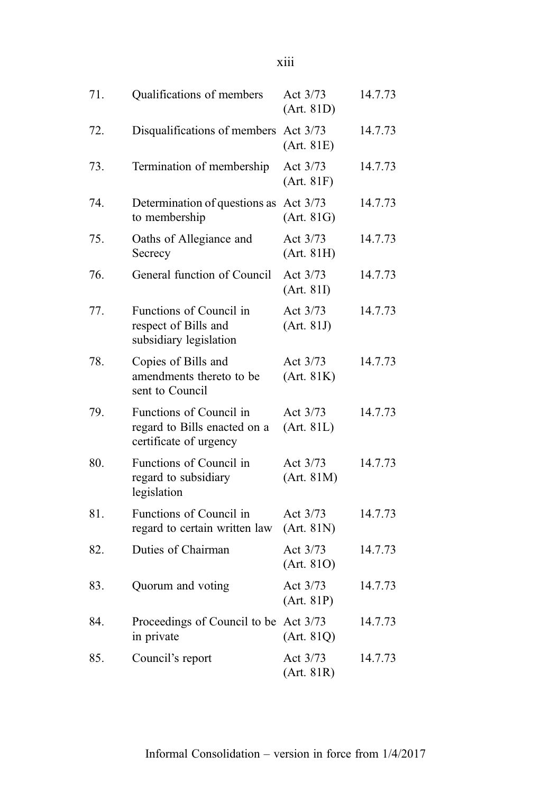| 71. | Qualifications of members                                                         | Act 3/73<br>(Art. 81D) | 14.7.73 |
|-----|-----------------------------------------------------------------------------------|------------------------|---------|
| 72. | Disqualifications of members                                                      | Act 3/73<br>(Art. 81E) | 14.7.73 |
| 73. | Termination of membership                                                         | Act 3/73<br>(Art. 81F) | 14.7.73 |
| 74. | Determination of questions as<br>to membership                                    | Act 3/73<br>(Art. 81G) | 14.7.73 |
| 75. | Oaths of Allegiance and<br>Secrecy                                                | Act 3/73<br>(Art. 81H) | 14.7.73 |
| 76. | General function of Council                                                       | Act 3/73<br>(Art. 81I) | 14.7.73 |
| 77. | Functions of Council in<br>respect of Bills and<br>subsidiary legislation         | Act 3/73<br>(Art. 81J) | 14.7.73 |
| 78. | Copies of Bills and<br>amendments thereto to be<br>sent to Council                | Act 3/73<br>(Art. 81K) | 14.7.73 |
| 79. | Functions of Council in<br>regard to Bills enacted on a<br>certificate of urgency | Act 3/73<br>(Art. 81L) | 14.7.73 |
| 80. | Functions of Council in<br>regard to subsidiary<br>legislation                    | Act 3/73<br>(Art. 81M) | 14.7.73 |
| 81. | Functions of Council in<br>regard to certain written law                          | Act 3/73<br>(Art. 81N) | 14.7.73 |
| 82. | Duties of Chairman                                                                | Act 3/73<br>(Art. 810) | 14.7.73 |
| 83. | Quorum and voting                                                                 | Act 3/73<br>(Art. 81P) | 14.7.73 |
| 84. | Proceedings of Council to be Act 3/73<br>in private                               | (Art. 81Q)             | 14.7.73 |
| 85. | Council's report                                                                  | Act 3/73<br>(Art. 81R) | 14.7.73 |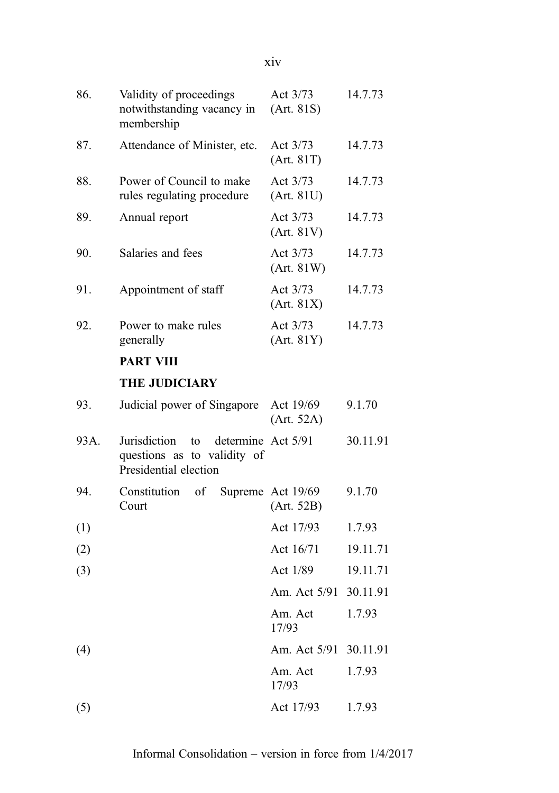| 86.  | Validity of proceedings<br>notwithstanding vacancy in<br>membership                              | Act 3/73<br>(Art. 81S)          | 14.7.73  |
|------|--------------------------------------------------------------------------------------------------|---------------------------------|----------|
| 87.  | Attendance of Minister, etc.                                                                     | Act 3/73<br>(Art. 81T)          | 14.7.73  |
| 88.  | Power of Council to make<br>rules regulating procedure                                           | Act 3/73<br>(Art. 81U)          | 14.7.73  |
| 89.  | Annual report                                                                                    | Act 3/73<br>(Art. 81V)          | 14.7.73  |
| 90.  | Salaries and fees                                                                                | Act 3/73<br>(Art. 81W)          | 14.7.73  |
| 91.  | Appointment of staff                                                                             | Act 3/73<br>(Art. 81X)          | 14.7.73  |
| 92.  | Power to make rules<br>generally                                                                 | Act 3/73<br>(Art. 81Y)          | 14.7.73  |
|      | <b>PART VIII</b>                                                                                 |                                 |          |
|      | <b>THE JUDICIARY</b>                                                                             |                                 |          |
| 93.  | Judicial power of Singapore                                                                      | Act 19/69<br>(Art. 52A)         | 9.1.70   |
| 93A. | Jurisdiction<br>determine Act 5/91<br>to<br>questions as to validity of<br>Presidential election |                                 | 30.11.91 |
| 94.  | Constitution<br>of<br>Court                                                                      | Supreme Act 19/69<br>(Art. 52B) | 9.1.70   |
| (1)  |                                                                                                  | Act 17/93                       | 1.7.93   |
| (2)  |                                                                                                  | Act 16/71                       | 19.11.71 |
| (3)  |                                                                                                  | Act 1/89                        | 19.11.71 |
|      |                                                                                                  | Am. Act 5/91 30.11.91           |          |
|      |                                                                                                  | Am. Act<br>17/93                | 1.7.93   |
| (4)  |                                                                                                  | Am. Act 5/91 30.11.91           |          |
|      |                                                                                                  | Am. Act<br>17/93                | 1.7.93   |
| (5)  |                                                                                                  | Act 17/93                       | 1.7.93   |

xiv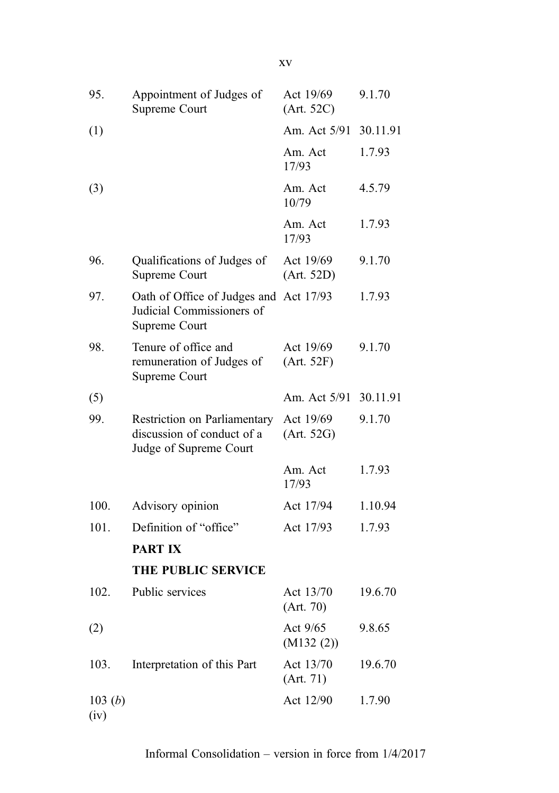| o esta |
|--------|

| 95.            | Appointment of Judges of<br>Supreme Court                                            | Act 19/69<br>(Art. 52C) | 9.1.70   |
|----------------|--------------------------------------------------------------------------------------|-------------------------|----------|
| (1)            |                                                                                      | Am. Act 5/91            | 30.11.91 |
|                |                                                                                      | Am. Act<br>17/93        | 1.7.93   |
| (3)            |                                                                                      | Am. Act<br>10/79        | 4.5.79   |
|                |                                                                                      | Am. Act<br>17/93        | 1.7.93   |
| 96.            | Qualifications of Judges of<br>Supreme Court                                         | Act 19/69<br>(Art. 52D) | 9.1.70   |
| 97.            | Oath of Office of Judges and Act 17/93<br>Judicial Commissioners of<br>Supreme Court |                         | 1.7.93   |
| 98.            | Tenure of office and<br>remuneration of Judges of<br>Supreme Court                   | Act 19/69<br>(Art. 52F) | 9.1.70   |
| (5)            |                                                                                      | Am. Act 5/91            | 30.11.91 |
| 99.            | Restriction on Parliamentary<br>discussion of conduct of a<br>Judge of Supreme Court | Act 19/69<br>(Art. 52G) | 9.1.70   |
|                |                                                                                      | Am. Act<br>17/93        | 1.7.93   |
| 100.           | Advisory opinion                                                                     | Act 17/94               | 1.10.94  |
| 101.           | Definition of "office"                                                               | Act 17/93               | 1.7.93   |
|                | <b>PART IX</b>                                                                       |                         |          |
|                | THE PUBLIC SERVICE                                                                   |                         |          |
| 102.           | Public services                                                                      | Act 13/70<br>(Art. 70)  | 19.6.70  |
| (2)            |                                                                                      | Act 9/65<br>(M132 (2))  | 9.8.65   |
| 103.           | Interpretation of this Part                                                          | Act 13/70<br>(Art. 71)  | 19.6.70  |
| 103(b)<br>(iv) |                                                                                      | Act 12/90               | 1.7.90   |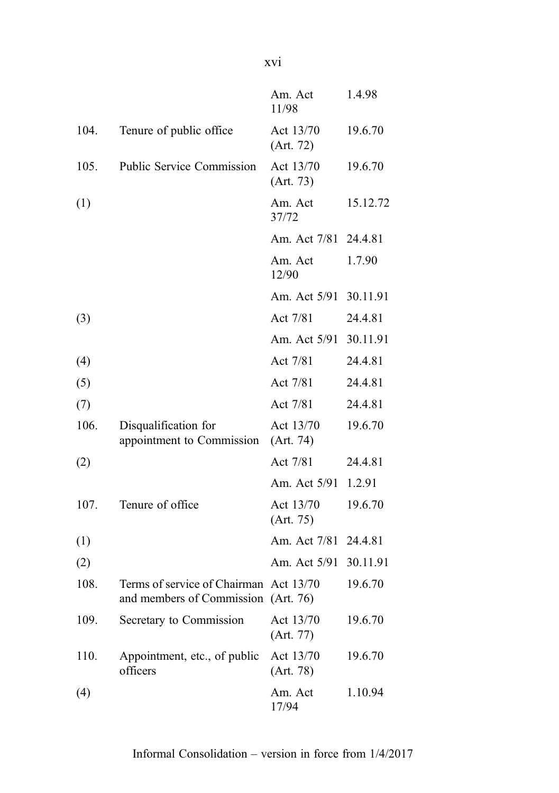|      |                                                                               | Am. Act<br>11/98       | 1.4.98   |
|------|-------------------------------------------------------------------------------|------------------------|----------|
| 104. | Tenure of public office                                                       | Act 13/70<br>(Art. 72) | 19.6.70  |
| 105. | <b>Public Service Commission</b>                                              | Act 13/70<br>(Art. 73) | 19.6.70  |
| (1)  |                                                                               | Am. Act<br>37/72       | 15.12.72 |
|      |                                                                               | Am. Act 7/81           | 24.4.81  |
|      |                                                                               | Am. Act<br>12/90       | 1.7.90   |
|      |                                                                               | Am. Act 5/91           | 30.11.91 |
| (3)  |                                                                               | Act 7/81               | 24.4.81  |
|      |                                                                               | Am. Act 5/91           | 30.11.91 |
| (4)  |                                                                               | Act 7/81               | 24.4.81  |
| (5)  |                                                                               | Act 7/81               | 24.4.81  |
| (7)  |                                                                               | Act 7/81               | 24.4.81  |
| 106. | Disqualification for<br>appointment to Commission                             | Act 13/70<br>(Art. 74) | 19.6.70  |
| (2)  |                                                                               | Act 7/81               | 24.4.81  |
|      |                                                                               | Am. Act 5/91           | 1.2.91   |
| 107. | Tenure of office                                                              | Act 13/70<br>(Art. 75) | 19.6.70  |
| (1)  |                                                                               | Am. Act 7/81           | 24.4.81  |
| (2)  |                                                                               | Am. Act 5/91           | 30.11.91 |
| 108. | Terms of service of Chairman Act 13/70<br>and members of Commission (Art. 76) |                        | 19.6.70  |
| 109. | Secretary to Commission                                                       | Act 13/70<br>(Art. 77) | 19.6.70  |
| 110. | Appointment, etc., of public<br>officers                                      | Act 13/70<br>(Art. 78) | 19.6.70  |
| (4)  |                                                                               | Am. Act<br>17/94       | 1.10.94  |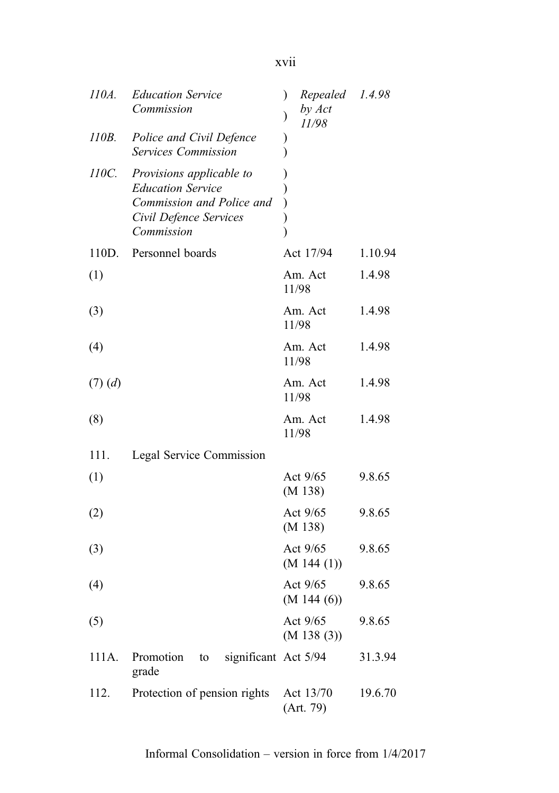xvii

| $110A$ .    | <b>Education Service</b><br>Commission                                                                                    | Repealed 1.4.98<br>$\mathcal{E}$<br>by Act<br>11/98 |         |
|-------------|---------------------------------------------------------------------------------------------------------------------------|-----------------------------------------------------|---------|
| 110B.       | Police and Civil Defence<br>Services Commission                                                                           | $\mathcal Y$                                        |         |
| $I10C$ .    | Provisions applicable to<br><b>Education Service</b><br>Commission and Police and<br>Civil Defence Services<br>Commission | )<br>)                                              |         |
|             | 110D. Personnel boards                                                                                                    | Act 17/94                                           | 1.10.94 |
| (1)         |                                                                                                                           | Am. Act<br>11/98                                    | 1.4.98  |
| (3)         |                                                                                                                           | Am. Act<br>11/98                                    | 1.4.98  |
| (4)         |                                                                                                                           | Am. Act<br>11/98                                    | 1.4.98  |
| $(7)$ $(d)$ |                                                                                                                           | Am. Act<br>11/98                                    | 1.4.98  |
| (8)         |                                                                                                                           | Am. Act<br>11/98                                    | 1.4.98  |
| 111.        | Legal Service Commission                                                                                                  |                                                     |         |
| (1)         |                                                                                                                           | Act 9/65<br>(M 138)                                 | 9.8.65  |
| (2)         |                                                                                                                           | Act 9/65<br>(M 138)                                 | 9.8.65  |
| (3)         |                                                                                                                           | Act 9/65<br>(M 144 (1))                             | 9.8.65  |
| (4)         |                                                                                                                           | Act 9/65<br>(M 144 (6))                             | 9.8.65  |
| (5)         |                                                                                                                           | Act 9/65<br>(M 138 (3))                             | 9.8.65  |
| 111A.       | Promotion<br>significant Act 5/94<br>to<br>grade                                                                          |                                                     | 31.3.94 |
| 112.        | Protection of pension rights                                                                                              | Act 13/70<br>(Art. 79)                              | 19.6.70 |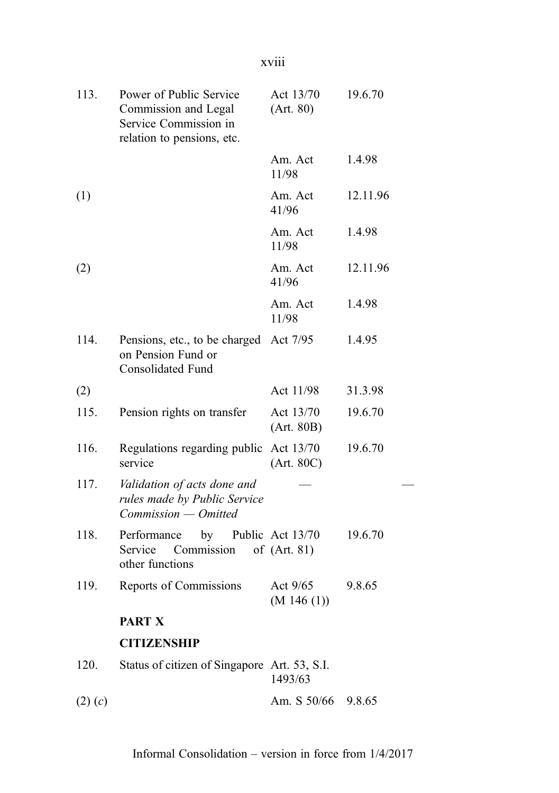| 113.        | Power of Public Service<br>Commission and Legal<br>Service Commission in<br>relation to pensions, etc. | Act 13/70<br>(Art. 80)  | 19.6.70  |
|-------------|--------------------------------------------------------------------------------------------------------|-------------------------|----------|
|             |                                                                                                        | Am. Act<br>11/98        | 1.4.98   |
| (1)         |                                                                                                        | Am. Act<br>41/96        | 12.11.96 |
|             |                                                                                                        | Am. Act<br>11/98        | 1.4.98   |
| (2)         |                                                                                                        | Am. Act<br>41/96        | 12.11.96 |
|             |                                                                                                        | Am. Act<br>11/98        | 1.4.98   |
| 114.        | Pensions, etc., to be charged Act 7/95<br>on Pension Fund or<br><b>Consolidated Fund</b>               |                         | 1.4.95   |
| (2)         |                                                                                                        | Act 11/98               | 31.3.98  |
| 115.        | Pension rights on transfer                                                                             | Act 13/70<br>(Art. 80B) | 19.6.70  |
| 116.        | Regulations regarding public<br>service                                                                | Act 13/70<br>(Art. 80C) | 19.6.70  |
| 117.        | Validation of acts done and<br>rules made by Public Service<br>Commission - Omitted                    |                         |          |
| 118.        | by Public Act 13/70<br>Performance<br>Service<br>Commission<br>other functions                         | of $(Art. 81)$          | 19.6.70  |
| 119.        | Reports of Commissions                                                                                 | Act 9/65<br>(M 146 (1)) | 9.8.65   |
|             | PART X                                                                                                 |                         |          |
|             | <b>CITIZENSHIP</b>                                                                                     |                         |          |
| 120.        | Status of citizen of Singapore Art. 53, S.I.                                                           | 1493/63                 |          |
| $(2)$ $(c)$ |                                                                                                        | Am. S 50/66             | 9.8.65   |

xviii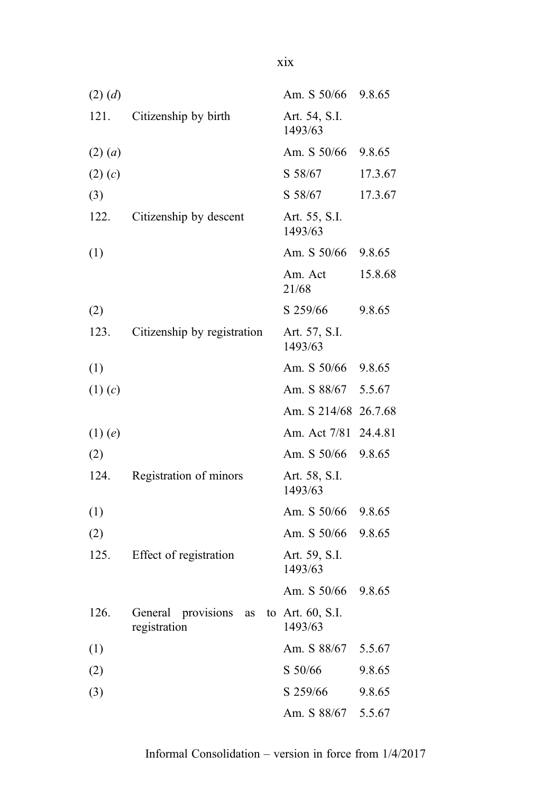xix

| $(2)$ $(d)$ |                                          | Am. S 50/66                 | 9.8.65  |
|-------------|------------------------------------------|-----------------------------|---------|
| 121.        | Citizenship by birth                     | Art. 54, S.I.<br>1493/63    |         |
| $(2)$ $(a)$ |                                          | Am. S 50/66 9.8.65          |         |
| $(2)$ $(c)$ |                                          | S 58/67                     | 17.3.67 |
| (3)         |                                          | S 58/67                     | 17.3.67 |
| 122.        | Citizenship by descent                   | Art. 55, S.I.<br>1493/63    |         |
| (1)         |                                          | Am. S 50/66                 | 9.8.65  |
|             |                                          | Am. Act<br>21/68            | 15.8.68 |
| (2)         |                                          | S 259/66                    | 9.8.65  |
| 123.        | Citizenship by registration              | Art. 57, S.I.<br>1493/63    |         |
| (1)         |                                          | Am. S 50/66                 | 9.8.65  |
| $(1)$ $(c)$ |                                          | Am. S 88/67                 | 5.5.67  |
|             |                                          | Am. S 214/68 26.7.68        |         |
| $(1)$ $(e)$ |                                          | Am. Act 7/81                | 24.4.81 |
| (2)         |                                          | Am. S 50/66                 | 9.8.65  |
| 124.        | Registration of minors                   | Art. 58, S.I.<br>1493/63    |         |
| (1)         |                                          | Am. S 50/66                 | 9.8.65  |
| (2)         |                                          | Am. S 50/66                 | 9.8.65  |
| 125.        | Effect of registration                   | Art. 59, S.I.<br>1493/63    |         |
|             |                                          | Am. S 50/66 9.8.65          |         |
| 126.        | General provisions<br>as<br>registration | to Art. 60, S.I.<br>1493/63 |         |
| (1)         |                                          | Am. S 88/67                 | 5.5.67  |
| (2)         |                                          | $S\,50/66$                  | 9.8.65  |
| (3)         |                                          | S 259/66                    | 9.8.65  |
|             |                                          | Am. S 88/67                 | 5.5.67  |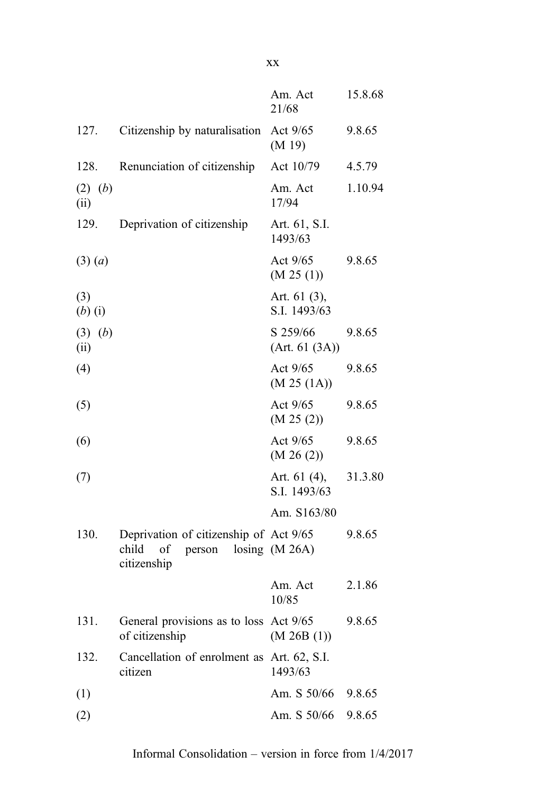|                     |                                                                                | Am. Act<br>21/68             | 15.8.68 |
|---------------------|--------------------------------------------------------------------------------|------------------------------|---------|
| 127.                | Citizenship by naturalisation                                                  | Act 9/65<br>(M 19)           | 9.8.65  |
| 128.                | Renunciation of citizenship                                                    | Act 10/79                    | 4.5.79  |
| $(2)$ $(b)$<br>(ii) |                                                                                | Am. Act<br>17/94             | 1.10.94 |
| 129.                | Deprivation of citizenship                                                     | Art. 61, S.I.<br>1493/63     |         |
| $(3)$ $(a)$         |                                                                                | Act 9/65<br>(M 25 (1))       | 9.8.65  |
| (3)<br>$(b)$ (i)    |                                                                                | Art. 61 (3),<br>S.I. 1493/63 |         |
| $(3)$ $(b)$<br>(ii) |                                                                                | S 259/66<br>(Art. 61 (3A))   | 9.8.65  |
| (4)                 |                                                                                | Act 9/65<br>(M 25 (1A))      | 9.8.65  |
| (5)                 |                                                                                | Act 9/65<br>(M 25 (2))       | 9.8.65  |
| (6)                 |                                                                                | Act $9/65$<br>(M 26 (2))     | 9.8.65  |
| (7)                 |                                                                                | Art. 61 (4),<br>S.I. 1493/63 | 31.3.80 |
|                     |                                                                                | Am. S163/80                  |         |
| 130.                | Deprivation of citizenship of Act 9/65<br>child<br>of<br>person<br>citizenship | losing $(M 26A)$             | 9.8.65  |
|                     |                                                                                | Am. Act<br>10/85             | 2.1.86  |
| 131.                | General provisions as to loss Act 9/65<br>of citizenship                       | (M 26B (1))                  | 9.8.65  |
| 132.                | Cancellation of enrolment as Art. 62, S.I.<br>citizen                          | 1493/63                      |         |
| (1)                 |                                                                                | Am. S 50/66                  | 9.8.65  |
| (2)                 |                                                                                | Am. S 50/66                  | 9.8.65  |

xx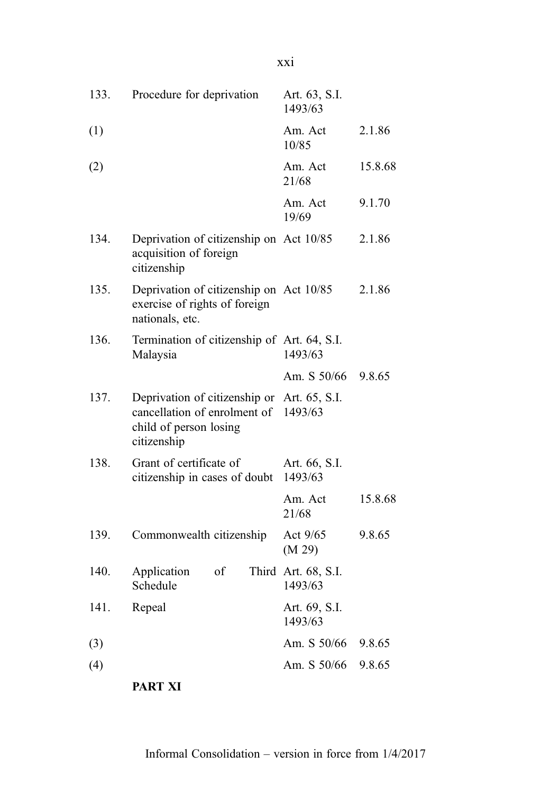| 133. | Procedure for deprivation                                                                                                    | Art. 63, S.I.<br>1493/63       |         |
|------|------------------------------------------------------------------------------------------------------------------------------|--------------------------------|---------|
| (1)  |                                                                                                                              | Am. Act<br>10/85               | 2.1.86  |
| (2)  |                                                                                                                              | Am. Act<br>21/68               | 15.8.68 |
|      |                                                                                                                              | Am. Act<br>19/69               | 9.1.70  |
| 134. | Deprivation of citizenship on Act 10/85<br>acquisition of foreign<br>citizenship                                             |                                | 2.1.86  |
| 135. | Deprivation of citizenship on Act 10/85<br>exercise of rights of foreign<br>nationals, etc.                                  |                                | 2.1.86  |
| 136. | Termination of citizenship of Art. 64, S.I.<br>Malaysia                                                                      | 1493/63                        |         |
|      |                                                                                                                              | Am. S 50/66                    | 9.8.65  |
| 137. | Deprivation of citizenship or Art. 65, S.I.<br>cancellation of enrolment of 1493/63<br>child of person losing<br>citizenship |                                |         |
| 138. | Grant of certificate of<br>citizenship in cases of doubt 1493/63                                                             | Art. 66, S.I.                  |         |
|      |                                                                                                                              | Am. Act<br>21/68               | 15.8.68 |
| 139. | Commonwealth citizenship                                                                                                     | Act 9/65<br>(M 29)             | 9.8.65  |
| 140. | Application<br>of<br>Schedule                                                                                                | Third Art. 68, S.I.<br>1493/63 |         |
| 141. | Repeal                                                                                                                       | Art. 69, S.I.<br>1493/63       |         |
| (3)  |                                                                                                                              | Am. S 50/66                    | 9.8.65  |
| (4)  |                                                                                                                              | Am. S 50/66                    | 9.8.65  |
|      | PART XI                                                                                                                      |                                |         |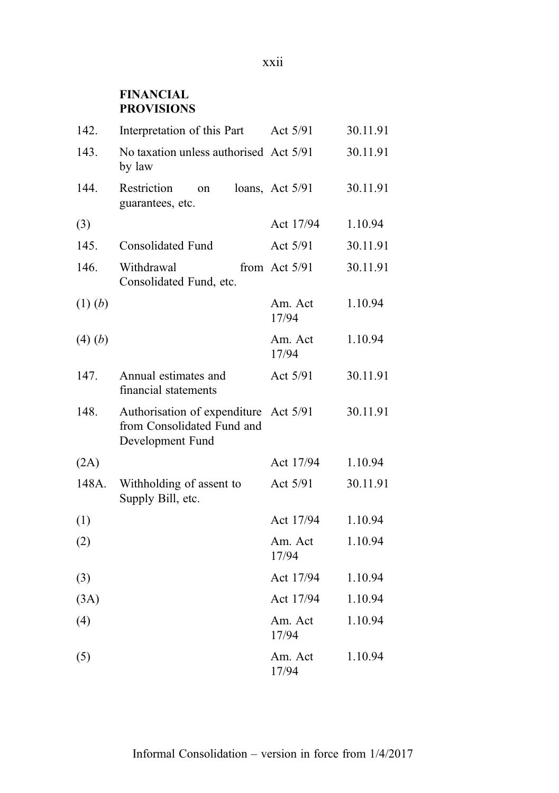## FINANCIAL PROVISIONS

| 142.        | Interpretation of this Part                                                    | Act 5/91         | 30.11.91 |
|-------------|--------------------------------------------------------------------------------|------------------|----------|
| 143.        | No taxation unless authorised Act 5/91<br>by law                               |                  | 30.11.91 |
| 144.        | Restriction<br><sub>on</sub><br>guarantees, etc.                               | loans, Act 5/91  | 30.11.91 |
| (3)         |                                                                                | Act 17/94        | 1.10.94  |
| 145.        | <b>Consolidated Fund</b>                                                       | Act 5/91         | 30.11.91 |
| 146.        | Withdrawal<br>Consolidated Fund, etc.                                          | from Act $5/91$  | 30.11.91 |
| $(1)$ $(b)$ |                                                                                | Am. Act<br>17/94 | 1.10.94  |
| $(4)$ $(b)$ |                                                                                | Am. Act<br>17/94 | 1.10.94  |
| 147.        | Annual estimates and<br>financial statements                                   | Act 5/91         | 30.11.91 |
| 148.        | Authorisation of expenditure<br>from Consolidated Fund and<br>Development Fund | Act 5/91         | 30.11.91 |
| (2A)        |                                                                                | Act 17/94        | 1.10.94  |
| 148A.       | Withholding of assent to<br>Supply Bill, etc.                                  | Act 5/91         | 30.11.91 |
| (1)         |                                                                                | Act 17/94        | 1.10.94  |
| (2)         |                                                                                | Am. Act<br>17/94 | 1.10.94  |
| (3)         |                                                                                | Act 17/94        | 1.10.94  |
| (3A)        |                                                                                | Act 17/94        | 1.10.94  |
| (4)         |                                                                                | Am. Act<br>17/94 | 1.10.94  |
| (5)         |                                                                                | Am. Act<br>17/94 | 1.10.94  |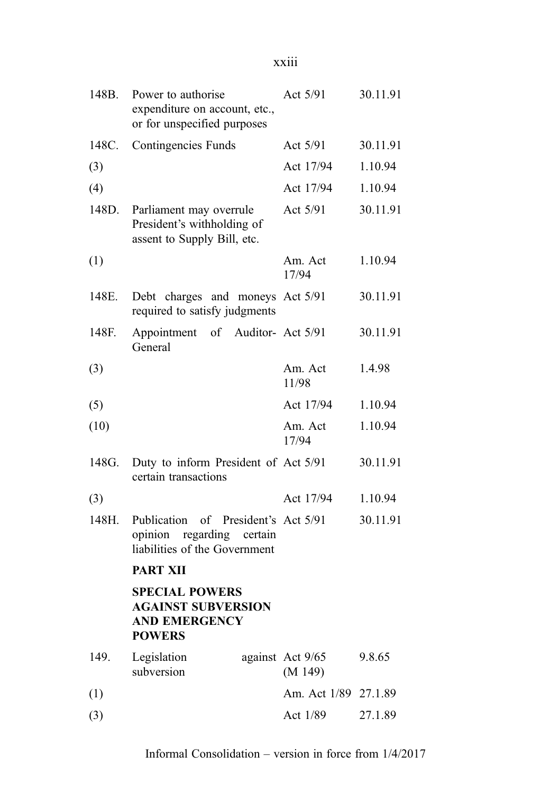xxiii

| 148B. | Power to authorise<br>expenditure on account, etc.,<br>or for unspecified purposes                   | Act 5/91                    | 30.11.91 |
|-------|------------------------------------------------------------------------------------------------------|-----------------------------|----------|
| 148C. | Contingencies Funds                                                                                  | Act 5/91                    | 30.11.91 |
| (3)   |                                                                                                      | Act 17/94                   | 1.10.94  |
| (4)   |                                                                                                      | Act 17/94                   | 1.10.94  |
| 148D. | Parliament may overrule<br>President's withholding of<br>assent to Supply Bill, etc.                 | Act 5/91                    | 30.11.91 |
| (1)   |                                                                                                      | Am. Act<br>17/94            | 1.10.94  |
| 148E. | Debt charges and moneys Act 5/91<br>required to satisfy judgments                                    |                             | 30.11.91 |
| 148F. | Appointment of Auditor- Act 5/91<br>General                                                          |                             | 30.11.91 |
| (3)   |                                                                                                      | Am. Act<br>11/98            | 1.4.98   |
| (5)   |                                                                                                      | Act 17/94                   | 1.10.94  |
| (10)  |                                                                                                      | Am. Act<br>17/94            | 1.10.94  |
| 148G. | Duty to inform President of Act 5/91<br>certain transactions                                         |                             | 30.11.91 |
| (3)   |                                                                                                      | Act 17/94                   | 1.10.94  |
| 148H. | Publication<br>of President's Act 5/91<br>opinion regarding certain<br>liabilities of the Government |                             | 30.11.91 |
|       | <b>PART XII</b>                                                                                      |                             |          |
|       | <b>SPECIAL POWERS</b><br><b>AGAINST SUBVERSION</b><br><b>AND EMERGENCY</b><br><b>POWERS</b>          |                             |          |
| 149.  | Legislation<br>subversion                                                                            | against Act 9/65<br>(M 149) | 9.8.65   |
| (1)   |                                                                                                      | Am. Act 1/89 27.1.89        |          |
| (3)   |                                                                                                      | Act 1/89                    | 27.1.89  |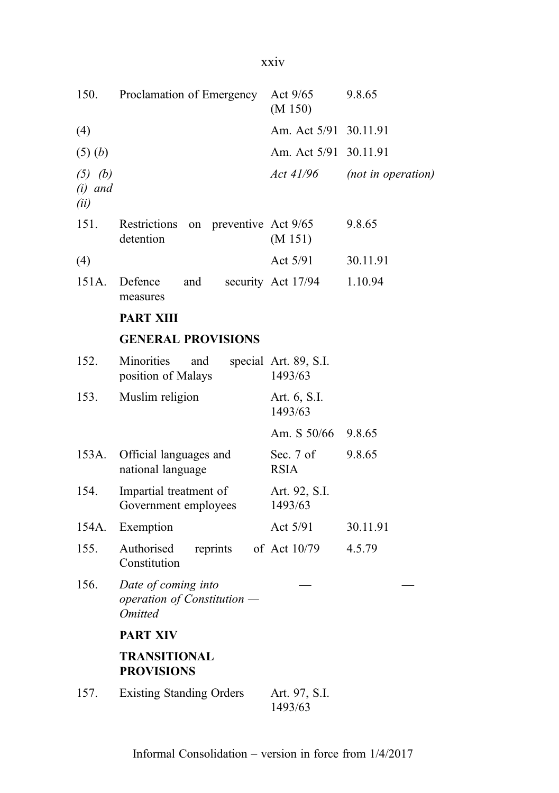xxiv

| 150.                             | Proclamation of Emergency Act 9/65                                   | (M 150)                          | 9.8.65             |
|----------------------------------|----------------------------------------------------------------------|----------------------------------|--------------------|
| (4)                              |                                                                      | Am. Act 5/91 30.11.91            |                    |
| $(5)$ $(b)$                      |                                                                      | Am. Act 5/91 30.11.91            |                    |
| $(5)$ $(b)$<br>$(i)$ and<br>(ii) |                                                                      | Act 41/96                        | (not in operation) |
| 151.                             | on preventive Act 9/65<br>Restrictions<br>detention                  | (M 151)                          | 9.8.65             |
| (4)                              |                                                                      | Act 5/91                         | 30.11.91           |
| 151A.                            | Defence<br>and<br>measures                                           | security Act 17/94               | 1.10.94            |
|                                  | <b>PART XIII</b>                                                     |                                  |                    |
|                                  | <b>GENERAL PROVISIONS</b>                                            |                                  |                    |
| 152.                             | Minorities<br>and<br>position of Malays                              | special Art. 89, S.I.<br>1493/63 |                    |
| 153.                             | Muslim religion                                                      | Art. 6, S.I.<br>1493/63          |                    |
|                                  |                                                                      | Am. S 50/66                      | 9.8.65             |
| 153A.                            | Official languages and<br>national language                          | Sec. 7 of<br><b>RSIA</b>         | 9.8.65             |
| 154.                             | Impartial treatment of<br>Government employees                       | Art. 92, S.I.<br>1493/63         |                    |
| 154A.                            | Exemption                                                            | Act 5/91                         | 30.11.91           |
| 155.                             | Authorised<br>reprints<br>Constitution                               | of Act 10/79                     | 4.5.79             |
| 156.                             | Date of coming into<br>operation of Constitution -<br><b>Omitted</b> |                                  |                    |
|                                  | <b>PART XIV</b>                                                      |                                  |                    |
|                                  | <b>TRANSITIONAL</b><br><b>PROVISIONS</b>                             |                                  |                    |
| 157.                             | <b>Existing Standing Orders</b>                                      | Art. 97, S.I.                    |                    |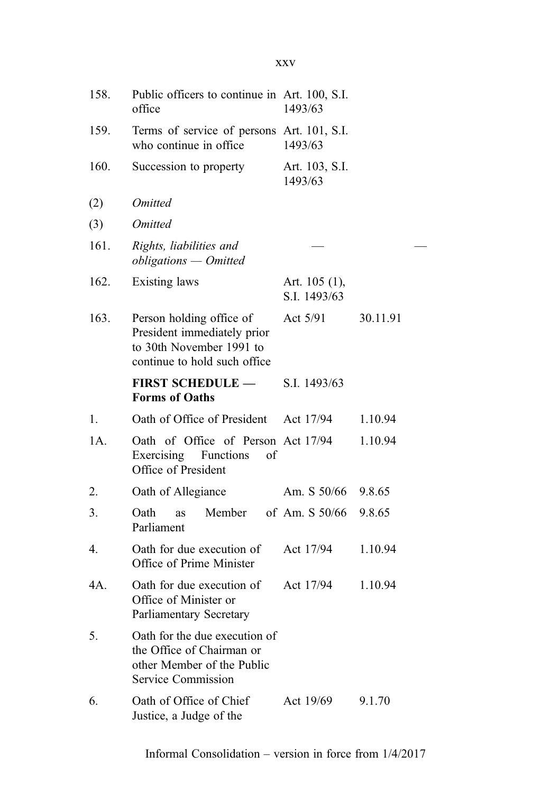| 158. | Public officers to continue in Art. 100, S.I.<br>office                                                             | 1493/63                         |          |
|------|---------------------------------------------------------------------------------------------------------------------|---------------------------------|----------|
| 159. | Terms of service of persons Art. 101, S.I.<br>who continue in office                                                | 1493/63                         |          |
| 160. | Succession to property                                                                                              | Art. 103, S.I.<br>1493/63       |          |
| (2)  | <i><b>Omitted</b></i>                                                                                               |                                 |          |
| (3)  | <i><b>Omitted</b></i>                                                                                               |                                 |          |
| 161. | Rights, liabilities and<br>obligations - Omitted                                                                    |                                 |          |
| 162. | Existing laws                                                                                                       | Art. $105(1)$ ,<br>S.I. 1493/63 |          |
| 163. | Person holding office of<br>President immediately prior<br>to 30th November 1991 to<br>continue to hold such office | Act 5/91                        | 30.11.91 |
|      | <b>FIRST SCHEDULE</b> $-$ S.I. 1493/63<br><b>Forms of Oaths</b>                                                     |                                 |          |
| 1.   | Oath of Office of President Act 17/94                                                                               |                                 | 1.10.94  |
| 1A.  | Oath of Office of Person Act 17/94<br>Exercising Functions<br>of<br>Office of President                             |                                 | 1.10.94  |
| 2.   | Oath of Allegiance                                                                                                  | Am. S 50/66                     | 9.8.65   |
| 3.   | Member of Am. S 50/66<br>Oath<br><b>as</b><br>Parliament                                                            |                                 | 9.8.65   |
| 4.   | Oath for due execution of Act 17/94<br>Office of Prime Minister                                                     |                                 | 1.10.94  |
| 4A.  | Oath for due execution of Act 17/94<br>Office of Minister or<br>Parliamentary Secretary                             |                                 | 1.10.94  |
| 5.   | Oath for the due execution of<br>the Office of Chairman or<br>other Member of the Public<br>Service Commission      |                                 |          |
| 6.   | Oath of Office of Chief<br>Justice, a Judge of the                                                                  | Act 19/69                       | 9.1.70   |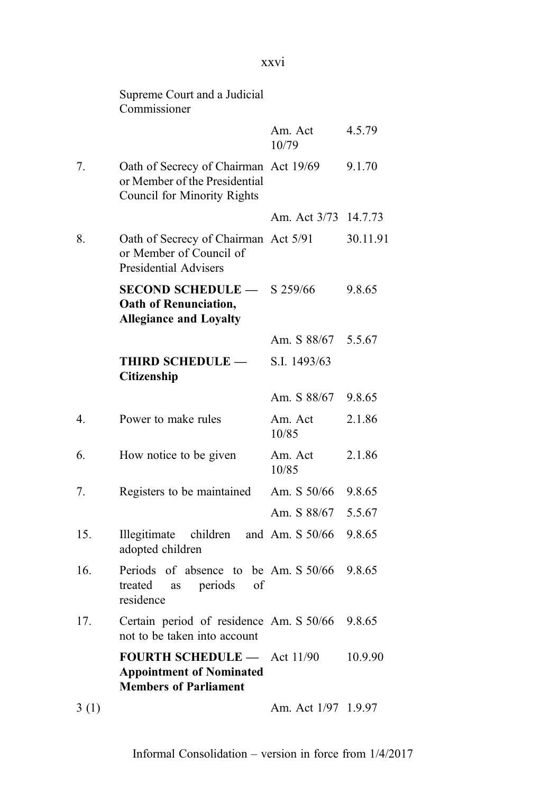## xxvi

|      | Supreme Court and a Judicial<br>Commissioner                                                            |                      |          |
|------|---------------------------------------------------------------------------------------------------------|----------------------|----------|
|      |                                                                                                         | Am. Act<br>10/79     | 4.5.79   |
| 7.   | Oath of Secrecy of Chairman Act 19/69<br>or Member of the Presidential<br>Council for Minority Rights   |                      | 9.1.70   |
|      |                                                                                                         | Am. Act 3/73 14.7.73 |          |
| 8.   | Oath of Secrecy of Chairman Act 5/91<br>or Member of Council of<br><b>Presidential Advisers</b>         |                      | 30.11.91 |
|      | <b>SECOND SCHEDULE - S 259/66</b><br>Oath of Renunciation,<br><b>Allegiance and Loyalty</b>             |                      | 9.8.65   |
|      |                                                                                                         | Am. S 88/67          | 5.5.67   |
|      | <b>THIRD SCHEDULE -</b><br>Citizenship                                                                  | S.I. 1493/63         |          |
|      |                                                                                                         | Am. S 88/67          | 9.8.65   |
| 4.   | Power to make rules                                                                                     | Am. Act<br>10/85     | 2.1.86   |
| 6.   | How notice to be given                                                                                  | Am. Act<br>10/85     | 2.1.86   |
| 7.   | Registers to be maintained                                                                              | Am. S 50/66          | 9.8.65   |
|      |                                                                                                         | Am. S 88/67          | 5.5.67   |
| 15.  | Illegitimate<br>children<br>adopted children                                                            | and Am. $S$ 50/66    | 9.8.65   |
| 16.  | Periods of absence to be Am. S 50/66<br>treated as periods of<br>residence                              |                      | 9.8.65   |
| 17.  | Certain period of residence Am. S 50/66 9.8.65<br>not to be taken into account                          |                      |          |
|      | <b>FOURTH SCHEDULE</b> $-$ Act 11/90<br><b>Appointment of Nominated</b><br><b>Members of Parliament</b> |                      | 10.9.90  |
| 3(1) |                                                                                                         | Am. Act 1/97 1.9.97  |          |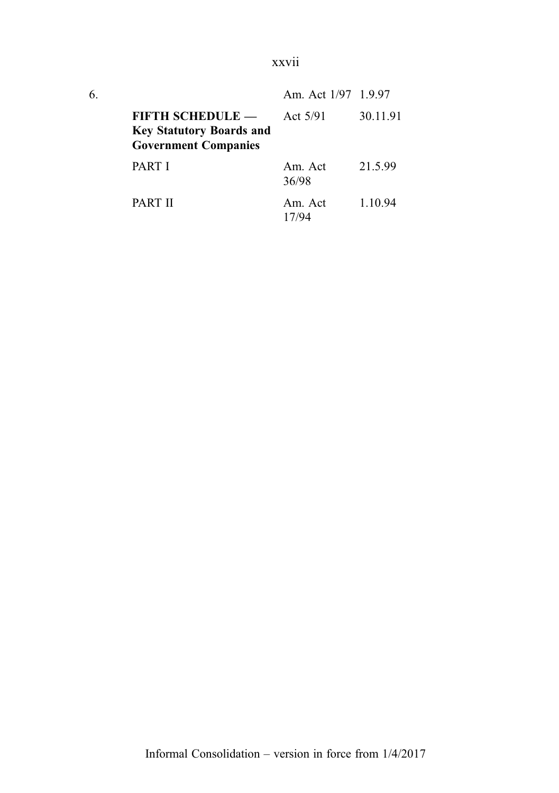xxvii

| 6. |                                                                                    | Am. Act 1/97 1.9.97 |          |
|----|------------------------------------------------------------------------------------|---------------------|----------|
|    | FIFTH SCHEDULE -<br><b>Key Statutory Boards and</b><br><b>Government Companies</b> | Act $5/91$          | 30.11.91 |
|    | PART I                                                                             | Am. Act<br>36/98    | 21.5.99  |
|    | PART II                                                                            | Am. Act<br>17/94    | 1.10.94  |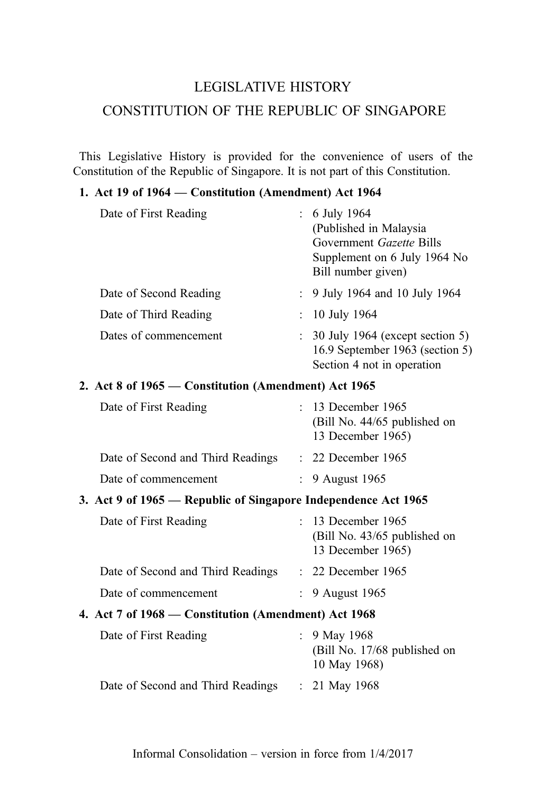# LEGISLATIVE HISTORY CONSTITUTION OF THE REPUBLIC OF SINGAPORE

This Legislative History is provided for the convenience of users of the Constitution of the Republic of Singapore. It is not part of this Constitution.

## 1. Act 19 of 1964 — Constitution (Amendment) Act 1964

| Date of First Reading                                | $: 6$ July 1964<br>(Published in Malaysia)<br>Government <i>Gazette</i> Bills<br>Supplement on 6 July 1964 No<br>Bill number given) |
|------------------------------------------------------|-------------------------------------------------------------------------------------------------------------------------------------|
| Date of Second Reading                               | $: 9$ July 1964 and 10 July 1964                                                                                                    |
| Date of Third Reading                                | $: 10$ July 1964                                                                                                                    |
| Dates of commencement                                | 30 July 1964 (except section 5)<br>16.9 September 1963 (section 5)<br>Section 4 not in operation                                    |
| 2. Act 8 of 1965 — Constitution (Amendment) Act 1965 |                                                                                                                                     |

| Date of First Reading             | $: 13$ December 1965<br>(Bill No. $44/65$ published on<br>13 December 1965) |
|-----------------------------------|-----------------------------------------------------------------------------|
| Date of Second and Third Readings | $\therefore$ 22 December 1965                                               |
| Date of commencement              | $\therefore$ 9 August 1965                                                  |

## 3. Act 9 of 1965 — Republic of Singapore Independence Act 1965

| Date of First Reading             | $: 13$ December 1965<br>(Bill No. 43/65 published on<br>13 December 1965) |
|-----------------------------------|---------------------------------------------------------------------------|
| Date of Second and Third Readings | $: 22$ December 1965                                                      |
| Date of commencement              | $\therefore$ 9 August 1965                                                |
|                                   |                                                                           |

#### 4. Act 7 of 1968 — Constitution (Amendment) Act 1968

| Date of First Reading             | : 9 May 1968<br>(Bill No. 17/68 published on<br>10 May 1968) |
|-----------------------------------|--------------------------------------------------------------|
| Date of Second and Third Readings | : 21 May 1968                                                |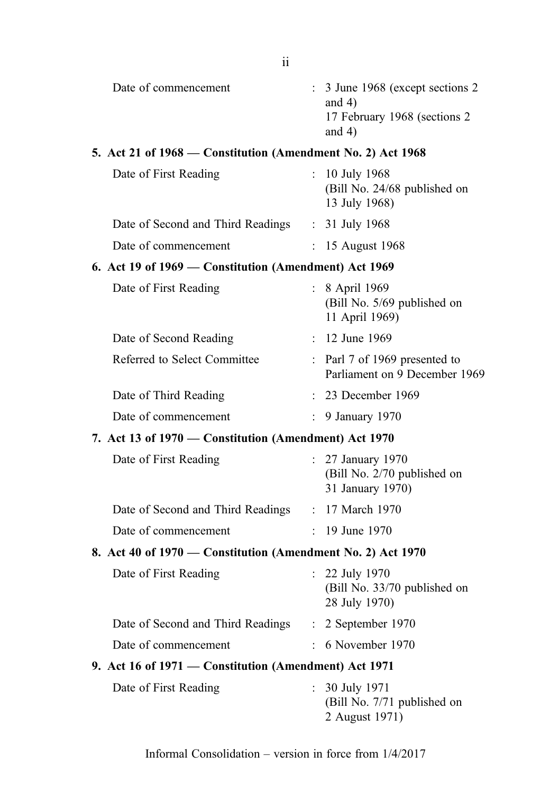| $\overline{\mathbf{u}}$                                     |                           |                                                                                         |
|-------------------------------------------------------------|---------------------------|-----------------------------------------------------------------------------------------|
| Date of commencement                                        |                           | 3 June 1968 (except sections 2)<br>and $4)$<br>17 February 1968 (sections 2<br>and $4)$ |
| 5. Act 21 of 1968 – Constitution (Amendment No. 2) Act 1968 |                           |                                                                                         |
| Date of First Reading                                       |                           | $: 10$ July 1968<br>(Bill No. 24/68 published on<br>13 July 1968)                       |
| Date of Second and Third Readings                           |                           | $: 31$ July 1968                                                                        |
| Date of commencement                                        | $\mathbb{R}^{\mathbb{Z}}$ | 15 August 1968                                                                          |
| 6. Act 19 of 1969 – Constitution (Amendment) Act 1969       |                           |                                                                                         |
| Date of First Reading                                       |                           | 8 April 1969<br>(Bill No. 5/69 published on<br>11 April 1969)                           |
| Date of Second Reading                                      |                           | : 12 June 1969                                                                          |
| Referred to Select Committee                                |                           | : Parl 7 of 1969 presented to<br>Parliament on 9 December 1969                          |
| Date of Third Reading                                       |                           | : 23 December 1969                                                                      |
| Date of commencement                                        |                           | 9 January 1970                                                                          |
| 7. Act 13 of 1970 – Constitution (Amendment) Act 1970       |                           |                                                                                         |
| Date of First Reading                                       | $\mathbb{R}^{\mathbb{Z}}$ | 27 January 1970<br>(Bill No. 2/70 published on<br>31 January 1970)                      |
| Date of Second and Third Readings                           |                           | : 17 March 1970                                                                         |
| Date of commencement                                        |                           | $: 19$ June 1970                                                                        |
| 8. Act 40 of 1970 — Constitution (Amendment No. 2) Act 1970 |                           |                                                                                         |
| Date of First Reading                                       |                           | : 22 July 1970<br>(Bill No. 33/70 published on<br>28 July 1970)                         |
| Date of Second and Third Readings                           |                           | $: 2$ September 1970                                                                    |
| Date of commencement                                        |                           | 6 November 1970                                                                         |
| 9. Act 16 of 1971 – Constitution (Amendment) Act 1971       |                           |                                                                                         |
| Date of First Reading                                       | $\mathbf{r}$              | 30 July 1971<br>(Bill No. 7/71 published on<br>2 August 1971)                           |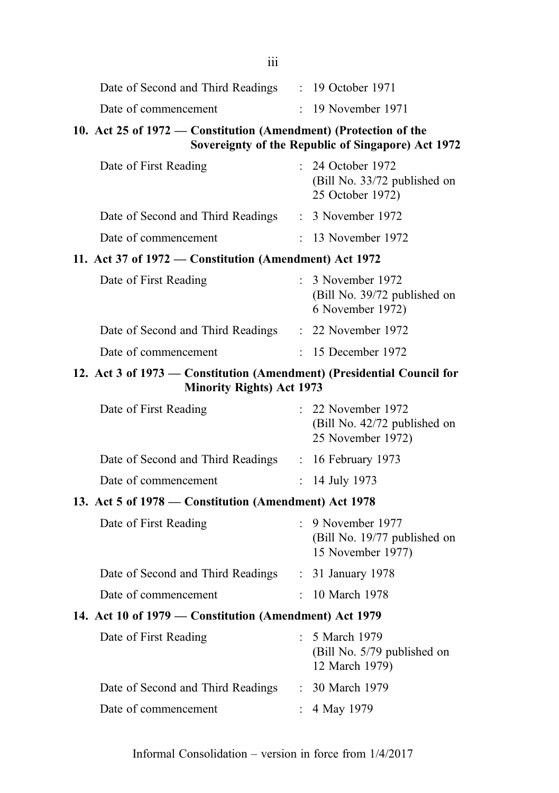| Date of Second and Third Readings | $: 19$ October 1971  |
|-----------------------------------|----------------------|
| Date of commencement              | $: 19$ November 1971 |

#### 10. Act 25 of 1972 — Constitution (Amendment) (Protection of the Sovereignty of the Republic of Singapore) Act 1972

| Date of First Reading             | $: 24$ October 1972<br>(Bill No. 33/72 published on<br>25 October 1972) |
|-----------------------------------|-------------------------------------------------------------------------|
| Date of Second and Third Readings | $\therefore$ 3 November 1972                                            |
| Date of commencement              | $: 13$ November 1972                                                    |

## 11. Act 37 of 1972 — Constitution (Amendment) Act 1972

| Date of First Reading             | $: 3$ November 1972<br>(Bill No. 39/72 published on<br>6 November 1972) |
|-----------------------------------|-------------------------------------------------------------------------|
| Date of Second and Third Readings | $: 22$ November 1972                                                    |
| Date of commencement              | $: 15$ December 1972                                                    |

#### 12. Act 3 of 1973 — Constitution (Amendment) (Presidential Council for Minority Rights) Act 1973

| Date of First Reading             | $: 22$ November 1972<br>(Bill No. $42/72$ published on<br>25 November 1972) |
|-----------------------------------|-----------------------------------------------------------------------------|
| Date of Second and Third Readings | $: 16$ February 1973                                                        |
| Date of commencement              | : 14 July 1973                                                              |

## 13. Act 5 of 1978 — Constitution (Amendment) Act 1978

| Date of First Reading             | $: 9$ November 1977<br>(Bill No. 19/77 published on<br>15 November 1977) |
|-----------------------------------|--------------------------------------------------------------------------|
| Date of Second and Third Readings | $\therefore$ 31 January 1978                                             |
| Date of commencement              | $: 10$ March 1978                                                        |

#### 14. Act 10 of 1979 — Constitution (Amendment) Act 1979

| Date of First Reading             | $\therefore$ 5 March 1979<br>(Bill No. 5/79 published on<br>12 March 1979) |
|-----------------------------------|----------------------------------------------------------------------------|
| Date of Second and Third Readings | : 30 March 1979                                                            |
| Date of commencement              | : $4$ May 1979                                                             |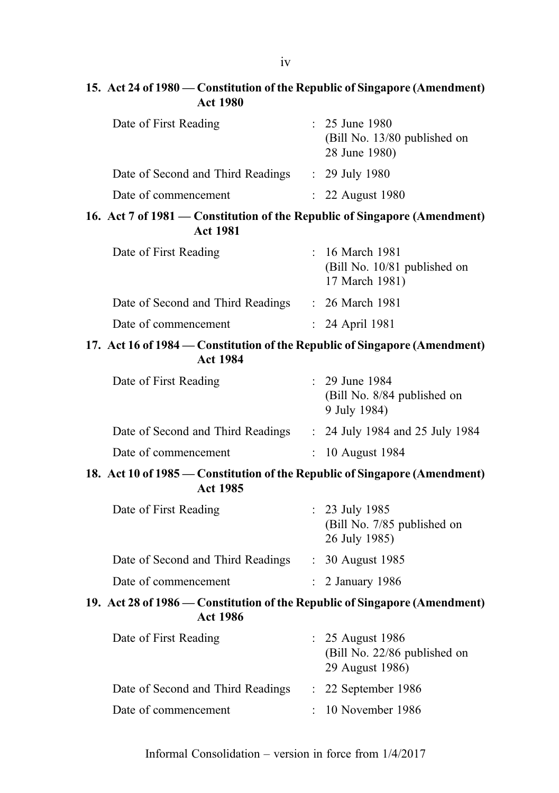iv

## 15. Act 24 of 1980 — Constitution of the Republic of Singapore (Amendment) Act 1980

| Date of First Reading             | $: 25$ June 1980<br>(Bill No. 13/80 published on<br>28 June 1980) |
|-----------------------------------|-------------------------------------------------------------------|
| Date of Second and Third Readings | $: 29$ July 1980                                                  |
| Date of commencement              | $\therefore$ 22 August 1980                                       |

### 16. Act 7 of 1981 — Constitution of the Republic of Singapore (Amendment) Act 1981

| Date of First Reading             | $: 16$ March 1981<br>(Bill No. 10/81 published on<br>17 March 1981) |
|-----------------------------------|---------------------------------------------------------------------|
| Date of Second and Third Readings | : 26 March 1981                                                     |
| Date of commencement              | $: 24$ April 1981                                                   |

## 17. Act 16 of 1984 — Constitution of the Republic of Singapore (Amendment) Act 1984

| Date of First Reading             | $: 29$ June 1984<br>(Bill No. 8/84 published on<br>9 July 1984) |
|-----------------------------------|-----------------------------------------------------------------|
| Date of Second and Third Readings | : 24 July 1984 and 25 July 1984                                 |
| Date of commencement              | $\therefore$ 10 August 1984                                     |

## 18. Act 10 of 1985 — Constitution of the Republic of Singapore (Amendment) Act 1985

| Date of First Reading             | $: 23$ July 1985<br>(Bill No. 7/85 published on<br>26 July 1985) |
|-----------------------------------|------------------------------------------------------------------|
| Date of Second and Third Readings | $\therefore$ 30 August 1985                                      |
| Date of commencement              | $\therefore$ 2 January 1986                                      |

#### 19. Act 28 of 1986 — Constitution of the Republic of Singapore (Amendment) Act 1986

| Date of First Reading             | $\therefore$ 25 August 1986<br>(Bill No. 22/86 published on<br>29 August 1986) |
|-----------------------------------|--------------------------------------------------------------------------------|
| Date of Second and Third Readings | $: 22$ September 1986                                                          |
| Date of commencement              | $: 10$ November 1986                                                           |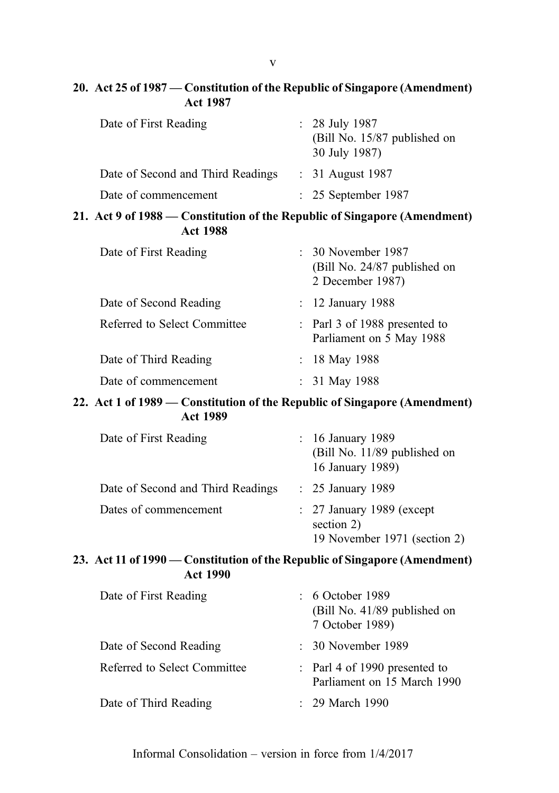20. Act 25 of 1987 — Constitution of the Republic of Singapore (Amendment) Act 1987

| Date of First Reading             | $: 28$ July 1987<br>(Bill No. 15/87 published on<br>30 July 1987) |
|-----------------------------------|-------------------------------------------------------------------|
| Date of Second and Third Readings | $\therefore$ 31 August 1987                                       |
| Date of commencement              | $: 25$ September 1987                                             |

#### 21. Act 9 of 1988 — Constitution of the Republic of Singapore (Amendment) Act 1988

| Date of First Reading        | 30 November 1987<br>(Bill No. 24/87 published on<br>2 December 1987) |
|------------------------------|----------------------------------------------------------------------|
| Date of Second Reading       | : 12 January 1988                                                    |
| Referred to Select Committee | : Parl 3 of 1988 presented to<br>Parliament on 5 May 1988            |
| Date of Third Reading        | : 18 May 1988                                                        |
| Date of commencement         | $: 31$ May 1988                                                      |

#### 22. Act 1 of 1989 — Constitution of the Republic of Singapore (Amendment) Act 1989

| Date of First Reading             | $: 16$ January 1989<br>(Bill No. 11/89 published on<br>16 January 1989)            |  |
|-----------------------------------|------------------------------------------------------------------------------------|--|
| Date of Second and Third Readings | $: 25$ January 1989                                                                |  |
| Dates of commencement             | $\therefore$ 27 January 1989 (except<br>section 2)<br>19 November 1971 (section 2) |  |

#### 23. Act 11 of 1990 — Constitution of the Republic of Singapore (Amendment) Act 1990

| Date of First Reading        | $: 6$ October 1989<br>(Bill No. $41/89$ published on<br>7 October 1989) |
|------------------------------|-------------------------------------------------------------------------|
| Date of Second Reading       | $: 30$ November 1989                                                    |
| Referred to Select Committee | : Parl 4 of 1990 presented to<br>Parliament on 15 March 1990            |
| Date of Third Reading        | $\therefore$ 29 March 1990                                              |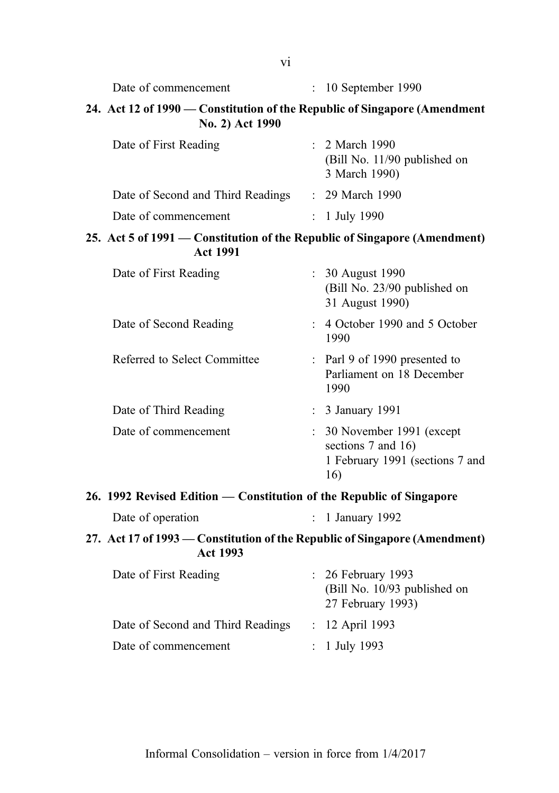| Date of commencement                                                                          |                           | : 10 September 1990                                                                        |
|-----------------------------------------------------------------------------------------------|---------------------------|--------------------------------------------------------------------------------------------|
| 24. Act 12 of 1990 – Constitution of the Republic of Singapore (Amendment<br>No. 2) Act 1990  |                           |                                                                                            |
| Date of First Reading                                                                         |                           | : 2 March 1990<br>(Bill No. 11/90 published on<br>3 March 1990)                            |
| Date of Second and Third Readings                                                             |                           | : 29 March 1990                                                                            |
| Date of commencement                                                                          | $\mathbb{R}^{\mathbb{Z}}$ | 1 July 1990                                                                                |
| 25. Act 5 of 1991 — Constitution of the Republic of Singapore (Amendment)<br><b>Act 1991</b>  |                           |                                                                                            |
| Date of First Reading                                                                         |                           | : 30 August 1990<br>(Bill No. 23/90 published on<br>31 August 1990)                        |
| Date of Second Reading                                                                        |                           | : 4 October 1990 and 5 October<br>1990                                                     |
| Referred to Select Committee                                                                  |                           | : Parl 9 of 1990 presented to<br>Parliament on 18 December<br>1990                         |
| Date of Third Reading                                                                         |                           | : 3 January 1991                                                                           |
| Date of commencement                                                                          |                           | : 30 November 1991 (except<br>sections 7 and 16)<br>1 February 1991 (sections 7 and<br>16) |
| 26. 1992 Revised Edition — Constitution of the Republic of Singapore                          |                           |                                                                                            |
| Date of operation                                                                             | $\ddot{\cdot}$            | 1 January 1992                                                                             |
| 27. Act 17 of 1993 – Constitution of the Republic of Singapore (Amendment)<br><b>Act 1993</b> |                           |                                                                                            |
| Date of First Reading                                                                         |                           | : 26 February 1993<br>(Bill No. 10/93 published on<br>27 February 1993)                    |
| Date of Second and Third Readings                                                             |                           | : 12 April 1993                                                                            |
| Date of commencement                                                                          |                           | : 1 July 1993                                                                              |

vi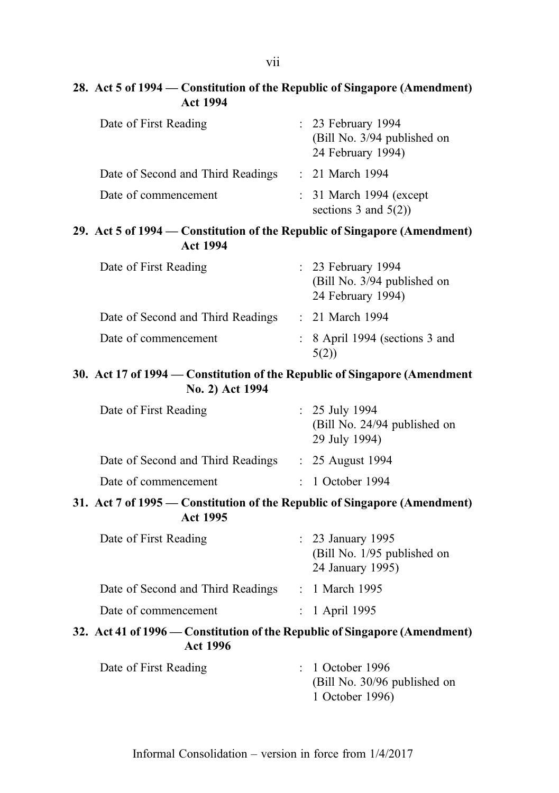vii

## 28. Act 5 of 1994 — Constitution of the Republic of Singapore (Amendment) Act 1994

| Date of First Reading             | $: 23$ February 1994<br>(Bill No. 3/94 published on<br>24 February 1994) |
|-----------------------------------|--------------------------------------------------------------------------|
| Date of Second and Third Readings | $\therefore$ 21 March 1994                                               |
| Date of commencement              | $: 31$ March 1994 (except<br>sections 3 and $5(2)$ )                     |

#### 29. Act 5 of 1994 — Constitution of the Republic of Singapore (Amendment) Act 1994

| Date of First Reading             | $: 23$ February 1994<br>(Bill No. 3/94 published on<br>24 February 1994) |
|-----------------------------------|--------------------------------------------------------------------------|
| Date of Second and Third Readings | $: 21$ March 1994                                                        |
| Date of commencement              | : 8 April 1994 (sections 3 and<br>5(2)                                   |

#### 30. Act 17 of 1994 — Constitution of the Republic of Singapore (Amendment No. 2) Act 1994

| Date of First Reading             | $: 25$ July 1994<br>(Bill No. 24/94 published on<br>29 July 1994) |
|-----------------------------------|-------------------------------------------------------------------|
| Date of Second and Third Readings | $\therefore$ 25 August 1994                                       |
| Date of commencement              | $: 1$ October 1994                                                |

## 31. Act 7 of 1995 — Constitution of the Republic of Singapore (Amendment) Act 1995

| Date of First Reading             | : 23 January 1995<br>(Bill No. 1/95 published on<br>24 January 1995) |
|-----------------------------------|----------------------------------------------------------------------|
| Date of Second and Third Readings | $: 1$ March 1995                                                     |
| Date of commencement              | $: 1$ April 1995                                                     |

## 32. Act 41 of 1996 — Constitution of the Republic of Singapore (Amendment) Act 1996

| Date of First Reading | $: 1$ October 1996           |
|-----------------------|------------------------------|
|                       | (Bill No. 30/96 published on |
|                       | 1 October 1996)              |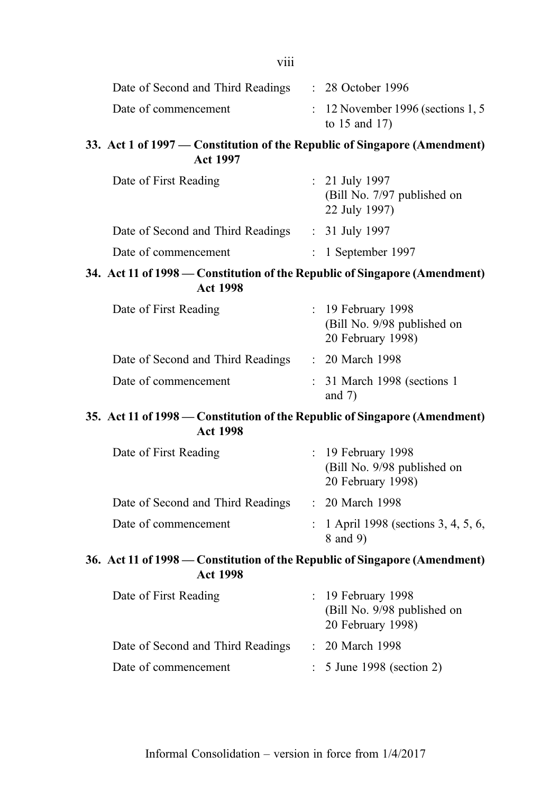| viii                                                                                          |                           |                                                                        |
|-----------------------------------------------------------------------------------------------|---------------------------|------------------------------------------------------------------------|
| Date of Second and Third Readings                                                             |                           | : 28 October 1996                                                      |
| Date of commencement                                                                          |                           | $: 12$ November 1996 (sections 1, 5<br>to $15$ and $17$ )              |
| 33. Act 1 of 1997 — Constitution of the Republic of Singapore (Amendment)<br><b>Act 1997</b>  |                           |                                                                        |
| Date of First Reading                                                                         |                           | $: 21$ July 1997<br>(Bill No. 7/97 published on<br>22 July 1997)       |
| Date of Second and Third Readings                                                             |                           | $: 31$ July 1997                                                       |
| Date of commencement                                                                          | $\mathbb{R}^{\mathbb{Z}}$ | 1 September 1997                                                       |
| 34. Act 11 of 1998 – Constitution of the Republic of Singapore (Amendment)<br><b>Act 1998</b> |                           |                                                                        |
| Date of First Reading                                                                         |                           | : 19 February 1998<br>(Bill No. 9/98 published on<br>20 February 1998) |
| Date of Second and Third Readings                                                             |                           | : 20 March 1998                                                        |
| Date of commencement                                                                          |                           | : 31 March 1998 (sections 1<br>and $7)$                                |
| 35. Act 11 of 1998 – Constitution of the Republic of Singapore (Amendment)<br><b>Act 1998</b> |                           |                                                                        |
| Date of First Reading                                                                         |                           | : 19 February 1998<br>(Bill No. 9/98 published on<br>20 February 1998) |
| Date of Second and Third Readings                                                             |                           | : 20 March 1998                                                        |
| Date of commencement                                                                          |                           | 1 April 1998 (sections 3, 4, 5, 6,<br>8 and 9)                         |
| 36. Act 11 of 1998 – Constitution of the Republic of Singapore (Amendment)<br><b>Act 1998</b> |                           |                                                                        |
| Date of First Reading                                                                         |                           | : 19 February 1998<br>(Bill No. 9/98 published on<br>20 February 1998) |
| Date of Second and Third Readings                                                             |                           | : 20 March 1998                                                        |
| Date of commencement                                                                          |                           | 5 June 1998 (section 2)                                                |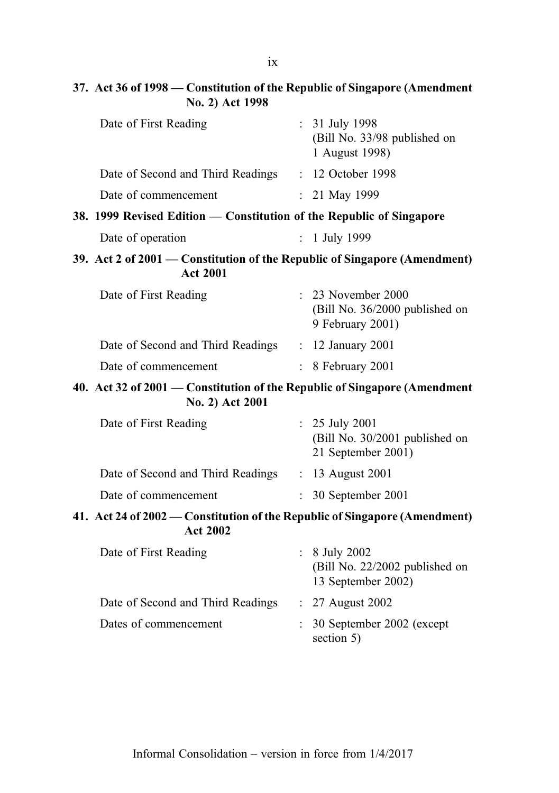ix

# 37. Act 36 of 1998 — Constitution of the Republic of Singapore (Amendment No. 2) Act 1998

| Date of First Reading                                                                         |                           | : 31 July 1998<br>(Bill No. 33/98 published on<br>1 August 1998)         |
|-----------------------------------------------------------------------------------------------|---------------------------|--------------------------------------------------------------------------|
| Date of Second and Third Readings                                                             |                           | : 12 October 1998                                                        |
| Date of commencement                                                                          |                           | : 21 May 1999                                                            |
| 38. 1999 Revised Edition — Constitution of the Republic of Singapore                          |                           |                                                                          |
| Date of operation                                                                             | $\ddot{\cdot}$            | 1 July 1999                                                              |
| 39. Act 2 of 2001 — Constitution of the Republic of Singapore (Amendment)<br><b>Act 2001</b>  |                           |                                                                          |
| Date of First Reading                                                                         |                           | : 23 November 2000<br>(Bill No. 36/2000 published on<br>9 February 2001) |
| Date of Second and Third Readings : 12 January 2001                                           |                           |                                                                          |
| Date of commencement                                                                          | $\mathbb{R}^{\mathbb{Z}}$ | 8 February 2001                                                          |
| 40. Act 32 of 2001 – Constitution of the Republic of Singapore (Amendment<br>No. 2) Act 2001  |                           |                                                                          |
| Date of First Reading                                                                         |                           | : 25 July 2001<br>(Bill No. 30/2001 published on<br>21 September 2001)   |
|                                                                                               |                           |                                                                          |
| Date of Second and Third Readings : 13 August 2001                                            |                           |                                                                          |
| Date of commencement                                                                          | $\mathbf{L}$              | 30 September 2001                                                        |
| 41. Act 24 of 2002 – Constitution of the Republic of Singapore (Amendment)<br><b>Act 2002</b> |                           |                                                                          |
| Date of First Reading                                                                         |                           | $: 8$ July 2002<br>(Bill No. 22/2002 published on<br>13 September 2002)  |
| Date of Second and Third Readings                                                             |                           | : 27 August 2002                                                         |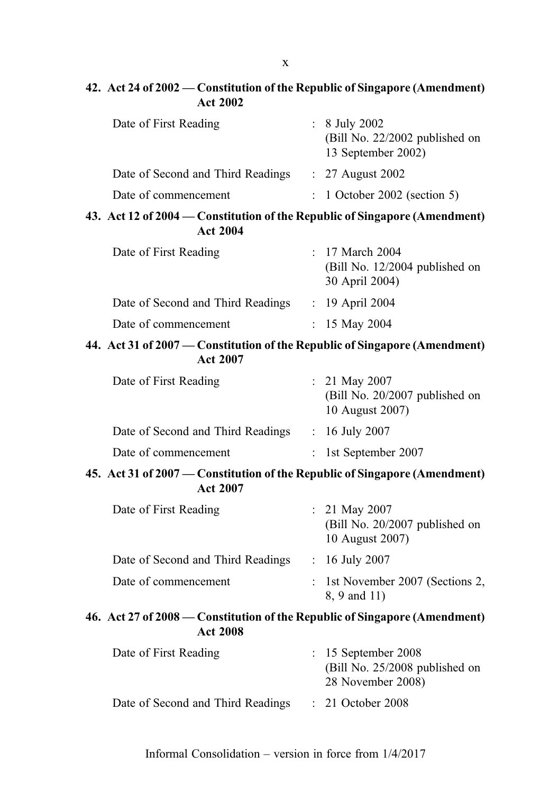x

## 42. Act 24 of 2002 — Constitution of the Republic of Singapore (Amendment) Act 2002

| Date of First Reading                                                                         | $: 8$ July 2002<br>(Bill No. 22/2002 published on<br>13 September 2002) |
|-----------------------------------------------------------------------------------------------|-------------------------------------------------------------------------|
| Date of Second and Third Readings                                                             | $\therefore$ 27 August 2002                                             |
| Date of commencement                                                                          | $: 1$ October 2002 (section 5)                                          |
| 43. Act 12 of 2004 — Constitution of the Republic of Singapore (Amendment)<br><b>Act 2004</b> |                                                                         |
| Date of First Reading                                                                         | : 17 March 2004<br>(Bill No. 12/2004 published on<br>30 April 2004)     |
| Date of Second and Third Readings                                                             | : 19 April 2004                                                         |
| Date of commencement                                                                          | : $15$ May 2004                                                         |
| 44. Act 31 of 2007 — Constitution of the Republic of Singapore (Amendment)<br><b>Act 2007</b> |                                                                         |
| Date of First Reading                                                                         | : 21 May 2007<br>$(D.11\text{ N} \cdot 20/2007 \text{ m}$               |

| Date of First Reading             | $\frac{2}{1}$ $\frac{2}{1}$ May 2007<br>(Bill No. 20/2007 published on<br>10 August 2007) |
|-----------------------------------|-------------------------------------------------------------------------------------------|
| Date of Second and Third Readings | $: 16$ July 2007                                                                          |
| Date of commencement              | $:$ 1st September 2007                                                                    |

## 45. Act 31 of 2007 — Constitution of the Republic of Singapore (Amendment) Act 2007

| Date of First Reading             | : 21 May 2007<br>(Bill No. 20/2007 published on<br>10 August 2007) |
|-----------------------------------|--------------------------------------------------------------------|
| Date of Second and Third Readings | $: 16$ July 2007                                                   |
| Date of commencement              | : 1st November 2007 (Sections 2,<br>8, 9 and 11)                   |

## 46. Act 27 of 2008 — Constitution of the Republic of Singapore (Amendment) Act 2008

| Date of First Reading             | $: 15$ September 2008<br>(Bill No. 25/2008 published on<br>28 November 2008) |
|-----------------------------------|------------------------------------------------------------------------------|
| Date of Second and Third Readings | $: 21$ October 2008                                                          |